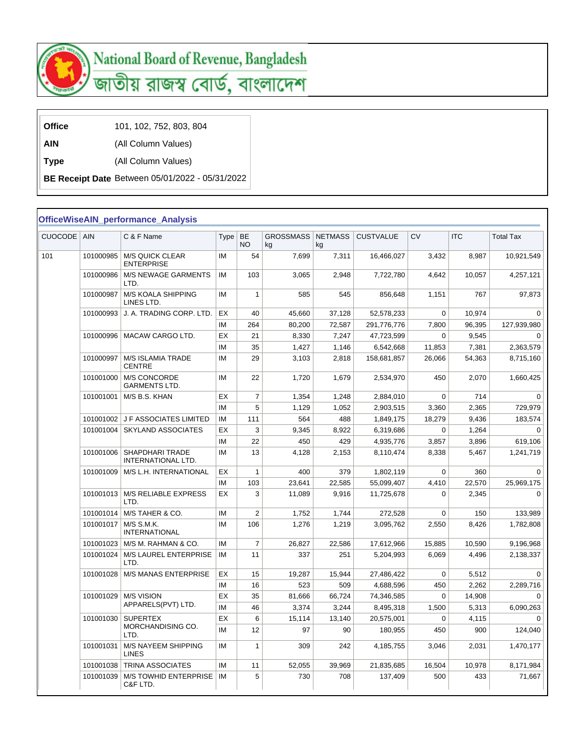

## National Board of Revenue, Bangladesh

জাতীয় রাজস্ব বোর্ড, বাংলাদেশ

| <b>Office</b> | 101, 102, 752, 803, 804 |
|---------------|-------------------------|
|---------------|-------------------------|

**AIN** (All Column Values)

**Type** (All Column Values)

**BE Receipt Date** Between 05/01/2022 - 05/31/2022

## **OfficeWiseAIN\_performance\_Analysis**

| <b>CUOCODE</b> | AIN       | C & F Name                                  | <b>Type</b> | <b>BE</b><br>NO         | <b>GROSSMASS</b><br>kg | <b>NETMASS</b><br>kg | <b>CUSTVALUE</b> | <b>CV</b> | <b>ITC</b> | <b>Total Tax</b> |
|----------------|-----------|---------------------------------------------|-------------|-------------------------|------------------------|----------------------|------------------|-----------|------------|------------------|
| 101            | 101000985 | <b>M/S QUICK CLEAR</b><br><b>ENTERPRISE</b> | IM          | 54                      | 7,699                  | 7,311                | 16,466,027       | 3,432     | 8,987      | 10,921,549       |
|                | 101000986 | <b>M/S NEWAGE GARMENTS</b><br>LTD.          | ΙM          | 103                     | 3,065                  | 2,948                | 7,722,780        | 4,642     | 10,057     | 4,257,121        |
|                | 101000987 | M/S KOALA SHIPPING<br>LINES LTD.            | ΙM          | $\mathbf{1}$            | 585                    | 545                  | 856,648          | 1,151     | 767        | 97,873           |
|                | 101000993 | J. A. TRADING CORP. LTD.                    | EX          | 40                      | 45,660                 | 37,128               | 52,578,233       | 0         | 10,974     | $\Omega$         |
|                |           |                                             | ΙM          | 264                     | 80,200                 | 72,587               | 291,776,776      | 7,800     | 96,395     | 127,939,980      |
|                | 101000996 | MACAW CARGO LTD.                            | EХ          | 21                      | 8,330                  | 7,247                | 47,723,599       | $\Omega$  | 9,545      | $\Omega$         |
|                |           |                                             | ΙM          | 35                      | 1,427                  | 1,146                | 6,542,668        | 11,853    | 7,381      | 2,363,579        |
|                | 101000997 | M/S ISLAMIA TRADE<br><b>CENTRE</b>          | ΙM          | 29                      | 3,103                  | 2,818                | 158,681,857      | 26,066    | 54,363     | 8,715,160        |
|                | 101001000 | M/S CONCORDE<br>GARMENTS LTD.               | ΙM          | 22                      | 1,720                  | 1,679                | 2,534,970        | 450       | 2,070      | 1,660,425        |
|                | 101001001 | M/S B.S. KHAN                               | EХ          | $\overline{7}$          | 1,354                  | 1,248                | 2,884,010        | 0         | 714        | 0                |
|                |           |                                             | IM          | 5                       | 1,129                  | 1,052                | 2,903,515        | 3,360     | 2,365      | 729,979          |
|                | 101001002 | J F ASSOCIATES LIMITED                      | IM          | 111                     | 564                    | 488                  | 1,849,175        | 18,279    | 9,436      | 183,574          |
|                | 101001004 | <b>SKYLAND ASSOCIATES</b>                   | EХ          | 3                       | 9,345                  | 8,922                | 6,319,686        | 0         | 1,264      | $\Omega$         |
|                |           |                                             | ΙM          | 22                      | 450                    | 429                  | 4,935,776        | 3,857     | 3,896      | 619,106          |
|                | 101001006 | SHAPDHARI TRADE<br>INTERNATIONAL LTD.       | ΙM          | 13                      | 4,128                  | 2,153                | 8,110,474        | 8,338     | 5,467      | 1,241,719        |
|                | 101001009 | M/S L.H. INTERNATIONAL                      | EХ          | $\mathbf{1}$            | 400                    | 379                  | 1,802,119        | 0         | 360        | $\Omega$         |
|                |           |                                             | IM          | 103                     | 23,641                 | 22,585               | 55,099,407       | 4,410     | 22,570     | 25,969,175       |
|                | 101001013 | <b>M/S RELIABLE EXPRESS</b><br>LTD.         | ЕX          | 3                       | 11,089                 | 9,916                | 11,725,678       | 0         | 2,345      | 0                |
|                | 101001014 | M/S TAHER & CO.                             | IM          | $\overline{\mathbf{c}}$ | 1,752                  | 1,744                | 272,528          | 0         | 150        | 133,989          |
|                | 101001017 | M/S S.M.K.<br><b>INTERNATIONAL</b>          | ΙM          | 106                     | 1,276                  | 1,219                | 3,095,762        | 2,550     | 8,426      | 1,782,808        |
|                | 101001023 | M/S M. RAHMAN & CO.                         | ΙM          | $\overline{7}$          | 26,827                 | 22,586               | 17,612,966       | 15,885    | 10,590     | 9,196,968        |
|                | 101001024 | M/S LAUREL ENTERPRISE<br>LTD.               | IM          | 11                      | 337                    | 251                  | 5,204,993        | 6,069     | 4,496      | 2,138,337        |
|                | 101001028 | <b>M/S MANAS ENTERPRISE</b>                 | EХ          | 15                      | 19,287                 | 15,944               | 27,486,422       | 0         | 5,512      | 0                |
|                |           |                                             | IM          | 16                      | 523                    | 509                  | 4,688,596        | 450       | 2,262      | 2,289,716        |
|                | 101001029 | <b>M/S VISION</b>                           | EX          | 35                      | 81,666                 | 66,724               | 74,346,585       | 0         | 14,908     | 0                |
|                |           | APPARELS(PVT) LTD.                          | IM          | 46                      | 3,374                  | 3,244                | 8,495,318        | 1,500     | 5,313      | 6,090,263        |
|                | 101001030 | <b>SUPERTEX</b>                             | EХ          | 6                       | 15,114                 | 13,140               | 20,575,001       | 0         | 4,115      | $\pmb{0}$        |
|                |           | MORCHANDISING CO.<br>LTD.                   | ΙM          | 12                      | 97                     | 90                   | 180,955          | 450       | 900        | 124,040          |
|                | 101001031 | M/S NAYEEM SHIPPING<br><b>LINES</b>         | IM          | $\mathbf{1}$            | 309                    | 242                  | 4,185,755        | 3,046     | 2,031      | 1,470,177        |
|                | 101001038 | TRINA ASSOCIATES                            | ΙM          | 11                      | 52,055                 | 39,969               | 21,835,685       | 16,504    | 10,978     | 8,171,984        |
|                | 101001039 | M/S TOWHID ENTERPRISE<br>C&F LTD.           | IM          | 5                       | 730                    | 708                  | 137,409          | 500       | 433        | 71,667           |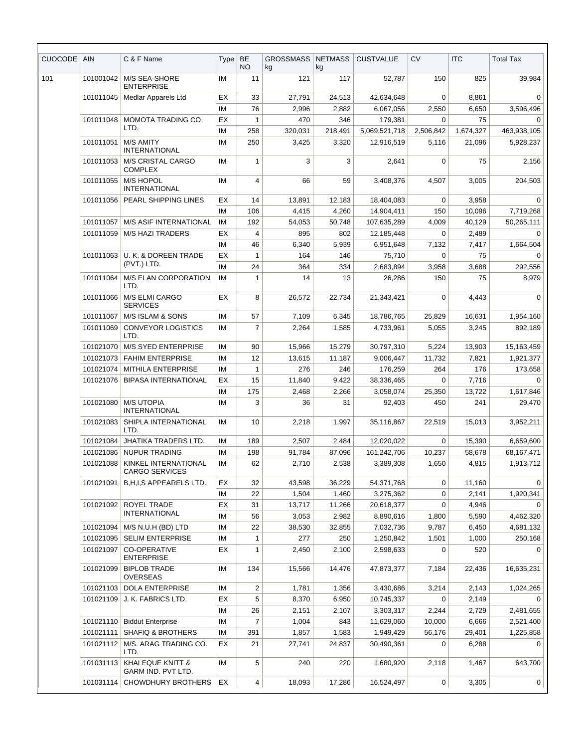| CUOCODE | AIN                    | C & F Name                                        | Type      | <b>BE</b><br>NO              | <b>GROSSMASS</b><br>kg | <b>NETMASS</b><br>kg | <b>CUSTVALUE</b> | <b>CV</b>         | <b>ITC</b> | <b>Total Tax</b>    |
|---------|------------------------|---------------------------------------------------|-----------|------------------------------|------------------------|----------------------|------------------|-------------------|------------|---------------------|
| 101     | 101001042              | M/S SEA-SHORE<br><b>ENTERPRISE</b>                | IM        | 11                           | 121                    | 117                  | 52,787           | 150               | 825        | 39,984              |
|         | 101011045              | <b>Medlar Apparels Ltd</b>                        | EX        | 33                           | 27,791                 | 24,513               | 42,634,648       | $\Omega$          | 8,861      | $\Omega$            |
|         |                        |                                                   | IM        | 76                           | 2,996                  | 2,882                | 6,067,056        | 2,550             | 6,650      | 3,596,496           |
|         | 101011048              | MOMOTA TRADING CO.                                | ЕX        | $\mathbf{1}$                 | 470                    | 346                  | 179,381          | $\Omega$          | 75         | 0                   |
|         |                        | LTD.                                              | IM        | 258                          | 320,031                | 218,491              | 5,069,521,718    | 2,506,842         | 1,674,327  | 463,938,105         |
|         | 101011051              | <b>M/S AMITY</b><br><b>INTERNATIONAL</b>          | IМ        | 250                          | 3,425                  | 3,320                | 12,916,519       | 5,116             | 21,096     | 5,928,237           |
|         | 101011053              | <b>M/S CRISTAL CARGO</b><br><b>COMPLEX</b>        | IM        | $\mathbf{1}$                 | 3                      | 3                    | 2,641            | $\mathbf 0$       | 75         | 2,156               |
|         | 101011055              | <b>M/S HOPOL</b><br><b>INTERNATIONAL</b>          | <b>IM</b> | 4                            | 66                     | 59                   | 3,408,376        | 4,507             | 3,005      | 204,503             |
|         | 101011056              | PEARL SHIPPING LINES                              | ЕX        | 14                           | 13,891                 | 12,183               | 18,404,083       | 0                 | 3,958      | $\Omega$            |
|         |                        |                                                   | IM        | 106                          | 4,415                  | 4,260                | 14,904,411       | 150               | 10,096     | 7,719,268           |
|         | 101011057              | <b>M/S ASIF INTERNATIONAL</b>                     | IM        | 192                          | 54,053                 | 50,748               | 107,635,289      | 4,009             | 40,129     | 50,265,111          |
|         | 101011059              | <b>M/S HAZI TRADERS</b>                           | EX        | $\overline{4}$               | 895                    | 802                  | 12,185,448       | $\Omega$          | 2,489      | $\Omega$            |
|         |                        |                                                   | ΙM        | 46                           | 6,340                  | 5,939                | 6,951,648        | 7,132             | 7,417      | 1,664,504           |
|         | 101011063              | U. K. & DOREEN TRADE<br>(PVT.) LTD.               | <b>EX</b> | $\mathbf{1}$                 | 164                    | 146                  | 75,710           | $\mathbf 0$       | 75         | $\Omega$            |
|         |                        |                                                   | IM        | 24                           | 364                    | 334                  | 2,683,894        | 3,958             | 3,688      | 292,556             |
|         | 101011064              | <b>M/S ELAN CORPORATION</b><br>LTD.               | IM        | $\mathbf{1}$                 | 14                     | 13                   | 26,286           | 150               | 75         | 8,979               |
|         | 101011066              | M/S ELMI CARGO<br><b>SERVICES</b>                 | EX        | 8                            | 26,572                 | 22,734               | 21,343,421       | 0                 | 4,443      | $\mathbf 0$         |
|         | 101011067              | M/S ISLAM & SONS                                  | IM        | 57                           | 7,109                  | 6,345                | 18,786,765       | 25,829            | 16,631     | 1,954,160           |
|         | 101011069              | <b>CONVEYOR LOGISTICS</b><br>LTD.                 | IM        | $\overline{7}$               | 2,264                  | 1,585                | 4,733,961        | 5,055             | 3,245      | 892,189             |
|         | 101021070              | <b>M/S SYED ENTERPRISE</b>                        | IM        | 90                           | 15,966                 | 15,279               | 30,797,310       | 5,224             | 13,903     | 15,163,459          |
|         | 101021073              | <b>FAHIM ENTERPRISE</b>                           | IM        | 12                           | 13,615                 | 11,187               | 9,006,447        | 11,732            | 7,821      | 1,921,377           |
|         | 101021074              | MITHILA ENTERPRISE                                | IM        | $\mathbf{1}$                 | 276                    | 246                  | 176,259          | 264               | 176        | 173,658             |
|         | 101021076              | <b>BIPASA INTERNATIONAL</b>                       | EX        | 15                           | 11,840                 | 9,422                | 38,336,465       | $\Omega$          | 7,716      | $\Omega$            |
|         |                        |                                                   | <b>IM</b> | 175                          | 2,468                  | 2,266                | 3,058,074        | 25,350            | 13,722     | 1,617,846           |
|         | 101021080              | <b>M/S UTOPIA</b><br><b>INTERNATIONAL</b>         | IM        | 3                            | 36                     | 31                   | 92.403           | 450               | 241        | 29,470              |
|         | 101021083              | SHIPLA INTERNATIONAL<br>LTD.                      | IM        | 10                           | 2,218                  | 1,997                | 35,116,867       | 22,519            | 15,013     | 3,952,211           |
|         | 101021084              | JHATIKA TRADERS LTD.                              | IM        | 189                          | 2,507                  | 2,484                | 12,020,022       | $\mathbf 0$       | 15,390     | 6,659,600           |
|         | 101021086              | <b>NUPUR TRADING</b>                              | ΙM        | 198                          | 91,784                 | 87,096               | 161,242,706      | 10,237            | 58,678     | 68,167,471          |
|         | 101021088              | KINKEL INTERNATIONAL<br><b>CARGO SERVICES</b>     | ΙM        | 62                           | 2,710                  | 2,538                | 3,389,308        | 1,650             | 4,815      | 1,913,712           |
|         | 101021091              | B,H,I,S APPEARELS LTD.                            | ЕX        | 32                           | 43,598                 | 36,229               | 54,371,768       | 0                 | 11,160     | 0                   |
|         |                        |                                                   | ΙM        | 22                           | 1,504                  | 1,460                | 3,275,362        | 0                 | 2,141      | 1,920,341           |
|         | 101021092              | ROYEL TRADE<br><b>INTERNATIONAL</b>               | ЕX        | 31                           | 13,717                 | 11,266               | 20,618,377       | 0                 | 4,946      | 0                   |
|         |                        |                                                   | ΙM        | 56                           | 3,053                  | 2,982                | 8,890,616        | 1,800             | 5,590      | 4,462,320           |
|         | 101021094<br>101021095 | M/S N.U.H (BD) LTD                                | ΙM        | 22                           | 38,530                 | 32,855               | 7,032,736        | 9,787             | 6,450      | 4,681,132           |
|         |                        | <b>SELIM ENTERPRISE</b>                           | ΙM        | $\mathbf{1}$<br>$\mathbf{1}$ | 277                    | 250                  | 1,250,842        | 1,501<br>$\Omega$ | 1,000      | 250,168<br>$\Omega$ |
|         | 101021097              | <b>CO-OPERATIVE</b><br><b>ENTERPRISE</b>          | ЕX        |                              | 2,450                  | 2,100                | 2,598,633        |                   | 520        |                     |
|         | 101021099              | <b>BIPLOB TRADE</b><br>OVERSEAS                   | ΙM        | 134                          | 15,566                 | 14,476               | 47,873,377       | 7,184             | 22,436     | 16,635,231          |
|         | 101021103              | <b>DOLA ENTERPRISE</b>                            | ΙM        | 2                            | 1,781                  | 1,356                | 3,430,686        | 3,214             | 2,143      | 1,024,265           |
|         | 101021109              | J. K. FABRICS LTD.                                | EX        | 5                            | 8,370                  | 6,950                | 10,745,337       | 0                 | 2,149      | 0                   |
|         |                        |                                                   | ΙM        | 26                           | 2,151                  | 2,107                | 3,303,317        | 2,244             | 2,729      | 2,481,655           |
|         | 101021110              | <b>Biddut Enterprise</b>                          | ΙM        | 7                            | 1,004                  | 843                  | 11,629,060       | 10,000            | 6,666      | 2,521,400           |
|         | 101021111              | <b>SHAFIQ &amp; BROTHERS</b>                      | ΙM        | 391                          | 1,857                  | 1,583                | 1,949,429        | 56,176            | 29,401     | 1,225,858           |
|         | 101021112              | M/S. ARAG TRADING CO.<br>LTD.                     | ЕX        | 21                           | 27,741                 | 24,837               | 30,490,361       | $\Omega$          | 6,288      | 0                   |
|         | 101031113              | <b>KHALEQUE KNITT &amp;</b><br>GARM IND. PVT LTD. | ΙM        | 5                            | 240                    | 220                  | 1,680,920        | 2,118             | 1,467      | 643,700             |
|         | 101031114              | <b>CHOWDHURY BROTHERS</b>                         | EX        | 4                            | 18,093                 | 17,286               | 16,524,497       | 0                 | 3,305      | 0                   |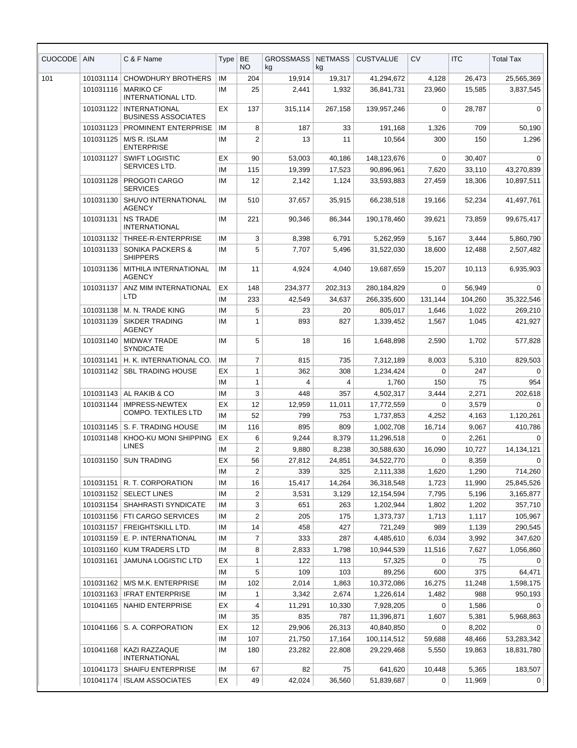| CUOCODE | <b>AIN</b> | C & F Name                                         | Type     | <b>BE</b><br>NO. | <b>GROSSMASS</b><br>kg | <b>NETMASS</b><br>kg | <b>CUSTVALUE</b>          | CV             | <b>ITC</b>       | <b>Total Tax</b>       |
|---------|------------|----------------------------------------------------|----------|------------------|------------------------|----------------------|---------------------------|----------------|------------------|------------------------|
| 101     | 101031114  | <b>CHOWDHURY BROTHERS</b>                          | IM       | 204              | 19,914                 | 19,317               | 41,294,672                | 4,128          | 26,473           | 25,565,369             |
|         | 101031116  | <b>MARIKO CF</b><br>INTERNATIONAL LTD.             | ΙM       | 25               | 2,441                  | 1,932                | 36,841,731                | 23,960         | 15,585           | 3,837,545              |
|         | 101031122  | <b>INTERNATIONAL</b><br><b>BUSINESS ASSOCIATES</b> | EХ       | 137              | 315,114                | 267,158              | 139,957,246               | 0              | 28,787           | 0                      |
|         | 101031123  | PROMINENT ENTERPRISE                               | IM       | 8                | 187                    | 33                   | 191,168                   | 1,326          | 709              | 50,190                 |
|         | 101031125  | M/S R. ISLAM<br><b>ENTERPRISE</b>                  | ΙM       | $\overline{2}$   | 13                     | 11                   | 10,564                    | 300            | 150              | 1,296                  |
|         | 101031127  | <b>SWIFT LOGISTIC</b><br>SERVICES LTD.             | EХ<br>IM | 90<br>115        | 53,003<br>19,399       | 40.186<br>17,523     | 148,123,676<br>90,896,961 | 0<br>7,620     | 30,407<br>33,110 | $\Omega$<br>43,270,839 |
|         | 101031128  | PROGOTI CARGO<br><b>SERVICES</b>                   | ΙM       | 12               | 2,142                  | 1,124                | 33,593,883                | 27,459         | 18,306           | 10,897,511             |
|         | 101031130  | SHUVO INTERNATIONAL<br>AGENCY                      | ΙM       | 510              | 37,657                 | 35,915               | 66,238,518                | 19,166         | 52,234           | 41,497,761             |
|         | 101031131  | <b>NS TRADE</b><br><b>INTERNATIONAL</b>            | ΙM       | 221              | 90,346                 | 86,344               | 190,178,460               | 39,621         | 73.859           | 99,675,417             |
|         | 101031132  | THREE-R-ENTERPRISE                                 | IM       | 3                | 8,398                  | 6,791                | 5,262,959                 | 5,167          | 3,444            | 5,860,790              |
|         | 101031133  | <b>SONIKA PACKERS &amp;</b><br><b>SHIPPERS</b>     | ΙM       | 5                | 7,707                  | 5,496                | 31,522,030                | 18,600         | 12,488           | 2,507,482              |
|         | 101031136  | MITHILA INTERNATIONAL<br>AGENCY                    | ΙM       | 11               | 4,924                  | 4,040                | 19,687,659                | 15,207         | 10,113           | 6,935,903              |
|         | 101031137  | ANZ MIM INTERNATIONAL                              | EХ       | 148              | 234,377                | 202,313              | 280,184,829               | 0              | 56,949           | $\Omega$               |
|         |            | LTD                                                | ΙM       | 233              | 42.549                 | 34,637               | 266.335.600               | 131.144        | 104,260          | 35,322,546             |
|         | 101031138  | M. N. TRADE KING                                   | IМ       | 5                | 23                     | 20                   | 805,017                   | 1,646          | 1,022            | 269,210                |
|         | 101031139  | <b>SIKDER TRADING</b><br><b>AGENCY</b>             | ΙM       | $\mathbf{1}$     | 893                    | 827                  | 1,339,452                 | 1,567          | 1,045            | 421,927                |
|         | 101031140  | <b>MIDWAY TRADE</b><br><b>SYNDICATE</b>            | ΙM       | 5                | 18                     | 16                   | 1,648,898                 | 2,590          | 1,702            | 577,828                |
|         | 101031141  | H. K. INTERNATIONAL CO.                            | IM       | $\overline{7}$   | 815                    | 735                  | 7,312,189                 | 8,003          | 5,310            | 829,503                |
|         | 101031142  | <b>SBL TRADING HOUSE</b>                           | EХ       | $\mathbf{1}$     | 362                    | 308                  | 1,234,424                 | 0              | 247              | 0                      |
|         |            |                                                    | IM       | $\mathbf{1}$     | 4                      | 4                    | 1,760                     | 150            | 75               | 954                    |
|         | 101031143  | AL RAKIB & CO                                      | ΙM       | 3                | 448                    | 357                  | 4,502,317                 | 3,444          | 2,271            | 202,618                |
|         | 101031144  | <b>IMPRESS-NEWTEX</b>                              | ЕX       | 12               | 12,959                 | 11,011               | 17,772,559                | 0              | 3,579            | $\mathbf 0$            |
|         |            | <b>COMPO. TEXTILES LTD</b>                         | IM       | 52               | 799                    | 753                  | 1,737,853                 | 4,252          | 4,163            | 1,120,261              |
|         |            | 101031145   S. F. TRADING HOUSE                    | IM       | 116              | 895                    | 809                  | 1,002,708                 | 16,714         | 9,067            | 410,786                |
|         |            | 101031148   KHOO-KU MONI SHIPPING<br><b>LINES</b>  | EX       | 6                | 9,244                  | 8,379                | 11,296,518                | 0              | 2,261            | 0                      |
|         |            |                                                    | ΙM       | 2                | 9,880                  | 8,238                | 30,588,630                | 16,090         | 10,727           | 14,134,121             |
|         | 101031150  | <b>SUN TRADING</b>                                 | EX       | 56               | 27,812                 | 24,851               | 34,522,770                | 0              | 8,359            |                        |
|         |            | 101031151   R. T. CORPORATION                      | ΙM<br>ΙM | 2<br>16          | 339                    | 325<br>14,264        | 2,111,338                 | 1,620          | 1,290<br>11,990  | 714,260<br>25,845,526  |
|         |            | 101031152   SELECT LINES                           | ΙM       | 2                | 15,417<br>3,531        | 3,129                | 36,318,548<br>12,154,594  | 1,723<br>7,795 | 5,196            | 3,165,877              |
|         | 101031154  | SHAHRASTI SYNDICATE                                | ΙM       | 3                | 651                    | 263                  | 1,202,944                 | 1,802          | 1,202            | 357,710                |
|         |            | 101031156   FTI CARGO SERVICES                     | IM       | $\overline{c}$   | 205                    | 175                  | 1,373,737                 | 1,713          | 1,117            | 105,967                |
|         | 101031157  | <b>FREIGHTSKILL LTD.</b>                           | IM       | 14               | 458                    | 427                  | 721,249                   | 989            | 1,139            | 290,545                |
|         | 101031159  | E. P. INTERNATIONAL                                | ΙM       | $\overline{7}$   | 333                    | 287                  | 4,485,610                 | 6,034          | 3,992            | 347,620                |
|         | 101031160  | KUM TRADERS LTD                                    | ΙM       | 8                | 2,833                  | 1,798                | 10,944,539                | 11,516         | 7,627            | 1,056,860              |
|         | 101031161  | JAMUNA LOGISTIC LTD                                | EX       | $\mathbf{1}$     | 122                    | 113                  | 57,325                    | 0              | 75               | $\Omega$               |
|         |            |                                                    | ΙM       | 5                | 109                    | 103                  | 89,256                    | 600            | 375              | 64,471                 |
|         | 101031162  | M/S M.K. ENTERPRISE                                | IM       | 102              | 2,014                  | 1,863                | 10,372,086                | 16,275         | 11,248           | 1,598,175              |
|         | 101031163  | <b>IFRAT ENTERPRISE</b>                            | ΙM       | 1                | 3,342                  | 2,674                | 1,226,614                 | 1,482          | 988              | 950,193                |
|         | 101041165  | NAHID ENTERPRISE                                   | EX       | 4                | 11,291                 | 10,330               | 7,928,205                 | 0              | 1,586            | $\Omega$               |
|         |            |                                                    | IM       | 35               | 835                    | 787                  | 11,396,871                | 1,607          | 5,381            | 5,968,863              |
|         |            | 101041166   S. A. CORPORATION                      | EX       | 12               | 29,906                 | 26,313               | 40,840,850                | 0              | 8,202            | $\Omega$               |
|         |            |                                                    | ΙM       | 107              | 21,750                 | 17,164               | 100,114,512               | 59,688         | 48,466           | 53,283,342             |
|         | 101041168  | KAZI RAZZAQUE<br><b>INTERNATIONAL</b>              | IM       | 180              | 23,282                 | 22,808               | 29,229,468                | 5,550          | 19,863           | 18,831,780             |
|         | 101041173  | <b>SHAIFU ENTERPRISE</b>                           | ΙM       | 67               | 82                     | 75                   | 641,620                   | 10,448         | 5,365            | 183,507                |
|         |            | 101041174   ISLAM ASSOCIATES                       | EX       | 49               | 42,024                 | 36,560               | 51,839,687                | $\mathbf 0$    | 11,969           | $\mathbf 0$            |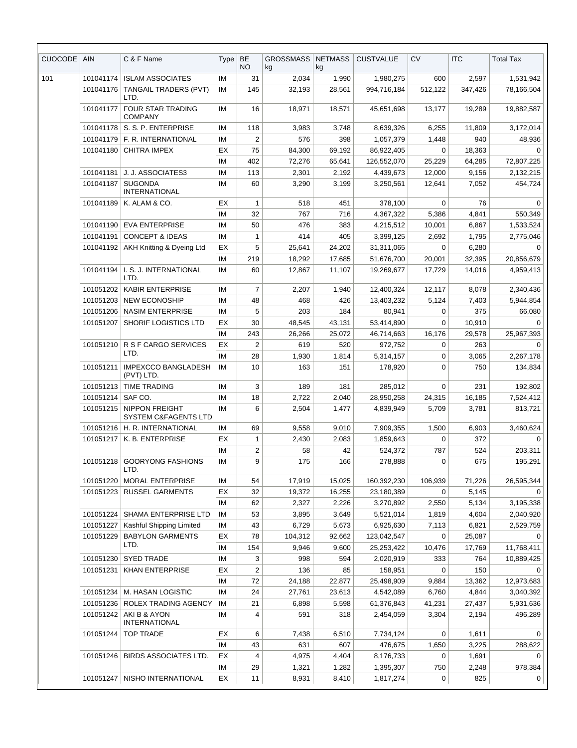| <b>ISLAM ASSOCIATES</b><br>2,034<br>101<br>101041174<br>IM<br>31<br>1,990<br>1,980,275<br>600<br>2,597<br>1,531,942<br><b>TANGAIL TRADERS (PVT)</b><br>145<br>101041176<br>IM<br>32,193<br>28,561<br>994,716,184<br>512,122<br>347,426<br>78,166,504<br>LTD.<br>FOUR STAR TRADING<br>101041177<br>IM<br>16<br>18,971<br>18,571<br>45,651,698<br>19,289<br>13,177<br>19,882,587<br><b>COMPANY</b><br>101041178   S. S. P. ENTERPRISE<br>118<br>6,255<br>IM<br>3,983<br>3,748<br>8,639,326<br>11,809<br>3,172,014<br>101041179   F. R. INTERNATIONAL<br>$\overline{2}$<br>IM<br>576<br>398<br>1,057,379<br>1,448<br>940<br>48,936<br>EX<br>$\mathbf 0$<br>101041180<br><b>CHITRA IMPEX</b><br>75<br>84,300<br>69,192<br>86,922,405<br>18,363<br>$\Omega$<br>402<br>72,807,225<br>IM<br>72,276<br>65,641<br>126,552,070<br>25,229<br>64,285<br>101041181<br>J. J. ASSOCIATES3<br>IM<br>113<br>2,301<br>2,192<br>4,439,673<br>12,000<br>9,156<br>2,132,215<br><b>SUGONDA</b><br>60<br>101041187<br>IM<br>3,290<br>3,199<br>12,641<br>7,052<br>454,724<br>3,250,561<br><b>INTERNATIONAL</b><br>EX<br>76<br>101041189<br>K. ALAM & CO.<br>1<br>518<br>451<br>378,100<br>0<br>$\Omega$<br>32<br>550,349<br>IM<br>767<br>716<br>4,367,322<br>5,386<br>4,841<br>50<br>476<br>101041190   EVA ENTERPRISE<br>IM<br>383<br>10,001<br>1,533,524<br>4,215,512<br>6,867<br>101041191<br><b>CONCEPT &amp; IDEAS</b><br>414<br>405<br>IM<br>3,399,125<br>2,692<br>1,795<br>2,775,046<br>1<br>AKH Knitting & Dyeing Ltd<br>EX<br>5<br>25,641<br>24,202<br>31,311,065<br>6,280<br>101041192<br>0<br>0<br>219<br>IM<br>18,292<br>17,685<br>51,676,700<br>20,001<br>32,395<br>20,856,679<br>I. S. J. INTERNATIONAL<br>IM<br>101041194<br>60<br>12,867<br>11,107<br>19,269,677<br>17,729<br>14,016<br>4,959,413<br>LTD.<br>101051202<br><b>KABIR ENTERPRISE</b><br>IM<br>7<br>2,207<br>1,940<br>12,400,324<br>12,117<br>8,078<br>2,340,436<br><b>NEW ECONOSHIP</b><br>IM<br>48<br>468<br>426<br>5,944,854<br>101051203<br>13,403,232<br>5,124<br>7,403<br>101051206<br><b>NASIM ENTERPRISE</b><br>5<br>203<br>184<br>375<br>IM<br>80,941<br>0<br>66,080<br>SHORIF LOGISTICS LTD<br>30<br>101051207<br>EX<br>48,545<br>43,131<br>53,414,890<br>0<br>10,910<br>$\Omega$<br>243<br>IM<br>26,266<br>25,072<br>46,714,663<br>16,176<br>29,578<br>25,967,393<br>R S F CARGO SERVICES<br>EX<br>$\overline{2}$<br>619<br>520<br>263<br>101051210<br>972,752<br>0<br>0<br>LTD.<br>28<br>1,930<br>1,814<br>IM<br>5,314,157<br>0<br>3,065<br>2,267,178<br>IMPEXCCO BANGLADESH<br>10<br>163<br>151<br>750<br>101051211<br>IM<br>178,920<br>0<br>134,834<br>(PVT) LTD.<br>101051213<br><b>TIME TRADING</b><br>IM<br>3<br>189<br>181<br>$\mathbf 0$<br>231<br>285,012<br>192,802<br>SAF CO.<br>101051214<br>IM<br>18<br>2,722<br>2,040<br>28,950,258<br>24,315<br>16,185<br>7,524,412<br><b>NIPPON FREIGHT</b><br>IM<br>6<br>101051215<br>2,504<br>1,477<br>4,839,949<br>5,709<br>3,781<br>813,721<br>SYSTEM C&FAGENTS LTD<br>101051216   H. R. INTERNATIONAL<br>IM<br>69<br>9,558<br>9,010<br>7,909,355<br>1,500<br>6,903<br>3,460,624<br>EX<br>2,430<br>2,083<br>372<br>101051217   K. B. ENTERPRISE<br>1,859,643<br>0<br>1<br>0<br>2<br>58<br>524,372<br>787<br>524<br>203,311<br>IM<br>42<br>101051218<br>GOORYONG FASHIONS<br>9<br>175<br>166<br>IM<br>278,888<br>675<br>195,291<br>0<br>LTD.<br>101051220<br>MORAL ENTERPRISE<br>IM<br>54<br>17,919<br>15,025<br>160,392,230<br>106,939<br>71,226<br>26,595,344<br>101051223<br><b>RUSSEL GARMENTS</b><br>EX<br>32<br>19,372<br>16,255<br>23,180,389<br>0<br>5,145<br>62<br>3,195,338<br>IM<br>2,327<br>2,226<br>3,270,892<br>2,550<br>5,134<br>101051224   SHAMA ENTERPRISE LTD<br>IM<br>53<br>3,649<br>3,895<br>5,521,014<br>1,819<br>4,604<br>2,040,920<br>43<br>101051227<br>Kashful Shipping Limited<br>IM<br>6,729<br>5,673<br>6,925,630<br>7,113<br>6,821<br>2,529,759<br>78<br>101051229<br><b>BABYLON GARMENTS</b><br>EX<br>104,312<br>92,662<br>123,042,547<br>25,087<br>0<br>0<br>LTD.<br>IM<br>154<br>9,946<br>9,600<br>25,253,422<br>10,476<br>17,769<br>11,768,411<br><b>SYED TRADE</b><br>IM<br>101051230<br>3<br>998<br>594<br>333<br>764<br>10,889,425<br>2,020,919<br><b>KHAN ENTERPRISE</b><br>2<br>136<br>85<br>$\mathbf 0$<br>150<br>101051231<br>EX<br>158,951<br>$\Omega$<br>72<br>IM<br>24,188<br>22,877<br>9,884<br>13,362<br>12,973,683<br>25,498,909<br>M. HASAN LOGISTIC<br>101051234<br>IM<br>24<br>23,613<br>4,542,089<br>6,760<br>4,844<br>3,040,392<br>27,761<br>21<br>101051236<br><b>ROLEX TRADING AGENCY</b><br>IM<br>6,898<br>5,598<br>41,231<br>27,437<br>61,376,843<br>5,931,636<br>101051242<br>AKI B & AYON<br>591<br>318<br>496,289<br>IM<br>2,454,059<br>3,304<br>2,194<br>4<br><b>INTERNATIONAL</b><br>EX<br>101051244<br><b>TOP TRADE</b><br>6<br>7,438<br>6,510<br>7,734,124<br>0<br>1,611<br>$\mathbf 0$<br>43<br>631<br>607<br>288,622<br>IM<br>476,675<br>1,650<br>3,225<br>101051246<br>  BIRDS ASSOCIATES LTD.<br>EX<br>4<br>4,975<br>4,404<br>8,176,733<br>0<br>1,691<br>$\Omega$<br>29<br>750<br>978,384<br>IM<br>1,321<br>1,282<br>2,248<br>1,395,307<br>EX<br>825<br>101051247   NISHO INTERNATIONAL<br>11<br>8,931<br>8,410<br>1,817,274<br>$\overline{0}$<br>0 | <b>CUOCODE</b> | <b>AIN</b> | C & F Name | Type | <b>BE</b><br><b>NO</b> | <b>GROSSMASS</b><br>kg | <b>NETMASS</b><br>kg | <b>CUSTVALUE</b> | <b>CV</b> | <b>ITC</b> | <b>Total Tax</b> |
|------------------------------------------------------------------------------------------------------------------------------------------------------------------------------------------------------------------------------------------------------------------------------------------------------------------------------------------------------------------------------------------------------------------------------------------------------------------------------------------------------------------------------------------------------------------------------------------------------------------------------------------------------------------------------------------------------------------------------------------------------------------------------------------------------------------------------------------------------------------------------------------------------------------------------------------------------------------------------------------------------------------------------------------------------------------------------------------------------------------------------------------------------------------------------------------------------------------------------------------------------------------------------------------------------------------------------------------------------------------------------------------------------------------------------------------------------------------------------------------------------------------------------------------------------------------------------------------------------------------------------------------------------------------------------------------------------------------------------------------------------------------------------------------------------------------------------------------------------------------------------------------------------------------------------------------------------------------------------------------------------------------------------------------------------------------------------------------------------------------------------------------------------------------------------------------------------------------------------------------------------------------------------------------------------------------------------------------------------------------------------------------------------------------------------------------------------------------------------------------------------------------------------------------------------------------------------------------------------------------------------------------------------------------------------------------------------------------------------------------------------------------------------------------------------------------------------------------------------------------------------------------------------------------------------------------------------------------------------------------------------------------------------------------------------------------------------------------------------------------------------------------------------------------------------------------------------------------------------------------------------------------------------------------------------------------------------------------------------------------------------------------------------------------------------------------------------------------------------------------------------------------------------------------------------------------------------------------------------------------------------------------------------------------------------------------------------------------------------------------------------------------------------------------------------------------------------------------------------------------------------------------------------------------------------------------------------------------------------------------------------------------------------------------------------------------------------------------------------------------------------------------------------------------------------------------------------------------------------------------------------------------------------------------------------------------------------------------------------------------------------------------------------------------------------------------------------------------------------------------------------------------------------------------------------------------------------------------------------------------------------------------------------------------------------------------------------------------------------------------------------------------------------------------------------------------------------------------------------------------------------------------------------------------------------------------------------------------------------------------------------------------------------------------------------------------------------------------------------------------------------------------------------------------------------------------------------------------------------------------|----------------|------------|------------|------|------------------------|------------------------|----------------------|------------------|-----------|------------|------------------|
|                                                                                                                                                                                                                                                                                                                                                                                                                                                                                                                                                                                                                                                                                                                                                                                                                                                                                                                                                                                                                                                                                                                                                                                                                                                                                                                                                                                                                                                                                                                                                                                                                                                                                                                                                                                                                                                                                                                                                                                                                                                                                                                                                                                                                                                                                                                                                                                                                                                                                                                                                                                                                                                                                                                                                                                                                                                                                                                                                                                                                                                                                                                                                                                                                                                                                                                                                                                                                                                                                                                                                                                                                                                                                                                                                                                                                                                                                                                                                                                                                                                                                                                                                                                                                                                                                                                                                                                                                                                                                                                                                                                                                                                                                                                                                                                                                                                                                                                                                                                                                                                                                                                                                                                                                                          |                |            |            |      |                        |                        |                      |                  |           |            |                  |
|                                                                                                                                                                                                                                                                                                                                                                                                                                                                                                                                                                                                                                                                                                                                                                                                                                                                                                                                                                                                                                                                                                                                                                                                                                                                                                                                                                                                                                                                                                                                                                                                                                                                                                                                                                                                                                                                                                                                                                                                                                                                                                                                                                                                                                                                                                                                                                                                                                                                                                                                                                                                                                                                                                                                                                                                                                                                                                                                                                                                                                                                                                                                                                                                                                                                                                                                                                                                                                                                                                                                                                                                                                                                                                                                                                                                                                                                                                                                                                                                                                                                                                                                                                                                                                                                                                                                                                                                                                                                                                                                                                                                                                                                                                                                                                                                                                                                                                                                                                                                                                                                                                                                                                                                                                          |                |            |            |      |                        |                        |                      |                  |           |            |                  |
|                                                                                                                                                                                                                                                                                                                                                                                                                                                                                                                                                                                                                                                                                                                                                                                                                                                                                                                                                                                                                                                                                                                                                                                                                                                                                                                                                                                                                                                                                                                                                                                                                                                                                                                                                                                                                                                                                                                                                                                                                                                                                                                                                                                                                                                                                                                                                                                                                                                                                                                                                                                                                                                                                                                                                                                                                                                                                                                                                                                                                                                                                                                                                                                                                                                                                                                                                                                                                                                                                                                                                                                                                                                                                                                                                                                                                                                                                                                                                                                                                                                                                                                                                                                                                                                                                                                                                                                                                                                                                                                                                                                                                                                                                                                                                                                                                                                                                                                                                                                                                                                                                                                                                                                                                                          |                |            |            |      |                        |                        |                      |                  |           |            |                  |
|                                                                                                                                                                                                                                                                                                                                                                                                                                                                                                                                                                                                                                                                                                                                                                                                                                                                                                                                                                                                                                                                                                                                                                                                                                                                                                                                                                                                                                                                                                                                                                                                                                                                                                                                                                                                                                                                                                                                                                                                                                                                                                                                                                                                                                                                                                                                                                                                                                                                                                                                                                                                                                                                                                                                                                                                                                                                                                                                                                                                                                                                                                                                                                                                                                                                                                                                                                                                                                                                                                                                                                                                                                                                                                                                                                                                                                                                                                                                                                                                                                                                                                                                                                                                                                                                                                                                                                                                                                                                                                                                                                                                                                                                                                                                                                                                                                                                                                                                                                                                                                                                                                                                                                                                                                          |                |            |            |      |                        |                        |                      |                  |           |            |                  |
|                                                                                                                                                                                                                                                                                                                                                                                                                                                                                                                                                                                                                                                                                                                                                                                                                                                                                                                                                                                                                                                                                                                                                                                                                                                                                                                                                                                                                                                                                                                                                                                                                                                                                                                                                                                                                                                                                                                                                                                                                                                                                                                                                                                                                                                                                                                                                                                                                                                                                                                                                                                                                                                                                                                                                                                                                                                                                                                                                                                                                                                                                                                                                                                                                                                                                                                                                                                                                                                                                                                                                                                                                                                                                                                                                                                                                                                                                                                                                                                                                                                                                                                                                                                                                                                                                                                                                                                                                                                                                                                                                                                                                                                                                                                                                                                                                                                                                                                                                                                                                                                                                                                                                                                                                                          |                |            |            |      |                        |                        |                      |                  |           |            |                  |
|                                                                                                                                                                                                                                                                                                                                                                                                                                                                                                                                                                                                                                                                                                                                                                                                                                                                                                                                                                                                                                                                                                                                                                                                                                                                                                                                                                                                                                                                                                                                                                                                                                                                                                                                                                                                                                                                                                                                                                                                                                                                                                                                                                                                                                                                                                                                                                                                                                                                                                                                                                                                                                                                                                                                                                                                                                                                                                                                                                                                                                                                                                                                                                                                                                                                                                                                                                                                                                                                                                                                                                                                                                                                                                                                                                                                                                                                                                                                                                                                                                                                                                                                                                                                                                                                                                                                                                                                                                                                                                                                                                                                                                                                                                                                                                                                                                                                                                                                                                                                                                                                                                                                                                                                                                          |                |            |            |      |                        |                        |                      |                  |           |            |                  |
|                                                                                                                                                                                                                                                                                                                                                                                                                                                                                                                                                                                                                                                                                                                                                                                                                                                                                                                                                                                                                                                                                                                                                                                                                                                                                                                                                                                                                                                                                                                                                                                                                                                                                                                                                                                                                                                                                                                                                                                                                                                                                                                                                                                                                                                                                                                                                                                                                                                                                                                                                                                                                                                                                                                                                                                                                                                                                                                                                                                                                                                                                                                                                                                                                                                                                                                                                                                                                                                                                                                                                                                                                                                                                                                                                                                                                                                                                                                                                                                                                                                                                                                                                                                                                                                                                                                                                                                                                                                                                                                                                                                                                                                                                                                                                                                                                                                                                                                                                                                                                                                                                                                                                                                                                                          |                |            |            |      |                        |                        |                      |                  |           |            |                  |
|                                                                                                                                                                                                                                                                                                                                                                                                                                                                                                                                                                                                                                                                                                                                                                                                                                                                                                                                                                                                                                                                                                                                                                                                                                                                                                                                                                                                                                                                                                                                                                                                                                                                                                                                                                                                                                                                                                                                                                                                                                                                                                                                                                                                                                                                                                                                                                                                                                                                                                                                                                                                                                                                                                                                                                                                                                                                                                                                                                                                                                                                                                                                                                                                                                                                                                                                                                                                                                                                                                                                                                                                                                                                                                                                                                                                                                                                                                                                                                                                                                                                                                                                                                                                                                                                                                                                                                                                                                                                                                                                                                                                                                                                                                                                                                                                                                                                                                                                                                                                                                                                                                                                                                                                                                          |                |            |            |      |                        |                        |                      |                  |           |            |                  |
|                                                                                                                                                                                                                                                                                                                                                                                                                                                                                                                                                                                                                                                                                                                                                                                                                                                                                                                                                                                                                                                                                                                                                                                                                                                                                                                                                                                                                                                                                                                                                                                                                                                                                                                                                                                                                                                                                                                                                                                                                                                                                                                                                                                                                                                                                                                                                                                                                                                                                                                                                                                                                                                                                                                                                                                                                                                                                                                                                                                                                                                                                                                                                                                                                                                                                                                                                                                                                                                                                                                                                                                                                                                                                                                                                                                                                                                                                                                                                                                                                                                                                                                                                                                                                                                                                                                                                                                                                                                                                                                                                                                                                                                                                                                                                                                                                                                                                                                                                                                                                                                                                                                                                                                                                                          |                |            |            |      |                        |                        |                      |                  |           |            |                  |
|                                                                                                                                                                                                                                                                                                                                                                                                                                                                                                                                                                                                                                                                                                                                                                                                                                                                                                                                                                                                                                                                                                                                                                                                                                                                                                                                                                                                                                                                                                                                                                                                                                                                                                                                                                                                                                                                                                                                                                                                                                                                                                                                                                                                                                                                                                                                                                                                                                                                                                                                                                                                                                                                                                                                                                                                                                                                                                                                                                                                                                                                                                                                                                                                                                                                                                                                                                                                                                                                                                                                                                                                                                                                                                                                                                                                                                                                                                                                                                                                                                                                                                                                                                                                                                                                                                                                                                                                                                                                                                                                                                                                                                                                                                                                                                                                                                                                                                                                                                                                                                                                                                                                                                                                                                          |                |            |            |      |                        |                        |                      |                  |           |            |                  |
|                                                                                                                                                                                                                                                                                                                                                                                                                                                                                                                                                                                                                                                                                                                                                                                                                                                                                                                                                                                                                                                                                                                                                                                                                                                                                                                                                                                                                                                                                                                                                                                                                                                                                                                                                                                                                                                                                                                                                                                                                                                                                                                                                                                                                                                                                                                                                                                                                                                                                                                                                                                                                                                                                                                                                                                                                                                                                                                                                                                                                                                                                                                                                                                                                                                                                                                                                                                                                                                                                                                                                                                                                                                                                                                                                                                                                                                                                                                                                                                                                                                                                                                                                                                                                                                                                                                                                                                                                                                                                                                                                                                                                                                                                                                                                                                                                                                                                                                                                                                                                                                                                                                                                                                                                                          |                |            |            |      |                        |                        |                      |                  |           |            |                  |
|                                                                                                                                                                                                                                                                                                                                                                                                                                                                                                                                                                                                                                                                                                                                                                                                                                                                                                                                                                                                                                                                                                                                                                                                                                                                                                                                                                                                                                                                                                                                                                                                                                                                                                                                                                                                                                                                                                                                                                                                                                                                                                                                                                                                                                                                                                                                                                                                                                                                                                                                                                                                                                                                                                                                                                                                                                                                                                                                                                                                                                                                                                                                                                                                                                                                                                                                                                                                                                                                                                                                                                                                                                                                                                                                                                                                                                                                                                                                                                                                                                                                                                                                                                                                                                                                                                                                                                                                                                                                                                                                                                                                                                                                                                                                                                                                                                                                                                                                                                                                                                                                                                                                                                                                                                          |                |            |            |      |                        |                        |                      |                  |           |            |                  |
|                                                                                                                                                                                                                                                                                                                                                                                                                                                                                                                                                                                                                                                                                                                                                                                                                                                                                                                                                                                                                                                                                                                                                                                                                                                                                                                                                                                                                                                                                                                                                                                                                                                                                                                                                                                                                                                                                                                                                                                                                                                                                                                                                                                                                                                                                                                                                                                                                                                                                                                                                                                                                                                                                                                                                                                                                                                                                                                                                                                                                                                                                                                                                                                                                                                                                                                                                                                                                                                                                                                                                                                                                                                                                                                                                                                                                                                                                                                                                                                                                                                                                                                                                                                                                                                                                                                                                                                                                                                                                                                                                                                                                                                                                                                                                                                                                                                                                                                                                                                                                                                                                                                                                                                                                                          |                |            |            |      |                        |                        |                      |                  |           |            |                  |
|                                                                                                                                                                                                                                                                                                                                                                                                                                                                                                                                                                                                                                                                                                                                                                                                                                                                                                                                                                                                                                                                                                                                                                                                                                                                                                                                                                                                                                                                                                                                                                                                                                                                                                                                                                                                                                                                                                                                                                                                                                                                                                                                                                                                                                                                                                                                                                                                                                                                                                                                                                                                                                                                                                                                                                                                                                                                                                                                                                                                                                                                                                                                                                                                                                                                                                                                                                                                                                                                                                                                                                                                                                                                                                                                                                                                                                                                                                                                                                                                                                                                                                                                                                                                                                                                                                                                                                                                                                                                                                                                                                                                                                                                                                                                                                                                                                                                                                                                                                                                                                                                                                                                                                                                                                          |                |            |            |      |                        |                        |                      |                  |           |            |                  |
|                                                                                                                                                                                                                                                                                                                                                                                                                                                                                                                                                                                                                                                                                                                                                                                                                                                                                                                                                                                                                                                                                                                                                                                                                                                                                                                                                                                                                                                                                                                                                                                                                                                                                                                                                                                                                                                                                                                                                                                                                                                                                                                                                                                                                                                                                                                                                                                                                                                                                                                                                                                                                                                                                                                                                                                                                                                                                                                                                                                                                                                                                                                                                                                                                                                                                                                                                                                                                                                                                                                                                                                                                                                                                                                                                                                                                                                                                                                                                                                                                                                                                                                                                                                                                                                                                                                                                                                                                                                                                                                                                                                                                                                                                                                                                                                                                                                                                                                                                                                                                                                                                                                                                                                                                                          |                |            |            |      |                        |                        |                      |                  |           |            |                  |
|                                                                                                                                                                                                                                                                                                                                                                                                                                                                                                                                                                                                                                                                                                                                                                                                                                                                                                                                                                                                                                                                                                                                                                                                                                                                                                                                                                                                                                                                                                                                                                                                                                                                                                                                                                                                                                                                                                                                                                                                                                                                                                                                                                                                                                                                                                                                                                                                                                                                                                                                                                                                                                                                                                                                                                                                                                                                                                                                                                                                                                                                                                                                                                                                                                                                                                                                                                                                                                                                                                                                                                                                                                                                                                                                                                                                                                                                                                                                                                                                                                                                                                                                                                                                                                                                                                                                                                                                                                                                                                                                                                                                                                                                                                                                                                                                                                                                                                                                                                                                                                                                                                                                                                                                                                          |                |            |            |      |                        |                        |                      |                  |           |            |                  |
|                                                                                                                                                                                                                                                                                                                                                                                                                                                                                                                                                                                                                                                                                                                                                                                                                                                                                                                                                                                                                                                                                                                                                                                                                                                                                                                                                                                                                                                                                                                                                                                                                                                                                                                                                                                                                                                                                                                                                                                                                                                                                                                                                                                                                                                                                                                                                                                                                                                                                                                                                                                                                                                                                                                                                                                                                                                                                                                                                                                                                                                                                                                                                                                                                                                                                                                                                                                                                                                                                                                                                                                                                                                                                                                                                                                                                                                                                                                                                                                                                                                                                                                                                                                                                                                                                                                                                                                                                                                                                                                                                                                                                                                                                                                                                                                                                                                                                                                                                                                                                                                                                                                                                                                                                                          |                |            |            |      |                        |                        |                      |                  |           |            |                  |
|                                                                                                                                                                                                                                                                                                                                                                                                                                                                                                                                                                                                                                                                                                                                                                                                                                                                                                                                                                                                                                                                                                                                                                                                                                                                                                                                                                                                                                                                                                                                                                                                                                                                                                                                                                                                                                                                                                                                                                                                                                                                                                                                                                                                                                                                                                                                                                                                                                                                                                                                                                                                                                                                                                                                                                                                                                                                                                                                                                                                                                                                                                                                                                                                                                                                                                                                                                                                                                                                                                                                                                                                                                                                                                                                                                                                                                                                                                                                                                                                                                                                                                                                                                                                                                                                                                                                                                                                                                                                                                                                                                                                                                                                                                                                                                                                                                                                                                                                                                                                                                                                                                                                                                                                                                          |                |            |            |      |                        |                        |                      |                  |           |            |                  |
|                                                                                                                                                                                                                                                                                                                                                                                                                                                                                                                                                                                                                                                                                                                                                                                                                                                                                                                                                                                                                                                                                                                                                                                                                                                                                                                                                                                                                                                                                                                                                                                                                                                                                                                                                                                                                                                                                                                                                                                                                                                                                                                                                                                                                                                                                                                                                                                                                                                                                                                                                                                                                                                                                                                                                                                                                                                                                                                                                                                                                                                                                                                                                                                                                                                                                                                                                                                                                                                                                                                                                                                                                                                                                                                                                                                                                                                                                                                                                                                                                                                                                                                                                                                                                                                                                                                                                                                                                                                                                                                                                                                                                                                                                                                                                                                                                                                                                                                                                                                                                                                                                                                                                                                                                                          |                |            |            |      |                        |                        |                      |                  |           |            |                  |
|                                                                                                                                                                                                                                                                                                                                                                                                                                                                                                                                                                                                                                                                                                                                                                                                                                                                                                                                                                                                                                                                                                                                                                                                                                                                                                                                                                                                                                                                                                                                                                                                                                                                                                                                                                                                                                                                                                                                                                                                                                                                                                                                                                                                                                                                                                                                                                                                                                                                                                                                                                                                                                                                                                                                                                                                                                                                                                                                                                                                                                                                                                                                                                                                                                                                                                                                                                                                                                                                                                                                                                                                                                                                                                                                                                                                                                                                                                                                                                                                                                                                                                                                                                                                                                                                                                                                                                                                                                                                                                                                                                                                                                                                                                                                                                                                                                                                                                                                                                                                                                                                                                                                                                                                                                          |                |            |            |      |                        |                        |                      |                  |           |            |                  |
|                                                                                                                                                                                                                                                                                                                                                                                                                                                                                                                                                                                                                                                                                                                                                                                                                                                                                                                                                                                                                                                                                                                                                                                                                                                                                                                                                                                                                                                                                                                                                                                                                                                                                                                                                                                                                                                                                                                                                                                                                                                                                                                                                                                                                                                                                                                                                                                                                                                                                                                                                                                                                                                                                                                                                                                                                                                                                                                                                                                                                                                                                                                                                                                                                                                                                                                                                                                                                                                                                                                                                                                                                                                                                                                                                                                                                                                                                                                                                                                                                                                                                                                                                                                                                                                                                                                                                                                                                                                                                                                                                                                                                                                                                                                                                                                                                                                                                                                                                                                                                                                                                                                                                                                                                                          |                |            |            |      |                        |                        |                      |                  |           |            |                  |
|                                                                                                                                                                                                                                                                                                                                                                                                                                                                                                                                                                                                                                                                                                                                                                                                                                                                                                                                                                                                                                                                                                                                                                                                                                                                                                                                                                                                                                                                                                                                                                                                                                                                                                                                                                                                                                                                                                                                                                                                                                                                                                                                                                                                                                                                                                                                                                                                                                                                                                                                                                                                                                                                                                                                                                                                                                                                                                                                                                                                                                                                                                                                                                                                                                                                                                                                                                                                                                                                                                                                                                                                                                                                                                                                                                                                                                                                                                                                                                                                                                                                                                                                                                                                                                                                                                                                                                                                                                                                                                                                                                                                                                                                                                                                                                                                                                                                                                                                                                                                                                                                                                                                                                                                                                          |                |            |            |      |                        |                        |                      |                  |           |            |                  |
|                                                                                                                                                                                                                                                                                                                                                                                                                                                                                                                                                                                                                                                                                                                                                                                                                                                                                                                                                                                                                                                                                                                                                                                                                                                                                                                                                                                                                                                                                                                                                                                                                                                                                                                                                                                                                                                                                                                                                                                                                                                                                                                                                                                                                                                                                                                                                                                                                                                                                                                                                                                                                                                                                                                                                                                                                                                                                                                                                                                                                                                                                                                                                                                                                                                                                                                                                                                                                                                                                                                                                                                                                                                                                                                                                                                                                                                                                                                                                                                                                                                                                                                                                                                                                                                                                                                                                                                                                                                                                                                                                                                                                                                                                                                                                                                                                                                                                                                                                                                                                                                                                                                                                                                                                                          |                |            |            |      |                        |                        |                      |                  |           |            |                  |
|                                                                                                                                                                                                                                                                                                                                                                                                                                                                                                                                                                                                                                                                                                                                                                                                                                                                                                                                                                                                                                                                                                                                                                                                                                                                                                                                                                                                                                                                                                                                                                                                                                                                                                                                                                                                                                                                                                                                                                                                                                                                                                                                                                                                                                                                                                                                                                                                                                                                                                                                                                                                                                                                                                                                                                                                                                                                                                                                                                                                                                                                                                                                                                                                                                                                                                                                                                                                                                                                                                                                                                                                                                                                                                                                                                                                                                                                                                                                                                                                                                                                                                                                                                                                                                                                                                                                                                                                                                                                                                                                                                                                                                                                                                                                                                                                                                                                                                                                                                                                                                                                                                                                                                                                                                          |                |            |            |      |                        |                        |                      |                  |           |            |                  |
|                                                                                                                                                                                                                                                                                                                                                                                                                                                                                                                                                                                                                                                                                                                                                                                                                                                                                                                                                                                                                                                                                                                                                                                                                                                                                                                                                                                                                                                                                                                                                                                                                                                                                                                                                                                                                                                                                                                                                                                                                                                                                                                                                                                                                                                                                                                                                                                                                                                                                                                                                                                                                                                                                                                                                                                                                                                                                                                                                                                                                                                                                                                                                                                                                                                                                                                                                                                                                                                                                                                                                                                                                                                                                                                                                                                                                                                                                                                                                                                                                                                                                                                                                                                                                                                                                                                                                                                                                                                                                                                                                                                                                                                                                                                                                                                                                                                                                                                                                                                                                                                                                                                                                                                                                                          |                |            |            |      |                        |                        |                      |                  |           |            |                  |
|                                                                                                                                                                                                                                                                                                                                                                                                                                                                                                                                                                                                                                                                                                                                                                                                                                                                                                                                                                                                                                                                                                                                                                                                                                                                                                                                                                                                                                                                                                                                                                                                                                                                                                                                                                                                                                                                                                                                                                                                                                                                                                                                                                                                                                                                                                                                                                                                                                                                                                                                                                                                                                                                                                                                                                                                                                                                                                                                                                                                                                                                                                                                                                                                                                                                                                                                                                                                                                                                                                                                                                                                                                                                                                                                                                                                                                                                                                                                                                                                                                                                                                                                                                                                                                                                                                                                                                                                                                                                                                                                                                                                                                                                                                                                                                                                                                                                                                                                                                                                                                                                                                                                                                                                                                          |                |            |            |      |                        |                        |                      |                  |           |            |                  |
|                                                                                                                                                                                                                                                                                                                                                                                                                                                                                                                                                                                                                                                                                                                                                                                                                                                                                                                                                                                                                                                                                                                                                                                                                                                                                                                                                                                                                                                                                                                                                                                                                                                                                                                                                                                                                                                                                                                                                                                                                                                                                                                                                                                                                                                                                                                                                                                                                                                                                                                                                                                                                                                                                                                                                                                                                                                                                                                                                                                                                                                                                                                                                                                                                                                                                                                                                                                                                                                                                                                                                                                                                                                                                                                                                                                                                                                                                                                                                                                                                                                                                                                                                                                                                                                                                                                                                                                                                                                                                                                                                                                                                                                                                                                                                                                                                                                                                                                                                                                                                                                                                                                                                                                                                                          |                |            |            |      |                        |                        |                      |                  |           |            |                  |
|                                                                                                                                                                                                                                                                                                                                                                                                                                                                                                                                                                                                                                                                                                                                                                                                                                                                                                                                                                                                                                                                                                                                                                                                                                                                                                                                                                                                                                                                                                                                                                                                                                                                                                                                                                                                                                                                                                                                                                                                                                                                                                                                                                                                                                                                                                                                                                                                                                                                                                                                                                                                                                                                                                                                                                                                                                                                                                                                                                                                                                                                                                                                                                                                                                                                                                                                                                                                                                                                                                                                                                                                                                                                                                                                                                                                                                                                                                                                                                                                                                                                                                                                                                                                                                                                                                                                                                                                                                                                                                                                                                                                                                                                                                                                                                                                                                                                                                                                                                                                                                                                                                                                                                                                                                          |                |            |            |      |                        |                        |                      |                  |           |            |                  |
|                                                                                                                                                                                                                                                                                                                                                                                                                                                                                                                                                                                                                                                                                                                                                                                                                                                                                                                                                                                                                                                                                                                                                                                                                                                                                                                                                                                                                                                                                                                                                                                                                                                                                                                                                                                                                                                                                                                                                                                                                                                                                                                                                                                                                                                                                                                                                                                                                                                                                                                                                                                                                                                                                                                                                                                                                                                                                                                                                                                                                                                                                                                                                                                                                                                                                                                                                                                                                                                                                                                                                                                                                                                                                                                                                                                                                                                                                                                                                                                                                                                                                                                                                                                                                                                                                                                                                                                                                                                                                                                                                                                                                                                                                                                                                                                                                                                                                                                                                                                                                                                                                                                                                                                                                                          |                |            |            |      |                        |                        |                      |                  |           |            |                  |
|                                                                                                                                                                                                                                                                                                                                                                                                                                                                                                                                                                                                                                                                                                                                                                                                                                                                                                                                                                                                                                                                                                                                                                                                                                                                                                                                                                                                                                                                                                                                                                                                                                                                                                                                                                                                                                                                                                                                                                                                                                                                                                                                                                                                                                                                                                                                                                                                                                                                                                                                                                                                                                                                                                                                                                                                                                                                                                                                                                                                                                                                                                                                                                                                                                                                                                                                                                                                                                                                                                                                                                                                                                                                                                                                                                                                                                                                                                                                                                                                                                                                                                                                                                                                                                                                                                                                                                                                                                                                                                                                                                                                                                                                                                                                                                                                                                                                                                                                                                                                                                                                                                                                                                                                                                          |                |            |            |      |                        |                        |                      |                  |           |            |                  |
|                                                                                                                                                                                                                                                                                                                                                                                                                                                                                                                                                                                                                                                                                                                                                                                                                                                                                                                                                                                                                                                                                                                                                                                                                                                                                                                                                                                                                                                                                                                                                                                                                                                                                                                                                                                                                                                                                                                                                                                                                                                                                                                                                                                                                                                                                                                                                                                                                                                                                                                                                                                                                                                                                                                                                                                                                                                                                                                                                                                                                                                                                                                                                                                                                                                                                                                                                                                                                                                                                                                                                                                                                                                                                                                                                                                                                                                                                                                                                                                                                                                                                                                                                                                                                                                                                                                                                                                                                                                                                                                                                                                                                                                                                                                                                                                                                                                                                                                                                                                                                                                                                                                                                                                                                                          |                |            |            |      |                        |                        |                      |                  |           |            |                  |
|                                                                                                                                                                                                                                                                                                                                                                                                                                                                                                                                                                                                                                                                                                                                                                                                                                                                                                                                                                                                                                                                                                                                                                                                                                                                                                                                                                                                                                                                                                                                                                                                                                                                                                                                                                                                                                                                                                                                                                                                                                                                                                                                                                                                                                                                                                                                                                                                                                                                                                                                                                                                                                                                                                                                                                                                                                                                                                                                                                                                                                                                                                                                                                                                                                                                                                                                                                                                                                                                                                                                                                                                                                                                                                                                                                                                                                                                                                                                                                                                                                                                                                                                                                                                                                                                                                                                                                                                                                                                                                                                                                                                                                                                                                                                                                                                                                                                                                                                                                                                                                                                                                                                                                                                                                          |                |            |            |      |                        |                        |                      |                  |           |            |                  |
|                                                                                                                                                                                                                                                                                                                                                                                                                                                                                                                                                                                                                                                                                                                                                                                                                                                                                                                                                                                                                                                                                                                                                                                                                                                                                                                                                                                                                                                                                                                                                                                                                                                                                                                                                                                                                                                                                                                                                                                                                                                                                                                                                                                                                                                                                                                                                                                                                                                                                                                                                                                                                                                                                                                                                                                                                                                                                                                                                                                                                                                                                                                                                                                                                                                                                                                                                                                                                                                                                                                                                                                                                                                                                                                                                                                                                                                                                                                                                                                                                                                                                                                                                                                                                                                                                                                                                                                                                                                                                                                                                                                                                                                                                                                                                                                                                                                                                                                                                                                                                                                                                                                                                                                                                                          |                |            |            |      |                        |                        |                      |                  |           |            |                  |
|                                                                                                                                                                                                                                                                                                                                                                                                                                                                                                                                                                                                                                                                                                                                                                                                                                                                                                                                                                                                                                                                                                                                                                                                                                                                                                                                                                                                                                                                                                                                                                                                                                                                                                                                                                                                                                                                                                                                                                                                                                                                                                                                                                                                                                                                                                                                                                                                                                                                                                                                                                                                                                                                                                                                                                                                                                                                                                                                                                                                                                                                                                                                                                                                                                                                                                                                                                                                                                                                                                                                                                                                                                                                                                                                                                                                                                                                                                                                                                                                                                                                                                                                                                                                                                                                                                                                                                                                                                                                                                                                                                                                                                                                                                                                                                                                                                                                                                                                                                                                                                                                                                                                                                                                                                          |                |            |            |      |                        |                        |                      |                  |           |            |                  |
|                                                                                                                                                                                                                                                                                                                                                                                                                                                                                                                                                                                                                                                                                                                                                                                                                                                                                                                                                                                                                                                                                                                                                                                                                                                                                                                                                                                                                                                                                                                                                                                                                                                                                                                                                                                                                                                                                                                                                                                                                                                                                                                                                                                                                                                                                                                                                                                                                                                                                                                                                                                                                                                                                                                                                                                                                                                                                                                                                                                                                                                                                                                                                                                                                                                                                                                                                                                                                                                                                                                                                                                                                                                                                                                                                                                                                                                                                                                                                                                                                                                                                                                                                                                                                                                                                                                                                                                                                                                                                                                                                                                                                                                                                                                                                                                                                                                                                                                                                                                                                                                                                                                                                                                                                                          |                |            |            |      |                        |                        |                      |                  |           |            |                  |
|                                                                                                                                                                                                                                                                                                                                                                                                                                                                                                                                                                                                                                                                                                                                                                                                                                                                                                                                                                                                                                                                                                                                                                                                                                                                                                                                                                                                                                                                                                                                                                                                                                                                                                                                                                                                                                                                                                                                                                                                                                                                                                                                                                                                                                                                                                                                                                                                                                                                                                                                                                                                                                                                                                                                                                                                                                                                                                                                                                                                                                                                                                                                                                                                                                                                                                                                                                                                                                                                                                                                                                                                                                                                                                                                                                                                                                                                                                                                                                                                                                                                                                                                                                                                                                                                                                                                                                                                                                                                                                                                                                                                                                                                                                                                                                                                                                                                                                                                                                                                                                                                                                                                                                                                                                          |                |            |            |      |                        |                        |                      |                  |           |            |                  |
|                                                                                                                                                                                                                                                                                                                                                                                                                                                                                                                                                                                                                                                                                                                                                                                                                                                                                                                                                                                                                                                                                                                                                                                                                                                                                                                                                                                                                                                                                                                                                                                                                                                                                                                                                                                                                                                                                                                                                                                                                                                                                                                                                                                                                                                                                                                                                                                                                                                                                                                                                                                                                                                                                                                                                                                                                                                                                                                                                                                                                                                                                                                                                                                                                                                                                                                                                                                                                                                                                                                                                                                                                                                                                                                                                                                                                                                                                                                                                                                                                                                                                                                                                                                                                                                                                                                                                                                                                                                                                                                                                                                                                                                                                                                                                                                                                                                                                                                                                                                                                                                                                                                                                                                                                                          |                |            |            |      |                        |                        |                      |                  |           |            |                  |
|                                                                                                                                                                                                                                                                                                                                                                                                                                                                                                                                                                                                                                                                                                                                                                                                                                                                                                                                                                                                                                                                                                                                                                                                                                                                                                                                                                                                                                                                                                                                                                                                                                                                                                                                                                                                                                                                                                                                                                                                                                                                                                                                                                                                                                                                                                                                                                                                                                                                                                                                                                                                                                                                                                                                                                                                                                                                                                                                                                                                                                                                                                                                                                                                                                                                                                                                                                                                                                                                                                                                                                                                                                                                                                                                                                                                                                                                                                                                                                                                                                                                                                                                                                                                                                                                                                                                                                                                                                                                                                                                                                                                                                                                                                                                                                                                                                                                                                                                                                                                                                                                                                                                                                                                                                          |                |            |            |      |                        |                        |                      |                  |           |            |                  |
|                                                                                                                                                                                                                                                                                                                                                                                                                                                                                                                                                                                                                                                                                                                                                                                                                                                                                                                                                                                                                                                                                                                                                                                                                                                                                                                                                                                                                                                                                                                                                                                                                                                                                                                                                                                                                                                                                                                                                                                                                                                                                                                                                                                                                                                                                                                                                                                                                                                                                                                                                                                                                                                                                                                                                                                                                                                                                                                                                                                                                                                                                                                                                                                                                                                                                                                                                                                                                                                                                                                                                                                                                                                                                                                                                                                                                                                                                                                                                                                                                                                                                                                                                                                                                                                                                                                                                                                                                                                                                                                                                                                                                                                                                                                                                                                                                                                                                                                                                                                                                                                                                                                                                                                                                                          |                |            |            |      |                        |                        |                      |                  |           |            |                  |
|                                                                                                                                                                                                                                                                                                                                                                                                                                                                                                                                                                                                                                                                                                                                                                                                                                                                                                                                                                                                                                                                                                                                                                                                                                                                                                                                                                                                                                                                                                                                                                                                                                                                                                                                                                                                                                                                                                                                                                                                                                                                                                                                                                                                                                                                                                                                                                                                                                                                                                                                                                                                                                                                                                                                                                                                                                                                                                                                                                                                                                                                                                                                                                                                                                                                                                                                                                                                                                                                                                                                                                                                                                                                                                                                                                                                                                                                                                                                                                                                                                                                                                                                                                                                                                                                                                                                                                                                                                                                                                                                                                                                                                                                                                                                                                                                                                                                                                                                                                                                                                                                                                                                                                                                                                          |                |            |            |      |                        |                        |                      |                  |           |            |                  |
|                                                                                                                                                                                                                                                                                                                                                                                                                                                                                                                                                                                                                                                                                                                                                                                                                                                                                                                                                                                                                                                                                                                                                                                                                                                                                                                                                                                                                                                                                                                                                                                                                                                                                                                                                                                                                                                                                                                                                                                                                                                                                                                                                                                                                                                                                                                                                                                                                                                                                                                                                                                                                                                                                                                                                                                                                                                                                                                                                                                                                                                                                                                                                                                                                                                                                                                                                                                                                                                                                                                                                                                                                                                                                                                                                                                                                                                                                                                                                                                                                                                                                                                                                                                                                                                                                                                                                                                                                                                                                                                                                                                                                                                                                                                                                                                                                                                                                                                                                                                                                                                                                                                                                                                                                                          |                |            |            |      |                        |                        |                      |                  |           |            |                  |
|                                                                                                                                                                                                                                                                                                                                                                                                                                                                                                                                                                                                                                                                                                                                                                                                                                                                                                                                                                                                                                                                                                                                                                                                                                                                                                                                                                                                                                                                                                                                                                                                                                                                                                                                                                                                                                                                                                                                                                                                                                                                                                                                                                                                                                                                                                                                                                                                                                                                                                                                                                                                                                                                                                                                                                                                                                                                                                                                                                                                                                                                                                                                                                                                                                                                                                                                                                                                                                                                                                                                                                                                                                                                                                                                                                                                                                                                                                                                                                                                                                                                                                                                                                                                                                                                                                                                                                                                                                                                                                                                                                                                                                                                                                                                                                                                                                                                                                                                                                                                                                                                                                                                                                                                                                          |                |            |            |      |                        |                        |                      |                  |           |            |                  |
|                                                                                                                                                                                                                                                                                                                                                                                                                                                                                                                                                                                                                                                                                                                                                                                                                                                                                                                                                                                                                                                                                                                                                                                                                                                                                                                                                                                                                                                                                                                                                                                                                                                                                                                                                                                                                                                                                                                                                                                                                                                                                                                                                                                                                                                                                                                                                                                                                                                                                                                                                                                                                                                                                                                                                                                                                                                                                                                                                                                                                                                                                                                                                                                                                                                                                                                                                                                                                                                                                                                                                                                                                                                                                                                                                                                                                                                                                                                                                                                                                                                                                                                                                                                                                                                                                                                                                                                                                                                                                                                                                                                                                                                                                                                                                                                                                                                                                                                                                                                                                                                                                                                                                                                                                                          |                |            |            |      |                        |                        |                      |                  |           |            |                  |
|                                                                                                                                                                                                                                                                                                                                                                                                                                                                                                                                                                                                                                                                                                                                                                                                                                                                                                                                                                                                                                                                                                                                                                                                                                                                                                                                                                                                                                                                                                                                                                                                                                                                                                                                                                                                                                                                                                                                                                                                                                                                                                                                                                                                                                                                                                                                                                                                                                                                                                                                                                                                                                                                                                                                                                                                                                                                                                                                                                                                                                                                                                                                                                                                                                                                                                                                                                                                                                                                                                                                                                                                                                                                                                                                                                                                                                                                                                                                                                                                                                                                                                                                                                                                                                                                                                                                                                                                                                                                                                                                                                                                                                                                                                                                                                                                                                                                                                                                                                                                                                                                                                                                                                                                                                          |                |            |            |      |                        |                        |                      |                  |           |            |                  |
|                                                                                                                                                                                                                                                                                                                                                                                                                                                                                                                                                                                                                                                                                                                                                                                                                                                                                                                                                                                                                                                                                                                                                                                                                                                                                                                                                                                                                                                                                                                                                                                                                                                                                                                                                                                                                                                                                                                                                                                                                                                                                                                                                                                                                                                                                                                                                                                                                                                                                                                                                                                                                                                                                                                                                                                                                                                                                                                                                                                                                                                                                                                                                                                                                                                                                                                                                                                                                                                                                                                                                                                                                                                                                                                                                                                                                                                                                                                                                                                                                                                                                                                                                                                                                                                                                                                                                                                                                                                                                                                                                                                                                                                                                                                                                                                                                                                                                                                                                                                                                                                                                                                                                                                                                                          |                |            |            |      |                        |                        |                      |                  |           |            |                  |
|                                                                                                                                                                                                                                                                                                                                                                                                                                                                                                                                                                                                                                                                                                                                                                                                                                                                                                                                                                                                                                                                                                                                                                                                                                                                                                                                                                                                                                                                                                                                                                                                                                                                                                                                                                                                                                                                                                                                                                                                                                                                                                                                                                                                                                                                                                                                                                                                                                                                                                                                                                                                                                                                                                                                                                                                                                                                                                                                                                                                                                                                                                                                                                                                                                                                                                                                                                                                                                                                                                                                                                                                                                                                                                                                                                                                                                                                                                                                                                                                                                                                                                                                                                                                                                                                                                                                                                                                                                                                                                                                                                                                                                                                                                                                                                                                                                                                                                                                                                                                                                                                                                                                                                                                                                          |                |            |            |      |                        |                        |                      |                  |           |            |                  |
|                                                                                                                                                                                                                                                                                                                                                                                                                                                                                                                                                                                                                                                                                                                                                                                                                                                                                                                                                                                                                                                                                                                                                                                                                                                                                                                                                                                                                                                                                                                                                                                                                                                                                                                                                                                                                                                                                                                                                                                                                                                                                                                                                                                                                                                                                                                                                                                                                                                                                                                                                                                                                                                                                                                                                                                                                                                                                                                                                                                                                                                                                                                                                                                                                                                                                                                                                                                                                                                                                                                                                                                                                                                                                                                                                                                                                                                                                                                                                                                                                                                                                                                                                                                                                                                                                                                                                                                                                                                                                                                                                                                                                                                                                                                                                                                                                                                                                                                                                                                                                                                                                                                                                                                                                                          |                |            |            |      |                        |                        |                      |                  |           |            |                  |
|                                                                                                                                                                                                                                                                                                                                                                                                                                                                                                                                                                                                                                                                                                                                                                                                                                                                                                                                                                                                                                                                                                                                                                                                                                                                                                                                                                                                                                                                                                                                                                                                                                                                                                                                                                                                                                                                                                                                                                                                                                                                                                                                                                                                                                                                                                                                                                                                                                                                                                                                                                                                                                                                                                                                                                                                                                                                                                                                                                                                                                                                                                                                                                                                                                                                                                                                                                                                                                                                                                                                                                                                                                                                                                                                                                                                                                                                                                                                                                                                                                                                                                                                                                                                                                                                                                                                                                                                                                                                                                                                                                                                                                                                                                                                                                                                                                                                                                                                                                                                                                                                                                                                                                                                                                          |                |            |            |      |                        |                        |                      |                  |           |            |                  |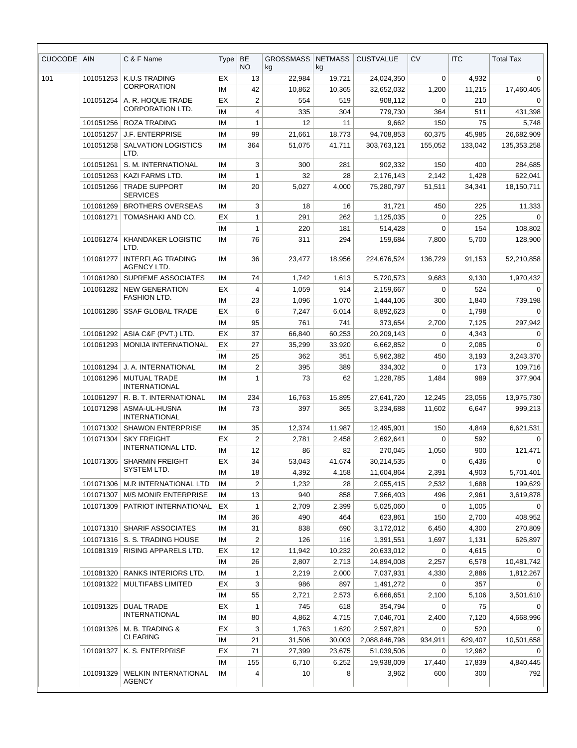| <b>CUOCODE</b> | <b>AIN</b>             | C & F Name                                           | Type     | <b>BE</b><br>NO.   | <b>GROSSMASS</b><br>kg | <b>NETMASS</b><br>kg | <b>CUSTVALUE</b>       | CV                 | <b>ITC</b>     | <b>Total Tax</b> |
|----------------|------------------------|------------------------------------------------------|----------|--------------------|------------------------|----------------------|------------------------|--------------------|----------------|------------------|
| 101            | 101051253              | K.U.S TRADING                                        | EX       | 13                 | 22.984                 | 19,721               | 24,024,350             | 0                  | 4,932          | 0                |
|                |                        | <b>CORPORATION</b>                                   | IM       | 42                 | 10,862                 | 10,365               | 32,652,032             | 1,200              | 11,215         | 17,460,405       |
|                | 101051254              | A. R. HOQUE TRADE                                    | EX       | $\overline{2}$     | 554                    | 519                  | 908,112                | 0                  | 210            | 0                |
|                |                        | CORPORATION LTD.                                     | IM       | 4                  | 335                    | 304                  | 779,730                | 364                | 511            | 431,398          |
|                | 101051256              | <b>ROZA TRADING</b>                                  | IM       | $\mathbf{1}$       | 12                     | 11                   | 9,662                  | 150                | 75             | 5,748            |
|                | 101051257              | <b>J.F. ENTERPRISE</b>                               | IM       | 99                 | 21,661                 | 18,773               | 94,708,853             | 60,375             | 45,985         | 26,682,909       |
|                | 101051258              | <b>SALVATION LOGISTICS</b><br>LTD.                   | IM       | 364                | 51,075                 | 41.711               | 303,763,121            | 155,052            | 133,042        | 135,353,258      |
|                | 101051261              | S. M. INTERNATIONAL                                  | IM       | 3                  | 300                    | 281                  | 902,332                | 150                | 400            | 284,685          |
|                | 101051263              | KAZI FARMS LTD.                                      | IM       | $\mathbf{1}$       | 32                     | 28                   | 2,176,143              | 2,142              | 1,428          | 622,041          |
|                | 101051266              | <b>TRADE SUPPORT</b><br><b>SERVICES</b>              | IM       | 20                 | 5,027                  | 4,000                | 75,280,797             | 51,511             | 34,341         | 18,150,711       |
|                | 101061269              | <b>BROTHERS OVERSEAS</b>                             | IM       | 3                  | 18                     | 16                   | 31,721                 | 450                | 225            | 11,333           |
|                | 101061271              | TOMASHAKI AND CO.                                    | EX       | $\mathbf{1}$       | 291                    | 262                  | 1,125,035              | $\Omega$           | 225            | $\Omega$         |
|                |                        |                                                      | IM       | $\mathbf{1}$       | 220                    | 181                  | 514,428                | 0                  | 154            | 108,802          |
|                | 101061274              | KHANDAKER LOGISTIC<br>LTD.                           | IM       | 76                 | 311                    | 294                  | 159,684                | 7,800              | 5,700          | 128,900          |
|                | 101061277              | <b>INTERFLAG TRADING</b><br><b>AGENCY LTD.</b>       | IM       | 36                 | 23,477                 | 18,956               | 224,676,524            | 136,729            | 91,153         | 52,210,858       |
|                | 101061280              | <b>SUPREME ASSOCIATES</b>                            | IM       | 74                 | 1,742                  | 1,613                | 5,720,573              | 9,683              | 9,130          | 1,970,432        |
|                | 101061282              | <b>NEW GENERATION</b>                                | EX       | $\overline{4}$     | 1,059                  | 914                  | 2.159.667              | $\mathbf 0$        | 524            | $\mathbf 0$      |
|                |                        | <b>FASHION LTD.</b>                                  | IM       | 23                 | 1,096                  | 1,070                | 1,444,106              | 300                | 1,840          | 739,198          |
|                | 101061286              | <b>SSAF GLOBAL TRADE</b>                             | EX       | 6                  | 7,247                  | 6,014                | 8,892,623              | 0                  | 1,798          | $\Omega$         |
|                |                        |                                                      | ΙM       | 95                 | 761                    | 741                  | 373,654                | 2,700              | 7,125          | 297,942          |
|                | 101061292              | ASIA C&F (PVT.) LTD.                                 | EX       | 37                 | 66,840                 | 60,253               | 20,209,143             | $\mathbf 0$        | 4,343          | $\mathbf 0$      |
|                | 101061293              | MONIJA INTERNATIONAL                                 | EX       | 27                 | 35,299                 | 33,920               | 6,662,852              | 0                  | 2,085          | 0                |
|                |                        |                                                      | IM       | 25                 | 362                    | 351                  | 5,962,382              | 450                | 3,193          | 3,243,370        |
|                | 101061294              | J. A. INTERNATIONAL                                  | IM       | $\overline{2}$     | 395                    | 389                  | 334,302                | 0                  | 173            | 109,716          |
|                | 101061296              | <b>MUTUAL TRADE</b><br><b>INTERNATIONAL</b>          | IM       | $\mathbf{1}$       | 73                     | 62                   | 1,228,785              | 1,484              | 989            | 377,904          |
|                | 101061297              | R. B. T. INTERNATIONAL                               | IM       | 234                | 16,763                 | 15,895               | 27,641,720             | 12.245             | 23,056         | 13,975,730       |
|                | 101071298              | ASMA-UL-HUSNA<br><b>INTERNATIONAL</b>                | IM       | 73                 | 397                    | 365                  | 3,234,688              | 11,602             | 6,647          | 999,213          |
|                | 101071302              | <b>SHAWON ENTERPRISE</b>                             | IM       | 35                 | 12,374                 | 11,987               | 12,495,901             | 150                | 4,849          | 6,621,531        |
|                | 101071304              | <b>SKY FREIGHT</b><br>INTERNATIONAL LTD.             | EX       | $\boldsymbol{2}$   | 2,781                  | 2,458                | 2,692,641              | 0                  | 592            | 0                |
|                |                        |                                                      | ΙM       | 12                 | 86                     | 82                   | 270,045                | 1,050              | 900            | 121,471          |
|                | 101071305              | <b>SHARMIN FREIGHT</b><br>SYSTEM LTD.                | EX       | 34                 | 53,043                 | 41,674               | 30,214,535             | 0                  | 6,436          | 0                |
|                |                        |                                                      | IM       | 18                 | 4,392                  | 4,158                | 11,604,864             | 2,391              | 4,903          | 5,701,401        |
|                | 101071306              | M.R INTERNATIONAL LTD<br><b>M/S MONIR ENTERPRISE</b> | ΙM       | 2                  | 1,232                  | 28                   | 2,055,415              | 2,532              | 1,688          | 199,629          |
|                | 101071307<br>101071309 | PATRIOT INTERNATIONAL                                | IM<br>EX | 13<br>$\mathbf{1}$ | 940<br>2,709           | 858<br>2,399         | 7,966,403<br>5,025,060 | 496<br>$\mathbf 0$ | 2,961<br>1,005 | 3,619,878<br>0   |
|                |                        |                                                      | ΙM       | 36                 | 490                    | 464                  | 623,861                | 150                | 2,700          | 408,952          |
|                | 101071310              | SHARIF ASSOCIATES                                    | IM       | 31                 | 838                    | 690                  | 3,172,012              | 6,450              | 4,300          | 270,809          |
|                |                        | 101071316   S. S. TRADING HOUSE                      | ΙM       | $\overline{2}$     | 126                    | 116                  | 1,391,551              | 1,697              | 1,131          | 626,897          |
|                | 101081319              | RISING APPARELS LTD.                                 | EX       | 12                 | 11,942                 | 10,232               | 20,633,012             | 0                  | 4,615          |                  |
|                |                        |                                                      | IM       | 26                 | 2,807                  | 2,713                | 14,894,008             | 2,257              | 6,578          | 10,481,742       |
|                | 101081320              | RANKS INTERIORS LTD.                                 | IM       | 1                  | 2,219                  | 2,000                | 7,037,931              | 4,330              | 2,886          | 1,812,267        |
|                | 101091322              | MULTIFABS LIMITED                                    | EX       | 3                  | 986                    | 897                  | 1,491,272              | 0                  | 357            | 0                |
|                |                        |                                                      | ΙM       | 55                 | 2,721                  | 2,573                | 6,666,651              | 2,100              | 5,106          | 3,501,610        |
|                | 101091325              | <b>DUAL TRADE</b>                                    | EX       | $\mathbf{1}$       | 745                    | 618                  | 354,794                | 0                  | 75             | $\Omega$         |
|                |                        | <b>INTERNATIONAL</b>                                 | ΙM       | 80                 | 4,862                  | 4,715                | 7,046,701              | 2,400              | 7,120          | 4,668,996        |
|                | 101091326              | M. B. TRADING &                                      | ЕX       | 3                  | 1,763                  | 1,620                | 2,597,821              | 0                  | 520            | 0                |
|                |                        | <b>CLEARING</b>                                      | ΙM       | 21                 | 31,506                 | 30,003               | 2,088,846,798          | 934,911            | 629,407        | 10,501,658       |
|                | 101091327              | K. S. ENTERPRISE                                     | EX       | 71                 | 27,399                 | 23,675               | 51,039,506             | 0                  | 12,962         | 0                |
|                |                        |                                                      | IM       | 155                | 6,710                  | 6,252                | 19,938,009             | 17,440             | 17,839         | 4,840,445        |
|                | 101091329              | <b>WELKIN INTERNATIONAL</b><br><b>AGENCY</b>         | IM       | 4                  | 10                     | 8                    | 3,962                  | 600                | 300            | 792              |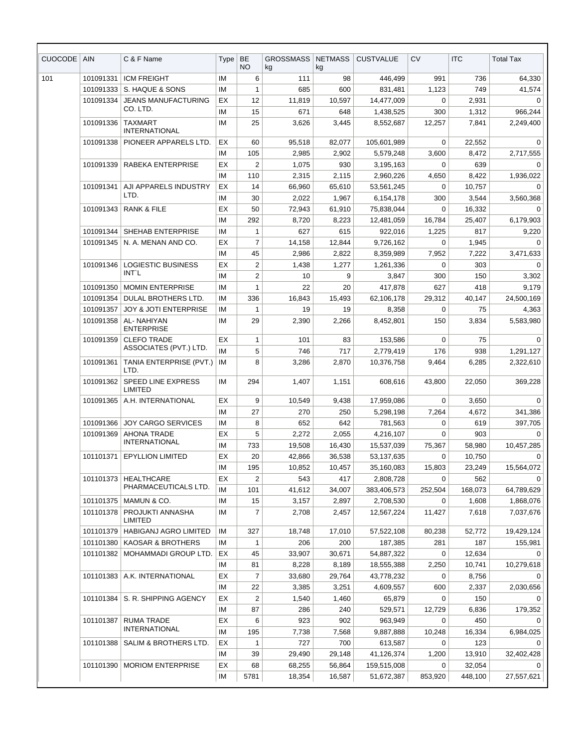| <b>CUOCODE</b> | <b>AIN</b> | C & F Name                                | Type     | <b>BE</b><br><b>NO</b> | <b>GROSSMASS</b><br>kg | <b>NETMASS</b><br>kg | <b>CUSTVALUE</b>    | <b>CV</b>   | <b>ITC</b>   | <b>Total Tax</b>  |
|----------------|------------|-------------------------------------------|----------|------------------------|------------------------|----------------------|---------------------|-------------|--------------|-------------------|
| 101            | 101091331  | <b>ICM FREIGHT</b>                        | IM       | 6                      | 111                    | 98                   | 446,499             | 991         | 736          | 64,330            |
|                | 101091333  | S. HAQUE & SONS                           | IM       | 1                      | 685                    | 600                  | 831,481             | 1,123       | 749          | 41,574            |
|                | 101091334  | <b>JEANS MANUFACTURING</b>                | EX       | 12                     | 11,819                 | 10,597               | 14,477,009          | 0           | 2,931        | $\mathbf 0$       |
|                |            | CO. LTD.                                  | ΙM       | 15                     | 671                    | 648                  | 1,438,525           | 300         | 1,312        | 966,244           |
|                | 101091336  | <b>TAXMART</b><br><b>INTERNATIONAL</b>    | IM       | 25                     | 3,626                  | 3,445                | 8,552,687           | 12,257      | 7,841        | 2,249,400         |
|                | 101091338  | PIONEER APPARELS LTD.                     | EX       | 60                     | 95,518                 | 82,077               | 105,601,989         | 0           | 22,552       | 0                 |
|                |            |                                           | IM       | 105                    | 2,985                  | 2,902                | 5,579,248           | 3,600       | 8,472        | 2,717,555         |
|                | 101091339  | RABEKA ENTERPRISE                         | EX       | 2                      | 1,075                  | 930                  | 3,195,163           | 0           | 639          | 0                 |
|                |            |                                           | IM       | 110                    | 2,315                  | 2,115                | 2,960,226           | 4,650       | 8,422        | 1,936,022         |
|                | 101091341  | AJI APPARELS INDUSTRY<br>LTD.             | EX       | 14                     | 66,960                 | 65,610               | 53,561,245          | 0           | 10,757       | $\mathbf 0$       |
|                |            |                                           | IM       | 30                     | 2,022                  | 1,967                | 6,154,178           | 300         | 3,544        | 3,560,368         |
|                | 101091343  | <b>RANK &amp; FILE</b>                    | EX       | 50                     | 72,943                 | 61,910               | 75,838,044          | 0           | 16,332       | $\Omega$          |
|                |            |                                           | IM       | 292                    | 8,720                  | 8,223                | 12,481,059          | 16.784      | 25,407       | 6,179,903         |
|                | 101091344  | SHEHAB ENTERPRISE                         | IM       | 1                      | 627                    | 615                  | 922,016             | 1,225       | 817          | 9,220             |
|                | 101091345  | N. A. MENAN AND CO.                       | EX       | $\overline{7}$         | 14,158                 | 12,844               | 9,726,162           | $\mathbf 0$ | 1,945        | $\Omega$          |
|                |            |                                           | ΙM       | 45                     | 2,986                  | 2,822                | 8,359,989           | 7,952       | 7,222        | 3,471,633         |
|                | 101091346  | LOGIESTIC BUSINESS<br>INT'L               | EX<br>IM | 2<br>$\overline{2}$    | 1,438<br>10            | 1,277<br>9           | 1,261,336<br>3,847  | 0<br>300    | 303<br>150   | $\Omega$<br>3,302 |
|                | 101091350  | <b>MOMIN ENTERPRISE</b>                   | IM       | 1                      | 22                     | 20                   | 417,878             | 627         | 418          | 9,179             |
|                | 101091354  | DULAL BROTHERS LTD.                       | ΙM       | 336                    | 16,843                 | 15,493               | 62,106,178          | 29,312      | 40.147       | 24,500,169        |
|                | 101091357  | <b>JOY &amp; JOTI ENTERPRISE</b>          | IM       | 1                      | 19                     | 19                   | 8,358               | 0           | 75           | 4,363             |
|                | 101091358  | AL- NAHIYAN<br><b>ENTERPRISE</b>          | IM       | 29                     | 2,390                  | 2,266                | 8,452,801           | 150         | 3,834        | 5,583,980         |
|                | 101091359  | <b>CLEFO TRADE</b>                        | EX       | 1                      | 101                    | 83                   | 153,586             | $\mathbf 0$ | 75           | $\Omega$          |
|                |            | ASSOCIATES (PVT.) LTD.                    | IM       | 5                      | 746                    | 717                  | 2,779,419           | 176         | 938          | 1,291,127         |
|                | 101091361  | TANIA ENTERPRISE (PVT.)<br>LTD.           | IM       | 8                      | 3,286                  | 2,870                | 10,376,758          | 9,464       | 6,285        | 2,322,610         |
|                | 101091362  | <b>SPEED LINE EXPRESS</b><br>LIMITED      | IM       | 294                    | 1,407                  | 1,151                | 608,616             | 43,800      | 22,050       | 369,228           |
|                | 101091365  | A.H. INTERNATIONAL                        | EX       | 9                      | 10,549                 | 9,438                | 17,959,086          | 0           | 3,650        | $\Omega$          |
|                |            |                                           | IM       | 27                     | 270                    | 250                  | 5,298,198           | 7,264       | 4,672        | 341,386           |
|                | 101091366  | <b>JOY CARGO SERVICES</b>                 | IM       | 8                      | 652                    | 642                  | 781,563             | 0           | 619          | 397,705           |
|                | 101091369  | <b>AHONA TRADE</b>                        | EX       | 5                      | 2,272                  | 2,055                | 4,216,107           | $\mathbf 0$ | 903          | 0                 |
|                |            | <b>INTERNATIONAL</b>                      | IM       | 733                    | 19,508                 | 16,430               | 15,537,039          | 75,367      | 58,980       | 10,457,285        |
|                | 101101371  | <b>EPYLLION LIMITED</b>                   | EX       | 20                     | 42,866                 | 36,538               | 53,137,635          | 0           | 10,750       | 0                 |
|                |            |                                           | IM       | 195                    | 10,852                 | 10,457               | 35,160,083          | 15,803      | 23,249       | 15,564,072        |
|                | 101101373  | <b>HEALTHCARE</b><br>PHARMACEUTICALS LTD. | EX       | $\overline{2}$         | 543                    | 417                  | 2,808,728           | $\mathbf 0$ | 562          | $\Omega$          |
|                |            |                                           | IM       | 101                    | 41,612                 | 34,007               | 383,406,573         | 252,504     | 168,073      | 64,789,629        |
|                | 101101375  | MAMUN & CO.                               | IM       | 15                     | 3,157                  | 2,897                | 2,708,530           | 0           | 1,608        | 1,868,076         |
|                | 101101378  | PROJUKTI ANNASHA<br>LIMITED               | IM       | $\overline{7}$         | 2,708                  | 2,457                | 12,567,224          | 11,427      | 7,618        | 7,037,676         |
|                | 101101379  | HABIGANJ AGRO LIMITED                     | IM       | 327                    | 18,748                 | 17,010               | 57,522,108          | 80,238      | 52,772       | 19,429,124        |
|                | 101101380  | <b>KAOSAR &amp; BROTHERS</b>              | ΙM       | 1                      | 206                    | 200                  | 187,385             | 281         | 187          | 155,981           |
|                | 101101382  | MOHAMMADI GROUP LTD.                      | EX       | 45                     | 33,907                 | 30,671               | 54,887,322          | 0           | 12,634       | $\Omega$          |
|                |            |                                           | IM       | 81                     | 8,228                  | 8,189                | 18,555,388          | 2,250       | 10,741       | 10,279,618        |
|                | 101101383  | A.K. INTERNATIONAL                        | EX       | $\overline{7}$         | 33,680                 | 29,764               | 43,778,232          | 0           | 8,756        | $\Omega$          |
|                | 101101384  | S. R. SHIPPING AGENCY                     | IM<br>EX | 22<br>2                | 3,385<br>1,540         | 3,251<br>1,460       | 4,609,557<br>65,879 | 600<br>0    | 2,337<br>150 | 2,030,656<br>0    |
|                |            |                                           | IM       | 87                     | 286                    | 240                  | 529,571             | 12,729      | 6,836        | 179,352           |
|                | 101101387  | RUMA TRADE                                | EX       | 6                      | 923                    | 902                  | 963,949             | 0           | 450          | $\mathbf 0$       |
|                |            | <b>INTERNATIONAL</b>                      | IM       | 195                    | 7,738                  | 7,568                | 9,887,888           | 10,248      | 16,334       | 6,984,025         |
|                | 101101388  | SALIM & BROTHERS LTD.                     | EX       | 1                      | 727                    | 700                  | 613,587             | 0           | 123          | 0                 |
|                |            |                                           | IM       | 39                     | 29,490                 | 29,148               | 41,126,374          | 1,200       | 13,910       | 32,402,428        |
|                | 101101390  | <b>MORIOM ENTERPRISE</b>                  | EX       | 68                     | 68,255                 | 56,864               | 159,515,008         | $\mathbf 0$ | 32,054       | $\Omega$          |
|                |            |                                           | IM       | 5781                   | 18,354                 | 16,587               | 51,672,387          | 853,920     | 448,100      | 27,557,621        |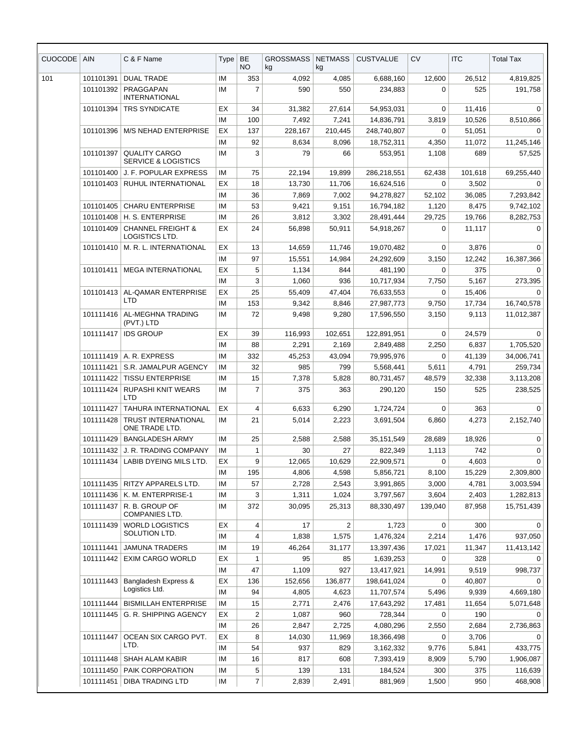| <b>CUOCODE</b> | <b>AIN</b>             | C & F Name                                             | Type     | <b>BE</b><br>NO. | <b>GROSSMASS</b><br>kg | <b>NETMASS</b><br>kg | <b>CUSTVALUE</b>         | CV               | <b>ITC</b>       | <b>Total Tax</b>        |
|----------------|------------------------|--------------------------------------------------------|----------|------------------|------------------------|----------------------|--------------------------|------------------|------------------|-------------------------|
| 101            | 101101391              | <b>DUAL TRADE</b>                                      | IM       | 353              | 4,092                  | 4,085                | 6,688,160                | 12,600           | 26,512           | 4,819,825               |
|                | 101101392              | PRAGGAPAN<br><b>INTERNATIONAL</b>                      | ΙM       | $\overline{7}$   | 590                    | 550                  | 234,883                  | 0                | 525              | 191,758                 |
|                | 101101394              | <b>TRS SYNDICATE</b>                                   | EX<br>ΙM | 34<br>100        | 31,382<br>7,492        | 27,614<br>7,241      | 54,953,031<br>14,836,791 | 0<br>3,819       | 11,416<br>10,526 | $\Omega$<br>8,510,866   |
|                | 101101396              | <b>M/S NEHAD ENTERPRISE</b>                            | EХ       | 137              | 228,167                | 210,445              | 248,740,807              | 0                | 51,051           | 0                       |
|                |                        |                                                        | ΙM       | 92               | 8,634                  | 8,096                | 18,752,311               | 4,350            | 11,072           | 11,245,146              |
|                | 101101397              | <b>QUALITY CARGO</b><br><b>SERVICE &amp; LOGISTICS</b> | ΙM       | 3                | 79                     | 66                   | 553,951                  | 1,108            | 689              | 57,525                  |
|                | 101101400              | J. F. POPULAR EXPRESS                                  | ΙM       | 75               | 22,194                 | 19,899               | 286,218,551              | 62,438           | 101,618          | 69,255,440              |
|                | 101101403              | RUHUL INTERNATIONAL                                    | EХ       | 18               | 13,730                 | 11,706               | 16,624,516               | 0                | 3,502            | 0                       |
|                |                        |                                                        | ΙM       | 36               | 7,869                  | 7,002                | 94,278,827               | 52,102           | 36,085           | 7,293,842               |
|                | 101101405              | <b>CHARU ENTERPRISE</b>                                | ΙM       | 53               | 9,421                  | 9,151                | 16,794,182               | 1,120            | 8,475            | 9,742,102               |
|                | 101101408              | H. S. ENTERPRISE                                       | IM       | 26               | 3,812                  | 3,302                | 28,491,444               | 29,725           | 19,766           | 8,282,753               |
|                | 101101409              | <b>CHANNEL FREIGHT &amp;</b><br>LOGISTICS LTD.         | EХ       | 24               | 56,898                 | 50,911               | 54,918,267               | 0                | 11,117           | $\mathbf 0$             |
|                | 101101410              | M. R. L. INTERNATIONAL                                 | EХ       | 13               | 14,659                 | 11,746               | 19,070,482               | 0                | 3,876            | 0                       |
|                |                        |                                                        | IM       | 97               | 15,551                 | 14,984               | 24,292,609               | 3,150            | 12,242           | 16,387,366              |
|                | 101101411              | <b>MEGA INTERNATIONAL</b>                              | EX       | 5                | 1,134                  | 844                  | 481,190                  | 0                | 375              | $\Omega$                |
|                |                        |                                                        | ΙM       | 3                | 1,060                  | 936                  | 10,717,934               | 7,750            | 5,167            | 273,395                 |
|                | 101101413              | AL-QAMAR ENTERPRISE                                    | EХ       | 25               | 55,409                 | 47,404               | 76,633,553               | $\Omega$         | 15,406           | $\Omega$                |
|                |                        | <b>LTD</b>                                             | ΙM       | 153              | 9,342                  | 8,846                | 27,987,773               | 9,750            | 17,734           | 16,740,578              |
|                | 101111416              | AL-MEGHNA TRADING<br>(PVT.) LTD                        | IM       | 72               | 9,498                  | 9,280                | 17,596,550               | 3,150            | 9,113            | 11,012,387              |
|                | 101111417              | <b>IDS GROUP</b>                                       | EХ       | 39               | 116,993                | 102,651              | 122,891,951              | $\mathbf 0$      | 24,579           | $\Omega$                |
|                |                        |                                                        | IМ       | 88               | 2,291                  | 2,169                | 2,849,488                | 2,250            | 6,837            | 1,705,520               |
|                | 101111419              | A. R. EXPRESS                                          | IM       | 332              | 45,253                 | 43,094               | 79,995,976               | 0                | 41,139           | 34,006,741              |
|                | 101111421              | S.R. JAMALPUR AGENCY                                   | IM       | 32               | 985                    | 799                  | 5,568,441                | 5,611            | 4,791            | 259,734                 |
|                | 101111422              | <b>TISSU ENTERPRISE</b>                                | ΙM       | 15               | 7,378                  | 5,828                | 80,731,457               | 48,579           | 32,338           | 3,113,208               |
|                | 101111424              | RUPASHI KNIT WEARS<br>LTD                              | ΙM       | 7                | 375                    | 363                  | 290,120                  | 150              | 525              | 238,525                 |
|                | 101111427              | <b>TAHURA INTERNATIONAL</b>                            | ЕX       | 4                | 6,633                  | 6,290                | 1,724,724                | 0                | 363              | 0                       |
|                | 101111428              | <b>TRUST INTERNATIONAL</b><br>ONE TRADE LTD.           | ΙM       | 21               | 5,014                  | 2,223                | 3,691,504                | 6,860            | 4,273            | 2,152,740               |
|                |                        | 101111429   BANGLADESH ARMY                            | IM       | 25               | 2,588                  | 2,588                | 35,151,549               | 28,689           | 18,926           | $\Omega$                |
|                |                        | 101111432 J. R. TRADING COMPANY                        | ΙM       | 1                | 30                     | 27                   | 822,349                  | 1,113            | 742              | 0                       |
|                | 101111434              | LABIB DYEING MILS LTD.                                 | EХ       | 9                | 12,065                 | 10,629               | 22,909,571               | 0                | 4,603            | $\Omega$                |
|                |                        |                                                        | ΙM       | 195              | 4,806                  | 4,598                | 5,856,721                | 8,100            | 15,229           | 2,309,800               |
|                | 101111435              | RITZY APPARELS LTD.                                    | ΙM       | 57               | 2,728                  | 2,543                | 3,991,865                | 3,000            | 4,781            | 3,003,594               |
|                | 101111436<br>101111437 | K. M. ENTERPRISE-1<br>R. B. GROUP OF                   | ΙM<br>IM | 3<br>372         | 1,311<br>30,095        | 1,024<br>25,313      | 3,797,567<br>88,330,497  | 3,604<br>139,040 | 2,403<br>87,958  | 1,282,813<br>15,751,439 |
|                | 101111439              | <b>COMPANIES LTD.</b><br><b>WORLD LOGISTICS</b>        | EХ       | 4                | 17                     | $\overline{c}$       | 1,723                    | 0                | 300              | 0                       |
|                |                        | SOLUTION LTD.                                          | ΙM       | 4                | 1,838                  | 1,575                | 1,476,324                | 2,214            | 1,476            | 937,050                 |
|                | 101111441              | <b>JAMUNA TRADERS</b>                                  | ΙM       | 19               | 46,264                 | 31,177               | 13,397,436               | 17,021           | 11,347           | 11,413,142              |
|                | 101111442              | <b>EXIM CARGO WORLD</b>                                | EX       | 1                | 95                     | 85                   | 1,639,253                | 0                | 328              | 0                       |
|                |                        |                                                        | ΙM       | 47               | 1,109                  | 927                  | 13,417,921               | 14,991           | 9,519            | 998,737                 |
|                | 101111443              | Bangladesh Express &                                   | EX       | 136              | 152,656                | 136,877              | 198,641,024              | 0                | 40,807           | $\Omega$                |
|                |                        | Logistics Ltd.                                         | ΙM       | 94               | 4,805                  | 4,623                | 11,707,574               | 5,496            | 9,939            | 4,669,180               |
|                | 101111444              | <b>BISMILLAH ENTERPRISE</b>                            | IM       | 15               | 2,771                  | 2,476                | 17,643,292               | 17,481           | 11,654           | 5,071,648               |
|                | 101111445              | G. R. SHIPPING AGENCY                                  | EХ       | $\overline{2}$   | 1,087                  | 960                  | 728,344                  | 0                | 190              | 0                       |
|                |                        |                                                        | ΙM       | 26               | 2,847                  | 2,725                | 4,080,296                | 2,550            | 2,684            | 2,736,863               |
|                | 101111447              | OCEAN SIX CARGO PVT.                                   | EХ       | 8                | 14,030                 | 11,969               | 18,366,498               | 0                | 3,706            | 0                       |
|                |                        | LTD.                                                   | IM       | 54               | 937                    | 829                  | 3,162,332                | 9,776            | 5,841            | 433,775                 |
|                | 101111448              | <b>SHAH ALAM KABIR</b>                                 | ΙM       | 16               | 817                    | 608                  | 7,393,419                | 8,909            | 5,790            | 1,906,087               |
|                | 101111450              | PAIK CORPORATION                                       | IM       | 5                | 139                    | 131                  | 184,524                  | 300              | 375              | 116,639                 |
|                | 101111451              | <b>DIBA TRADING LTD</b>                                | IM       | $\overline{7}$   | 2,839                  | 2,491                | 881,969                  | 1,500            | 950              | 468,908                 |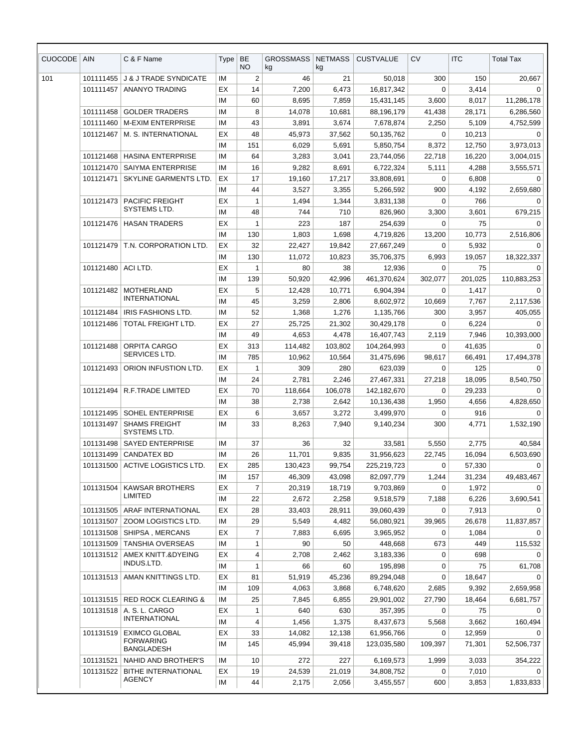| CUOCODE | <b>AIN</b> | C & F Name                                | Type | BE<br>NO.      | <b>GROSSMASS</b><br>kg | <b>NETMASS</b><br>kg | <b>CUSTVALUE</b> | <b>CV</b>   | <b>ITC</b> | <b>Total Tax</b> |
|---------|------------|-------------------------------------------|------|----------------|------------------------|----------------------|------------------|-------------|------------|------------------|
| 101     | 101111455  | <b>J &amp; J TRADE SYNDICATE</b>          | IM   | $\overline{2}$ | 46                     | 21                   | 50,018           | 300         | 150        | 20,667           |
|         | 101111457  | <b>ANANYO TRADING</b>                     | ЕX   | 14             | 7,200                  | 6,473                | 16,817,342       | $\Omega$    | 3,414      | $\mathbf 0$      |
|         |            |                                           | IM   | 60             | 8,695                  | 7,859                | 15,431,145       | 3,600       | 8,017      | 11,286,178       |
|         | 101111458  | <b>GOLDER TRADERS</b>                     | IM   | 8              | 14,078                 | 10,681               | 88,196,179       | 41,438      | 28,171     | 6,286,560        |
|         | 101111460  | <b>M-EXIM ENTERPRISE</b>                  | IM   | 43             | 3,891                  | 3,674                | 7,678,874        | 2,250       | 5,109      | 4,752,599        |
|         | 101121467  | M. S. INTERNATIONAL                       | ЕX   | 48             | 45,973                 | 37,562               | 50.135.762       | $\mathbf 0$ | 10,213     | $\mathbf 0$      |
|         |            |                                           | ΙM   | 151            | 6,029                  | 5,691                | 5,850,754        | 8,372       | 12,750     | 3,973,013        |
|         | 101121468  | <b>HASINA ENTERPRISE</b>                  | IM   | 64             | 3,283                  | 3,041                | 23,744,056       | 22,718      | 16,220     | 3,004,015        |
|         | 101121470  | <b>SAIYMA ENTERPRISE</b>                  | ΙM   | 16             | 9,282                  | 8,691                | 6,722,324        | 5,111       | 4,288      | 3,555,571        |
|         | 101121471  | SKYLINE GARMENTS LTD.                     | EX   | 17             | 19,160                 | 17,217               | 33,808,691       | 0           | 6,808      | 0                |
|         |            |                                           | ΙM   | 44             | 3,527                  | 3,355                | 5,266,592        | 900         | 4,192      | 2,659,680        |
|         | 101121473  | <b>PACIFIC FREIGHT</b><br>SYSTEMS LTD.    | ЕX   | $\mathbf{1}$   | 1,494                  | 1,344                | 3,831,138        | 0           | 766        | 0                |
|         |            |                                           | IM   | 48             | 744                    | 710                  | 826,960          | 3,300       | 3,601      | 679,215          |
|         | 101121476  | <b>HASAN TRADERS</b>                      | ЕX   | $\mathbf{1}$   | 223                    | 187                  | 254,639          | $\Omega$    | 75         | $\Omega$         |
|         |            |                                           | ΙM   | 130            | 1,803                  | 1,698                | 4,719,826        | 13,200      | 10,773     | 2,516,806        |
|         | 101121479  | T.N. CORPORATION LTD.                     | ЕX   | 32             | 22,427                 | 19,842               | 27,667,249       | 0           | 5,932      | 0                |
|         |            |                                           | IM   | 130            | 11,072                 | 10,823               | 35,706,375       | 6,993       | 19,057     | 18,322,337       |
|         | 101121480  | ACI LTD.                                  | ЕX   | $\mathbf{1}$   | 80                     | 38                   | 12,936           | 0           | 75         | 0                |
|         |            |                                           | ΙM   | 139            | 50,920                 | 42,996               | 461,370,624      | 302,077     | 201,025    | 110,883,253      |
|         | 101121482  | <b>MOTHERLAND</b><br><b>INTERNATIONAL</b> | ЕX   | 5              | 12,428                 | 10,771               | 6,904,394        | 0           | 1,417      | $\Omega$         |
|         |            |                                           | IM   | 45             | 3,259                  | 2,806                | 8,602,972        | 10,669      | 7,767      | 2,117,536        |
|         | 101121484  | <b>IRIS FASHIONS LTD.</b>                 | ΙM   | 52             | 1,368                  | 1,276                | 1,135,766        | 300         | 3,957      | 405,055          |
|         | 101121486  | TOTAL FREIGHT LTD.                        | EХ   | 27             | 25,725                 | 21,302               | 30,429,178       | 0           | 6,224      | 0                |
|         |            |                                           | IM   | 49             | 4,653                  | 4,478                | 16,407,743       | 2,119       | 7,946      | 10,393,000       |
|         | 101121488  | ORPITA CARGO<br>SERVICES LTD.             | EХ   | 313            | 114,482                | 103,802              | 104,264,993      | 0           | 41,635     | 0                |
|         |            |                                           | ΙM   | 785            | 10,962                 | 10,564               | 31,475,696       | 98,617      | 66,491     | 17,494,378       |
|         | 101121493  | ORION INFUSTION LTD.                      | EХ   | $\mathbf{1}$   | 309                    | 280                  | 623,039          | 0           | 125        | 0                |
|         |            |                                           | IM   | 24             | 2,781                  | 2,246                | 27,467,331       | 27,218      | 18,095     | 8,540,750        |
|         | 101121494  | <b>R.F.TRADE LIMITED</b>                  | EX   | 70             | 118,664                | 106,078              | 142,182,670      | 0           | 29,233     | $\Omega$         |
|         |            | SOHEL ENTERPRISE                          | ΙM   | 38             | 2,738                  | 2,642                | 10,136,438       | 1,950<br>0  | 4,656      | 4,828,650<br>0   |
|         | 101121495  |                                           | EХ   | 6              | 3,657                  | 3,272                | 3,499,970        |             | 916        |                  |
|         | 101131497  | <b>SHAMS FREIGHT</b><br>SYSTEMS LTD.      | ΙM   | 33             | 8,263                  | 7,940                | 9,140,234        | 300         | 4,771      | 1,532,190        |
|         | 101131498  | <b>SAYED ENTERPRISE</b>                   | ΙM   | 37             | 36                     | 32                   | 33,581           | 5,550       | 2,775      | 40,584           |
|         | 101131499  | <b>CANDATEX BD</b>                        | ΙM   | 26             | 11,701                 | 9,835                | 31,956,623       | 22,745      | 16,094     | 6,503,690        |
|         | 101131500  | <b>ACTIVE LOGISTICS LTD.</b>              | EХ   | 285            | 130,423                | 99,754               | 225,219,723      | 0           | 57,330     | 0                |
|         |            |                                           | IM   | 157            | 46,309                 | 43,098               | 82,097,779       | 1,244       | 31,234     | 49,483,467       |
|         | 101131504  | <b>KAWSAR BROTHERS</b><br>LIMITED         | EХ   | $\overline{7}$ | 20,319                 | 18,719               | 9,703,869        | 0           | 1,972      | 0                |
|         |            |                                           | ΙM   | 22             | 2,672                  | 2,258                | 9,518,579        | 7,188       | 6,226      | 3,690,541        |
|         | 101131505  | ARAF INTERNATIONAL                        | EX   | 28             | 33,403                 | 28,911               | 39,060,439       | 0           | 7,913      | $\Omega$         |
|         | 101131507  | ZOOM LOGISTICS LTD.                       | IM   | 29             | 5,549                  | 4,482                | 56,080,921       | 39,965      | 26,678     | 11,837,857       |
|         | 101131508  | SHIPSA, MERCANS                           | EХ   | $\overline{7}$ | 7,883                  | 6,695                | 3,965,952        | 0           | 1,084      | $\Omega$         |
|         | 101131509  | <b>TANSHIA OVERSEAS</b>                   | ΙM   | $\mathbf{1}$   | 90                     | 50                   | 448,668          | 673         | 449        | 115,532          |
|         | 101131512  | AMEX KNITT.&DYEING<br>INDUS.LTD.          | EХ   | 4              | 2,708                  | 2,462                | 3,183,336        | 0           | 698        | 0                |
|         |            |                                           | ΙM   | $\mathbf{1}$   | 66                     | 60                   | 195,898          | 0           | 75         | 61,708           |
|         | 101131513  | AMAN KNITTINGS LTD.                       | EХ   | 81             | 51,919                 | 45,236               | 89,294,048       | 0           | 18,647     | 0                |
|         |            |                                           | ΙM   | 109            | 4,063                  | 3,868                | 6,748,620        | 2,685       | 9,392      | 2,659,958        |
|         | 101131515  | <b>RED ROCK CLEARING &amp;</b>            | ΙM   | 25             | 7,845                  | 6,855                | 29,901,002       | 27,790      | 18,464     | 6,681,757        |
|         | 101131518  | A. S. L. CARGO<br><b>INTERNATIONAL</b>    | EХ   | $\mathbf{1}$   | 640                    | 630                  | 357,395          | 0           | 75         | 0                |
|         |            |                                           | ΙM   | 4              | 1,456                  | 1,375                | 8,437,673        | 5,568       | 3,662      | 160,494          |
|         | 101131519  | <b>EXIMCO GLOBAL</b><br>FORWARING         | EХ   | 33             | 14,082                 | 12,138               | 61,956,766       | $\mathbf 0$ | 12,959     | $\Omega$         |
|         |            | <b>BANGLADESH</b>                         | ΙM   | 145            | 45,994                 | 39,418               | 123,035,580      | 109,397     | 71,301     | 52,506,737       |
|         | 101131521  | NAHID AND BROTHER'S                       | ΙM   | 10             | 272                    | 227                  | 6,169,573        | 1,999       | 3,033      | 354,222          |
|         | 101131522  | BITHE INTERNATIONAL<br>AGENCY             | EХ   | 19             | 24,539                 | 21,019               | 34,808,752       | 0           | 7,010      | 0                |
|         |            |                                           | IM   | 44             | 2,175                  | 2,056                | 3,455,557        | 600         | 3,853      | 1,833,833        |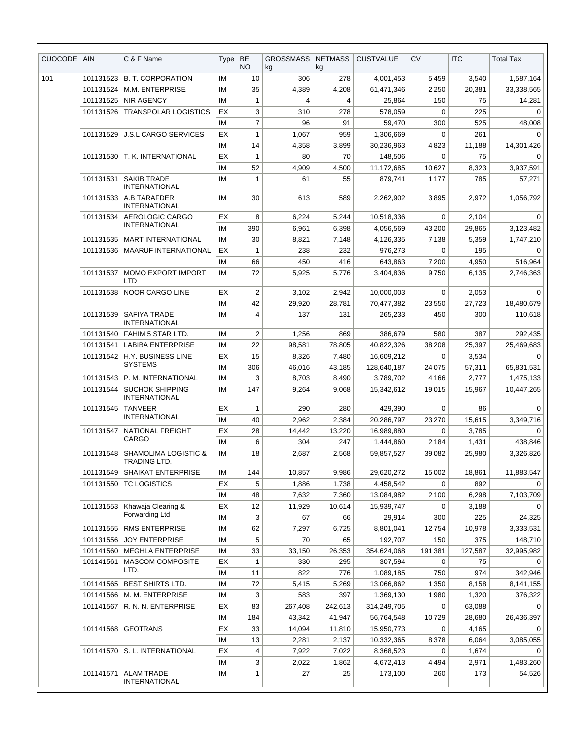| <b>CUOCODE</b> | <b>AIN</b> | C & F Name                                     | <b>Type</b> | BE<br>NO.      | GROSSMASS<br>kg | <b>NETMASS</b><br>kg | <b>CUSTVALUE</b> | <b>CV</b>   | <b>ITC</b> | <b>Total Tax</b> |
|----------------|------------|------------------------------------------------|-------------|----------------|-----------------|----------------------|------------------|-------------|------------|------------------|
| 101            | 101131523  | <b>B. T. CORPORATION</b>                       | IM          | 10             | 306             | 278                  | 4,001,453        | 5,459       | 3,540      | 1,587,164        |
|                | 101131524  | M.M. ENTERPRISE                                | IM          | 35             | 4,389           | 4,208                | 61,471,346       | 2,250       | 20,381     | 33,338,565       |
|                | 101131525  | <b>NIR AGENCY</b>                              | IM          | 1              | 4               | 4                    | 25,864           | 150         | 75         | 14,281           |
|                | 101131526  | <b>TRANSPOLAR LOGISTICS</b>                    | EX          | 3              | 310             | 278                  | 578,059          | 0           | 225        | 0                |
|                |            |                                                | IМ          | 7              | 96              | 91                   | 59,470           | 300         | 525        | 48,008           |
|                | 101131529  | <b>J.S.L CARGO SERVICES</b>                    | EX          | $\mathbf{1}$   | 1,067           | 959                  | 1,306,669        | $\mathbf 0$ | 261        | $\Omega$         |
|                |            |                                                | IM          | 14             | 4,358           | 3,899                | 30,236,963       | 4,823       | 11,188     | 14,301,426       |
|                | 101131530  | T. K. INTERNATIONAL                            | EX          | 1              | 80              | 70                   | 148,506          | 0           | 75         | $\Omega$         |
|                |            |                                                | IM          | 52             | 4,909           | 4,500                | 11,172,685       | 10,627      | 8,323      | 3,937,591        |
|                | 101131531  | <b>SAKIB TRADE</b><br><b>INTERNATIONAL</b>     | IM          | 1              | 61              | 55                   | 879,741          | 1,177       | 785        | 57,271           |
|                | 101131533  | A.B TARAFDER<br><b>INTERNATIONAL</b>           | IM          | 30             | 613             | 589                  | 2,262,902        | 3,895       | 2,972      | 1,056,792        |
|                | 101131534  | AEROLOGIC CARGO                                | EX          | 8              | 6,224           | 5,244                | 10,518,336       | 0           | 2,104      | $\Omega$         |
|                |            | <b>INTERNATIONAL</b>                           | IM          | 390            | 6,961           | 6,398                | 4,056,569        | 43,200      | 29,865     | 3,123,482        |
|                | 101131535  | <b>MART INTERNATIONAL</b>                      | IM          | 30             | 8,821           | 7,148                | 4,126,335        | 7,138       | 5,359      | 1,747,210        |
|                | 101131536  | <b>MAARUF INTERNATIONAL</b>                    | EX          | 1              | 238             | 232                  | 976,273          | 0           | 195        | 0                |
|                |            |                                                | IM          | 66             | 450             | 416                  | 643,863          | 7,200       | 4,950      | 516,964          |
|                | 101131537  | MOMO EXPORT IMPORT<br><b>LTD</b>               | IM          | 72             | 5,925           | 5,776                | 3,404,836        | 9,750       | 6,135      | 2,746,363        |
|                | 101131538  | <b>NOOR CARGO LINE</b>                         | EX          | 2              | 3,102           | 2,942                | 10,000,003       | 0           | 2,053      | $\Omega$         |
|                |            |                                                | IM          | 42             | 29,920          | 28,781               | 70,477,382       | 23,550      | 27,723     | 18,480,679       |
|                | 101131539  | SAFIYA TRADE<br><b>INTERNATIONAL</b>           | IM          | 4              | 137             | 131                  | 265,233          | 450         | 300        | 110,618          |
|                | 101131540  | FAHIM 5 STAR LTD.                              | IM          | $\overline{2}$ | 1,256           | 869                  | 386,679          | 580         | 387        | 292,435          |
|                | 101131541  | <b>LABIBA ENTERPRISE</b>                       | IМ          | 22             | 98,581          | 78,805               | 40,822,326       | 38,208      | 25,397     | 25,469,683       |
|                | 101131542  | H.Y. BUSINESS LINE                             | EX          | 15             | 8,326           | 7,480                | 16,609,212       | 0           | 3,534      | 0                |
|                |            | <b>SYSTEMS</b>                                 | IM          | 306            | 46,016          | 43,185               | 128,640,187      | 24,075      | 57,311     | 65,831,531       |
|                | 101131543  | P. M. INTERNATIONAL                            | IM          | 3              | 8,703           | 8,490                | 3,789,702        | 4,166       | 2,777      | 1,475,133        |
|                | 101131544  | <b>SUCHOK SHIPPING</b><br><b>INTERNATIONAL</b> | IМ          | 147            | 9,264           | 9,068                | 15,342,612       | 19,015      | 15,967     | 10,447,265       |
|                | 101131545  | <b>TANVEER</b>                                 | EX          | $\mathbf{1}$   | 290             | 280                  | 429,390          | 0           | 86         | $\Omega$         |
|                |            | <b>INTERNATIONAL</b>                           | IM          | 40             | 2,962           | 2,384                | 20,286,797       | 23,270      | 15,615     | 3,349,716        |
|                | 101131547  | NATIONAL FREIGHT                               | EX          | 28             | 14,442          | 13,220               | 16,989,880       | 0           | 3,785      | 0                |
|                |            | CARGO                                          | IМ          | 6              | 304             | 247                  | 1,444,860        | 2,184       | 1,431      | 438,846          |
|                | 101131548  | SHAMOLIMA LOGISTIC &<br>TRADING LTD.           | ΙM          | 18             | 2,687           | 2,568                | 59,857,527       | 39,082      | 25,980     | 3,326,826        |
|                | 101131549  | <b>SHAIKAT ENTERPRISE</b>                      | ΙM          | 144            | 10,857          | 9,986                | 29,620,272       | 15,002      | 18,861     | 11,883,547       |
|                | 101131550  | TC LOGISTICS                                   | EX          | 5              | 1,886           | 1,738                | 4,458,542        | 0           | 892        | $\Omega$         |
|                |            |                                                | ΙM          | 48             | 7,632           | 7,360                | 13,084,982       | 2,100       | 6,298      | 7,103,709        |
|                | 101131553  | Khawaja Clearing &                             | EX          | 12             | 11,929          | 10,614               | 15,939,747       | 0           | 3,188      | $\Omega$         |
|                |            | Forwarding Ltd                                 | IМ          | 3              | 67              | 66                   | 29,914           | 300         | 225        | 24,325           |
|                | 101131555  | RMS ENTERPRISE                                 | IМ          | 62             | 7,297           | 6,725                | 8,801,041        | 12,754      | 10,978     | 3,333,531        |
|                | 101131556  | <b>JOY ENTERPRISE</b>                          | IМ          | 5              | 70              | 65                   | 192,707          | 150         | 375        | 148,710          |
|                | 101141560  | <b>MEGHLA ENTERPRISE</b>                       | ΙM          | 33             | 33,150          | 26,353               | 354,624,068      | 191,381     | 127,587    | 32,995,982       |
|                | 101141561  | MASCOM COMPOSITE                               | EX          | 1              | 330             | 295                  | 307,594          | 0           | 75         | $\Omega$         |
|                |            | LTD.                                           | IМ          | 11             | 822             | 776                  | 1,089,185        | 750         | 974        | 342,946          |
|                | 101141565  | BEST SHIRTS LTD.                               | IМ          | 72             | 5,415           | 5,269                | 13,066,862       | 1,350       | 8,158      | 8,141,155        |
|                | 101141566  | M. M. ENTERPRISE                               | ΙM          | 3              | 583             | 397                  | 1,369,130        | 1,980       | 1,320      | 376,322          |
|                | 101141567  | R. N. N. ENTERPRISE                            | EX          | 83             | 267,408         | 242,613              | 314,249,705      | 0           | 63,088     | $\Omega$         |
|                |            |                                                | ΙM          | 184            | 43,342          | 41,947               | 56,764,548       | 10,729      | 28,680     | 26,436,397       |
|                | 101141568  | <b>GEOTRANS</b>                                | EX          | 33             | 14,094          | 11,810               | 15,950,773       | 0           | 4,165      | $\Omega$         |
|                |            |                                                | ΙM          | 13             | 2,281           | 2,137                | 10,332,365       | 8,378       | 6,064      | 3,085,055        |
|                | 101141570  | S. L. INTERNATIONAL                            | EX          | 4              | 7,922           | 7,022                | 8,368,523        | 0           | 1,674      | 0                |
|                |            |                                                | IM          | 3              | 2,022           | 1,862                | 4,672,413        | 4,494       | 2,971      | 1,483,260        |
|                | 101141571  | <b>ALAM TRADE</b><br><b>INTERNATIONAL</b>      | IМ          | 1              | 27              | 25                   | 173,100          | 260         | 173        | 54,526           |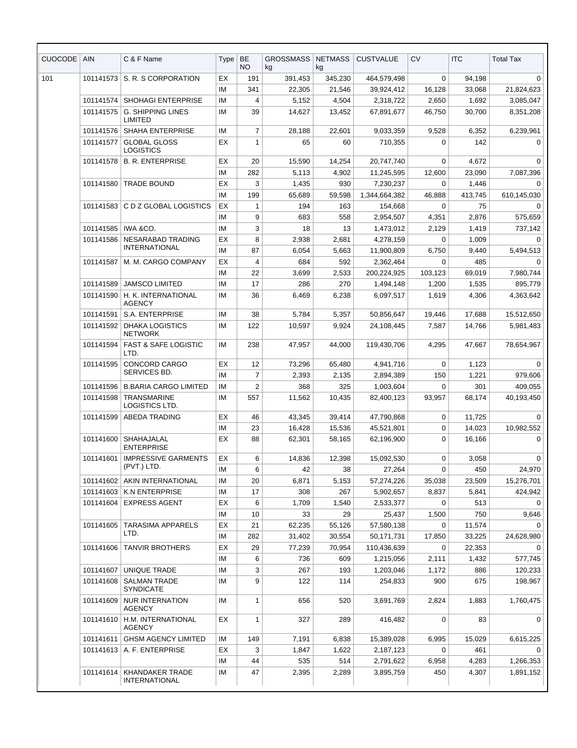| <b>CUOCODE</b> | <b>AIN</b> | C & F Name                                       | Type     | <b>BE</b><br>NO | <b>GROSSMASS</b><br>kg | <b>NETMASS</b><br>kg | <b>CUSTVALUE</b> | <b>CV</b> | <b>ITC</b> | <b>Total Tax</b> |
|----------------|------------|--------------------------------------------------|----------|-----------------|------------------------|----------------------|------------------|-----------|------------|------------------|
| 101            | 101141573  | S. R. S CORPORATION                              | EX       | 191             | 391,453                | 345,230              | 464,579,498      | 0         | 94,198     | 0                |
|                |            |                                                  | IM       | 341             | 22,305                 | 21,546               | 39,924,412       | 16,128    | 33,068     | 21,824,623       |
|                | 101141574  | <b>SHOHAGI ENTERPRISE</b>                        | IM       | 4               | 5,152                  | 4,504                | 2,318,722        | 2,650     | 1,692      | 3,085,047        |
|                | 101141575  | <b>G. SHIPPING LINES</b><br><b>LIMITED</b>       | IМ       | 39              | 14,627                 | 13,452               | 67,891,677       | 46,750    | 30,700     | 8,351,208        |
|                | 101141576  | <b>SHAHA ENTERPRISE</b>                          | IM       | $\overline{7}$  | 28,188                 | 22,601               | 9,033,359        | 9,528     | 6,352      | 6,239,961        |
|                | 101141577  | <b>GLOBAL GLOSS</b><br>LOGISTICS                 | EX       | $\mathbf{1}$    | 65                     | 60                   | 710,355          | 0         | 142        | $\mathbf 0$      |
|                | 101141578  | <b>B. R. ENTERPRISE</b>                          | EX       | 20              | 15,590                 | 14,254               | 20,747,740       | 0         | 4,672      | 0                |
|                |            |                                                  | IM       | 282             | 5,113                  | 4,902                | 11,245,595       | 12,600    | 23.090     | 7,087,396        |
|                | 101141580  | <b>TRADE BOUND</b>                               | EX       | 3               | 1,435                  | 930                  | 7,230,237        | 0         | 1,446      | $\mathbf 0$      |
|                |            |                                                  | IM       | 199             | 65,689                 | 59,598               | 1,344,664,382    | 46,888    | 413,745    | 610,145,030      |
|                | 101141583  | C D Z GLOBAL LOGISTICS                           | EX       | 1               | 194                    | 163                  | 154,668          | 0         | 75         | $\Omega$         |
|                |            |                                                  | IM       | 9               | 683                    | 558                  | 2,954,507        | 4,351     | 2,876      | 575,659          |
|                | 101141585  | IWA &CO.                                         | IM       | 3               | 18                     | 13                   | 1,473,012        | 2,129     | 1,419      | 737,142          |
|                | 101141586  | <b>NESARABAD TRADING</b><br><b>INTERNATIONAL</b> | EX       | 8               | 2,938                  | 2,681                | 4,278,159        | $\Omega$  | 1,009      | $\Omega$         |
|                |            |                                                  | IM       | 87              | 6,054                  | 5,663                | 11,900,809       | 6,750     | 9,440      | 5,494,513        |
|                | 101141587  | M. M. CARGO COMPANY                              | EX       | 4               | 684                    | 592                  | 2,362,464        | 0         | 485        | 0                |
|                |            |                                                  | IM       | 22              | 3,699                  | 2,533                | 200,224,925      | 103,123   | 69,019     | 7,980,744        |
|                | 101141589  | <b>JAMSCO LIMITED</b>                            | IM       | 17              | 286                    | 270                  | 1,494,148        | 1,200     | 1,535      | 895,779          |
|                | 101141590  | H. K. INTERNATIONAL<br><b>AGENCY</b>             | IM       | 36              | 6,469                  | 6,238                | 6,097,517        | 1,619     | 4,306      | 4,363,642        |
|                | 101141591  | S.A. ENTERPRISE                                  | IM       | 38              | 5,784                  | 5,357                | 50,856,647       | 19,446    | 17,688     | 15,512,650       |
|                | 101141592  | <b>DHAKA LOGISTICS</b><br><b>NETWORK</b>         | IM       | 122             | 10,597                 | 9,924                | 24,108,445       | 7,587     | 14,766     | 5,981,483        |
|                | 101141594  | <b>FAST &amp; SAFE LOGISTIC</b><br>LTD.          | IM       | 238             | 47,957                 | 44,000               | 119,430,706      | 4,295     | 47,667     | 78,654,967       |
|                | 101141595  | CONCORD CARGO                                    | EX       | 12              | 73,296                 | 65,480               | 4,941,716        | 0         | 1,123      | 0                |
|                |            | SERVICES BD.                                     | IM       | $\overline{7}$  | 2,393                  | 2,135                | 2,894,389        | 150       | 1,221      | 979,606          |
|                | 101141596  | <b>B.BARIA CARGO LIMITED</b>                     | IM       | $\overline{2}$  | 368                    | 325                  | 1,003,604        | 0         | 301        | 409,055          |
|                | 101141598  | <b>TRANSMARINE</b><br>LOGISTICS LTD.             | IM       | 557             | 11,562                 | 10,435               | 82.400.123       | 93,957    | 68,174     | 40,193,450       |
|                | 101141599  | <b>ABEDA TRADING</b>                             | EX       | 46              | 43,345                 | 39,414               | 47,790,868       | 0         | 11,725     | $\Omega$         |
|                |            |                                                  | IM       | 23              | 16,428                 | 15,536               | 45,521,801       | 0         | 14,023     | 10,982,552       |
|                |            | 101141600 SHAHAJALAL<br><b>ENTERPRISE</b>        | EX       | 88              | 62,301                 | 58,165               | 62,196,900       | 0         | 16,166     | $\Omega$         |
|                | 101141601  | <b>IMPRESSIVE GARMENTS</b>                       | EX       | 6               | 14,836                 | 12,398               | 15,092,530       | 0         | 3,058      | 0                |
|                |            | (PVT.) LTD.                                      | ΙM       | 6               | 42                     | 38                   | 27,264           | 0         | 450        | 24,970           |
|                | 101141602  | AKIN INTERNATIONAL                               | IМ       | 20              | 6,871                  | 5,153                | 57,274,226       | 35,038    | 23,509     | 15,276,701       |
|                | 101141603  | K.N ENTERPRISE                                   | ΙM       | 17              | 308                    | 267                  | 5,902,657        | 8,837     | 5,841      | 424,942          |
|                | 101141604  | <b>EXPRESS AGENT</b>                             | ЕX       | 6               | 1,709                  | 1,540                | 2,533,377        | 0         | 513        | 0                |
|                |            |                                                  | ΙM       | 10              | 33                     | 29                   | 25,437           | 1,500     | 750        | 9,646            |
|                | 101141605  | <b>TARASIMA APPARELS</b><br>LTD.                 | EX       | 21              | 62,235                 | 55,126               | 57,580,138       | 0         | 11,574     | $\Omega$         |
|                |            |                                                  | ΙM       | 282             | 31,402                 | 30,554               | 50,171,731       | 17,850    | 33,225     | 24,628,980       |
|                | 101141606  | <b>TANVIR BROTHERS</b>                           | EX       | 29              | 77,239                 | 70,954               | 110,436,639      | 0         | 22,353     | $\Omega$         |
|                |            |                                                  | ΙM<br>IM | 6               | 736                    | 609                  | 1,215,056        | 2,111     | 1,432      | 577,745          |
|                | 101141607  | UNIQUE TRADE                                     |          | 3<br>9          | 267                    | 193                  | 1,203,046        | 1,172     | 886        | 120,233          |
|                | 101141608  | <b>SALMAN TRADE</b><br><b>SYNDICATE</b>          | ΙM       |                 | 122                    | 114                  | 254,833          | 900       | 675        | 198,967          |
|                | 101141609  | <b>NUR INTERNATION</b><br><b>AGENCY</b>          | ΙM       | $\mathbf{1}$    | 656                    | 520                  | 3,691,769        | 2,824     | 1,883      | 1,760,475        |
|                | 101141610  | H.M. INTERNATIONAL<br>AGENCY                     | ЕX       | 1               | 327                    | 289                  | 416,482          | 0         | 83         | 0                |
|                | 101141611  | <b>GHSM AGENCY LIMITED</b>                       | ΙM       | 149             | 7,191                  | 6,838                | 15,389,028       | 6,995     | 15,029     | 6,615,225        |
|                |            | 101141613 A. F. ENTERPRISE                       | ЕX       | 3               | 1,847                  | 1,622                | 2,187,123        | 0         | 461        | 0                |
|                |            |                                                  | ΙM       | 44              | 535                    | 514                  | 2,791,622        | 6,958     | 4,283      | 1,266,353        |
|                | 101141614  | KHANDAKER TRADE<br><b>INTERNATIONAL</b>          | IM       | 47              | 2,395                  | 2,289                | 3,895,759        | 450       | 4,307      | 1,891,152        |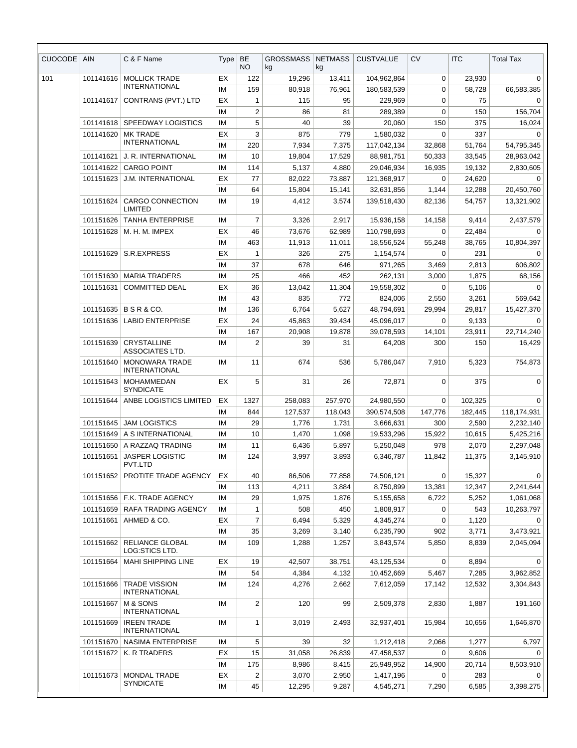| <b>CUOCODE</b> | <b>AIN</b> | C & F Name                                    | Type      | <b>BE</b><br>NO. | <b>GROSSMASS</b><br>kg | <b>NETMASS</b><br>kg | <b>CUSTVALUE</b>         | <b>CV</b>             | <b>ITC</b>      | <b>Total Tax</b> |
|----------------|------------|-----------------------------------------------|-----------|------------------|------------------------|----------------------|--------------------------|-----------------------|-----------------|------------------|
| 101            | 101141616  | <b>MOLLICK TRADE</b>                          | EX        | 122              | 19,296                 | 13,411               | 104,962,864              | 0                     | 23,930          | 0                |
|                |            | <b>INTERNATIONAL</b>                          | <b>IM</b> | 159              | 80,918                 | 76,961               | 180,583,539              | $\mathbf 0$           | 58,728          | 66,583,385       |
|                | 101141617  | CONTRANS (PVT.) LTD                           | ЕX        | 1                | 115                    | 95                   | 229,969                  | $\mathbf 0$           | 75              | 0                |
|                |            |                                               | IM        | $\overline{c}$   | 86                     | 81                   | 289,389                  | 0                     | 150             | 156,704          |
|                | 101141618  | <b>SPEEDWAY LOGISTICS</b>                     | ΙM        | 5                | 40                     | 39                   | 20,060                   | 150                   | 375             | 16,024           |
|                | 101141620  | <b>MK TRADE</b><br><b>INTERNATIONAL</b>       | EX        | 3                | 875                    | 779                  | 1,580,032                | $\mathbf 0$           | 337             | $\Omega$         |
|                |            |                                               | ΙM        | 220              | 7,934                  | 7,375                | 117,042,134              | 32,868                | 51,764          | 54,795,345       |
|                | 101141621  | J. R. INTERNATIONAL                           | IM        | 10               | 19,804                 | 17,529               | 88,981,751               | 50,333                | 33,545          | 28,963,042       |
|                | 101141622  | <b>CARGO POINT</b>                            | ΙM        | 114              | 5,137                  | 4,880                | 29,046,934               | 16,935                | 19,132          | 2,830,605        |
|                | 101151623  | <b>J.M. INTERNATIONAL</b>                     | ЕX        | 77               | 82,022                 | 73,887               | 121,368,917              | $\Omega$              | 24,620          | $\Omega$         |
|                |            |                                               | ΙM        | 64               | 15,804                 | 15,141               | 32,631,856               | 1,144                 | 12,288          | 20,450,760       |
|                | 101151624  | <b>CARGO CONNECTION</b><br><b>LIMITED</b>     | IM        | 19               | 4,412                  | 3,574                | 139,518,430              | 82,136                | 54,757          | 13,321,902       |
|                | 101151626  | <b>TANHA ENTERPRISE</b>                       | ΙM        | $\overline{7}$   | 3,326                  | 2,917                | 15,936,158               | 14,158                | 9,414           | 2,437,579        |
|                | 101151628  | M. H. M. IMPEX                                | ЕX        | 46               | 73,676                 | 62,989               | 110,798,693              | $\Omega$              | 22,484          | $\Omega$         |
|                |            |                                               | ΙM        | 463              | 11,913                 | 11,011               | 18,556,524               | 55,248                | 38,765          | 10,804,397       |
|                | 101151629  | S.R.EXPRESS                                   | EX        | $\mathbf{1}$     | 326                    | 275                  | 1,154,574                | $\Omega$              | 231             | $\Omega$         |
|                |            |                                               | ΙM        | 37               | 678                    | 646                  | 971,265                  | 3,469                 | 2,813           | 606,802          |
|                | 101151630  | <b>MARIA TRADERS</b>                          | <b>IM</b> | 25               | 466                    | 452                  | 262,131                  | 3,000                 | 1,875           | 68,156           |
|                | 101151631  | <b>COMMITTED DEAL</b>                         | ЕX        | 36               | 13,042                 | 11,304               | 19,558,302               | $\Omega$              | 5,106           | $\Omega$         |
|                |            | 101151635 B S R & CO.                         | IM        | 43               | 835                    | 772                  | 824,006                  | 2,550                 | 3,261           | 569,642          |
|                | 101151636  | <b>LABID ENTERPRISE</b>                       | ΙM<br>EX  | 136<br>24        | 6,764<br>45,863        | 5,627<br>39,434      | 48,794,691<br>45,096,017 | 29,994<br>$\mathbf 0$ | 29,817<br>9,133 | 15,427,370<br>0  |
|                |            |                                               | ΙM        | 167              | 20,908                 | 19,878               | 39,078,593               | 14,101                | 23,911          | 22,714,240       |
|                | 101151639  | <b>CRYSTALLINE</b><br>ASSOCIATES LTD.         | ΙM        | 2                | 39                     | 31                   | 64,208                   | 300                   | 150             | 16,429           |
|                | 101151640  | <b>MONOWARA TRADE</b><br><b>INTERNATIONAL</b> | IM        | 11               | 674                    | 536                  | 5,786,047                | 7,910                 | 5,323           | 754,873          |
|                | 101151643  | MOHAMMEDAN<br><b>SYNDICATE</b>                | ЕX        | 5                | 31                     | 26                   | 72,871                   | 0                     | 375             | $\mathbf 0$      |
|                | 101151644  | ANBE LOGISTICS LIMITED                        | ЕX        | 1327             | 258,083                | 257,970              | 24,980,550               | 0                     | 102,325         | $\Omega$         |
|                |            |                                               | ΙM        | 844              | 127,537                | 118,043              | 390,574,508              | 147,776               | 182,445         | 118,174,931      |
|                | 101151645  | <b>JAM LOGISTICS</b>                          | <b>IM</b> | 29               | 1,776                  | 1,731                | 3,666,631                | 300                   | 2,590           | 2,232,140        |
|                |            | 101151649 A SINTERNATIONAL                    | ΙM        | 10               | 1,470                  | 1,098                | 19,533,296               | 15,922                | 10,615          | 5,425,216        |
|                | 101151650  | A RAZZAQ TRADING                              | ΙM        | 11               | 6,436                  | 5,897                | 5,250,048                | 978                   | 2,070           | 2,297,048        |
|                | 101151651  | <b>JASPER LOGISTIC</b><br>PVT.LTD             | ΙM        | 124              | 3,997                  | 3,893                | 6,346,787                | 11,842                | 11,375          | 3,145,910        |
|                | 101151652  | PROTITE TRADE AGENCY                          | EX        | 40               | 86,506                 | 77,858               | 74,506,121               | $\mathbf 0$           | 15,327          | $\mathbf 0$      |
|                |            |                                               | IМ        | 113              | 4,211                  | 3,884                | 8,750,899                | 13,381                | 12,347          | 2,241,644        |
|                |            | 101151656   F.K. TRADE AGENCY                 | ΙM        | 29               | 1,975                  | 1,876                | 5,155,658                | 6,722                 | 5,252           | 1,061,068        |
|                | 101151659  | RAFA TRADING AGENCY                           | ΙM        | 1                | 508                    | 450                  | 1,808,917                | 0                     | 543             | 10,263,797       |
|                | 101151661  | AHMED & CO.                                   | EX        | $\overline{7}$   | 6,494                  | 5,329                | 4,345,274                | 0                     | 1,120           |                  |
|                |            |                                               | ΙM        | 35               | 3,269                  | 3,140                | 6,235,790                | 902                   | 3,771           | 3,473,921        |
|                | 101151662  | <b>RELIANCE GLOBAL</b><br>LOG:STICS LTD.      | ΙM        | 109              | 1,288                  | 1,257                | 3,843,574                | 5,850                 | 8,839           | 2,045,094        |
|                | 101151664  | <b>MAHI SHIPPING LINE</b>                     | ЕX        | 19               | 42,507                 | 38,751               | 43,125,534               | 0                     | 8,894           | 0                |
|                |            |                                               | IM        | 54               | 4,384                  | 4,132                | 10,452,669               | 5,467                 | 7,285           | 3,962,852        |
|                | 101151666  | <b>TRADE VISSION</b><br><b>INTERNATIONAL</b>  | ΙM        | 124              | 4,276                  | 2,662                | 7,612,059                | 17,142                | 12,532          | 3,304,843        |
|                | 101151667  | M & SONS<br><b>INTERNATIONAL</b>              | ΙM        | $\overline{c}$   | 120                    | 99                   | 2,509,378                | 2,830                 | 1,887           | 191,160          |
|                | 101151669  | <b>IREEN TRADE</b><br>INTERNATIONAL           | ΙM        | $\mathbf{1}$     | 3,019                  | 2,493                | 32,937,401               | 15,984                | 10,656          | 1,646,870        |
|                | 101151670  | NASIMA ENTERPRISE                             | ΙM        | 5                | 39                     | 32                   | 1,212,418                | 2,066                 | 1,277           | 6,797            |
|                | 101151672  | K. R TRADERS                                  | ЕX        | 15               | 31,058                 | 26,839               | 47,458,537               | $\Omega$              | 9,606           | $\Omega$         |
|                |            |                                               | ΙM        | 175              | 8,986                  | 8,415                | 25,949,952               | 14,900                | 20,714          | 8,503,910        |
|                | 101151673  | MONDAL TRADE                                  | EX        | $\overline{2}$   | 3,070                  | 2,950                | 1,417,196                | 0                     | 283             | $\Omega$         |
|                |            | <b>SYNDICATE</b>                              | IM        | 45               | 12,295                 | 9,287                | 4,545,271                | 7,290                 | 6,585           | 3,398,275        |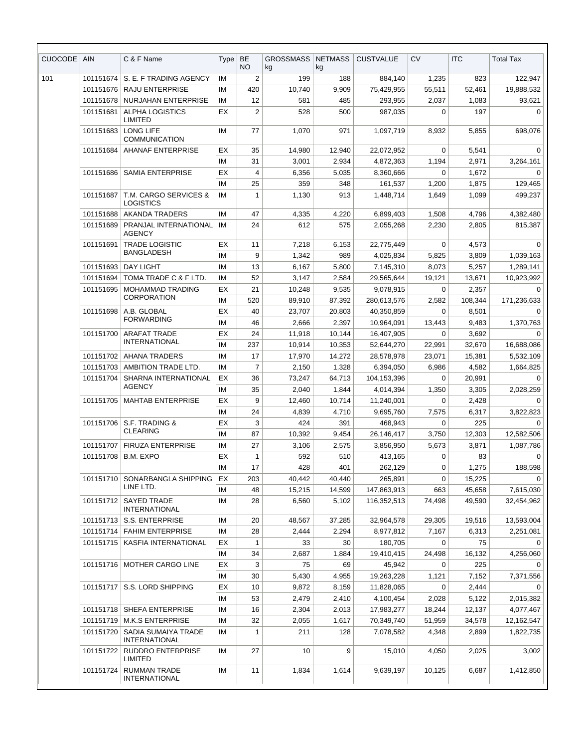| <b>CUOCODE</b> | <b>AIN</b> | C & F Name                                       | Type     | <b>BE</b><br><b>NO</b> | <b>GROSSMASS</b><br>kg | <b>NETMASS</b><br>kg | <b>CUSTVALUE</b>        | <b>CV</b>       | <b>ITC</b>      | <b>Total Tax</b>       |
|----------------|------------|--------------------------------------------------|----------|------------------------|------------------------|----------------------|-------------------------|-----------------|-----------------|------------------------|
| 101            | 101151674  | S. E. F TRADING AGENCY                           | IM       | 2                      | 199                    | 188                  | 884,140                 | 1,235           | 823             | 122,947                |
|                | 101151676  | <b>RAJU ENTERPRISE</b>                           | IM       | 420                    | 10,740                 | 9,909                | 75,429,955              | 55,511          | 52,461          | 19,888,532             |
|                | 101151678  | <b>NURJAHAN ENTERPRISE</b>                       | IM       | 12                     | 581                    | 485                  | 293,955                 | 2,037           | 1,083           | 93,621                 |
|                | 101151681  | <b>ALPHA LOGISTICS</b><br>LIMITED                | EX       | 2                      | 528                    | 500                  | 987,035                 | 0               | 197             | $\mathbf 0$            |
|                | 101151683  | <b>LONG LIFE</b><br><b>COMMUNICATION</b>         | IM       | 77                     | 1,070                  | 971                  | 1,097,719               | 8,932           | 5,855           | 698,076                |
|                | 101151684  | <b>AHANAF ENTERPRISE</b>                         | EX       | 35                     | 14,980                 | 12,940               | 22,072,952              | 0               | 5,541           | 0                      |
|                |            |                                                  | IM       | 31                     | 3,001                  | 2,934                | 4,872,363               | 1,194           | 2,971           | 3,264,161              |
|                | 101151686  | <b>SAMIA ENTERPRISE</b>                          | EX       | 4                      | 6,356                  | 5,035                | 8,360,666               | 0               | 1,672           | 0                      |
|                |            |                                                  | IM       | 25                     | 359                    | 348                  | 161,537                 | 1,200           | 1,875           | 129,465                |
|                | 101151687  | T.M. CARGO SERVICES &<br>LOGISTICS               | IM       | 1                      | 1,130                  | 913                  | 1,448,714               | 1,649           | 1,099           | 499,237                |
|                | 101151688  | AKANDA TRADERS                                   | IM       | 47                     | 4,335                  | 4,220                | 6,899,403               | 1,508           | 4,796           | 4,382,480              |
|                | 101151689  | PRANJAL INTERNATIONAL<br><b>AGENCY</b>           | IM       | 24                     | 612                    | 575                  | 2,055,268               | 2,230           | 2,805           | 815,387                |
|                | 101151691  | <b>TRADE LOGISTIC</b><br><b>BANGLADESH</b>       | EX       | 11                     | 7,218                  | 6,153                | 22,775,449              | 0               | 4,573           | $\Omega$               |
|                |            |                                                  | IM       | 9                      | 1,342                  | 989                  | 4,025,834               | 5,825           | 3,809           | 1,039,163              |
|                | 101151693  | <b>DAY LIGHT</b>                                 | IM       | 13                     | 6,167                  | 5,800                | 7,145,310               | 8,073           | 5,257           | 1,289,141              |
|                | 101151694  | TOMA TRADE C & F LTD.                            | IM       | 52                     | 3,147                  | 2,584                | 29,565,644              | 19,121          | 13,671          | 10,923,992             |
|                | 101151695  | <b>MOHAMMAD TRADING</b><br><b>CORPORATION</b>    | EX       | 21                     | 10,248                 | 9,535                | 9,078,915               | 0               | 2,357           | 0                      |
|                |            |                                                  | IM       | 520                    | 89,910                 | 87,392               | 280,613,576             | 2,582           | 108,344         | 171,236,633            |
|                | 101151698  | A.B. GLOBAL<br><b>FORWARDING</b>                 | EX       | 40                     | 23,707                 | 20,803               | 40,350,859              | 0               | 8,501           | 0                      |
|                |            |                                                  | IM       | 46                     | 2,666                  | 2,397                | 10,964,091              | 13,443          | 9,483           | 1,370,763              |
|                | 101151700  | <b>ARAFAT TRADE</b><br><b>INTERNATIONAL</b>      | EX       | 24                     | 11,918                 | 10,144               | 16,407,905              | $\Omega$        | 3,692           | $\Omega$               |
|                |            |                                                  | IM       | 237                    | 10,914                 | 10,353               | 52,644,270              | 22,991          | 32,670          | 16,688,086             |
|                | 101151703  | 101151702   AHANA TRADERS<br>AMBITION TRADE LTD. | IM<br>IM | 17<br>$\overline{7}$   | 17,970<br>2,150        | 14,272<br>1,328      | 28,578,978<br>6,394,050 | 23,071<br>6,986 | 15,381<br>4,582 | 5,532,109<br>1,664,825 |
|                | 101151704  | SHARNA INTERNATIONAL                             | EX       | 36                     | 73,247                 | 64,713               | 104,153,396             | 0               | 20,991          | $\Omega$               |
|                |            | <b>AGENCY</b>                                    | IM       | 35                     | 2,040                  | 1,844                | 4,014,394               | 1,350           | 3,305           | 2,028,259              |
|                | 101151705  | <b>MAHTAB ENTERPRISE</b>                         | EX       | 9                      | 12,460                 | 10.714               | 11,240,001              | 0               | 2,428           | $\Omega$               |
|                |            |                                                  | IM       | 24                     | 4,839                  | 4,710                | 9,695,760               | 7,575           | 6,317           | 3,822,823              |
|                | 101151706  | S.F. TRADING &                                   | EX       | 3                      | 424                    | 391                  | 468,943                 | 0               | 225             | 0                      |
|                |            | <b>CLEARING</b>                                  | IM       | 87                     | 10,392                 | 9,454                | 26,146,417              | 3,750           | 12,303          | 12,582,506             |
|                |            | 101151707   FIRUZA ENTERPRISE                    | IM       | 27                     | 3,106                  | 2,575                | 3,856,950               | 5,673           | 3,871           | 1,087,786              |
|                |            | 101151708 B.M. EXPO                              | EX       | 1                      | 592                    | 510                  | 413,165                 | 0               | 83              | $\Omega$               |
|                |            |                                                  | IM       | 17                     | 428                    | 401                  | 262,129                 | 0               | 1,275           | 188,598                |
|                | 101151710  | SONARBANGLA SHIPPING                             | EX       | 203                    | 40,442                 | 40,440               | 265,891                 | 0               | 15,225          | $\Omega$               |
|                |            | LINE LTD.                                        | IM       | 48                     | 15,215                 | 14,599               | 147,863,913             | 663             | 45,658          | 7,615,030              |
|                | 101151712  | <b>SAYED TRADE</b><br><b>INTERNATIONAL</b>       | IM       | 28                     | 6,560                  | 5,102                | 116,352,513             | 74,498          | 49,590          | 32,454,962             |
|                | 101151713  | <b>S.S. ENTERPRISE</b>                           | IM       | 20                     | 48,567                 | 37,285               | 32,964,578              | 29,305          | 19,516          | 13,593,004             |
|                |            | 101151714   FAHIM ENTERPRISE                     | IM       | 28                     | 2,444                  | 2,294                | 8,977,812               | 7,167           | 6,313           | 2,251,081              |
|                | 101151715  | KASFIA INTERNATIONAL                             | EX       | $\mathbf{1}$           | 33                     | 30                   | 180,705                 | 0               | 75              | $\Omega$               |
|                |            |                                                  | IM       | 34                     | 2,687                  | 1,884                | 19,410,415              | 24,498          | 16,132          | 4,256,060              |
|                |            | 101151716   MOTHER CARGO LINE                    | EX       | 3                      | 75                     | 69                   | 45,942                  | 0               | 225             | 0                      |
|                |            |                                                  | IM       | 30                     | 5,430                  | 4,955                | 19,263,228              | 1,121           | 7,152           | 7,371,556              |
|                | 101151717  | S.S. LORD SHIPPING                               | EX       | 10                     | 9,872                  | 8,159                | 11,828,065              | 0               | 2,444           | 0                      |
|                |            |                                                  | IM       | 53                     | 2,479                  | 2,410                | 4,100,454               | 2,028           | 5,122           | 2,015,382              |
|                |            | 101151718   SHEFA ENTERPRISE                     | IM       | 16                     | 2,304                  | 2,013                | 17,983,277              | 18,244          | 12,137          | 4,077,467              |
|                | 101151719  | $M.K.S$ ENTERPRISE                               | IM       | 32                     | 2,055                  | 1,617                | 70,349,740              | 51,959          | 34,578          | 12,162,547             |
|                | 101151720  | SADIA SUMAIYA TRADE<br><b>INTERNATIONAL</b>      | ΙM       | 1                      | 211                    | 128                  | 7,078,582               | 4,348           | 2,899           | 1,822,735              |
|                | 101151722  | RUDDRO ENTERPRISE<br><b>LIMITED</b>              | IM       | 27                     | 10                     | 9                    | 15,010                  | 4,050           | 2,025           | 3,002                  |
|                | 101151724  | <b>RUMMAN TRADE</b><br><b>INTERNATIONAL</b>      | IM       | 11                     | 1,834                  | 1,614                | 9,639,197               | 10,125          | 6,687           | 1,412,850              |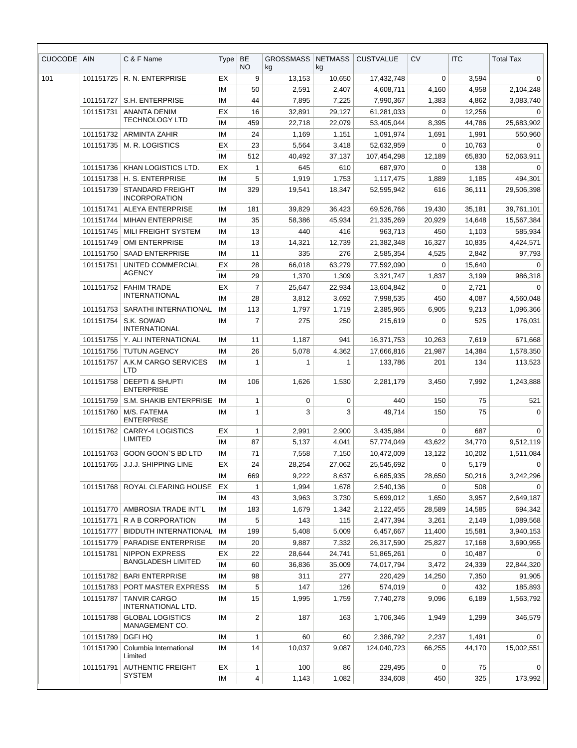| EX<br>9<br>101<br>101151725<br>R. N. ENTERPRISE<br>13,153<br>17,432,748<br>0<br>3,594<br>10,650<br>50<br>IM<br>2,591<br>2,407<br>4,608,711<br>4,160<br>4,958<br>S.H. ENTERPRISE<br>IM<br>44<br>101151727<br>7,895<br>7,225<br>7,990,367<br>1,383<br>4,862<br>101151731<br><b>ANANTA DENIM</b><br>EX<br>16<br>32,891<br>29,127<br>61,281,033<br>0<br>12,256<br><b>TECHNOLOGY LTD</b><br>459<br>IM<br>22,718<br>22,079<br>53,405,044<br>8,395<br>44,786<br>IM<br>24<br>101151732<br><b>ARMINTA ZAHIR</b><br>1,169<br>1,151<br>1,091,974<br>1,691<br>1,991<br>EX<br>23<br>$\mathbf 0$<br>101151735<br>M. R. LOGISTICS<br>5,564<br>52,632,959<br>10,763<br>3,418<br>IM<br>512<br>40,492<br>37,137<br>12,189<br>65,830<br>107,454,298<br>KHAN LOGISTICS LTD.<br>EX<br>645<br>138<br>101151736<br>1<br>610<br>687,970<br>0<br>5<br>101151738<br>H. S. ENTERPRISE<br>IM<br>1,919<br>1,753<br>1,117,475<br>1,889<br>1,185<br>101151739<br><b>STANDARD FREIGHT</b><br>IM<br>329<br>19,541<br>616<br>36,111<br>18,347<br>52,595,942<br><b>INCORPORATION</b><br>101151741<br><b>ALEYA ENTERPRISE</b><br>IM<br>181<br>39,829<br>36,423<br>69,526,766<br>19,430<br>35,181<br>35<br>101151744<br><b>MIHAN ENTERPRISE</b><br>IM<br>58,386<br>45,934<br>21,335,269<br>20,929<br>14,648<br>13<br>440<br>416<br>450<br>101151745<br>MILI FREIGHT SYSTEM<br>IM<br>963.713<br>1,103<br><b>OMI ENTERPRISE</b><br>13<br>14,321<br>12,739<br>101151749<br>IM<br>21,382,348<br>16,327<br>10,835<br>IM<br>101151750<br><b>SAAD ENTERPRISE</b><br>11<br>335<br>276<br>2,585,354<br>4,525<br>2,842<br>UNITED COMMERCIAL<br>EX<br>101151751<br>28<br>66,018<br>63,279<br>77,592,090<br>$\Omega$<br>15,640<br><b>AGENCY</b><br>IM<br>29<br>1,370<br>1,309<br>3,321,747<br>1,837<br>3,199<br><b>FAHIM TRADE</b><br>EX<br>$\overline{7}$<br>101151752<br>25,647<br>22,934<br>13,604,842<br>$\Omega$<br>2,721<br><b>INTERNATIONAL</b><br>IM<br>28<br>3,812<br>3,692<br>450<br>4,087<br>7,998,535<br>IM<br>113<br>101151753<br>SARATHI INTERNATIONAL<br>1,797<br>1,719<br>2,385,965<br>6,905<br>9,213<br>$\overline{7}$<br>275<br>101151754<br>S.K. SOWAD<br>IM<br>250<br>215,619<br>0<br>525<br><b>INTERNATIONAL</b><br>IM<br>101151755<br>Y. ALI INTERNATIONAL<br>11<br>1,187<br>941<br>16,371,753<br>7,619<br>10,263<br>IM<br>101151756<br><b>TUTUN AGENCY</b><br>26<br>5,078<br>4,362<br>17,666,816<br>21,987<br>14,384<br>101151757<br>A.K.M CARGO SERVICES<br>IM<br>1<br>133,786<br>201<br>134<br>1<br>-1<br>LTD<br><b>DEEPTI &amp; SHUPTI</b><br>IM<br>101151758<br>106<br>1,626<br>1,530<br>2,281,179<br>3,450<br>7,992<br><b>ENTERPRISE</b><br>101151759<br>S.M. SHAKIB ENTERPRISE<br>IM<br>1<br>0<br>0<br>440<br>150<br>75<br>M/S. FATEMA<br>3<br>3<br>75<br>101151760<br>IM<br>$\mathbf{1}$<br>49,714<br>150<br><b>ENTERPRISE</b><br><b>CARRY-4 LOGISTICS</b><br>$\mathbf 0$<br>101151762<br>EX<br>1<br>2,991<br>2,900<br>3.435.984<br>687<br>LIMITED<br>IМ<br>87<br>5,137<br>4,041<br>57,774,049<br>43,622<br>34,770<br>101151763<br>GOON GOON'S BD LTD<br>IМ<br>71<br>7,558<br>7,150<br>10,472,009<br>13,122<br>10,202<br>J.J.J. SHIPPING LINE<br>24<br>101151765<br>EX<br>28,254<br>27,062<br>25,545,692<br>0<br>5,179<br>IM<br>669<br>9,222<br>8,637<br>6,685,935<br>28,650<br>50,216<br>101151768<br>ROYAL CLEARING HOUSE<br>EX<br>508<br>1<br>1,994<br>1,678<br>2,540,136<br>0<br>IM<br>43<br>3,963<br>3,730<br>1,650<br>3,957<br>5,699,012<br>183<br>101151770<br>AMBROSIA TRADE INT`L<br>IМ<br>1,679<br>1,342<br>14,585<br>2,122,455<br>28,589<br>5<br>115<br>101151771<br>R A B CORPORATION<br>IM<br>143<br>2,477,394<br>3,261<br>2,149<br>101151777<br><b>BIDDUTH INTERNATIONAL</b><br>IМ<br>199<br>5,408<br>5,009<br>6,457,667<br>11,400<br>15,581<br>101151779<br>PARADISE ENTERPRISE<br>IМ<br>20<br>9,887<br>7,332<br>26,317,590<br>25,827<br>17,168<br><b>NIPPON EXPRESS</b><br>101151781<br>EX<br>22<br>28,644<br>24,741<br>51,865,261<br>0<br>10,487<br><b>BANGLADESH LIMITED</b><br>IM<br>60<br>36,836<br>35,009<br>74,017,794<br>24,339<br>3,472<br>101151782<br><b>BARI ENTERPRISE</b><br>IМ<br>98<br>311<br>277<br>220,429<br>14,250<br>7,350<br>5<br>101151783<br>PORT MASTER EXPRESS<br>IМ<br>147<br>126<br>574,019<br>0<br>432<br>101151787<br><b>TANVIR CARGO</b><br>IМ<br>15<br>1,995<br>7,740,278<br>1,759<br>9,096<br>6,189<br>INTERNATIONAL LTD.<br><b>GLOBAL LOGISTICS</b><br>IM<br>$\overline{2}$<br>101151788<br>187<br>163<br>1,706,346<br>1,949<br>1,299<br>MANAGEMENT CO.<br><b>DGFI HQ</b><br>101151789<br>ΙM<br>60<br>2,386,792<br>2,237<br>1<br>60<br>1,491<br>14<br>101151790<br>Columbia International<br>ΙM<br>10,037<br>9,087<br>124,040,723<br>44,170<br>66,255<br>Limited | <b>CUOCODE</b> | <b>AIN</b> | C & F Name               | Type | <b>BE</b><br><b>NO</b> | <b>GROSSMASS</b><br>kg | <b>NETMASS</b><br>kg | <b>CUSTVALUE</b> | CV | <b>ITC</b> | <b>Total Tax</b> |
|------------------------------------------------------------------------------------------------------------------------------------------------------------------------------------------------------------------------------------------------------------------------------------------------------------------------------------------------------------------------------------------------------------------------------------------------------------------------------------------------------------------------------------------------------------------------------------------------------------------------------------------------------------------------------------------------------------------------------------------------------------------------------------------------------------------------------------------------------------------------------------------------------------------------------------------------------------------------------------------------------------------------------------------------------------------------------------------------------------------------------------------------------------------------------------------------------------------------------------------------------------------------------------------------------------------------------------------------------------------------------------------------------------------------------------------------------------------------------------------------------------------------------------------------------------------------------------------------------------------------------------------------------------------------------------------------------------------------------------------------------------------------------------------------------------------------------------------------------------------------------------------------------------------------------------------------------------------------------------------------------------------------------------------------------------------------------------------------------------------------------------------------------------------------------------------------------------------------------------------------------------------------------------------------------------------------------------------------------------------------------------------------------------------------------------------------------------------------------------------------------------------------------------------------------------------------------------------------------------------------------------------------------------------------------------------------------------------------------------------------------------------------------------------------------------------------------------------------------------------------------------------------------------------------------------------------------------------------------------------------------------------------------------------------------------------------------------------------------------------------------------------------------------------------------------------------------------------------------------------------------------------------------------------------------------------------------------------------------------------------------------------------------------------------------------------------------------------------------------------------------------------------------------------------------------------------------------------------------------------------------------------------------------------------------------------------------------------------------------------------------------------------------------------------------------------------------------------------------------------------------------------------------------------------------------------------------------------------------------------------------------------------------------------------------------------------------------------------------------------------------------------------------------------------------------------------------------------------------------------------------------------------------------------------------------------------------------------------------------------------------------------------------------------------------------------------------------------------------------------------------------------------------------------------------------------------------------------------------------------------------------------------------------------------------------------------|----------------|------------|--------------------------|------|------------------------|------------------------|----------------------|------------------|----|------------|------------------|
|                                                                                                                                                                                                                                                                                                                                                                                                                                                                                                                                                                                                                                                                                                                                                                                                                                                                                                                                                                                                                                                                                                                                                                                                                                                                                                                                                                                                                                                                                                                                                                                                                                                                                                                                                                                                                                                                                                                                                                                                                                                                                                                                                                                                                                                                                                                                                                                                                                                                                                                                                                                                                                                                                                                                                                                                                                                                                                                                                                                                                                                                                                                                                                                                                                                                                                                                                                                                                                                                                                                                                                                                                                                                                                                                                                                                                                                                                                                                                                                                                                                                                                                                                                                                                                                                                                                                                                                                                                                                                                                                                                                                                                                                                                |                |            |                          |      |                        |                        |                      |                  |    |            | 0                |
|                                                                                                                                                                                                                                                                                                                                                                                                                                                                                                                                                                                                                                                                                                                                                                                                                                                                                                                                                                                                                                                                                                                                                                                                                                                                                                                                                                                                                                                                                                                                                                                                                                                                                                                                                                                                                                                                                                                                                                                                                                                                                                                                                                                                                                                                                                                                                                                                                                                                                                                                                                                                                                                                                                                                                                                                                                                                                                                                                                                                                                                                                                                                                                                                                                                                                                                                                                                                                                                                                                                                                                                                                                                                                                                                                                                                                                                                                                                                                                                                                                                                                                                                                                                                                                                                                                                                                                                                                                                                                                                                                                                                                                                                                                |                |            |                          |      |                        |                        |                      |                  |    |            | 2,104,248        |
|                                                                                                                                                                                                                                                                                                                                                                                                                                                                                                                                                                                                                                                                                                                                                                                                                                                                                                                                                                                                                                                                                                                                                                                                                                                                                                                                                                                                                                                                                                                                                                                                                                                                                                                                                                                                                                                                                                                                                                                                                                                                                                                                                                                                                                                                                                                                                                                                                                                                                                                                                                                                                                                                                                                                                                                                                                                                                                                                                                                                                                                                                                                                                                                                                                                                                                                                                                                                                                                                                                                                                                                                                                                                                                                                                                                                                                                                                                                                                                                                                                                                                                                                                                                                                                                                                                                                                                                                                                                                                                                                                                                                                                                                                                |                |            |                          |      |                        |                        |                      |                  |    |            | 3,083,740        |
|                                                                                                                                                                                                                                                                                                                                                                                                                                                                                                                                                                                                                                                                                                                                                                                                                                                                                                                                                                                                                                                                                                                                                                                                                                                                                                                                                                                                                                                                                                                                                                                                                                                                                                                                                                                                                                                                                                                                                                                                                                                                                                                                                                                                                                                                                                                                                                                                                                                                                                                                                                                                                                                                                                                                                                                                                                                                                                                                                                                                                                                                                                                                                                                                                                                                                                                                                                                                                                                                                                                                                                                                                                                                                                                                                                                                                                                                                                                                                                                                                                                                                                                                                                                                                                                                                                                                                                                                                                                                                                                                                                                                                                                                                                |                |            |                          |      |                        |                        |                      |                  |    |            | 0                |
|                                                                                                                                                                                                                                                                                                                                                                                                                                                                                                                                                                                                                                                                                                                                                                                                                                                                                                                                                                                                                                                                                                                                                                                                                                                                                                                                                                                                                                                                                                                                                                                                                                                                                                                                                                                                                                                                                                                                                                                                                                                                                                                                                                                                                                                                                                                                                                                                                                                                                                                                                                                                                                                                                                                                                                                                                                                                                                                                                                                                                                                                                                                                                                                                                                                                                                                                                                                                                                                                                                                                                                                                                                                                                                                                                                                                                                                                                                                                                                                                                                                                                                                                                                                                                                                                                                                                                                                                                                                                                                                                                                                                                                                                                                |                |            |                          |      |                        |                        |                      |                  |    |            | 25,683,902       |
|                                                                                                                                                                                                                                                                                                                                                                                                                                                                                                                                                                                                                                                                                                                                                                                                                                                                                                                                                                                                                                                                                                                                                                                                                                                                                                                                                                                                                                                                                                                                                                                                                                                                                                                                                                                                                                                                                                                                                                                                                                                                                                                                                                                                                                                                                                                                                                                                                                                                                                                                                                                                                                                                                                                                                                                                                                                                                                                                                                                                                                                                                                                                                                                                                                                                                                                                                                                                                                                                                                                                                                                                                                                                                                                                                                                                                                                                                                                                                                                                                                                                                                                                                                                                                                                                                                                                                                                                                                                                                                                                                                                                                                                                                                |                |            |                          |      |                        |                        |                      |                  |    |            | 550,960          |
|                                                                                                                                                                                                                                                                                                                                                                                                                                                                                                                                                                                                                                                                                                                                                                                                                                                                                                                                                                                                                                                                                                                                                                                                                                                                                                                                                                                                                                                                                                                                                                                                                                                                                                                                                                                                                                                                                                                                                                                                                                                                                                                                                                                                                                                                                                                                                                                                                                                                                                                                                                                                                                                                                                                                                                                                                                                                                                                                                                                                                                                                                                                                                                                                                                                                                                                                                                                                                                                                                                                                                                                                                                                                                                                                                                                                                                                                                                                                                                                                                                                                                                                                                                                                                                                                                                                                                                                                                                                                                                                                                                                                                                                                                                |                |            |                          |      |                        |                        |                      |                  |    |            | $\Omega$         |
|                                                                                                                                                                                                                                                                                                                                                                                                                                                                                                                                                                                                                                                                                                                                                                                                                                                                                                                                                                                                                                                                                                                                                                                                                                                                                                                                                                                                                                                                                                                                                                                                                                                                                                                                                                                                                                                                                                                                                                                                                                                                                                                                                                                                                                                                                                                                                                                                                                                                                                                                                                                                                                                                                                                                                                                                                                                                                                                                                                                                                                                                                                                                                                                                                                                                                                                                                                                                                                                                                                                                                                                                                                                                                                                                                                                                                                                                                                                                                                                                                                                                                                                                                                                                                                                                                                                                                                                                                                                                                                                                                                                                                                                                                                |                |            |                          |      |                        |                        |                      |                  |    |            | 52,063,911       |
|                                                                                                                                                                                                                                                                                                                                                                                                                                                                                                                                                                                                                                                                                                                                                                                                                                                                                                                                                                                                                                                                                                                                                                                                                                                                                                                                                                                                                                                                                                                                                                                                                                                                                                                                                                                                                                                                                                                                                                                                                                                                                                                                                                                                                                                                                                                                                                                                                                                                                                                                                                                                                                                                                                                                                                                                                                                                                                                                                                                                                                                                                                                                                                                                                                                                                                                                                                                                                                                                                                                                                                                                                                                                                                                                                                                                                                                                                                                                                                                                                                                                                                                                                                                                                                                                                                                                                                                                                                                                                                                                                                                                                                                                                                |                |            |                          |      |                        |                        |                      |                  |    |            | 0                |
|                                                                                                                                                                                                                                                                                                                                                                                                                                                                                                                                                                                                                                                                                                                                                                                                                                                                                                                                                                                                                                                                                                                                                                                                                                                                                                                                                                                                                                                                                                                                                                                                                                                                                                                                                                                                                                                                                                                                                                                                                                                                                                                                                                                                                                                                                                                                                                                                                                                                                                                                                                                                                                                                                                                                                                                                                                                                                                                                                                                                                                                                                                                                                                                                                                                                                                                                                                                                                                                                                                                                                                                                                                                                                                                                                                                                                                                                                                                                                                                                                                                                                                                                                                                                                                                                                                                                                                                                                                                                                                                                                                                                                                                                                                |                |            |                          |      |                        |                        |                      |                  |    |            | 494,301          |
|                                                                                                                                                                                                                                                                                                                                                                                                                                                                                                                                                                                                                                                                                                                                                                                                                                                                                                                                                                                                                                                                                                                                                                                                                                                                                                                                                                                                                                                                                                                                                                                                                                                                                                                                                                                                                                                                                                                                                                                                                                                                                                                                                                                                                                                                                                                                                                                                                                                                                                                                                                                                                                                                                                                                                                                                                                                                                                                                                                                                                                                                                                                                                                                                                                                                                                                                                                                                                                                                                                                                                                                                                                                                                                                                                                                                                                                                                                                                                                                                                                                                                                                                                                                                                                                                                                                                                                                                                                                                                                                                                                                                                                                                                                |                |            |                          |      |                        |                        |                      |                  |    |            | 29,506,398       |
|                                                                                                                                                                                                                                                                                                                                                                                                                                                                                                                                                                                                                                                                                                                                                                                                                                                                                                                                                                                                                                                                                                                                                                                                                                                                                                                                                                                                                                                                                                                                                                                                                                                                                                                                                                                                                                                                                                                                                                                                                                                                                                                                                                                                                                                                                                                                                                                                                                                                                                                                                                                                                                                                                                                                                                                                                                                                                                                                                                                                                                                                                                                                                                                                                                                                                                                                                                                                                                                                                                                                                                                                                                                                                                                                                                                                                                                                                                                                                                                                                                                                                                                                                                                                                                                                                                                                                                                                                                                                                                                                                                                                                                                                                                |                |            |                          |      |                        |                        |                      |                  |    |            | 39,761,101       |
|                                                                                                                                                                                                                                                                                                                                                                                                                                                                                                                                                                                                                                                                                                                                                                                                                                                                                                                                                                                                                                                                                                                                                                                                                                                                                                                                                                                                                                                                                                                                                                                                                                                                                                                                                                                                                                                                                                                                                                                                                                                                                                                                                                                                                                                                                                                                                                                                                                                                                                                                                                                                                                                                                                                                                                                                                                                                                                                                                                                                                                                                                                                                                                                                                                                                                                                                                                                                                                                                                                                                                                                                                                                                                                                                                                                                                                                                                                                                                                                                                                                                                                                                                                                                                                                                                                                                                                                                                                                                                                                                                                                                                                                                                                |                |            |                          |      |                        |                        |                      |                  |    |            | 15,567,384       |
|                                                                                                                                                                                                                                                                                                                                                                                                                                                                                                                                                                                                                                                                                                                                                                                                                                                                                                                                                                                                                                                                                                                                                                                                                                                                                                                                                                                                                                                                                                                                                                                                                                                                                                                                                                                                                                                                                                                                                                                                                                                                                                                                                                                                                                                                                                                                                                                                                                                                                                                                                                                                                                                                                                                                                                                                                                                                                                                                                                                                                                                                                                                                                                                                                                                                                                                                                                                                                                                                                                                                                                                                                                                                                                                                                                                                                                                                                                                                                                                                                                                                                                                                                                                                                                                                                                                                                                                                                                                                                                                                                                                                                                                                                                |                |            |                          |      |                        |                        |                      |                  |    |            | 585,934          |
|                                                                                                                                                                                                                                                                                                                                                                                                                                                                                                                                                                                                                                                                                                                                                                                                                                                                                                                                                                                                                                                                                                                                                                                                                                                                                                                                                                                                                                                                                                                                                                                                                                                                                                                                                                                                                                                                                                                                                                                                                                                                                                                                                                                                                                                                                                                                                                                                                                                                                                                                                                                                                                                                                                                                                                                                                                                                                                                                                                                                                                                                                                                                                                                                                                                                                                                                                                                                                                                                                                                                                                                                                                                                                                                                                                                                                                                                                                                                                                                                                                                                                                                                                                                                                                                                                                                                                                                                                                                                                                                                                                                                                                                                                                |                |            |                          |      |                        |                        |                      |                  |    |            | 4,424,571        |
|                                                                                                                                                                                                                                                                                                                                                                                                                                                                                                                                                                                                                                                                                                                                                                                                                                                                                                                                                                                                                                                                                                                                                                                                                                                                                                                                                                                                                                                                                                                                                                                                                                                                                                                                                                                                                                                                                                                                                                                                                                                                                                                                                                                                                                                                                                                                                                                                                                                                                                                                                                                                                                                                                                                                                                                                                                                                                                                                                                                                                                                                                                                                                                                                                                                                                                                                                                                                                                                                                                                                                                                                                                                                                                                                                                                                                                                                                                                                                                                                                                                                                                                                                                                                                                                                                                                                                                                                                                                                                                                                                                                                                                                                                                |                |            |                          |      |                        |                        |                      |                  |    |            | 97,793           |
|                                                                                                                                                                                                                                                                                                                                                                                                                                                                                                                                                                                                                                                                                                                                                                                                                                                                                                                                                                                                                                                                                                                                                                                                                                                                                                                                                                                                                                                                                                                                                                                                                                                                                                                                                                                                                                                                                                                                                                                                                                                                                                                                                                                                                                                                                                                                                                                                                                                                                                                                                                                                                                                                                                                                                                                                                                                                                                                                                                                                                                                                                                                                                                                                                                                                                                                                                                                                                                                                                                                                                                                                                                                                                                                                                                                                                                                                                                                                                                                                                                                                                                                                                                                                                                                                                                                                                                                                                                                                                                                                                                                                                                                                                                |                |            |                          |      |                        |                        |                      |                  |    |            | $\Omega$         |
|                                                                                                                                                                                                                                                                                                                                                                                                                                                                                                                                                                                                                                                                                                                                                                                                                                                                                                                                                                                                                                                                                                                                                                                                                                                                                                                                                                                                                                                                                                                                                                                                                                                                                                                                                                                                                                                                                                                                                                                                                                                                                                                                                                                                                                                                                                                                                                                                                                                                                                                                                                                                                                                                                                                                                                                                                                                                                                                                                                                                                                                                                                                                                                                                                                                                                                                                                                                                                                                                                                                                                                                                                                                                                                                                                                                                                                                                                                                                                                                                                                                                                                                                                                                                                                                                                                                                                                                                                                                                                                                                                                                                                                                                                                |                |            |                          |      |                        |                        |                      |                  |    |            | 986.318          |
|                                                                                                                                                                                                                                                                                                                                                                                                                                                                                                                                                                                                                                                                                                                                                                                                                                                                                                                                                                                                                                                                                                                                                                                                                                                                                                                                                                                                                                                                                                                                                                                                                                                                                                                                                                                                                                                                                                                                                                                                                                                                                                                                                                                                                                                                                                                                                                                                                                                                                                                                                                                                                                                                                                                                                                                                                                                                                                                                                                                                                                                                                                                                                                                                                                                                                                                                                                                                                                                                                                                                                                                                                                                                                                                                                                                                                                                                                                                                                                                                                                                                                                                                                                                                                                                                                                                                                                                                                                                                                                                                                                                                                                                                                                |                |            |                          |      |                        |                        |                      |                  |    |            | $\Omega$         |
|                                                                                                                                                                                                                                                                                                                                                                                                                                                                                                                                                                                                                                                                                                                                                                                                                                                                                                                                                                                                                                                                                                                                                                                                                                                                                                                                                                                                                                                                                                                                                                                                                                                                                                                                                                                                                                                                                                                                                                                                                                                                                                                                                                                                                                                                                                                                                                                                                                                                                                                                                                                                                                                                                                                                                                                                                                                                                                                                                                                                                                                                                                                                                                                                                                                                                                                                                                                                                                                                                                                                                                                                                                                                                                                                                                                                                                                                                                                                                                                                                                                                                                                                                                                                                                                                                                                                                                                                                                                                                                                                                                                                                                                                                                |                |            |                          |      |                        |                        |                      |                  |    |            | 4,560,048        |
|                                                                                                                                                                                                                                                                                                                                                                                                                                                                                                                                                                                                                                                                                                                                                                                                                                                                                                                                                                                                                                                                                                                                                                                                                                                                                                                                                                                                                                                                                                                                                                                                                                                                                                                                                                                                                                                                                                                                                                                                                                                                                                                                                                                                                                                                                                                                                                                                                                                                                                                                                                                                                                                                                                                                                                                                                                                                                                                                                                                                                                                                                                                                                                                                                                                                                                                                                                                                                                                                                                                                                                                                                                                                                                                                                                                                                                                                                                                                                                                                                                                                                                                                                                                                                                                                                                                                                                                                                                                                                                                                                                                                                                                                                                |                |            |                          |      |                        |                        |                      |                  |    |            | 1,096,366        |
|                                                                                                                                                                                                                                                                                                                                                                                                                                                                                                                                                                                                                                                                                                                                                                                                                                                                                                                                                                                                                                                                                                                                                                                                                                                                                                                                                                                                                                                                                                                                                                                                                                                                                                                                                                                                                                                                                                                                                                                                                                                                                                                                                                                                                                                                                                                                                                                                                                                                                                                                                                                                                                                                                                                                                                                                                                                                                                                                                                                                                                                                                                                                                                                                                                                                                                                                                                                                                                                                                                                                                                                                                                                                                                                                                                                                                                                                                                                                                                                                                                                                                                                                                                                                                                                                                                                                                                                                                                                                                                                                                                                                                                                                                                |                |            |                          |      |                        |                        |                      |                  |    |            | 176,031          |
|                                                                                                                                                                                                                                                                                                                                                                                                                                                                                                                                                                                                                                                                                                                                                                                                                                                                                                                                                                                                                                                                                                                                                                                                                                                                                                                                                                                                                                                                                                                                                                                                                                                                                                                                                                                                                                                                                                                                                                                                                                                                                                                                                                                                                                                                                                                                                                                                                                                                                                                                                                                                                                                                                                                                                                                                                                                                                                                                                                                                                                                                                                                                                                                                                                                                                                                                                                                                                                                                                                                                                                                                                                                                                                                                                                                                                                                                                                                                                                                                                                                                                                                                                                                                                                                                                                                                                                                                                                                                                                                                                                                                                                                                                                |                |            |                          |      |                        |                        |                      |                  |    |            | 671,668          |
|                                                                                                                                                                                                                                                                                                                                                                                                                                                                                                                                                                                                                                                                                                                                                                                                                                                                                                                                                                                                                                                                                                                                                                                                                                                                                                                                                                                                                                                                                                                                                                                                                                                                                                                                                                                                                                                                                                                                                                                                                                                                                                                                                                                                                                                                                                                                                                                                                                                                                                                                                                                                                                                                                                                                                                                                                                                                                                                                                                                                                                                                                                                                                                                                                                                                                                                                                                                                                                                                                                                                                                                                                                                                                                                                                                                                                                                                                                                                                                                                                                                                                                                                                                                                                                                                                                                                                                                                                                                                                                                                                                                                                                                                                                |                |            |                          |      |                        |                        |                      |                  |    |            | 1,578,350        |
|                                                                                                                                                                                                                                                                                                                                                                                                                                                                                                                                                                                                                                                                                                                                                                                                                                                                                                                                                                                                                                                                                                                                                                                                                                                                                                                                                                                                                                                                                                                                                                                                                                                                                                                                                                                                                                                                                                                                                                                                                                                                                                                                                                                                                                                                                                                                                                                                                                                                                                                                                                                                                                                                                                                                                                                                                                                                                                                                                                                                                                                                                                                                                                                                                                                                                                                                                                                                                                                                                                                                                                                                                                                                                                                                                                                                                                                                                                                                                                                                                                                                                                                                                                                                                                                                                                                                                                                                                                                                                                                                                                                                                                                                                                |                |            |                          |      |                        |                        |                      |                  |    |            | 113,523          |
|                                                                                                                                                                                                                                                                                                                                                                                                                                                                                                                                                                                                                                                                                                                                                                                                                                                                                                                                                                                                                                                                                                                                                                                                                                                                                                                                                                                                                                                                                                                                                                                                                                                                                                                                                                                                                                                                                                                                                                                                                                                                                                                                                                                                                                                                                                                                                                                                                                                                                                                                                                                                                                                                                                                                                                                                                                                                                                                                                                                                                                                                                                                                                                                                                                                                                                                                                                                                                                                                                                                                                                                                                                                                                                                                                                                                                                                                                                                                                                                                                                                                                                                                                                                                                                                                                                                                                                                                                                                                                                                                                                                                                                                                                                |                |            |                          |      |                        |                        |                      |                  |    |            | 1,243,888        |
|                                                                                                                                                                                                                                                                                                                                                                                                                                                                                                                                                                                                                                                                                                                                                                                                                                                                                                                                                                                                                                                                                                                                                                                                                                                                                                                                                                                                                                                                                                                                                                                                                                                                                                                                                                                                                                                                                                                                                                                                                                                                                                                                                                                                                                                                                                                                                                                                                                                                                                                                                                                                                                                                                                                                                                                                                                                                                                                                                                                                                                                                                                                                                                                                                                                                                                                                                                                                                                                                                                                                                                                                                                                                                                                                                                                                                                                                                                                                                                                                                                                                                                                                                                                                                                                                                                                                                                                                                                                                                                                                                                                                                                                                                                |                |            |                          |      |                        |                        |                      |                  |    |            | 521              |
|                                                                                                                                                                                                                                                                                                                                                                                                                                                                                                                                                                                                                                                                                                                                                                                                                                                                                                                                                                                                                                                                                                                                                                                                                                                                                                                                                                                                                                                                                                                                                                                                                                                                                                                                                                                                                                                                                                                                                                                                                                                                                                                                                                                                                                                                                                                                                                                                                                                                                                                                                                                                                                                                                                                                                                                                                                                                                                                                                                                                                                                                                                                                                                                                                                                                                                                                                                                                                                                                                                                                                                                                                                                                                                                                                                                                                                                                                                                                                                                                                                                                                                                                                                                                                                                                                                                                                                                                                                                                                                                                                                                                                                                                                                |                |            |                          |      |                        |                        |                      |                  |    |            | $\mathbf 0$      |
|                                                                                                                                                                                                                                                                                                                                                                                                                                                                                                                                                                                                                                                                                                                                                                                                                                                                                                                                                                                                                                                                                                                                                                                                                                                                                                                                                                                                                                                                                                                                                                                                                                                                                                                                                                                                                                                                                                                                                                                                                                                                                                                                                                                                                                                                                                                                                                                                                                                                                                                                                                                                                                                                                                                                                                                                                                                                                                                                                                                                                                                                                                                                                                                                                                                                                                                                                                                                                                                                                                                                                                                                                                                                                                                                                                                                                                                                                                                                                                                                                                                                                                                                                                                                                                                                                                                                                                                                                                                                                                                                                                                                                                                                                                |                |            |                          |      |                        |                        |                      |                  |    |            | $\mathbf 0$      |
|                                                                                                                                                                                                                                                                                                                                                                                                                                                                                                                                                                                                                                                                                                                                                                                                                                                                                                                                                                                                                                                                                                                                                                                                                                                                                                                                                                                                                                                                                                                                                                                                                                                                                                                                                                                                                                                                                                                                                                                                                                                                                                                                                                                                                                                                                                                                                                                                                                                                                                                                                                                                                                                                                                                                                                                                                                                                                                                                                                                                                                                                                                                                                                                                                                                                                                                                                                                                                                                                                                                                                                                                                                                                                                                                                                                                                                                                                                                                                                                                                                                                                                                                                                                                                                                                                                                                                                                                                                                                                                                                                                                                                                                                                                |                |            |                          |      |                        |                        |                      |                  |    |            | 9,512,119        |
|                                                                                                                                                                                                                                                                                                                                                                                                                                                                                                                                                                                                                                                                                                                                                                                                                                                                                                                                                                                                                                                                                                                                                                                                                                                                                                                                                                                                                                                                                                                                                                                                                                                                                                                                                                                                                                                                                                                                                                                                                                                                                                                                                                                                                                                                                                                                                                                                                                                                                                                                                                                                                                                                                                                                                                                                                                                                                                                                                                                                                                                                                                                                                                                                                                                                                                                                                                                                                                                                                                                                                                                                                                                                                                                                                                                                                                                                                                                                                                                                                                                                                                                                                                                                                                                                                                                                                                                                                                                                                                                                                                                                                                                                                                |                |            |                          |      |                        |                        |                      |                  |    |            | 1,511,084        |
|                                                                                                                                                                                                                                                                                                                                                                                                                                                                                                                                                                                                                                                                                                                                                                                                                                                                                                                                                                                                                                                                                                                                                                                                                                                                                                                                                                                                                                                                                                                                                                                                                                                                                                                                                                                                                                                                                                                                                                                                                                                                                                                                                                                                                                                                                                                                                                                                                                                                                                                                                                                                                                                                                                                                                                                                                                                                                                                                                                                                                                                                                                                                                                                                                                                                                                                                                                                                                                                                                                                                                                                                                                                                                                                                                                                                                                                                                                                                                                                                                                                                                                                                                                                                                                                                                                                                                                                                                                                                                                                                                                                                                                                                                                |                |            |                          |      |                        |                        |                      |                  |    |            | 0                |
|                                                                                                                                                                                                                                                                                                                                                                                                                                                                                                                                                                                                                                                                                                                                                                                                                                                                                                                                                                                                                                                                                                                                                                                                                                                                                                                                                                                                                                                                                                                                                                                                                                                                                                                                                                                                                                                                                                                                                                                                                                                                                                                                                                                                                                                                                                                                                                                                                                                                                                                                                                                                                                                                                                                                                                                                                                                                                                                                                                                                                                                                                                                                                                                                                                                                                                                                                                                                                                                                                                                                                                                                                                                                                                                                                                                                                                                                                                                                                                                                                                                                                                                                                                                                                                                                                                                                                                                                                                                                                                                                                                                                                                                                                                |                |            |                          |      |                        |                        |                      |                  |    |            | 3,242,296        |
|                                                                                                                                                                                                                                                                                                                                                                                                                                                                                                                                                                                                                                                                                                                                                                                                                                                                                                                                                                                                                                                                                                                                                                                                                                                                                                                                                                                                                                                                                                                                                                                                                                                                                                                                                                                                                                                                                                                                                                                                                                                                                                                                                                                                                                                                                                                                                                                                                                                                                                                                                                                                                                                                                                                                                                                                                                                                                                                                                                                                                                                                                                                                                                                                                                                                                                                                                                                                                                                                                                                                                                                                                                                                                                                                                                                                                                                                                                                                                                                                                                                                                                                                                                                                                                                                                                                                                                                                                                                                                                                                                                                                                                                                                                |                |            |                          |      |                        |                        |                      |                  |    |            | $\Omega$         |
|                                                                                                                                                                                                                                                                                                                                                                                                                                                                                                                                                                                                                                                                                                                                                                                                                                                                                                                                                                                                                                                                                                                                                                                                                                                                                                                                                                                                                                                                                                                                                                                                                                                                                                                                                                                                                                                                                                                                                                                                                                                                                                                                                                                                                                                                                                                                                                                                                                                                                                                                                                                                                                                                                                                                                                                                                                                                                                                                                                                                                                                                                                                                                                                                                                                                                                                                                                                                                                                                                                                                                                                                                                                                                                                                                                                                                                                                                                                                                                                                                                                                                                                                                                                                                                                                                                                                                                                                                                                                                                                                                                                                                                                                                                |                |            |                          |      |                        |                        |                      |                  |    |            | 2,649,187        |
|                                                                                                                                                                                                                                                                                                                                                                                                                                                                                                                                                                                                                                                                                                                                                                                                                                                                                                                                                                                                                                                                                                                                                                                                                                                                                                                                                                                                                                                                                                                                                                                                                                                                                                                                                                                                                                                                                                                                                                                                                                                                                                                                                                                                                                                                                                                                                                                                                                                                                                                                                                                                                                                                                                                                                                                                                                                                                                                                                                                                                                                                                                                                                                                                                                                                                                                                                                                                                                                                                                                                                                                                                                                                                                                                                                                                                                                                                                                                                                                                                                                                                                                                                                                                                                                                                                                                                                                                                                                                                                                                                                                                                                                                                                |                |            |                          |      |                        |                        |                      |                  |    |            | 694,342          |
|                                                                                                                                                                                                                                                                                                                                                                                                                                                                                                                                                                                                                                                                                                                                                                                                                                                                                                                                                                                                                                                                                                                                                                                                                                                                                                                                                                                                                                                                                                                                                                                                                                                                                                                                                                                                                                                                                                                                                                                                                                                                                                                                                                                                                                                                                                                                                                                                                                                                                                                                                                                                                                                                                                                                                                                                                                                                                                                                                                                                                                                                                                                                                                                                                                                                                                                                                                                                                                                                                                                                                                                                                                                                                                                                                                                                                                                                                                                                                                                                                                                                                                                                                                                                                                                                                                                                                                                                                                                                                                                                                                                                                                                                                                |                |            |                          |      |                        |                        |                      |                  |    |            | 1,089,568        |
|                                                                                                                                                                                                                                                                                                                                                                                                                                                                                                                                                                                                                                                                                                                                                                                                                                                                                                                                                                                                                                                                                                                                                                                                                                                                                                                                                                                                                                                                                                                                                                                                                                                                                                                                                                                                                                                                                                                                                                                                                                                                                                                                                                                                                                                                                                                                                                                                                                                                                                                                                                                                                                                                                                                                                                                                                                                                                                                                                                                                                                                                                                                                                                                                                                                                                                                                                                                                                                                                                                                                                                                                                                                                                                                                                                                                                                                                                                                                                                                                                                                                                                                                                                                                                                                                                                                                                                                                                                                                                                                                                                                                                                                                                                |                |            |                          |      |                        |                        |                      |                  |    |            | 3,940,153        |
|                                                                                                                                                                                                                                                                                                                                                                                                                                                                                                                                                                                                                                                                                                                                                                                                                                                                                                                                                                                                                                                                                                                                                                                                                                                                                                                                                                                                                                                                                                                                                                                                                                                                                                                                                                                                                                                                                                                                                                                                                                                                                                                                                                                                                                                                                                                                                                                                                                                                                                                                                                                                                                                                                                                                                                                                                                                                                                                                                                                                                                                                                                                                                                                                                                                                                                                                                                                                                                                                                                                                                                                                                                                                                                                                                                                                                                                                                                                                                                                                                                                                                                                                                                                                                                                                                                                                                                                                                                                                                                                                                                                                                                                                                                |                |            |                          |      |                        |                        |                      |                  |    |            | 3,690,955        |
|                                                                                                                                                                                                                                                                                                                                                                                                                                                                                                                                                                                                                                                                                                                                                                                                                                                                                                                                                                                                                                                                                                                                                                                                                                                                                                                                                                                                                                                                                                                                                                                                                                                                                                                                                                                                                                                                                                                                                                                                                                                                                                                                                                                                                                                                                                                                                                                                                                                                                                                                                                                                                                                                                                                                                                                                                                                                                                                                                                                                                                                                                                                                                                                                                                                                                                                                                                                                                                                                                                                                                                                                                                                                                                                                                                                                                                                                                                                                                                                                                                                                                                                                                                                                                                                                                                                                                                                                                                                                                                                                                                                                                                                                                                |                |            |                          |      |                        |                        |                      |                  |    |            | $\Omega$         |
|                                                                                                                                                                                                                                                                                                                                                                                                                                                                                                                                                                                                                                                                                                                                                                                                                                                                                                                                                                                                                                                                                                                                                                                                                                                                                                                                                                                                                                                                                                                                                                                                                                                                                                                                                                                                                                                                                                                                                                                                                                                                                                                                                                                                                                                                                                                                                                                                                                                                                                                                                                                                                                                                                                                                                                                                                                                                                                                                                                                                                                                                                                                                                                                                                                                                                                                                                                                                                                                                                                                                                                                                                                                                                                                                                                                                                                                                                                                                                                                                                                                                                                                                                                                                                                                                                                                                                                                                                                                                                                                                                                                                                                                                                                |                |            |                          |      |                        |                        |                      |                  |    |            | 22,844,320       |
|                                                                                                                                                                                                                                                                                                                                                                                                                                                                                                                                                                                                                                                                                                                                                                                                                                                                                                                                                                                                                                                                                                                                                                                                                                                                                                                                                                                                                                                                                                                                                                                                                                                                                                                                                                                                                                                                                                                                                                                                                                                                                                                                                                                                                                                                                                                                                                                                                                                                                                                                                                                                                                                                                                                                                                                                                                                                                                                                                                                                                                                                                                                                                                                                                                                                                                                                                                                                                                                                                                                                                                                                                                                                                                                                                                                                                                                                                                                                                                                                                                                                                                                                                                                                                                                                                                                                                                                                                                                                                                                                                                                                                                                                                                |                |            |                          |      |                        |                        |                      |                  |    |            | 91,905           |
|                                                                                                                                                                                                                                                                                                                                                                                                                                                                                                                                                                                                                                                                                                                                                                                                                                                                                                                                                                                                                                                                                                                                                                                                                                                                                                                                                                                                                                                                                                                                                                                                                                                                                                                                                                                                                                                                                                                                                                                                                                                                                                                                                                                                                                                                                                                                                                                                                                                                                                                                                                                                                                                                                                                                                                                                                                                                                                                                                                                                                                                                                                                                                                                                                                                                                                                                                                                                                                                                                                                                                                                                                                                                                                                                                                                                                                                                                                                                                                                                                                                                                                                                                                                                                                                                                                                                                                                                                                                                                                                                                                                                                                                                                                |                |            |                          |      |                        |                        |                      |                  |    |            | 185,893          |
|                                                                                                                                                                                                                                                                                                                                                                                                                                                                                                                                                                                                                                                                                                                                                                                                                                                                                                                                                                                                                                                                                                                                                                                                                                                                                                                                                                                                                                                                                                                                                                                                                                                                                                                                                                                                                                                                                                                                                                                                                                                                                                                                                                                                                                                                                                                                                                                                                                                                                                                                                                                                                                                                                                                                                                                                                                                                                                                                                                                                                                                                                                                                                                                                                                                                                                                                                                                                                                                                                                                                                                                                                                                                                                                                                                                                                                                                                                                                                                                                                                                                                                                                                                                                                                                                                                                                                                                                                                                                                                                                                                                                                                                                                                |                |            |                          |      |                        |                        |                      |                  |    |            | 1,563,792        |
|                                                                                                                                                                                                                                                                                                                                                                                                                                                                                                                                                                                                                                                                                                                                                                                                                                                                                                                                                                                                                                                                                                                                                                                                                                                                                                                                                                                                                                                                                                                                                                                                                                                                                                                                                                                                                                                                                                                                                                                                                                                                                                                                                                                                                                                                                                                                                                                                                                                                                                                                                                                                                                                                                                                                                                                                                                                                                                                                                                                                                                                                                                                                                                                                                                                                                                                                                                                                                                                                                                                                                                                                                                                                                                                                                                                                                                                                                                                                                                                                                                                                                                                                                                                                                                                                                                                                                                                                                                                                                                                                                                                                                                                                                                |                |            |                          |      |                        |                        |                      |                  |    |            | 346,579          |
|                                                                                                                                                                                                                                                                                                                                                                                                                                                                                                                                                                                                                                                                                                                                                                                                                                                                                                                                                                                                                                                                                                                                                                                                                                                                                                                                                                                                                                                                                                                                                                                                                                                                                                                                                                                                                                                                                                                                                                                                                                                                                                                                                                                                                                                                                                                                                                                                                                                                                                                                                                                                                                                                                                                                                                                                                                                                                                                                                                                                                                                                                                                                                                                                                                                                                                                                                                                                                                                                                                                                                                                                                                                                                                                                                                                                                                                                                                                                                                                                                                                                                                                                                                                                                                                                                                                                                                                                                                                                                                                                                                                                                                                                                                |                |            |                          |      |                        |                        |                      |                  |    |            | 0                |
|                                                                                                                                                                                                                                                                                                                                                                                                                                                                                                                                                                                                                                                                                                                                                                                                                                                                                                                                                                                                                                                                                                                                                                                                                                                                                                                                                                                                                                                                                                                                                                                                                                                                                                                                                                                                                                                                                                                                                                                                                                                                                                                                                                                                                                                                                                                                                                                                                                                                                                                                                                                                                                                                                                                                                                                                                                                                                                                                                                                                                                                                                                                                                                                                                                                                                                                                                                                                                                                                                                                                                                                                                                                                                                                                                                                                                                                                                                                                                                                                                                                                                                                                                                                                                                                                                                                                                                                                                                                                                                                                                                                                                                                                                                |                |            |                          |      |                        |                        |                      |                  |    |            | 15,002,551       |
| <b>SYSTEM</b><br>325<br>IM<br>1,143<br>1,082<br>334,608<br>450<br>4                                                                                                                                                                                                                                                                                                                                                                                                                                                                                                                                                                                                                                                                                                                                                                                                                                                                                                                                                                                                                                                                                                                                                                                                                                                                                                                                                                                                                                                                                                                                                                                                                                                                                                                                                                                                                                                                                                                                                                                                                                                                                                                                                                                                                                                                                                                                                                                                                                                                                                                                                                                                                                                                                                                                                                                                                                                                                                                                                                                                                                                                                                                                                                                                                                                                                                                                                                                                                                                                                                                                                                                                                                                                                                                                                                                                                                                                                                                                                                                                                                                                                                                                                                                                                                                                                                                                                                                                                                                                                                                                                                                                                            |                | 101151791  | <b>AUTHENTIC FREIGHT</b> | EX   | $\mathbf{1}$           | 100                    | 86                   | 229,495          | 0  | 75         | 0<br>173,992     |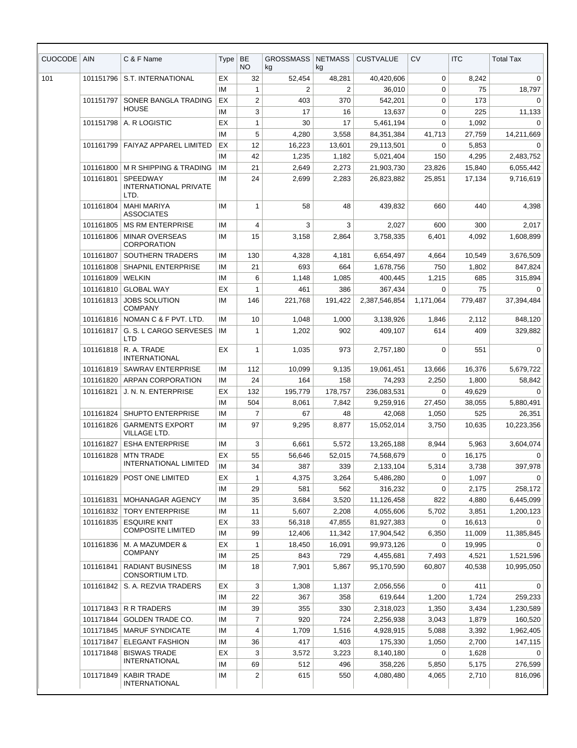| <b>CUOCODE</b> | <b>AIN</b>             | C & F Name                                       | Type     | <b>BE</b>      | <b>GROSSMASS</b> | <b>NETMASS</b>   | <b>CUSTVALUE</b>         | CV          | <b>ITC</b>       | <b>Total Tax</b>      |
|----------------|------------------------|--------------------------------------------------|----------|----------------|------------------|------------------|--------------------------|-------------|------------------|-----------------------|
|                |                        |                                                  |          | NO.            | kg               | kg               |                          |             |                  |                       |
| 101            | 101151796              | S.T. INTERNATIONAL                               | EX       | 32             | 52,454           | 48,281           | 40,420,606               | $\mathbf 0$ | 8,242            | 0                     |
|                |                        |                                                  | IM       | $\mathbf{1}$   | $\overline{2}$   | $\overline{2}$   | 36,010                   | 0           | 75               | 18,797                |
|                | 101151797              | SONER BANGLA TRADING<br><b>HOUSE</b>             | EX       | $\overline{2}$ | 403              | 370              | 542,201                  | 0           | 173              | $\Omega$              |
|                |                        |                                                  | IM       | 3              | 17               | 16               | 13,637                   | 0           | 225              | 11,133                |
|                | 101151798              | A. R LOGISTIC                                    | EX       | $\mathbf{1}$   | 30               | 17               | 5,461,194                | 0           | 1,092            | $\mathbf 0$           |
|                |                        |                                                  | IM       | 5              | 4,280            | 3,558            | 84,351,384               | 41,713      | 27,759           | 14,211,669            |
|                | 101161799              | FAIYAZ APPAREL LIMITED                           | EX       | 12             | 16,223           | 13,601           | 29,113,501               | 0           | 5,853            | $\Omega$              |
|                |                        |                                                  | IM       | 42             | 1,235            | 1,182            | 5,021,404                | 150         | 4,295            | 2,483,752             |
|                | 101161800              | M R SHIPPING & TRADING                           | IM       | 21             | 2,649            | 2,273            | 21,903,730               | 23.826      | 15,840           | 6,055,442             |
|                | 101161801              | SPEEDWAY<br>INTERNATIONAL PRIVATE<br>LTD.        | IM       | 24             | 2,699            | 2,283            | 26,823,882               | 25,851      | 17,134           | 9,716,619             |
|                | 101161804              | <b>MAHI MARIYA</b><br><b>ASSOCIATES</b>          | IM       | 1              | 58               | 48               | 439,832                  | 660         | 440              | 4,398                 |
|                | 101161805              | <b>MS RM ENTERPRISE</b>                          | IM       | 4              | 3                | 3                | 2,027                    | 600         | 300              | 2,017                 |
|                | 101161806              | <b>MINAR OVERSEAS</b><br><b>CORPORATION</b>      | IM       | 15             | 3,158            | 2,864            | 3,758,335                | 6,401       | 4,092            | 1,608,899             |
|                | 101161807              | SOUTHERN TRADERS                                 | IM       | 130            | 4,328            | 4,181            | 6,654,497                | 4,664       | 10,549           | 3,676,509             |
|                | 101161808              | <b>SHAPNIL ENTERPRISE</b>                        | IM       | 21             | 693              | 664              | 1,678,756                | 750         | 1,802            | 847,824               |
|                | 101161809              | <b>WELKIN</b>                                    | IM       | 6              | 1,148            | 1,085            | 400,445                  | 1,215       | 685              | 315,894               |
|                | 101161810              | <b>GLOBAL WAY</b>                                | EX       | 1              | 461              | 386              | 367,434                  | 0           | 75               | $\mathbf 0$           |
|                | 101161813              | <b>JOBS SOLUTION</b><br><b>COMPANY</b>           | IM       | 146            | 221,768          | 191,422          | 2,387,546,854            | 1,171,064   | 779,487          | 37,394,484            |
|                |                        | 101161816   NOMAN C & F PVT. LTD.                | IM       | 10             | 1,048            | 1,000            | 3,138,926                | 1,846       | 2,112            | 848,120               |
|                | 101161817              | G. S. L CARGO SERVESES<br>LTD                    | IM       | 1              | 1,202            | 902              | 409,107                  | 614         | 409              | 329,882               |
|                | 101161818              | R. A. TRADE<br><b>INTERNATIONAL</b>              | EX       | 1              | 1,035            | 973              | 2,757,180                | $\mathbf 0$ | 551              | $\mathbf 0$           |
|                | 101161819              | <b>SAWRAV ENTERPRISE</b>                         | IM       | 112            | 10,099           | 9,135            | 19,061,451               | 13,666      | 16,376           | 5,679,722             |
|                | 101161820              | ARPAN CORPORATION                                | IM       | 24             | 164              | 158              | 74,293                   | 2,250       | 1,800            | 58,842                |
|                | 101161821              | J. N. N. ENTERPRISE                              | EX       | 132            | 195,779          | 178,757          | 236,083,531              | $\Omega$    | 49,629           | $\Omega$              |
|                |                        |                                                  | IM       | 504            | 8,061            | 7,842            | 9,259,916                | 27,450      | 38,055           | 5,880,491             |
|                | 101161824              | <b>SHUPTO ENTERPRISE</b>                         | IM       | $\overline{7}$ | 67               | 48               | 42,068                   | 1,050       | 525              | 26,351                |
|                | 101161826              | <b>GARMENTS EXPORT</b><br><b>VILLAGE LTD.</b>    | IM       | 97             | 9,295            | 8,877            | 15,052,014               | 3,750       | 10,635           | 10,223,356            |
|                | 101161827              | <b>ESHA ENTERPRISE</b>                           | ΙM       | 3              | 6,661            | 5,572            | 13,265,188               | 8,944       | 5,963            | 3,604,074             |
|                | 101161828              | <b>MTN TRADE</b><br><b>INTERNATIONAL LIMITED</b> | EX       | 55             | 56,646           | 52,015           | 74,568,679               | 0           | 16,175           | $\Omega$              |
|                |                        |                                                  | IM       | 34             | 387              | 339              | 2,133,104                | 5,314       | 3,738            | 397,978               |
|                | 101161829              | POST ONE LIMITED                                 | EX       | 1              | 4,375            | 3,264            | 5,486,280                | 0           | 1,097            | $\Omega$              |
|                |                        |                                                  | IM       | 29             | 581              | 562              | 316,232                  | 0           | 2,175            | 258,172               |
|                | 101161831              | MOHANAGAR AGENCY                                 | IМ       | 35             | 3,684            | 3,520            | 11,126,458               | 822         | 4,880            | 6,445,099             |
|                | 101161832<br>101161835 | <b>TORY ENTERPRISE</b>                           | IМ       | 11             | 5,607            | 2,208            | 4,055,606                | 5,702       | 3,851            | 1,200,123<br>$\Omega$ |
|                |                        | <b>ESQUIRE KNIT</b><br><b>COMPOSITE LIMITED</b>  | EX<br>IM | 33<br>99       | 56,318<br>12,406 | 47,855           | 81,927,383<br>17,904,542 | 0<br>6,350  | 16,613<br>11,009 | 11,385,845            |
|                | 101161836              | M. A MAZUMDER &                                  | EX       | 1              | 18,450           | 11,342<br>16,091 | 99,973,126               | 0           | 19,995           |                       |
|                |                        | <b>COMPANY</b>                                   | IМ       | 25             | 843              | 729              | 4,455,681                | 7,493       | 4,521            | 1,521,596             |
|                | 101161841              | <b>RADIANT BUSINESS</b><br>CONSORTIUM LTD.       | ΙM       | 18             | 7,901            | 5,867            | 95,170,590               | 60,807      | 40,538           | 10,995,050            |
|                | 101161842              | S. A. REZVIA TRADERS                             | EX       | 3              | 1,308            | 1,137            | 2,056,556                | 0           | 411              | $\Omega$              |
|                |                        |                                                  | ΙM       | 22             | 367              | 358              | 619,644                  | 1,200       | 1,724            | 259,233               |
|                |                        | 101171843 R R TRADERS                            | IМ       | 39             | 355              | 330              | 2,318,023                | 1,350       | 3,434            | 1,230,589             |
|                | 101171844              | <b>GOLDEN TRADE CO.</b>                          | IМ       | $\overline{7}$ | 920              | 724              | 2,256,938                | 3,043       | 1,879            | 160,520               |
|                | 101171845              | <b>MARUF SYNDICATE</b>                           | IМ       | 4              | 1,709            | 1,516            | 4,928,915                | 5,088       | 3,392            | 1,962,405             |
|                | 101171847              | <b>ELEGANT FASHION</b>                           | IМ       | 36             | 417              | 403              | 175,330                  | 1,050       | 2,700            | 147,115               |
|                | 101171848              | <b>BISWAS TRADE</b>                              | EX       | 3              | 3,572            | 3,223            | 8,140,180                | 0           | 1,628            | 0                     |
|                |                        | <b>INTERNATIONAL</b>                             | IМ       | 69             | 512              | 496              | 358,226                  | 5,850       | 5,175            | 276,599               |
|                | 101171849              | <b>KABIR TRADE</b><br><b>INTERNATIONAL</b>       | IМ       | 2              | 615              | 550              | 4,080,480                | 4,065       | 2,710            | 816,096               |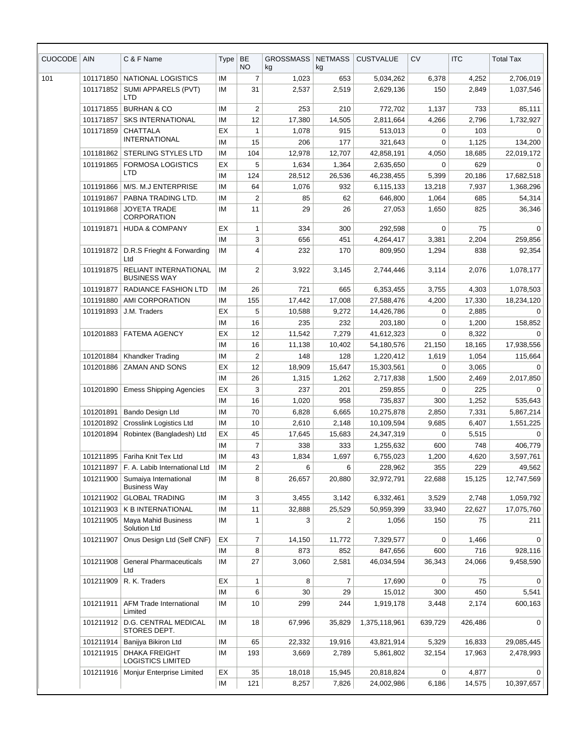| CUOCODE | <b>AIN</b>             | C & F Name                                          | Type     | <b>BE</b><br>NO | <b>GROSSMASS</b><br>kg | <b>NETMASS</b><br>kg | <b>CUSTVALUE</b>         | <b>CV</b>      | <b>ITC</b>     | <b>Total Tax</b>       |
|---------|------------------------|-----------------------------------------------------|----------|-----------------|------------------------|----------------------|--------------------------|----------------|----------------|------------------------|
| 101     | 101171850              | <b>NATIONAL LOGISTICS</b>                           | ΙM       | $\overline{7}$  | 1,023                  | 653                  | 5,034,262                | 6,378          | 4,252          | 2,706,019              |
|         | 101171852              | SUMI APPARELS (PVT)<br>LTD                          | ΙM       | 31              | 2,537                  | 2,519                | 2,629,136                | 150            | 2,849          | 1,037,546              |
|         | 101171855              | <b>BURHAN &amp; CO</b>                              | IM       | $\overline{2}$  | 253                    | 210                  | 772,702                  | 1,137          | 733            | 85,111                 |
|         | 101171857              | <b>SKS INTERNATIONAL</b>                            | ΙM       | 12              | 17,380                 | 14,505               | 2,811,664                | 4,266          | 2,796          | 1,732,927              |
|         | 101171859              | <b>CHATTALA</b>                                     | ЕX       | $\mathbf{1}$    | 1,078                  | 915                  | 513,013                  | 0              | 103            | 0                      |
|         |                        | <b>INTERNATIONAL</b>                                | ΙM       | 15              | 206                    | 177                  | 321,643                  | 0              | 1,125          | 134,200                |
|         | 101181862              | STERLING STYLES LTD                                 | ΙM       | 104             | 12,978                 | 12,707               | 42,858,191               | 4,050          | 18,685         | 22,019,172             |
|         | 101191865              | <b>FORMOSA LOGISTICS</b>                            | EХ       | 5               | 1,634                  | 1,364                | 2,635,650                | 0              | 629            | 0                      |
|         |                        | LTD                                                 | IM       | 124             | 28,512                 | 26,536               | 46,238,455               | 5,399          | 20,186         | 17,682,518             |
|         | 101191866              | M/S. M.J ENTERPRISE                                 | ΙM       | 64              | 1,076                  | 932                  | 6,115,133                | 13,218         | 7,937          | 1,368,296              |
|         | 101191867              | PABNA TRADING LTD.                                  | ΙM       | $\overline{2}$  | 85                     | 62                   | 646,800                  | 1,064          | 685            | 54,314                 |
|         | 101191868              | <b>JOYETA TRADE</b><br><b>CORPORATION</b>           | ΙM       | 11              | 29                     | 26                   | 27,053                   | 1,650          | 825            | 36,346                 |
|         | 101191871              | <b>HUDA &amp; COMPANY</b>                           | ЕX       | $\mathbf{1}$    | 334                    | 300                  | 292,598                  | $\mathbf 0$    | 75             | $\Omega$               |
|         |                        |                                                     | IM       | 3               | 656                    | 451                  | 4,264,417                | 3,381          | 2,204          | 259,856                |
|         | 101191872              | D.R.S Frieght & Forwarding<br>Ltd                   | ΙM       | 4               | 232                    | 170                  | 809,950                  | 1,294          | 838            | 92,354                 |
|         | 101191875              | <b>RELIANT INTERNATIONAL</b><br><b>BUSINESS WAY</b> | ΙM       | $\overline{2}$  | 3,922                  | 3,145                | 2,744,446                | 3,114          | 2,076          | 1,078,177              |
|         | 101191877              | <b>RADIANCE FASHION LTD</b>                         | ΙM       | 26              | 721                    | 665                  | 6,353,455                | 3,755          | 4,303          | 1,078,503              |
|         | 101191880              | AMI CORPORATION                                     | ΙM       | 155             | 17,442                 | 17,008               | 27,588,476               | 4,200          | 17,330         | 18,234,120             |
|         | 101191893              | J.M. Traders                                        | EХ       | 5               | 10,588                 | 9,272                | 14,426,786               | 0              | 2,885          | $\Omega$               |
|         |                        |                                                     | IM       | 16              | 235                    | 232                  | 203,180                  | 0              | 1,200          | 158,852                |
|         | 101201883              | <b>FATEMA AGENCY</b>                                | EX       | 12              | 11,542                 | 7,279                | 41,612,323               | $\mathbf 0$    | 8,322          | $\Omega$               |
|         |                        |                                                     | ΙM       | 16              | 11,138                 | 10,402               | 54,180,576               | 21,150         | 18,165         | 17,938,556             |
|         | 101201884              | <b>Khandker Trading</b>                             | IM       | $\overline{2}$  | 148                    | 128                  | 1,220,412                | 1,619          | 1,054          | 115,664                |
|         | 101201886              | <b>ZAMAN AND SONS</b>                               | ЕX       | 12              | 18,909                 | 15,647               | 15,303,561               | 0              | 3,065          | $\Omega$               |
|         |                        |                                                     | ΙM       | 26              | 1,315                  | 1,262                | 2,717,838                | 1,500          | 2,469          | 2,017,850              |
|         | 101201890              | <b>Emess Shipping Agencies</b>                      | ЕX       | 3               | 237                    | 201                  | 259,855                  | 0              | 225            | 0                      |
|         |                        |                                                     | IM       | 16<br>70        | 1,020                  | 958                  | 735,837                  | 300            | 1,252          | 535,643                |
|         | 101201891<br>101201892 | Bando Design Ltd<br>Crosslink Logistics Ltd         | IM<br>ΙM | 10              | 6,828                  | 6,665<br>2,148       | 10,275,878<br>10,109,594 | 2,850<br>9,685 | 7,331          | 5,867,214<br>1,551,225 |
|         |                        | 101201894   Robintex (Bangladesh) Ltd               | ЕX       | 45              | 2,610<br>17,645        | 15,683               | 24,347,319               | 0              | 6,407<br>5,515 | 0                      |
|         |                        |                                                     | IM       | $\overline{7}$  | 338                    | 333                  | 1,255,632                | 600            | 748            | 406,779                |
|         | 101211895              | Fariha Knit Tex Ltd                                 | ΙM       | 43              | 1,834                  | 1,697                | 6,755,023                | 1,200          | 4,620          | 3,597,761              |
|         | 101211897              | F. A. Labib International Ltd                       | ΙM       | $\overline{c}$  | 6                      | 6                    | 228,962                  | 355            | 229            | 49,562                 |
|         | 101211900              | Sumaiya International<br><b>Business Way</b>        | ΙM       | 8               | 26,657                 | 20,880               | 32,972,791               | 22,688         | 15,125         | 12,747,569             |
|         | 101211902              | <b>GLOBAL TRADING</b>                               | IM       | 3               | 3,455                  | 3,142                | 6,332,461                | 3,529          | 2,748          | 1,059,792              |
|         | 101211903              | K B INTERNATIONAL                                   | ΙM       | 11              | 32,888                 | 25,529               | 50,959,399               | 33,940         | 22,627         | 17,075,760             |
|         | 101211905              | Maya Mahid Business<br>Solution Ltd                 | ΙM       | 1               | 3                      | 2                    | 1,056                    | 150            | 75             | 211                    |
|         | 101211907              | Onus Design Ltd (Self CNF)                          | EX       | $\overline{7}$  | 14,150                 | 11,772               | 7,329,577                | 0              | 1,466          | 0                      |
|         |                        |                                                     | IM       | 8               | 873                    | 852                  | 847,656                  | 600            | 716            | 928,116                |
|         | 101211908              | <b>General Pharmaceuticals</b><br>Ltd               | ΙM       | 27              | 3,060                  | 2,581                | 46,034,594               | 36,343         | 24,066         | 9,458,590              |
|         | 101211909              | R. K. Traders                                       | EX       | $\mathbf{1}$    | 8                      | $\overline{7}$       | 17,690                   | 0              | 75             | 0                      |
|         |                        |                                                     | ΙM       | 6               | 30                     | 29                   | 15,012                   | 300            | 450            | 5,541                  |
|         | 101211911              | <b>AFM Trade International</b><br>Limited           | ΙM       | 10              | 299                    | 244                  | 1,919,178                | 3,448          | 2,174          | 600,163                |
|         | 101211912              | D.G. CENTRAL MEDICAL<br>STORES DEPT.                | IM       | 18              | 67,996                 | 35,829               | 1,375,118,961            | 639,729        | 426,486        | $\mathbf 0$            |
|         | 101211914              | Banijya Bikiron Ltd                                 | ΙM       | 65              | 22,332                 | 19,916               | 43,821,914               | 5,329          | 16,833         | 29,085,445             |
|         | 101211915              | <b>DHAKA FREIGHT</b><br><b>LOGISTICS LIMITED</b>    | IM       | 193             | 3,669                  | 2,789                | 5,861,802                | 32,154         | 17,963         | 2,478,993              |
|         | 101211916              | Monjur Enterprise Limited                           | ЕX       | 35              | 18,018                 | 15,945               | 20,818,824               | 0              | 4,877          | $\mathbf 0$            |
|         |                        |                                                     | IM       | 121             | 8,257                  | 7,826                | 24,002,986               | 6,186          | 14,575         | 10,397,657             |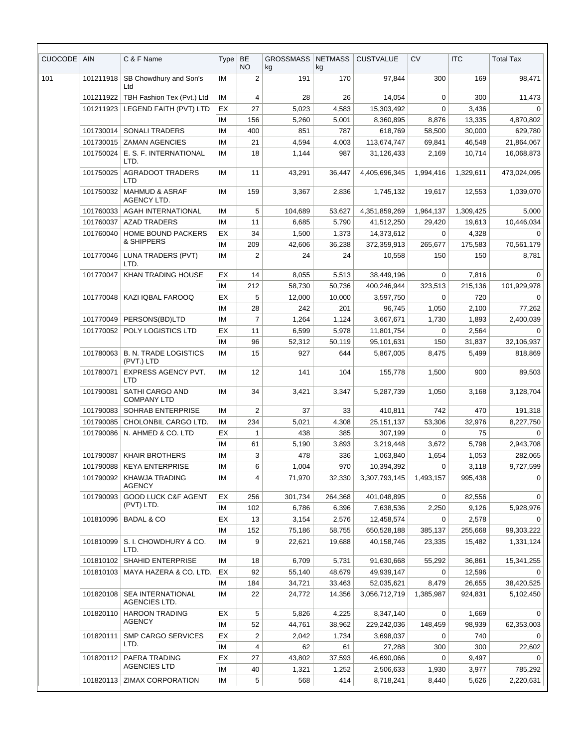| <b>CUOCODE</b> | <b>AIN</b> | C & F Name                                | Type      | BE<br><b>NO</b>  | <b>GROSSMASS</b><br>kg | <b>NETMASS</b><br>kg | <b>CUSTVALUE</b>        | <b>CV</b>    | <b>ITC</b>      | <b>Total Tax</b>      |
|----------------|------------|-------------------------------------------|-----------|------------------|------------------------|----------------------|-------------------------|--------------|-----------------|-----------------------|
| 101            | 101211918  | SB Chowdhury and Son's<br>Ltd             | ΙM        | $\boldsymbol{2}$ | 191                    | 170                  | 97,844                  | 300          | 169             | 98,471                |
|                | 101211922  | TBH Fashion Tex (Pvt.) Ltd                | IM        | 4                | 28                     | 26                   | 14,054                  | $\Omega$     | 300             | 11,473                |
|                | 101211923  | LEGEND FAITH (PVT) LTD                    | EX        | 27               | 5,023                  | 4,583                | 15,303,492              | $\Omega$     | 3,436           | $\Omega$              |
|                |            |                                           | IM        | 156              | 5,260                  | 5,001                | 8,360,895               | 8,876        | 13,335          | 4,870,802             |
|                | 101730014  | <b>SONALI TRADERS</b>                     | IM        | 400              | 851                    | 787                  | 618,769                 | 58,500       | 30,000          | 629,780               |
|                | 101730015  | <b>ZAMAN AGENCIES</b>                     | ΙM        | 21               | 4,594                  | 4,003                | 113,674,747             | 69,841       | 46,548          | 21,864,067            |
|                | 101750024  | E. S. F. INTERNATIONAL<br>LTD.            | IM        | 18               | 1,144                  | 987                  | 31,126,433              | 2,169        | 10,714          | 16,068,873            |
|                | 101750025  | <b>AGRADOOT TRADERS</b><br><b>LTD</b>     | ΙM        | 11               | 43,291                 | 36,447               | 4,405,696,345           | 1,994,416    | 1,329,611       | 473,024,095           |
|                | 101750032  | <b>MAHMUD &amp; ASRAF</b><br>AGENCY LTD.  | <b>IM</b> | 159              | 3,367                  | 2,836                | 1,745,132               | 19,617       | 12,553          | 1,039,070             |
|                | 101760033  | AGAH INTERNATIONAL                        | IM        | 5                | 104,689                | 53,627               | 4,351,859,269           | 1,964,137    | 1,309,425       | 5,000                 |
|                | 101760037  | <b>AZAD TRADERS</b>                       | IM        | 11               | 6,685                  | 5,790                | 41,512,250              | 29,420       | 19,613          | 10,446,034            |
|                | 101760040  | HOME BOUND PACKERS                        | EX        | 34               | 1,500                  | 1,373                | 14,373,612              | $\Omega$     | 4,328           | $\Omega$              |
|                |            | & SHIPPERS                                | IM        | 209              | 42,606                 | 36,238               | 372,359,913             | 265,677      | 175,583         | 70,561,179            |
|                | 101770046  | LUNA TRADERS (PVT)<br>LTD.                | ΙM        | $\overline{2}$   | 24                     | 24                   | 10,558                  | 150          | 150             | 8,781                 |
|                | 101770047  | <b>KHAN TRADING HOUSE</b>                 | ЕX        | 14               | 8,055                  | 5,513                | 38,449,196              | 0            | 7,816           | $\Omega$              |
|                |            |                                           | IM        | 212              | 58,730                 | 50,736               | 400.246.944             | 323,513      | 215,136         | 101,929,978           |
|                | 101770048  | KAZI IQBAL FAROOQ                         | ЕX        | 5                | 12,000                 | 10,000               | 3,597,750               | 0            | 720             | $\Omega$              |
|                |            |                                           | IM        | 28               | 242                    | 201                  | 96,745                  | 1,050        | 2,100           | 77,262                |
|                | 101770049  | PERSONS(BD)LTD                            | ΙM        | $\overline{7}$   | 1,264                  | 1,124                | 3,667,671               | 1,730        | 1,893           | 2,400,039             |
|                | 101770052  | POLY LOGISTICS LTD                        | EX        | 11               | 6,599                  | 5,978                | 11,801,754              | $\mathbf 0$  | 2,564           | $\mathbf 0$           |
|                | 101780063  | <b>B. N. TRADE LOGISTICS</b>              | ΙM<br>ΙM  | 96<br>15         | 52,312<br>927          | 50,119<br>644        | 95,101,631<br>5,867,005 | 150<br>8,475 | 31,837<br>5,499 | 32,106,937<br>818,869 |
|                |            | (PVT.) LTD                                |           |                  |                        |                      |                         |              |                 |                       |
|                | 101780071  | <b>EXPRESS AGENCY PVT.</b><br><b>LTD</b>  | IM        | 12               | 141                    | 104                  | 155,778                 | 1,500        | 900             | 89,503                |
|                | 101790081  | SATHI CARGO AND<br><b>COMPANY LTD</b>     | IM        | 34               | 3,421                  | 3,347                | 5,287,739               | 1,050        | 3,168           | 3,128,704             |
|                | 101790083  | <b>SOHRAB ENTERPRISE</b>                  | ΙM        | $\overline{c}$   | 37                     | 33                   | 410,811                 | 742          | 470             | 191,318               |
|                | 101790085  | CHOLONBIL CARGO LTD.                      | ΙM        | 234              | 5,021                  | 4,308                | 25, 151, 137            | 53,306       | 32,976          | 8,227,750             |
|                | 101790086  | N. AHMED & CO. LTD                        | ЕX        | 1                | 438                    | 385                  | 307,199                 | 0            | 75              | 0                     |
|                |            |                                           | ΙM        | 61               | 5,190                  | 3,893                | 3,219,448               | 3,672        | 5,798           | 2,943,708             |
|                | 101790087  | <b>KHAIR BROTHERS</b>                     | IM        | 3                | 478                    | 336                  | 1,063,840               | 1,654        | 1,053           | 282,065               |
|                | 101790088  | <b>KEYA ENTERPRISE</b>                    | ΙM        | 6                | 1,004                  | 970                  | 10,394,392              | 0            | 3,118           | 9,727,599             |
|                | 101790092  | KHAWJA TRADING<br><b>AGENCY</b>           | ΙM        | 4                | 71,970                 | 32,330               | 3,307,793,145           | 1,493,157    | 995,438         | $\Omega$              |
|                | 101790093  | <b>GOOD LUCK C&amp;F AGENT</b>            | ЕX        | 256              | 301,734                | 264,368              | 401,048,895             | 0            | 82,556          | 0                     |
|                |            | (PVT) LTD.                                | IM        | 102              | 6,786                  | 6,396                | 7,638,536               | 2,250        | 9,126           | 5,928,976             |
|                | 101810096  | <b>BADAL &amp; CO</b>                     | ЕX        | 13               | 3,154                  | 2,576                | 12,458,574              | 0            | 2,578           | 0                     |
|                |            |                                           | IM        | 152              | 75,186                 | 58,755               | 650,528,188             | 385,137      | 255,668         | 99,303,222            |
|                | 101810099  | S. I. CHOWDHURY & CO.<br>LTD.             | ΙM        | 9                | 22,621                 | 19,688               | 40,158,746              | 23,335       | 15,482          | 1,331,124             |
|                | 101810102  | SHAHID ENTERPRISE                         | IM        | 18               | 6,709                  | 5,731                | 91,630,668              | 55,292       | 36,861          | 15,341,255            |
|                | 101810103  | MAYA HAZERA & CO. LTD.                    | EX        | 92               | 55,140                 | 48,679               | 49,939,147              | 0            | 12,596          | $\Omega$              |
|                |            |                                           | ΙM        | 184              | 34,721                 | 33,463               | 52,035,621              | 8,479        | 26,655          | 38,420,525            |
|                | 101820108  | <b>SEA INTERNATIONAL</b><br>AGENCIES LTD. | ΙM        | 22               | 24,772                 | 14,356               | 3,056,712,719           | 1,385,987    | 924,831         | 5,102,450             |
|                | 101820110  | <b>HAROON TRADING</b><br><b>AGENCY</b>    | ЕX        | 5                | 5,826                  | 4,225                | 8,347,140               | 0            | 1,669           | 0                     |
|                |            |                                           | ΙM        | 52               | 44,761                 | 38,962               | 229,242,036             | 148,459      | 98,939          | 62,353,003            |
|                | 101820111  | <b>SMP CARGO SERVICES</b><br>LTD.         | EX        | 2                | 2,042                  | 1,734                | 3,698,037               | 0            | 740             | $\Omega$              |
|                |            |                                           | ΙM        | 4                | 62                     | 61                   | 27,288                  | 300          | 300             | 22,602                |
|                | 101820112  | PAERA TRADING<br><b>AGENCIES LTD</b>      | ЕX        | 27               | 43,802                 | 37,593               | 46,690,066              | $\Omega$     | 9,497           | $\Omega$              |
|                |            |                                           | ΙM        | 40               | 1,321                  | 1,252                | 2,506,633               | 1,930        | 3,977           | 785,292               |
|                | 101820113  | <b>ZIMAX CORPORATION</b>                  | IM        | 5                | 568                    | 414                  | 8,718,241               | 8,440        | 5,626           | 2,220,631             |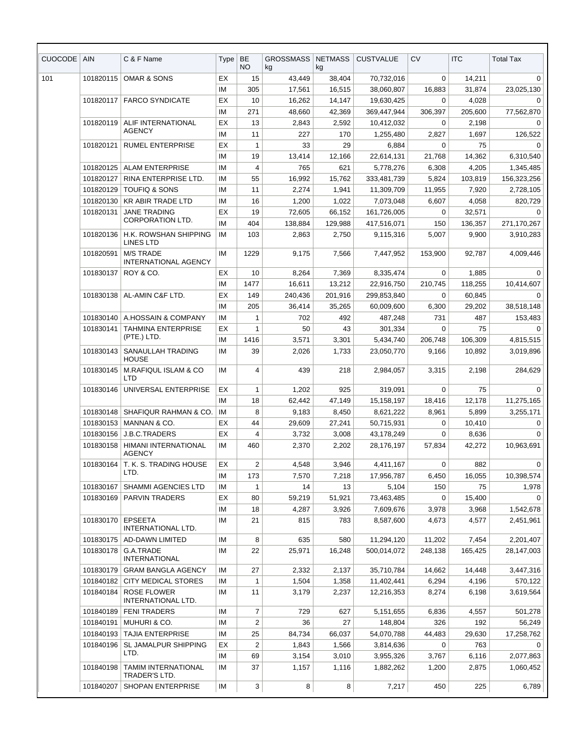| CUOCODE | <b>AIN</b> | C & F Name                                        | Type | BE<br>NO.      | <b>GROSSMASS</b><br>kg | <b>NETMASS</b><br>kg | <b>CUSTVALUE</b> | <b>CV</b> | <b>ITC</b> | <b>Total Tax</b> |
|---------|------------|---------------------------------------------------|------|----------------|------------------------|----------------------|------------------|-----------|------------|------------------|
| 101     | 101820115  | OMAR & SONS                                       | EX   | 15             | 43,449                 | 38,404               | 70,732,016       | 0         | 14,211     | 0                |
|         |            |                                                   | IM   | 305            | 17,561                 | 16,515               | 38,060,807       | 16,883    | 31,874     | 23,025,130       |
|         | 101820117  | <b>FARCO SYNDICATE</b>                            | EX   | 10             | 16,262                 | 14,147               | 19,630,425       | 0         | 4,028      | 0                |
|         |            |                                                   | IM   | 271            | 48,660                 | 42,369               | 369.447.944      | 306,397   | 205,600    | 77,562,870       |
|         | 101820119  | ALIF INTERNATIONAL                                | EX   | 13             | 2,843                  | 2,592                | 10,412,032       | 0         | 2,198      | $\Omega$         |
|         |            | <b>AGENCY</b>                                     | IM   | 11             | 227                    | 170                  | 1,255,480        | 2,827     | 1,697      | 126,522          |
|         | 101820121  | <b>RUMEL ENTERPRISE</b>                           | ЕX   | $\mathbf{1}$   | 33                     | 29                   | 6,884            | $\Omega$  | 75         | $\Omega$         |
|         |            |                                                   | IM   | 19             | 13,414                 | 12,166               | 22,614,131       | 21,768    | 14,362     | 6,310,540        |
|         | 101820125  | <b>ALAM ENTERPRISE</b>                            | IM   | 4              | 765                    | 621                  | 5,778,276        | 6,308     | 4,205      | 1,345,485        |
|         | 101820127  | RINA ENTERPRISE LTD.                              | IM   | 55             | 16,992                 | 15,762               | 333,481,739      | 5,824     | 103,819    | 156,323,256      |
|         | 101820129  | <b>TOUFIQ &amp; SONS</b>                          | IМ   | 11             | 2,274                  | 1,941                | 11,309,709       | 11,955    | 7,920      | 2,728,105        |
|         | 101820130  | <b>KR ABIR TRADE LTD</b>                          | IM   | 16             | 1,200                  | 1,022                | 7,073,048        | 6,607     | 4,058      | 820,729          |
|         | 101820131  | <b>JANE TRADING</b><br><b>CORPORATION LTD.</b>    | EX   | 19             | 72,605                 | 66,152               | 161,726,005      | 0         | 32,571     | $\Omega$         |
|         |            |                                                   | ΙM   | 404            | 138,884                | 129,988              | 417,516,071      | 150       | 136,357    | 271,170,267      |
|         | 101820136  | H.K. ROWSHAN SHIPPING<br><b>LINES LTD</b>         | IМ   | 103            | 2,863                  | 2,750                | 9,115,316        | 5,007     | 9,900      | 3,910,283        |
|         | 101820591  | <b>M/S TRADE</b><br><b>INTERNATIONAL AGENCY</b>   | ΙM   | 1229           | 9,175                  | 7,566                | 7,447,952        | 153,900   | 92,787     | 4,009,446        |
|         | 101830137  | ROY & CO.                                         | EX   | 10             | 8,264                  | 7,369                | 8,335,474        | 0         | 1,885      | 0                |
|         |            |                                                   | IM   | 1477           | 16,611                 | 13,212               | 22,916,750       | 210,745   | 118,255    | 10,414,607       |
|         | 101830138  | AL-AMIN C&F LTD.                                  | EX   | 149            | 240,436                | 201,916              | 299,853,840      | $\Omega$  | 60,845     | 0                |
|         |            |                                                   | IМ   | 205            | 36,414                 | 35,265               | 60,009,600       | 6,300     | 29,202     | 38,518,148       |
|         | 101830140  | A.HOSSAIN & COMPANY                               | ΙM   | 1              | 702                    | 492                  | 487,248          | 731       | 487        | 153,483          |
|         | 101830141  | <b>TAHMINA ENTERPRISE</b>                         | EX   | $\mathbf{1}$   | 50                     | 43                   | 301,334          | $\Omega$  | 75         | $\Omega$         |
|         |            | (PTE.) LTD.                                       | IM   | 1416           | 3,571                  | 3,301                | 5,434,740        | 206,748   | 106,309    | 4,815,515        |
|         | 101830143  | SANAULLAH TRADING<br><b>HOUSE</b>                 | IM   | 39             | 2,026                  | 1,733                | 23,050,770       | 9,166     | 10,892     | 3,019,896        |
|         | 101830145  | M.RAFIQUL ISLAM & CO<br>LTD                       | IM   | 4              | 439                    | 218                  | 2,984,057        | 3,315     | 2,198      | 284,629          |
|         | 101830146  | UNIVERSAL ENTERPRISE                              | ЕX   | $\mathbf{1}$   | 1,202                  | 925                  | 319,091          | $\Omega$  | 75         | $\Omega$         |
|         |            |                                                   | IМ   | 18             | 62,442                 | 47,149               | 15,158,197       | 18,416    | 12,178     | 11,275,165       |
|         | 101830148  | SHAFIQUR RAHMAN & CO.                             | IM   | 8              | 9,183                  | 8,450                | 8,621,222        | 8,961     | 5,899      | 3,255,171        |
|         | 101830153  | MANNAN & CO.                                      | EX   | 44             | 29,609                 | 27,241               | 50,715,931       | 0         | 10,410     | 0                |
|         |            | 101830156   J.B.C.TRADERS                         | ЕX   | 4              | 3,732                  | 3,008                | 43,178,249       | 0         | 8,636      | 0                |
|         |            | 101830158   HIMANI INTERNATIONAL<br><b>AGENCY</b> | IM   | 460            | 2,370                  | 2,202                | 28,176,197       | 57,834    | 42,272     | 10,963,691       |
|         | 101830164  | T. K. S. TRADING HOUSE                            | EX   | $\overline{2}$ | 4,548                  | 3,946                | 4,411,167        | 0         | 882        | 0                |
|         |            | LTD.                                              | ΙM   | 173            | 7,570                  | 7,218                | 17,956,787       | 6,450     | 16,055     | 10,398,574       |
|         | 101830167  | <b>SHAMMI AGENCIES LTD</b>                        | ΙM   | $\mathbf{1}$   | 14                     | 13                   | 5,104            | 150       | 75         | 1,978            |
|         | 101830169  | <b>PARVIN TRADERS</b>                             | ЕX   | 80             | 59,219                 | 51,921               | 73,463,485       | 0         | 15,400     | 0                |
|         |            |                                                   | ΙM   | 18             | 4,287                  | 3,926                | 7,609,676        | 3,978     | 3,968      | 1,542,678        |
|         | 101830170  | <b>EPSEETA</b><br>INTERNATIONAL LTD.              | ΙM   | 21             | 815                    | 783                  | 8,587,600        | 4,673     | 4,577      | 2,451,961        |
|         |            | 101830175   AD-DAWN LIMITED                       | ΙM   | 8              | 635                    | 580                  | 11,294,120       | 11,202    | 7,454      | 2,201,407        |
|         | 101830178  | G.A.TRADE<br><b>INTERNATIONAL</b>                 | ΙM   | 22             | 25,971                 | 16,248               | 500,014,072      | 248,138   | 165,425    | 28,147,003       |
|         | 101830179  | <b>GRAM BANGLA AGENCY</b>                         | ΙM   | 27             | 2,332                  | 2,137                | 35,710,784       | 14,662    | 14,448     | 3,447,316        |
|         | 101840182  | <b>CITY MEDICAL STORES</b>                        | ΙM   | $\mathbf{1}$   | 1,504                  | 1,358                | 11,402,441       | 6,294     | 4,196      | 570,122          |
|         | 101840184  | ROSE FLOWER<br>INTERNATIONAL LTD.                 | ΙM   | 11             | 3,179                  | 2,237                | 12,216,353       | 8,274     | 6,198      | 3,619,564        |
|         | 101840189  | <b>FENITRADERS</b>                                | ΙM   | $\overline{7}$ | 729                    | 627                  | 5,151,655        | 6,836     | 4,557      | 501,278          |
|         | 101840191  | MUHURI & CO.                                      | ΙM   | 2              | 36                     | 27                   | 148,804          | 326       | 192        | 56,249           |
|         | 101840193  | <b>TAJIA ENTERPRISE</b>                           | ΙM   | 25             | 84,734                 | 66,037               | 54,070,788       | 44,483    | 29,630     | 17,258,762       |
|         | 101840196  | SL JAMALPUR SHIPPING                              | ЕX   | 2              | 1,843                  | 1,566                | 3,814,636        | 0         | 763        | 0                |
|         |            | LTD.                                              | ΙM   | 69             | 3,154                  | 3,010                | 3,955,326        | 3,767     | 6,116      | 2,077,863        |
|         | 101840198  | <b>TAMIM INTERNATIONAL</b><br>TRADER'S LTD.       | ΙM   | 37             | 1,157                  | 1,116                | 1,882,262        | 1,200     | 2,875      | 1,060,452        |
|         |            | 101840207   SHOPAN ENTERPRISE                     | ΙM   | 3              | 8                      | 8                    | 7,217            | 450       | 225        | 6,789            |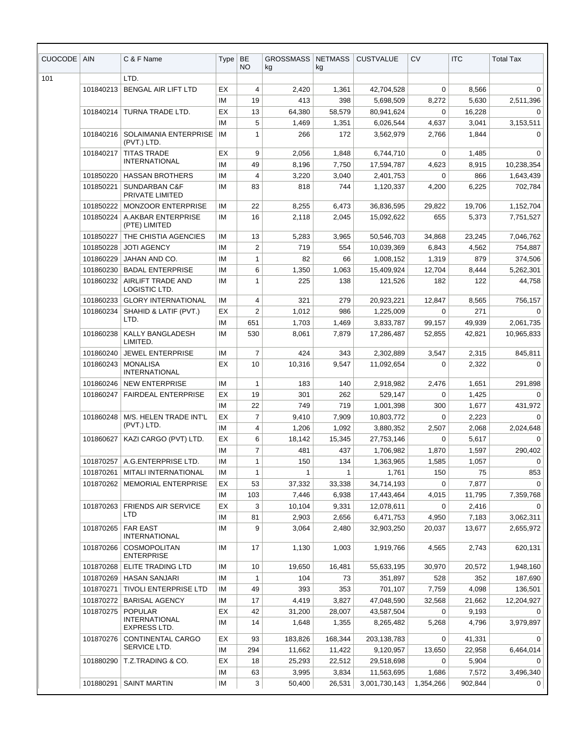| CUOCODE | <b>AIN</b> | C & F Name                                                     | <b>Type</b> | BE<br><b>NO</b> | <b>GROSSMASS</b><br>kg | <b>NETMASS</b><br>kg | <b>CUSTVALUE</b>   | <b>CV</b>      | <b>ITC</b>  | <b>Total Tax</b> |
|---------|------------|----------------------------------------------------------------|-------------|-----------------|------------------------|----------------------|--------------------|----------------|-------------|------------------|
| 101     |            | LTD.                                                           |             |                 |                        |                      |                    |                |             |                  |
|         | 101840213  | <b>BENGAL AIR LIFT LTD</b>                                     | EX          | 4               | 2,420                  | 1,361                | 42,704,528         | 0              | 8,566       | 0                |
|         |            |                                                                | ΙM          | 19              | 413                    | 398                  | 5,698,509          | 8,272          | 5,630       | 2,511,396        |
|         | 101840214  | TURNA TRADE LTD.                                               | EX          | 13              | 64,380                 | 58,579               | 80,941,624         | 0              | 16,228      | 0                |
|         |            |                                                                | ΙM          | 5               | 1,469                  | 1,351                | 6,026,544          | 4,637          | 3,041       | 3,153,511        |
|         | 101840216  | SOLAIMANIA ENTERPRISE<br>(PVT.) LTD.                           | IM          | 1               | 266                    | 172                  | 3,562,979          | 2,766          | 1,844       | $\Omega$         |
|         | 101840217  | <b>TITAS TRADE</b>                                             | EX          | 9               | 2,056                  | 1,848                | 6,744,710          | 0              | 1,485       | $\Omega$         |
|         |            | <b>INTERNATIONAL</b>                                           | ΙM          | 49              | 8,196                  | 7,750                | 17,594,787         | 4,623          | 8,915       | 10,238,354       |
|         | 101850220  | <b>HASSAN BROTHERS</b>                                         | ΙM          | 4               | 3,220                  | 3,040                | 2,401,753          | 0              | 866         | 1,643,439        |
|         | 101850221  | SUNDARBAN C&F<br>PRIVATE LIMITED                               | ΙM          | 83              | 818                    | 744                  | 1,120,337          | 4,200          | 6,225       | 702,784          |
|         | 101850222  | <b>MONZOOR ENTERPRISE</b>                                      | IM          | 22              | 8,255                  | 6,473                | 36,836,595         | 29,822         | 19,706      | 1,152,704        |
|         | 101850224  | A.AKBAR ENTERPRISE<br>(PTE) LIMITED                            | IM          | 16              | 2,118                  | 2,045                | 15,092,622         | 655            | 5,373       | 7,751,527        |
|         | 101850227  | THE CHISTIA AGENCIES                                           | ΙM          | 13              | 5,283                  | 3,965                | 50,546,703         | 34,868         | 23,245      | 7,046,762        |
|         | 101850228  | <b>JOTI AGENCY</b>                                             | ΙM          | 2               | 719                    | 554                  | 10,039,369         | 6,843          | 4,562       | 754,887          |
|         | 101860229  | JAHAN AND CO.                                                  | ΙM          | $\mathbf{1}$    | 82                     | 66                   | 1,008,152          | 1,319          | 879         | 374,506          |
|         | 101860230  | <b>BADAL ENTERPRISE</b>                                        | ΙM          | 6               | 1,350                  | 1,063                | 15,409,924         | 12,704         | 8,444       | 5,262,301        |
|         | 101860232  | AIRLIFT TRADE AND<br>LOGISTIC LTD.                             | ΙM          | 1               | 225                    | 138                  | 121,526            | 182            | 122         | 44,758           |
|         | 101860233  | <b>GLORY INTERNATIONAL</b>                                     | ΙM          | 4               | 321                    | 279                  | 20,923,221         | 12,847         | 8,565       | 756,157          |
|         | 101860234  | SHAHID & LATIF (PVT.)                                          | EX          | $\overline{2}$  | 1,012                  | 986                  | 1,225,009          | 0              | 271         | $\Omega$         |
|         |            | LTD.                                                           | ΙM          | 651             | 1,703                  | 1,469                | 3,833,787          | 99,157         | 49,939      | 2,061,735        |
|         | 101860238  | <b>KALLY BANGLADESH</b><br>LIMITED.                            | IM          | 530             | 8,061                  | 7,879                | 17,286,487         | 52,855         | 42,821      | 10,965,833       |
|         | 101860240  | <b>JEWEL ENTERPRISE</b>                                        | IM          | 7               | 424                    | 343                  | 2,302,889          | 3,547          | 2,315       | 845,811          |
|         | 101860243  | <b>MONALISA</b><br><b>INTERNATIONAL</b>                        | EX          | 10              | 10,316                 | 9,547                | 11,092,654         | 0              | 2,322       | 0                |
|         | 101860246  | <b>NEW ENTERPRISE</b>                                          | IM          | 1               | 183                    | 140                  | 2,918,982          | 2,476          | 1,651       | 291,898          |
|         | 101860247  | <b>FAIRDEAL ENTERPRISE</b>                                     | EX          | 19              | 301                    | 262                  | 529,147            | 0              | 1,425       | 0                |
|         |            |                                                                | IM          | 22              | 749                    | 719                  | 1,001,398          | 300            | 1,677       | 431,972          |
|         | 101860248  | M/S. HELEN TRADE INT'L<br>(PVT.) LTD.                          | EX          | 7               | 9,410                  | 7,909                | 10,803,772         | 0              | 2,223       | $\Omega$         |
|         |            |                                                                | IM          | 4               | 1,206                  | 1,092                | 3,880,352          | 2,507          | 2,068       | 2,024,648        |
|         |            | 101860627   KAZI CARGO (PVT) LTD.                              | EX          | 6               | 18,142                 | 15,345               | 27,753,146         | $\overline{0}$ | 5,617       | $\mathbf{0}$     |
|         |            |                                                                | IM.         | 7               | 481                    | 437                  | 1,706,982          | 1,870          | 1,597       | 290,402          |
|         | 101870261  | 101870257   A.G.ENTERPRISE LTD.<br><b>MITALI INTERNATIONAL</b> | ΙM<br>ΙM    | 1<br>1          | 150<br>1               | 134<br>1             | 1,363,965<br>1,761 | 1,585<br>150   | 1,057<br>75 | 0<br>853         |
|         | 101870262  | <b>MEMORIAL ENTERPRISE</b>                                     | EX          | 53              | 37,332                 | 33,338               | 34,714,193         | 0              | 7,877       | 0                |
|         |            |                                                                | ΙM          | 103             | 7,446                  | 6,938                | 17,443,464         | 4,015          | 11,795      | 7,359,768        |
|         | 101870263  | <b>FRIENDS AIR SERVICE</b>                                     | EX          | 3               | 10,104                 | 9,331                | 12,078,611         | 0              | 2,416       | 0                |
|         |            | LTD                                                            | IM          | 81              | 2,903                  | 2,656                | 6,471,753          | 4,950          | 7,183       | 3,062,311        |
|         | 101870265  | <b>FAR EAST</b><br><b>INTERNATIONAL</b>                        | ΙM          | 9               | 3,064                  | 2,480                | 32,903,250         | 20,037         | 13,677      | 2,655,972        |
|         | 101870266  | COSMOPOLITAN<br><b>ENTERPRISE</b>                              | ΙM          | 17              | 1,130                  | 1,003                | 1,919,766          | 4,565          | 2,743       | 620,131          |
|         | 101870268  | ELITE TRADING LTD                                              | ΙM          | 10              | 19,650                 | 16,481               | 55,633,195         | 30,970         | 20,572      | 1,948,160        |
|         | 101870269  | <b>HASAN SANJARI</b>                                           | IМ          | 1               | 104                    | 73                   | 351,897            | 528            | 352         | 187,690          |
|         | 101870271  | <b>TIVOLI ENTERPRISE LTD</b>                                   | ΙM          | 49              | 393                    | 353                  | 701,107            | 7,759          | 4,098       | 136,501          |
|         | 101870272  | <b>BARISAL AGENCY</b>                                          | ΙM          | 17              | 4,419                  | 3,827                | 47,048,590         | 32,568         | 21,662      | 12,204,927       |
|         | 101870275  | <b>POPULAR</b>                                                 | EX          | 42              | 31,200                 | 28,007               | 43,587,504         | 0              | 9,193       | 0                |
|         |            | <b>INTERNATIONAL</b><br>EXPRESS LTD.                           | ΙM          | 14              | 1,648                  | 1,355                | 8,265,482          | 5,268          | 4,796       | 3,979,897        |
|         | 101870276  | CONTINENTAL CARGO                                              | EX          | 93              | 183,826                | 168,344              | 203,138,783        | 0              | 41,331      | 0                |
|         |            | SERVICE LTD.                                                   | ΙM          | 294             | 11,662                 | 11,422               | 9,120,957          | 13,650         | 22,958      | 6,464,014        |
|         | 101880290  | T.Z.TRADING & CO.                                              | EX          | 18              | 25,293                 | 22,512               | 29,518,698         | 0              | 5,904       | 0                |
|         |            |                                                                | ΙM          | 63              | 3,995                  | 3,834                | 11,563,695         | 1,686          | 7,572       | 3,496,340        |
|         | 101880291  | <b>SAINT MARTIN</b>                                            | IМ          | 3               | 50,400                 | 26,531               | 3,001,730,143      | 1,354,266      | 902,844     | 0                |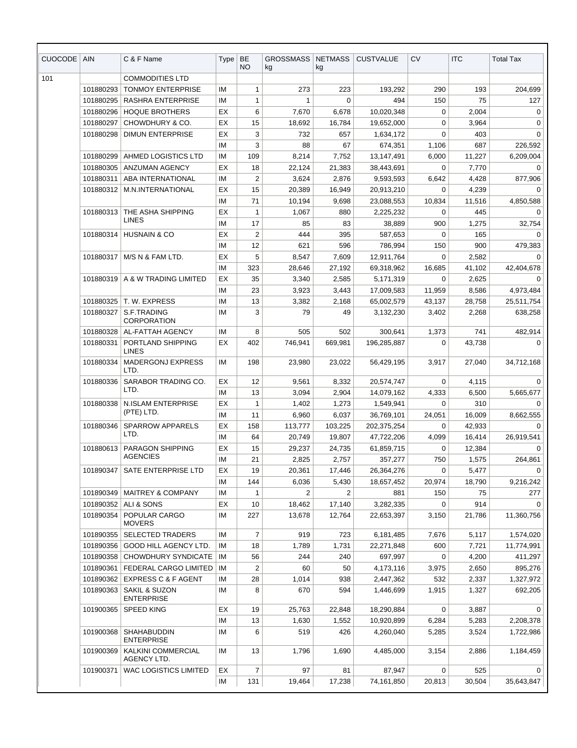| CUOCODE | <b>AIN</b> | C & F Name                                    | Type | <b>BE</b><br>NO. | <b>GROSSMASS</b><br>kg | <b>NETMASS</b><br>kg | <b>CUSTVALUE</b> | <b>CV</b>   | <b>ITC</b> | <b>Total Tax</b> |
|---------|------------|-----------------------------------------------|------|------------------|------------------------|----------------------|------------------|-------------|------------|------------------|
| 101     |            | <b>COMMODITIES LTD</b>                        |      |                  |                        |                      |                  |             |            |                  |
|         | 101880293  | <b>TONMOY ENTERPRISE</b>                      | IM   | $\mathbf{1}$     | 273                    | 223                  | 193,292          | 290         | 193        | 204,699          |
|         | 101880295  | RASHRA ENTERPRISE                             | IM   | 1                | 1                      | 0                    | 494              | 150         | 75         | 127              |
|         | 101880296  | <b>HOQUE BROTHERS</b>                         | EX   | 6                | 7,670                  | 6,678                | 10,020,348       | $\mathbf 0$ | 2,004      | 0                |
|         | 101880297  | CHOWDHURY & CO.                               | EX   | 15               | 18,692                 | 16,784               | 19,652,000       | $\mathbf 0$ | 3,964      | 0                |
|         | 101880298  | <b>DIMUN ENTERPRISE</b>                       | EX   | 3                | 732                    | 657                  | 1,634,172        | $\Omega$    | 403        | $\Omega$         |
|         |            |                                               | IM   | 3                | 88                     | 67                   | 674,351          | 1,106       | 687        | 226,592          |
|         | 101880299  | AHMED LOGISTICS LTD                           | IM   | 109              | 8,214                  | 7,752                | 13,147,491       | 6,000       | 11,227     | 6,209,004        |
|         | 101880305  | <b>ANZUMAN AGENCY</b>                         | EX   | 18               | 22,124                 | 21,383               | 38,443,691       | $\Omega$    | 7,770      | 0                |
|         | 101880311  | ABA INTERNATIONAL                             | IM   | $\overline{2}$   | 3,624                  | 2,876                | 9,593,593        | 6,642       | 4,428      | 877,906          |
|         | 101880312  | M.N.INTERNATIONAL                             | EX   | 15               | 20,389                 | 16,949               | 20,913,210       | $\Omega$    | 4,239      | 0                |
|         |            |                                               | IM   | 71               | 10,194                 | 9,698                | 23,088,553       | 10,834      | 11,516     | 4,850,588        |
|         | 101880313  | THE ASHA SHIPPING                             | EX   | $\mathbf{1}$     | 1,067                  | 880                  | 2,225,232        | $\Omega$    | 445        | 0                |
|         |            | <b>LINES</b>                                  | ΙM   | 17               | 85                     | 83                   | 38,889           | 900         | 1,275      | 32,754           |
|         | 101880314  | <b>HUSNAIN &amp; CO</b>                       | EX   | $\overline{2}$   | 444                    | 395                  | 587,653          | $\mathbf 0$ | 165        | 0                |
|         |            |                                               | IM   | 12               | 621                    | 596                  | 786,994          | 150         | 900        | 479,383          |
|         | 101880317  | M/S N & FAM LTD.                              | EX   | 5                | 8,547                  | 7,609                | 12,911,764       | 0           | 2,582      | $\mathbf 0$      |
|         |            |                                               | IM   | 323              | 28,646                 | 27,192               | 69,318,962       | 16,685      | 41,102     | 42,404,678       |
|         | 101880319  | A & W TRADING LIMITED                         | EX   | 35               | 3,340                  | 2,585                | 5,171,319        | 0           | 2,625      | 0                |
|         |            |                                               | IM   | 23               | 3,923                  | 3,443                | 17,009,583       | 11,959      | 8,586      | 4,973,484        |
|         | 101880325  | T. W. EXPRESS                                 | IM   | 13               | 3,382                  | 2,168                | 65,002,579       | 43,137      | 28,758     | 25,511,754       |
|         | 101880327  | S.F.TRADING<br><b>CORPORATION</b>             | IM   | 3                | 79                     | 49                   | 3,132,230        | 3,402       | 2,268      | 638,258          |
|         | 101880328  | AL-FATTAH AGENCY                              | IM   | 8                | 505                    | 502                  | 300,641          | 1,373       | 741        | 482,914          |
|         | 101880331  | PORTLAND SHIPPING<br><b>LINES</b>             | ЕX   | 402              | 746,941                | 669,981              | 196,285,887      | $\Omega$    | 43,738     | $\Omega$         |
|         | 101880334  | <b>MADERGONJ EXPRESS</b><br>LTD.              | IM   | 198              | 23,980                 | 23,022               | 56,429,195       | 3,917       | 27,040     | 34,712,168       |
|         | 101880336  | SARABOR TRADING CO.                           | EX   | 12               | 9,561                  | 8,332                | 20,574,747       | 0           | 4,115      | 0                |
|         |            | LTD.                                          | IM   | 13               | 3,094                  | 2,904                | 14,079,162       | 4,333       | 6,500      | 5,665,677        |
|         | 101880338  | N.ISLAM ENTERPRISE                            | EX   | 1                | 1,402                  | 1,273                | 1,549,941        | $\Omega$    | 310        | 0                |
|         |            | (PTE) LTD.                                    | IM   | 11               | 6,960                  | 6,037                | 36,769,101       | 24,051      | 16,009     | 8,662,555        |
|         | 101880346  | <b>SPARROW APPARELS</b>                       | ЕX   | 158              | 113,777                | 103,225              | 202,375,254      | 0           | 42,933     | 0                |
|         |            | LTD.                                          | IM   | 64               | 20,749                 | 19,807               | 47,722,206       | 4,099       | 16,414     | 26,919,541       |
|         | 101880613  | <b>PARAGON SHIPPING</b>                       | EX   | 15               | 29,237                 | 24,735               | 61,859,715       | $\mathbf 0$ | 12,384     | 0                |
|         |            | <b>AGENCIES</b>                               | IM   | 21               | 2,825                  | 2,757                | 357,277          | 750         | 1,575      | 264,861          |
|         | 101890347  | SATE ENTERPRISE LTD                           | EX   | 19               | 20,361                 | 17,446               | 26,364,276       | $\mathbf 0$ | 5,477      | 0                |
|         |            |                                               | IM   | 144              | 6,036                  | 5,430                | 18,657,452       | 20,974      | 18,790     | 9,216,242        |
|         | 101890349  | <b>MAITREY &amp; COMPANY</b>                  | ΙM   | 1                | $\overline{2}$         | $\overline{2}$       | 881              | 150         | 75         | 277              |
|         | 101890352  | ALI & SONS                                    | EX   | 10               | 18,462                 | 17,140               | 3,282,335        | 0           | 914        | 0                |
|         | 101890354  | POPULAR CARGO<br><b>MOVERS</b>                | IM   | 227              | 13,678                 | 12,764               | 22,653,397       | 3,150       | 21,786     | 11,360,756       |
|         | 101890355  | <b>SELECTED TRADERS</b>                       | IM   | 7                | 919                    | 723                  | 6,181,485        | 7,676       | 5,117      | 1,574,020        |
|         | 101890356  | <b>GOOD HILL AGENCY LTD.</b>                  | IM   | 18               | 1,789                  | 1,731                | 22,271,848       | 600         | 7,721      | 11,774,991       |
|         | 101890358  | CHOWDHURY SYNDICATE                           | ΙM   | 56               | 244                    | 240                  | 697,997          | $\mathbf 0$ | 4,200      | 411,297          |
|         | 101890361  | FEDERAL CARGO LIMITED                         | ΙM   | 2                | 60                     | 50                   | 4,173,116        | 3,975       | 2,650      | 895,276          |
|         | 101890362  | <b>EXPRESS C &amp; F AGENT</b>                | ΙM   | 28               | 1,014                  | 938                  | 2,447,362        | 532         | 2,337      | 1,327,972        |
|         | 101890363  | <b>SAKIL &amp; SUZON</b><br><b>ENTERPRISE</b> | ΙM   | 8                | 670                    | 594                  | 1,446,699        | 1,915       | 1,327      | 692,205          |
|         | 101900365  | <b>SPEED KING</b>                             | EX   | 19               | 25,763                 | 22,848               | 18,290,884       | 0           | 3,887      | 0                |
|         |            |                                               | ΙM   | 13               | 1,630                  | 1,552                | 10,920,899       | 6,284       | 5,283      | 2,208,378        |
|         | 101900368  | <b>SHAHABUDDIN</b><br><b>ENTERPRISE</b>       | ΙM   | 6                | 519                    | 426                  | 4,260,040        | 5,285       | 3,524      | 1,722,986        |
|         | 101900369  | <b>KALKINI COMMERCIAL</b><br>AGENCY LTD.      | ΙM   | 13               | 1,796                  | 1,690                | 4,485,000        | 3,154       | 2,886      | 1,184,459        |
|         | 101900371  | WAC LOGISTICS LIMITED                         | EX   | 7                | 97                     | 81                   | 87,947           | 0           | 525        | 0                |
|         |            |                                               | IM   | 131              | 19,464                 | 17,238               | 74,161,850       | 20,813      | 30,504     | 35,643,847       |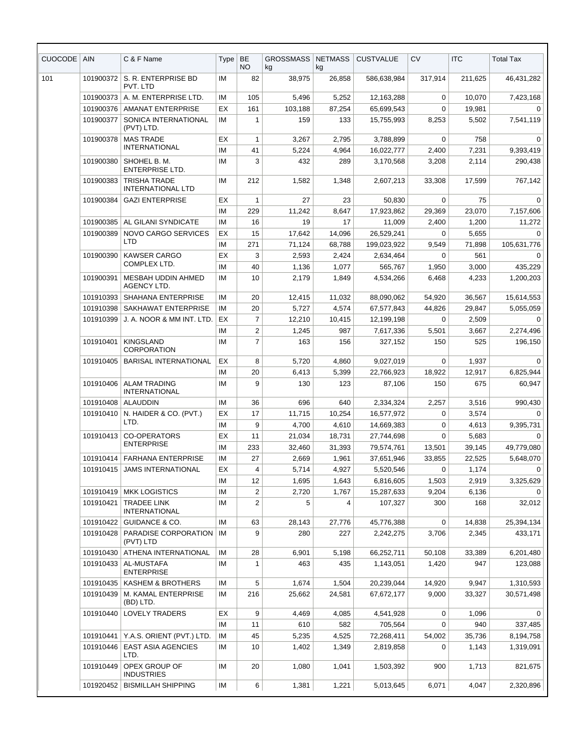| <b>CUOCODE</b> | <b>AIN</b> | C & F Name                                      | <b>Type</b> | BE<br>NO.        | <b>GROSSMASS</b><br>kg | <b>NETMASS</b><br>kg | <b>CUSTVALUE</b>         | <b>CV</b>            | <b>ITC</b>    | <b>Total Tax</b>      |
|----------------|------------|-------------------------------------------------|-------------|------------------|------------------------|----------------------|--------------------------|----------------------|---------------|-----------------------|
| 101            | 101900372  | S. R. ENTERPRISE BD<br>PVT. LTD                 | IM          | 82               | 38,975                 | 26,858               | 586,638,984              | 317,914              | 211.625       | 46,431,282            |
|                | 101900373  | A. M. ENTERPRISE LTD.                           | IM          | 105              | 5,496                  | 5,252                | 12,163,288               | $\mathbf 0$          | 10,070        | 7,423,168             |
|                | 101900376  | <b>AMANAT ENTERPRISE</b>                        | EX          | 161              | 103,188                | 87,254               | 65,699,543               | 0                    | 19,981        | 0                     |
|                | 101900377  | SONICA INTERNATIONAL<br>(PVT) LTD.              | IM          | 1                | 159                    | 133                  | 15,755,993               | 8,253                | 5,502         | 7,541,119             |
|                | 101900378  | <b>MAS TRADE</b><br><b>INTERNATIONAL</b>        | EX<br>IМ    | 1<br>41          | 3,267<br>5,224         | 2,795<br>4,964       | 3,788,899<br>16,022,777  | $\mathbf 0$<br>2,400 | 758<br>7,231  | $\Omega$<br>9,393,419 |
|                | 101900380  | SHOHEL B. M.<br><b>ENTERPRISE LTD.</b>          | IM          | 3                | 432                    | 289                  | 3,170,568                | 3,208                | 2,114         | 290,438               |
|                | 101900383  | <b>TRISHA TRADE</b><br><b>INTERNATIONAL LTD</b> | IM          | 212              | 1,582                  | 1,348                | 2,607,213                | 33,308               | 17,599        | 767,142               |
|                | 101900384  | <b>GAZI ENTERPRISE</b>                          | ЕX          | 1                | 27                     | 23                   | 50,830                   | 0                    | 75            | $\Omega$              |
|                |            |                                                 | IM          | 229              | 11,242                 | 8,647                | 17,923,862               | 29,369               | 23,070        | 7,157,606             |
|                | 101900385  | AL GILANI SYNDICATE                             | IM          | 16               | 19                     | 17                   | 11,009                   | 2,400<br>$\Omega$    | 1,200         | 11,272                |
|                | 101900389  | NOVO CARGO SERVICES<br><b>LTD</b>               | EX<br>IM    | 15               | 17,642                 | 14,096               | 26,529,241               |                      | 5,655         | $\Omega$              |
|                | 101900390  | <b>KAWSER CARGO</b>                             | EX          | 271<br>3         | 71,124<br>2,593        | 68,788<br>2,424      | 199,023,922<br>2,634,464 | 9,549<br>0           | 71,898<br>561 | 105,631,776<br>0      |
|                |            | COMPLEX LTD.                                    | IM          | 40               | 1,136                  | 1,077                | 565.767                  | 1,950                | 3,000         | 435,229               |
|                | 101900391  | MESBAH UDDIN AHMED<br><b>AGENCY LTD.</b>        | IM          | 10               | 2,179                  | 1,849                | 4,534,266                | 6,468                | 4,233         | 1,200,203             |
|                | 101910393  | SHAHANA ENTERPRISE                              | IM          | 20               | 12,415                 | 11,032               | 88,090,062               | 54,920               | 36,567        | 15,614,553            |
|                | 101910398  | SAKHAWAT ENTERPRISE                             | IM          | 20               | 5,727                  | 4,574                | 67,577,843               | 44,826               | 29,847        | 5,055,059             |
|                | 101910399  | J. A. NOOR & MM INT. LTD.                       | EX          | $\overline{7}$   | 12,210                 | 10,415               | 12,199,198               | 0                    | 2,509         | 0                     |
|                |            |                                                 | IM          | $\boldsymbol{2}$ | 1,245                  | 987                  | 7,617,336                | 5,501                | 3,667         | 2,274,496             |
|                | 101910401  | <b>KINGSLAND</b><br><b>CORPORATION</b>          | IM          | $\overline{7}$   | 163                    | 156                  | 327,152                  | 150                  | 525           | 196,150               |
|                | 101910405  | <b>BARISAL INTERNATIONAL</b>                    | EX          | 8                | 5,720                  | 4,860                | 9,027,019                | $\mathbf 0$          | 1,937         | 0                     |
|                |            |                                                 | IM          | 20               | 6,413                  | 5,399                | 22,766,923               | 18,922               | 12,917        | 6,825,944             |
|                | 101910406  | <b>ALAM TRADING</b><br><b>INTERNATIONAL</b>     | IM          | 9                | 130                    | 123                  | 87,106                   | 150                  | 675           | 60,947                |
|                | 101910408  | ALAUDDIN                                        | IM          | 36               | 696                    | 640                  | 2,334,324                | 2,257                | 3,516         | 990,430               |
|                | 101910410  | N. HAIDER & CO. (PVT.)                          | EX          | 17               | 11,715                 | 10,254               | 16,577,972               | 0                    | 3,574         | 0                     |
|                |            | LTD.                                            | IM          | 9                | 4,700                  | 4,610                | 14,669,383               | 0                    | 4,613         | 9,395,731             |
|                |            | 101910413 CO-OPERATORS                          | EX          | 11               | 21,034                 | 18,731               | 27,744,698               | $\mathbf 0$          | 5,683         | 0                     |
|                |            | <b>ENTERPRISE</b>                               | IM          | 233              | 32,460                 | 31,393               | 79,574,761               | 13,501               | 39,145        | 49,779,080            |
|                | 101910414  | <b>FARHANA ENTERPRISE</b>                       | ΙM          | 27               | 2,669                  | 1,961                | 37,651,946               | 33,855               | 22,525        | 5,648,070             |
|                | 101910415  | <b>JAMS INTERNATIONAL</b>                       | EX          | $\overline{4}$   | 5,714                  | 4,927                | 5,520,546                | $\mathbf 0$          | 1,174         | $\Omega$              |
|                |            |                                                 | ΙM          | 12               | 1,695                  | 1,643                | 6,816,605                | 1,503                | 2,919         | 3,325,629             |
|                | 101910419  | <b>MKK LOGISTICS</b>                            | IM          | $\overline{c}$   | 2,720                  | 1,767                | 15,287,633               | 9,204                | 6,136         | 0                     |
|                | 101910421  | <b>TRADEE LINK</b><br><b>INTERNATIONAL</b>      | ΙM          | $\overline{2}$   | 5                      | 4                    | 107,327                  | 300                  | 168           | 32,012                |
|                | 101910422  | <b>GUIDANCE &amp; CO.</b>                       | IM          | 63               | 28,143                 | 27,776               | 45,776,388               | $\mathbf 0$          | 14,838        | 25,394,134            |
|                | 101910428  | PARADISE CORPORATION<br>(PVT) LTD               | IM          | 9                | 280                    | 227                  | 2,242,275                | 3,706                | 2,345         | 433,171               |
|                | 101910430  | ATHENA INTERNATIONAL                            | ΙM          | 28               | 6,901                  | 5,198                | 66,252,711               | 50,108               | 33,389        | 6,201,480             |
|                | 101910433  | AL-MUSTAFA<br><b>ENTERPRISE</b>                 | IM          | $\mathbf{1}$     | 463                    | 435                  | 1,143,051                | 1,420                | 947           | 123,088               |
|                | 101910435  | KASHEM & BROTHERS                               | ΙM          | 5                | 1,674                  | 1,504                | 20,239,044               | 14,920               | 9,947         | 1,310,593             |
|                | 101910439  | M. KAMAL ENTERPRISE<br>(BD) LTD.                | IM          | 216              | 25,662                 | 24,581               | 67,672,177               | 9,000                | 33,327        | 30,571,498            |
|                | 101910440  | <b>LOVELY TRADERS</b>                           | EX          | 9                | 4,469                  | 4,085                | 4,541,928                | 0                    | 1,096         | 0                     |
|                |            |                                                 | IM          | 11               | 610                    | 582                  | 705,564                  | 0                    | 940           | 337,485               |
|                | 101910441  | Y.A.S. ORIENT (PVT.) LTD.                       | IM          | 45               | 5,235                  | 4,525                | 72,268,411               | 54,002               | 35,736        | 8,194,758             |
|                | 101910446  | <b>EAST ASIA AGENCIES</b><br>LTD.               | IM          | 10               | 1,402                  | 1,349                | 2,819,858                | 0                    | 1,143         | 1,319,091             |
|                | 101910449  | OPEX GROUP OF<br><b>INDUSTRIES</b>              | IM          | 20               | 1,080                  | 1,041                | 1,503,392                | 900                  | 1,713         | 821,675               |
|                | 101920452  | <b>BISMILLAH SHIPPING</b>                       | IM          | 6                | 1,381                  | 1,221                | 5,013,645                | 6,071                | 4,047         | 2,320,896             |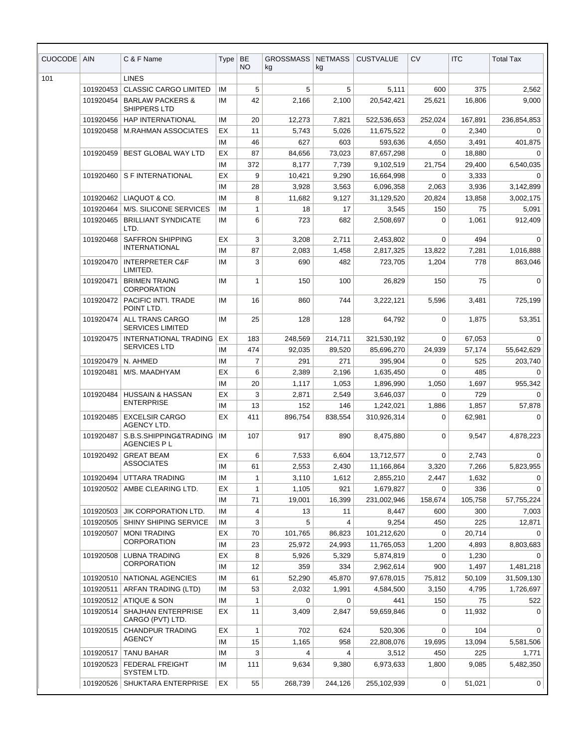| <b>CUOCODE</b> | <b>AIN</b>             | C & F Name                                          | <b>Type</b> | <b>BE</b><br>NO. | <b>GROSSMASS</b><br>kg | <b>NETMASS</b><br>kg | <b>CUSTVALUE</b>     | <b>CV</b> | <b>ITC</b>    | <b>Total Tax</b> |
|----------------|------------------------|-----------------------------------------------------|-------------|------------------|------------------------|----------------------|----------------------|-----------|---------------|------------------|
| 101            |                        | <b>LINES</b>                                        |             |                  |                        |                      |                      |           |               |                  |
|                | 101920453              | <b>CLASSIC CARGO LIMITED</b>                        | ΙM          | 5                | 5                      | 5                    | 5,111                | 600       | 375           | 2,562            |
|                | 101920454              | <b>BARLAW PACKERS &amp;</b><br>SHIPPERS LTD         | IМ          | 42               | 2,166                  | 2,100                | 20,542,421           | 25,621    | 16,806        | 9,000            |
|                | 101920456              | <b>HAP INTERNATIONAL</b>                            | ΙM          | 20               | 12,273                 | 7,821                | 522,536,653          | 252,024   | 167,891       | 236,854,853      |
|                | 101920458              | <b>M.RAHMAN ASSOCIATES</b>                          | EX          | 11               | 5,743                  | 5,026                | 11,675,522           | 0         | 2,340         | 0                |
|                |                        |                                                     | ΙM          | 46               | 627                    | 603                  | 593,636              | 4,650     | 3,491         | 401,875          |
|                | 101920459              | <b>BEST GLOBAL WAY LTD</b>                          | EX          | 87               | 84,656                 | 73,023               | 87,657,298           | 0         | 18,880        | 0                |
|                |                        |                                                     | ΙM          | 372              | 8,177                  | 7,739                | 9,102,519            | 21,754    | 29,400        | 6,540,035        |
|                | 101920460              | S F INTERNATIONAL                                   | EX          | 9                | 10,421                 | 9,290                | 16,664,998           | 0         | 3,333         | 0                |
|                |                        |                                                     | ΙM          | 28               | 3,928                  | 3,563                | 6,096,358            | 2,063     | 3,936         | 3,142,899        |
|                | 101920462              | LIAQUOT & CO.                                       | ΙM          | 8                | 11,682                 | 9,127                | 31,129,520           | 20,824    | 13,858        | 3,002,175        |
|                | 101920464              | <b>M/S. SILICONE SERVICES</b>                       | ΙM          | $\mathbf{1}$     | 18                     | 17                   | 3,545                | 150       | 75            | 5,091            |
|                | 101920465              | <b>BRILLIANT SYNDICATE</b><br>LTD.                  | ΙM          | 6                | 723                    | 682                  | 2,508,697            | 0         | 1,061         | 912,409          |
|                | 101920468              | <b>SAFFRON SHIPPING</b><br><b>INTERNATIONAL</b>     | EX          | 3                | 3,208                  | 2,711                | 2,453,802            | 0         | 494           | $\Omega$         |
|                |                        |                                                     | IМ          | 87               | 2,083                  | 1,458                | 2,817,325            | 13,822    | 7,281         | 1,016,888        |
|                | 101920470              | <b>INTERPRETER C&amp;F</b><br>LIMITED.              | ΙM          | 3                | 690                    | 482                  | 723,705              | 1,204     | 778           | 863,046          |
|                | 101920471              | <b>BRIMEN TRAING</b><br><b>CORPORATION</b>          | ΙM          | 1                | 150                    | 100                  | 26,829               | 150       | 75            | $\Omega$         |
|                | 101920472              | PACIFIC INT'I. TRADE<br>POINT LTD.                  | ΙM          | 16               | 860                    | 744                  | 3,222,121            | 5,596     | 3,481         | 725,199          |
|                | 101920474              | ALL TRANS CARGO<br><b>SERVICES LIMITED</b>          | ΙM          | 25               | 128                    | 128                  | 64,792               | 0         | 1,875         | 53,351           |
|                | 101920475              | INTERNATIONAL TRADING                               | EX          | 183              | 248,569                | 214,711              | 321,530,192          | 0         | 67,053        | $\Omega$         |
|                |                        | <b>SERVICES LTD</b>                                 | IМ          | 474              | 92,035                 | 89,520               | 85,696,270           | 24,939    | 57,174        | 55,642,629       |
|                | 101920479              | N. AHMED                                            | ΙM          | 7                | 291                    | 271                  | 395,904              | 0         | 525           | 203,740          |
|                | 101920481              | M/S. MAADHYAM                                       | EX          | 6                | 2,389                  | 2,196                | 1,635,450            | 0         | 485           | 0                |
|                |                        |                                                     | IM          | 20               | 1,117                  | 1,053                | 1,896,990            | 1,050     | 1,697         | 955,342          |
|                | 101920484              | <b>HUSSAIN &amp; HASSAN</b><br><b>ENTERPRISE</b>    | EX          | 3                | 2,871                  | 2,549                | 3,646,037            | 0         | 729           | 0                |
|                |                        |                                                     | ΙM          | 13               | 152                    | 146                  | 1,242,021            | 1,886     | 1,857         | 57,878           |
|                | 101920485              | <b>EXCELSIR CARGO</b><br><b>AGENCY LTD.</b>         | EX          | 411              | 896,754                | 838,554              | 310,926,314          | 0         | 62,981        | $\Omega$         |
|                | 101920487              | S.B.S.SHIPPING&TRADING<br><b>AGENCIES PL</b>        | IM          | 107              | 917                    | 890                  | 8,475,880            | $\Omega$  | 9,547         | 4,878,223        |
|                | 101920492              | <b>GREAT BEAM</b><br><b>ASSOCIATES</b>              | EX          | 6                | 7,533                  | 6,604                | 13,712,577           | 0         | 2,743         | 0                |
|                |                        |                                                     | IM          | 61               | 2,553                  | 2,430                | 11,166,864           | 3,320     | 7,266         | 5,823,955        |
|                | 101920494              | UTTARA TRADING                                      | IM          | 1                | 3,110                  | 1,612                | 2,855,210            | 2,447     | 1,632         | 0                |
|                | 101920502              | AMBE CLEARING LTD.                                  | EX          | 1                | 1,105                  | 921                  | 1,679,827            | 0         | 336           | 0                |
|                |                        |                                                     | IM          | 71               | 19,001                 | 16,399               | 231,002,946          | 158,674   | 105,758       | 57,755,224       |
|                | 101920503              | JIK CORPORATION LTD.                                | ΙM          | 4                | 13<br>5                | 11<br>4              | 8,447                | 600       | 300           | 7,003            |
|                | 101920505<br>101920507 | <b>SHINY SHIPING SERVICE</b><br><b>MONI TRADING</b> | IM<br>EX    | 3<br>70          | 101,765                | 86,823               | 9,254<br>101,212,620 | 450<br>0  | 225<br>20,714 | 12,871<br>0      |
|                |                        | CORPORATION                                         | IM          | 23               | 25,972                 | 24,993               | 11,765,053           | 1,200     | 4,893         | 8,803,683        |
|                | 101920508              | <b>LUBNA TRADING</b>                                | EX          | 8                | 5,926                  | 5,329                | 5,874,819            | 0         | 1,230         | 0                |
|                |                        | CORPORATION                                         | IM          | 12               | 359                    | 334                  | 2,962,614            | 900       | 1,497         | 1,481,218        |
|                | 101920510              | NATIONAL AGENCIES                                   | ΙM          | 61               | 52,290                 | 45,870               | 97,678,015           | 75,812    | 50,109        | 31,509,130       |
|                | 101920511              | <b>ARFAN TRADING (LTD)</b>                          | IМ          | 53               | 2,032                  | 1,991                | 4,584,500            | 3,150     | 4,795         | 1,726,697        |
|                | 101920512              | ATIQUE & SON                                        | ΙM          | 1                | 0                      | 0                    | 441                  | 150       | 75            | 522              |
|                | 101920514              | <b>SHAJHAN ENTERPRISE</b><br>CARGO (PVT) LTD.       | EX          | 11               | 3,409                  | 2,847                | 59,659,846           | 0         | 11,932        | $\mathbf 0$      |
|                | 101920515              | <b>CHANDPUR TRADING</b>                             | EX          | 1                | 702                    | 624                  | 520,306              | 0         | 104           | 0                |
|                |                        | <b>AGENCY</b>                                       | ΙM          | 15               | 1,165                  | 958                  | 22,808,076           | 19,695    | 13,094        | 5,581,506        |
|                | 101920517              | <b>TANU BAHAR</b>                                   | ΙM          | 3                | 4                      | 4                    | 3,512                | 450       | 225           | 1,771            |
|                | 101920523              | <b>FEDERAL FREIGHT</b><br>SYSTEM LTD.               | IM          | 111              | 9,634                  | 9,380                | 6,973,633            | 1,800     | 9,085         | 5,482,350        |
|                | 101920526              | SHUKTARA ENTERPRISE                                 | EX          | 55               | 268,739                | 244,126              | 255,102,939          | 0         | 51,021        | 0                |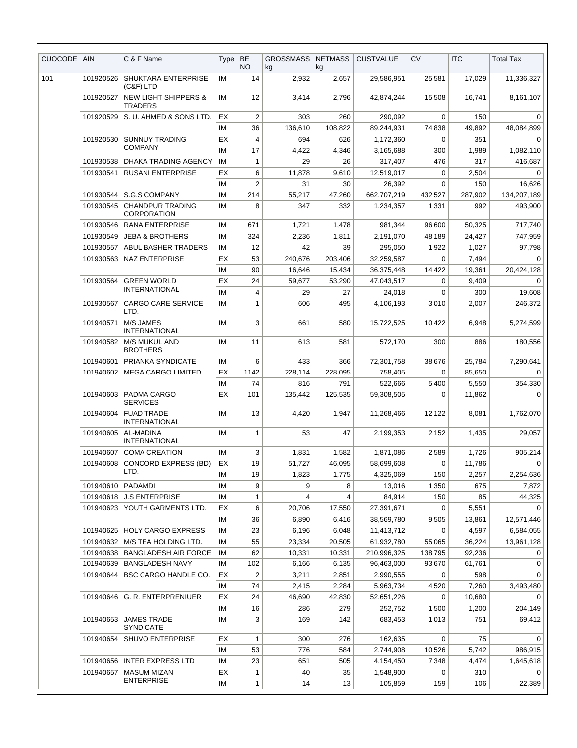| <b>CUOCODE</b> | <b>AIN</b> | C & F Name                                        | <b>Type</b> | <b>BE</b><br><b>NO</b> | <b>GROSSMASS</b><br>kg | <b>NETMASS</b><br>kg | <b>CUSTVALUE</b>         | CV         | <b>ITC</b>      | <b>Total Tax</b>   |
|----------------|------------|---------------------------------------------------|-------------|------------------------|------------------------|----------------------|--------------------------|------------|-----------------|--------------------|
| 101            | 101920526  | <b>SHUKTARA ENTERPRISE</b><br>$(C&F)$ LTD         | ΙM          | 14                     | 2,932                  | 2,657                | 29,586,951               | 25,581     | 17,029          | 11,336,327         |
|                | 101920527  | <b>NEW LIGHT SHIPPERS &amp;</b><br><b>TRADERS</b> | ΙM          | 12                     | 3,414                  | 2,796                | 42.874.244               | 15,508     | 16,741          | 8,161,107          |
|                | 101920529  | S. U. AHMED & SONS LTD.                           | EX          | 2                      | 303                    | 260                  | 290,092                  | 0          | 150             | 0                  |
|                |            |                                                   | IM          | 36                     | 136,610                | 108,822              | 89,244,931               | 74,838     | 49,892          | 48,084,899         |
|                | 101920530  | <b>SUNNUY TRADING</b>                             | EX          | 4                      | 694                    | 626                  | 1,172,360                | 0          | 351             | $\Omega$           |
|                |            | <b>COMPANY</b>                                    | IM          | 17                     | 4,422                  | 4,346                | 3,165,688                | 300        | 1,989           | 1,082,110          |
|                | 101930538  | DHAKA TRADING AGENCY                              | ΙM          | $\mathbf{1}$           | 29                     | 26                   | 317,407                  | 476        | 317             | 416,687            |
|                | 101930541  | <b>RUSANI ENTERPRISE</b>                          | EX          | 6                      | 11,878                 | 9,610                | 12,519,017               | 0          | 2,504           | 0                  |
|                |            |                                                   | IM          | $\overline{2}$         | 31                     | 30                   | 26,392                   | 0          | 150             | 16,626             |
|                | 101930544  | S.G.S COMPANY                                     | IM          | 214                    | 55,217                 | 47,260               | 662,707,219              | 432,527    | 287,902         | 134,207,189        |
|                | 101930545  | <b>CHANDPUR TRADING</b><br><b>CORPORATION</b>     | IM          | 8                      | 347                    | 332                  | 1,234,357                | 1,331      | 992             | 493,900            |
|                | 101930546  | <b>RANA ENTERPRISE</b>                            | IM          | 671                    | 1,721                  | 1,478                | 981,344                  | 96,600     | 50,325          | 717,740            |
|                | 101930549  | <b>JEBA &amp; BROTHERS</b>                        | IM          | 324                    | 2,236                  | 1,811                | 2,191,070                | 48,189     | 24,427          | 747,959            |
|                | 101930557  | ABUL BASHER TRADERS                               | IM          | 12                     | 42                     | 39                   | 295,050                  | 1,922      | 1,027           | 97,798             |
|                | 101930563  | <b>NAZ ENTERPRISE</b>                             | EX          | 53                     | 240,676                | 203,406              | 32,259,587               | 0          | 7,494           | 0                  |
|                |            |                                                   | IМ          | 90                     | 16,646                 | 15,434               | 36,375,448               | 14,422     | 19,361          | 20,424,128         |
|                | 101930564  | <b>GREEN WORLD</b><br><b>INTERNATIONAL</b>        | EX          | 24                     | 59,677                 | 53,290               | 47,043,517               | 0          | 9,409           | $\Omega$           |
|                |            |                                                   | IМ          | 4                      | 29                     | 27                   | 24,018                   | 0          | 300             | 19,608             |
|                | 101930567  | <b>CARGO CARE SERVICE</b><br>LTD.                 | IM          | 1                      | 606                    | 495                  | 4,106,193                | 3,010      | 2,007           | 246,372            |
|                | 101940571  | <b>M/S JAMES</b><br><b>INTERNATIONAL</b>          | IМ          | 3                      | 661                    | 580                  | 15,722,525               | 10,422     | 6,948           | 5,274,599          |
|                | 101940582  | M/S MUKUL AND<br><b>BROTHERS</b>                  | IM          | 11                     | 613                    | 581                  | 572,170                  | 300        | 886             | 180,556            |
|                | 101940601  | PRIANKA SYNDICATE                                 | IM          | 6                      | 433                    | 366                  | 72,301,758               | 38,676     | 25,784          | 7,290,641          |
|                | 101940602  | <b>MEGA CARGO LIMITED</b>                         | EX          | 1142                   | 228,114                | 228,095              | 758,405                  | 0          | 85,650          | 0                  |
|                |            |                                                   | IM          | 74                     | 816                    | 791                  | 522,666                  | 5,400      | 5,550           | 354,330            |
|                | 101940603  | PADMA CARGO<br><b>SERVICES</b>                    | EX          | 101                    | 135,442                | 125,535              | 59,308,505               | 0          | 11,862          | $\Omega$           |
|                | 101940604  | <b>FUAD TRADE</b><br><b>INTERNATIONAL</b>         | IM          | 13                     | 4,420                  | 1,947                | 11,268,466               | 12,122     | 8,081           | 1,762,070          |
|                | 101940605  | AL-MADINA<br><b>INTERNATIONAL</b>                 | IM          | 1                      | 53                     | 47                   | 2,199,353                | 2,152      | 1,435           | 29,057             |
|                | 101940607  | <b>COMA CREATION</b>                              | ΙM          | 3                      | 1,831                  | 1,582                | 1,871,086                | 2,589      | 1,726           | 905,214            |
|                | 101940608  | <b>CONCORD EXPRESS (BD)</b><br>LTD.               | EX          | 19                     | 51,727                 | 46,095               | 58,699,608               | 0          | 11,786          | 0                  |
|                |            |                                                   | IМ          | 19                     | 1,823                  | 1,775                | 4,325,069                | 150        | 2,257           | 2,254,636          |
|                | 101940610  | <b>PADAMDI</b>                                    | IM          | 9                      | 9                      | 8                    | 13,016                   | 1,350      | 675             | 7,872              |
|                | 101940618  | <b>J.S ENTERPRISE</b>                             | IМ          | $\mathbf{1}$           | 4                      | 4                    | 84,914                   | 150        | 85              | 44,325<br>$\Omega$ |
|                | 101940623  | YOUTH GARMENTS LTD.                               | EX<br>IM    | 6<br>36                | 20,706<br>6,890        | 17,550               | 27,391,671               | 0<br>9,505 | 5,551           | 12,571,446         |
|                | 101940625  | <b>HOLY CARGO EXPRESS</b>                         | IM          | 23                     | 6,196                  | 6,416<br>6,048       | 38,569,780<br>11,413,712 | 0          | 13,861<br>4,597 | 6,584,055          |
|                | 101940632  | M/S TEA HOLDING LTD.                              | IМ          | 55                     | 23,334                 | 20,505               | 61,932,780               | 55,065     | 36,224          | 13,961,128         |
|                | 101940638  | <b>BANGLADESH AIR FORCE</b>                       | IМ          | 62                     | 10,331                 | 10,331               | 210,996,325              | 138,795    | 92,236          | 0                  |
|                | 101940639  | <b>BANGLADESH NAVY</b>                            | ΙM          | 102                    | 6,166                  | 6,135                | 96,463,000               | 93,670     | 61,761          | 0                  |
|                | 101940644  | <b>BSC CARGO HANDLE CO.</b>                       | EX          | $\overline{2}$         | 3,211                  | 2,851                | 2,990,555                | 0          | 598             | $\Omega$           |
|                |            |                                                   | ΙM          | 74                     | 2,415                  | 2,284                | 5,963,734                | 4,520      | 7,260           | 3,493,480          |
|                | 101940646  | G. R. ENTERPRENIUER                               | EX          | 24                     | 46,690                 | 42,830               | 52,651,226               | 0          | 10,680          | 0                  |
|                |            |                                                   | ΙM          | 16                     | 286                    | 279                  | 252,752                  | 1,500      | 1,200           | 204,149            |
|                | 101940653  | <b>JAMES TRADE</b><br><b>SYNDICATE</b>            | ΙM          | 3                      | 169                    | 142                  | 683,453                  | 1,013      | 751             | 69,412             |
|                | 101940654  | SHUVO ENTERPRISE                                  | ЕX          | $\mathbf{1}$           | 300                    | 276                  | 162,635                  | 0          | 75              | 0                  |
|                |            |                                                   | ΙM          | 53                     | 776                    | 584                  | 2,744,908                | 10,526     | 5,742           | 986,915            |
|                | 101940656  | <b>INTER EXPRESS LTD</b>                          | ΙM          | 23                     | 651                    | 505                  | 4,154,450                | 7,348      | 4,474           | 1,645,618          |
|                | 101940657  | <b>MASUM MIZAN</b>                                | EX          | $\mathbf{1}$           | 40                     | 35                   | 1,548,900                | 0          | 310             | 0                  |
|                |            | <b>ENTERPRISE</b>                                 | IM          | $\mathbf{1}$           | 14                     | 13                   | 105,859                  | 159        | 106             | 22,389             |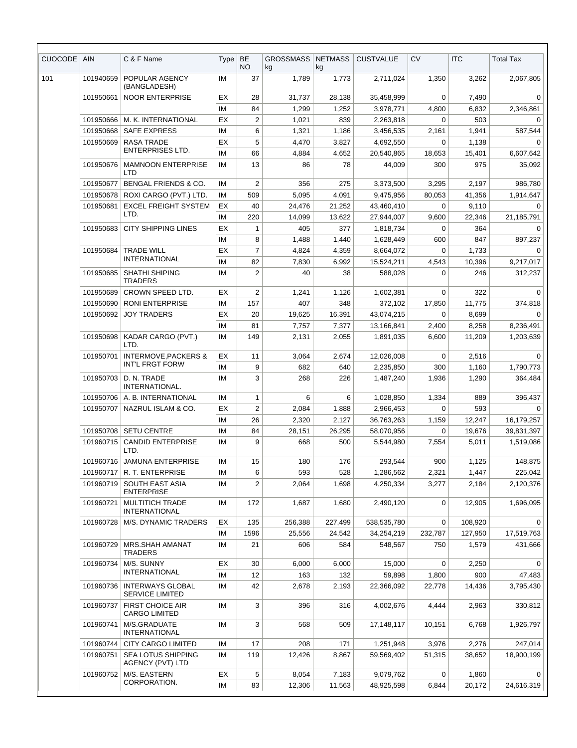| CUOCODE | <b>AIN</b> | C & F Name                                           | Type | <b>BE</b><br><b>NO</b> | <b>GROSSMASS</b><br>kg | <b>NETMASS</b><br>kg | <b>CUSTVALUE</b> | <b>CV</b>   | <b>ITC</b> | <b>Total Tax</b> |
|---------|------------|------------------------------------------------------|------|------------------------|------------------------|----------------------|------------------|-------------|------------|------------------|
| 101     | 101940659  | POPULAR AGENCY<br>(BANGLADESH)                       | IM   | 37                     | 1,789                  | 1,773                | 2,711,024        | 1,350       | 3,262      | 2,067,805        |
|         | 101950661  | <b>NOOR ENTERPRISE</b>                               | EX   | 28                     | 31,737                 | 28,138               | 35,458,999       | 0           | 7,490      | $\Omega$         |
|         |            |                                                      | ΙM   | 84                     | 1,299                  | 1,252                | 3,978,771        | 4,800       | 6,832      | 2,346,861        |
|         | 101950666  | M. K. INTERNATIONAL                                  | EX   | $\overline{2}$         | 1,021                  | 839                  | 2,263,818        | $\Omega$    | 503        | 0                |
|         | 101950668  | <b>SAFE EXPRESS</b>                                  | IM   | 6                      | 1,321                  | 1,186                | 3,456,535        | 2,161       | 1,941      | 587,544          |
|         | 101950669  | <b>RASA TRADE</b>                                    | EX   | 5                      | 4,470                  | 3,827                | 4,692,550        | 0           | 1,138      | 0                |
|         |            | <b>ENTERPRISES LTD.</b>                              | IМ   | 66                     | 4,884                  | 4,652                | 20,540,865       | 18,653      | 15,401     | 6,607,642        |
|         | 101950676  | <b>MAMNOON ENTERPRISE</b><br>LTD                     | IМ   | 13                     | 86                     | 78                   | 44,009           | 300         | 975        | 35,092           |
|         | 101950677  | <b>BENGAL FRIENDS &amp; CO.</b>                      | IM   | $\overline{2}$         | 356                    | 275                  | 3,373,500        | 3,295       | 2,197      | 986,780          |
|         | 101950678  | ROXI CARGO (PVT.) LTD.                               | IM   | 509                    | 5,095                  | 4,091                | 9,475,956        | 80,053      | 41,356     | 1,914,647        |
|         | 101950681  | <b>EXCEL FREIGHT SYSTEM</b><br>LTD.                  | EX   | 40                     | 24,476                 | 21,252               | 43,460,410       | 0           | 9,110      | 0                |
|         |            |                                                      | ΙM   | 220                    | 14,099                 | 13,622               | 27,944,007       | 9,600       | 22,346     | 21,185,791       |
|         | 101950683  | <b>CITY SHIPPING LINES</b>                           | EX   | $\mathbf{1}$           | 405                    | 377                  | 1.818.734        | 0           | 364        | $\Omega$         |
|         |            |                                                      | ΙM   | 8                      | 1,488                  | 1,440                | 1,628,449        | 600         | 847        | 897,237          |
|         | 101950684  | <b>TRADE WILL</b><br><b>INTERNATIONAL</b>            | EX   | $\overline{7}$         | 4,824                  | 4,359                | 8,664,072        | 0           | 1,733      | 0                |
|         |            |                                                      | IM   | 82                     | 7,830                  | 6,992                | 15,524,211       | 4,543       | 10,396     | 9,217,017        |
|         | 101950685  | SHATHI SHIPING<br><b>TRADERS</b>                     | IM   | 2                      | 40                     | 38                   | 588,028          | $\Omega$    | 246        | 312,237          |
|         | 101950689  | CROWN SPEED LTD.                                     | EX   | 2                      | 1,241                  | 1,126                | 1,602,381        | $\Omega$    | 322        | $\Omega$         |
|         | 101950690  | <b>RONI ENTERPRISE</b>                               | IM   | 157                    | 407                    | 348                  | 372,102          | 17,850      | 11,775     | 374,818          |
|         | 101950692  | <b>JOY TRADERS</b>                                   | ЕX   | 20                     | 19,625                 | 16,391               | 43,074,215       | $\Omega$    | 8,699      | 0                |
|         |            |                                                      | IM   | 81                     | 7,757                  | 7,377                | 13,166,841       | 2,400       | 8,258      | 8,236,491        |
|         | 101950698  | KADAR CARGO (PVT.)<br>LTD.                           | IМ   | 149                    | 2,131                  | 2,055                | 1,891,035        | 6,600       | 11,209     | 1,203,639        |
|         | 101950701  | <b>INTERMOVE, PACKERS &amp;</b><br>INT'L FRGT FORW   | EX   | 11                     | 3,064                  | 2,674                | 12,026,008       | $\mathbf 0$ | 2,516      | $\mathbf 0$      |
|         |            |                                                      | IM   | 9                      | 682                    | 640                  | 2,235,850        | 300         | 1,160      | 1,790,773        |
|         | 101950703  | D. N. TRADE<br>INTERNATIONAL.                        | IM   | 3                      | 268                    | 226                  | 1,487,240        | 1,936       | 1,290      | 364,484          |
|         | 101950706  | A. B. INTERNATIONAL                                  | IM   | $\mathbf{1}$           | 6                      | 6                    | 1,028,850        | 1,334       | 889        | 396,437          |
|         | 101950707  | NAZRUL ISLAM & CO.                                   | ЕX   | $\overline{2}$         | 2,084                  | 1,888                | 2,966,453        | $\Omega$    | 593        | 0                |
|         |            |                                                      | IM   | 26                     | 2,320                  | 2,127                | 36,763,263       | 1,159       | 12,247     | 16,179,257       |
|         | 101950708  | <b>SETU CENTRE</b>                                   | IM   | 84                     | 28,151                 | 26,295               | 58,070,956       | $\Omega$    | 19,676     | 39,831,397       |
|         | 101960715  | <b>CANDID ENTERPRISE</b><br>LTD.                     | IМ   | 9                      | 668                    | 500                  | 5,544,980        | 7,554       | 5,011      | 1,519,086        |
|         | 101960716  | <b>JAMUNA ENTERPRISE</b>                             | IM   | 15                     | 180                    | 176                  | 293,544          | 900         | 1,125      | 148,875          |
|         | 101960717  | R. T. ENTERPRISE                                     | IM   | 6                      | 593                    | 528                  | 1,286,562        | 2,321       | 1,447      | 225,042          |
|         | 101960719  | <b>SOUTH EAST ASIA</b><br><b>ENTERPRISE</b>          | ΙM   | $\overline{2}$         | 2,064                  | 1,698                | 4,250,334        | 3,277       | 2,184      | 2,120,376        |
|         | 101960721  | <b>MULTITICH TRADE</b><br><b>INTERNATIONAL</b>       | IM   | 172                    | 1,687                  | 1,680                | 2,490,120        | $\mathbf 0$ | 12,905     | 1,696,095        |
|         | 101960728  | M/S. DYNAMIC TRADERS                                 | ЕX   | 135                    | 256,388                | 227,499              | 538,535,780      | $\mathbf 0$ | 108.920    | $\mathbf 0$      |
|         |            |                                                      | IM   | 1596                   | 25,556                 | 24,542               | 34,254,219       | 232,787     | 127,950    | 17,519,763       |
|         | 101960729  | MRS.SHAH AMANAT<br><b>TRADERS</b>                    | IM   | 21                     | 606                    | 584                  | 548,567          | 750         | 1,579      | 431,666          |
|         | 101960734  | M/S. SUNNY                                           | ЕX   | 30                     | 6,000                  | 6,000                | 15,000           | $\mathbf 0$ | 2,250      | 0                |
|         |            | <b>INTERNATIONAL</b>                                 | ΙM   | 12                     | 163                    | 132                  | 59,898           | 1,800       | 900        | 47,483           |
|         | 101960736  | <b>INTERWAYS GLOBAL</b><br><b>SERVICE LIMITED</b>    | ΙM   | 42                     | 2,678                  | 2,193                | 22,366,092       | 22,778      | 14,436     | 3,795,430        |
|         | 101960737  | <b>FIRST CHOICE AIR</b><br><b>CARGO LIMITED</b>      | ΙM   | 3                      | 396                    | 316                  | 4,002,676        | 4,444       | 2,963      | 330,812          |
|         | 101960741  | M/S.GRADUATE<br><b>INTERNATIONAL</b>                 | IM   | 3                      | 568                    | 509                  | 17,148,117       | 10,151      | 6,768      | 1,926,797        |
|         | 101960744  | CITY CARGO LIMITED                                   | IM   | 17                     | 208                    | 171                  | 1,251,948        | 3,976       | 2,276      | 247,014          |
|         | 101960751  | <b>SEA LOTUS SHIPPING</b><br><b>AGENCY (PVT) LTD</b> | IM   | 119                    | 12,426                 | 8,867                | 59,569,402       | 51,315      | 38,652     | 18,900,199       |
|         | 101960752  | M/S. EASTERN                                         | EX   | 5                      | 8,054                  | 7,183                | 9,079,762        | 0           | 1,860      | 0                |
|         |            | CORPORATION.                                         | IM   | 83                     | 12,306                 | 11,563               | 48,925,598       | 6,844       | 20,172     | 24,616,319       |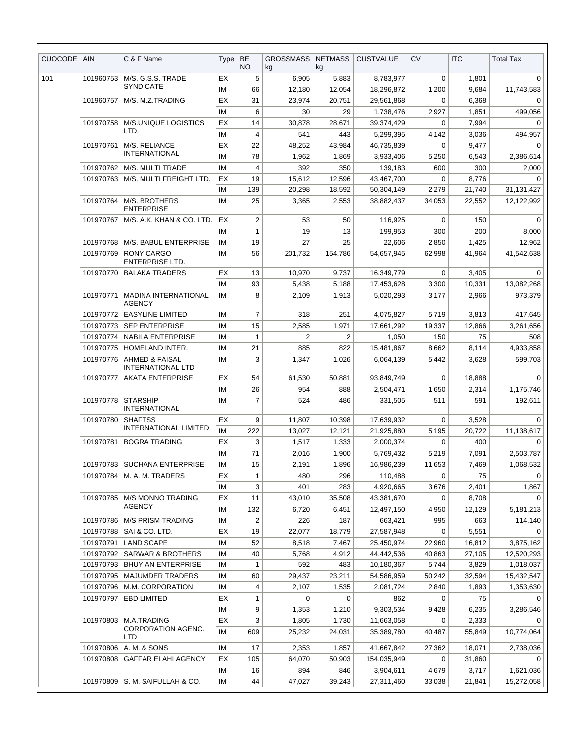| CUOCODE | <b>AIN</b>             | C & F Name                                            | Type     | <b>BE</b><br>NO. | <b>GROSSMASS</b><br>kg | <b>NETMASS</b><br>kg | <b>CUSTVALUE</b>         | CV                 | <b>ITC</b>      | <b>Total Tax</b>      |
|---------|------------------------|-------------------------------------------------------|----------|------------------|------------------------|----------------------|--------------------------|--------------------|-----------------|-----------------------|
| 101     | 101960753              | M/S. G.S.S. TRADE                                     | EХ       | 5                | 6,905                  | 5,883                | 8,783,977                | 0                  | 1,801           | 0                     |
|         |                        | <b>SYNDICATE</b>                                      | ΙM       | 66               | 12,180                 | 12,054               | 18,296,872               | 1,200              | 9,684           | 11,743,583            |
|         | 101960757              | M/S. M.Z.TRADING                                      | EХ       | 31               | 23,974                 | 20,751               | 29,561,868               | 0                  | 6,368           | 0                     |
|         |                        |                                                       | IM       | 6                | 30                     | 29                   | 1,738,476                | 2,927              | 1,851           | 499,056               |
|         | 101970758              | M/S.UNIQUE LOGISTICS                                  | EХ       | 14               | 30,878                 | 28,671               | 39,374,429               | 0                  | 7,994           | 0                     |
|         |                        | LTD.                                                  | ΙM       | 4                | 541                    | 443                  | 5,299,395                | 4,142              | 3,036           | 494,957               |
|         | 101970761              | M/S. RELIANCE                                         | EХ       | 22               | 48,252                 | 43,984               | 46,735,839               | 0                  | 9,477           | 0                     |
|         |                        | <b>INTERNATIONAL</b>                                  | IM       | 78               | 1,962                  | 1,869                | 3,933,406                | 5,250              | 6,543           | 2,386,614             |
|         | 101970762              | M/S. MULTI TRADE                                      | IM       | 4                | 392                    | 350                  | 139,183                  | 600                | 300             | 2,000                 |
|         | 101970763              | M/S. MULTI FREIGHT LTD.                               | EХ       | 19               | 15,612                 | 12,596               | 43,467,700               | 0                  | 8,776           | $\Omega$              |
|         |                        |                                                       | ΙM       | 139              | 20,298                 | 18,592               | 50,304,149               | 2,279              | 21,740          | 31,131,427            |
|         | 101970764              | M/S. BROTHERS<br><b>ENTERPRISE</b>                    | IM       | 25               | 3,365                  | 2,553                | 38,882,437               | 34,053             | 22,552          | 12,122,992            |
|         | 101970767              | M/S. A.K. KHAN & CO. LTD.                             | EX       | $\overline{2}$   | 53                     | 50                   | 116,925                  | 0                  | 150             | 0                     |
|         |                        |                                                       | ΙM       | $\mathbf{1}$     | 19                     | 13                   | 199,953                  | 300                | 200             | 8,000                 |
|         | 101970768              | M/S. BABUL ENTERPRISE                                 | ΙM       | 19               | 27                     | 25                   | 22,606                   | 2,850              | 1,425           | 12,962                |
|         | 101970769              | <b>RONY CARGO</b><br><b>ENTERPRISE LTD.</b>           | IM       | 56               | 201,732                | 154,786              | 54,657,945               | 62,998             | 41,964          | 41,542,638            |
|         | 101970770              | <b>BALAKA TRADERS</b>                                 | EX       | 13               | 10,970                 | 9,737                | 16,349,779               | $\mathbf 0$        | 3,405           | 0                     |
|         |                        |                                                       | IМ       | 93               | 5,438                  | 5,188                | 17,453,628               | 3,300              | 10,331          | 13,082,268            |
|         | 101970771              | <b>MADINA INTERNATIONAL</b><br><b>AGENCY</b>          | ΙM       | 8                | 2,109                  | 1,913                | 5,020,293                | 3,177              | 2,966           | 973,379               |
|         | 101970772              | <b>EASYLINE LIMITED</b>                               | ΙM       | $\overline{7}$   | 318                    | 251                  | 4,075,827                | 5,719              | 3,813           | 417,645               |
|         | 101970773              | <b>SEP ENTERPRISE</b>                                 | IМ       | 15               | 2,585                  | 1,971                | 17,661,292               | 19,337             | 12,866          | 3,261,656             |
|         | 101970774              | <b>NABILA ENTERPRISE</b>                              | ΙM       | $\mathbf{1}$     | 2                      | $\overline{2}$       | 1,050                    | 150                | 75              | 508                   |
|         | 101970775              | HOMELAND INTER.                                       | IM       | 21               | 885                    | 822                  | 15,481,867               | 8,662              | 8,114           | 4,933,858             |
|         | 101970776              | <b>AHMED &amp; FAISAL</b><br><b>INTERNATIONAL LTD</b> | IM       | 3                | 1,347                  | 1,026                | 6,064,139                | 5,442              | 3,628           | 599,703               |
|         | 101970777              | <b>AKATA ENTERPRISE</b>                               | EХ       | 54               | 61,530                 | 50,881               | 93,849,749               | 0                  | 18,888          | 0                     |
|         |                        |                                                       | ΙM       | 26               | 954                    | 888                  | 2,504,471                | 1,650              | 2,314           | 1,175,746             |
|         | 101970778              | <b>STARSHIP</b><br><b>INTERNATIONAL</b>               | IM       | 7                | 524                    | 486                  | 331,505                  | 511                | 591             | 192,611               |
|         | 101970780              | <b>SHAFTSS</b>                                        | ЕX       | 9                | 11,807                 | 10,398               | 17.639.932               | $\mathbf 0$        | 3,528           | 0                     |
|         |                        | <b>INTERNATIONAL LIMITED</b>                          | IM       | 222              | 13,027                 | 12,121               | 21,925,880               | 5,195              | 20,722          | 11,138,617            |
|         |                        | 101970781   BOGRA TRADING                             | EХ       | 3                | 1,517                  | 1,333                | 2,000,374                | 0                  | 400             | 0                     |
|         |                        |                                                       | IM       | 71               | 2,016                  | 1,900                | 5,769,432                | 5,219              | 7,091           | 2,503,787             |
|         | 101970783              | <b>SUCHANA ENTERPRISE</b>                             | ΙM       | 15               | 2,191                  | 1,896                | 16,986,239               | 11,653             | 7,469           | 1,068,532             |
|         | 101970784              | M. A. M. TRADERS                                      | EX       | $\mathbf{1}$     | 480                    | 296                  | 110,488                  | 0                  | 75              | 0                     |
|         |                        |                                                       | ΙM       | 3                | 401                    | 283                  | 4,920,665                | 3,676              | 2,401           | 1,867                 |
|         | 101970785              | <b>M/S MONNO TRADING</b><br><b>AGENCY</b>             | EХ       | 11               | 43,010                 | 35,508               | 43,381,670               | 0                  | 8,708           | $\Omega$              |
|         |                        |                                                       | ΙM       | 132              | 6,720                  | 6,451                | 12,497,150               | 4,950              | 12,129          | 5,181,213             |
|         | 101970786              | M/S PRISM TRADING<br>SAI & CO. LTD.                   | ΙM       | $\overline{2}$   | 226                    | 187                  | 663,421                  | 995                | 663             | 114,140               |
|         | 101970788<br>101970791 | <b>LAND SCAPE</b>                                     | EX<br>IM | 19<br>52         | 22,077<br>8,518        | 18,779<br>7,467      | 27,587,948               | $\Omega$<br>22,960 | 5,551<br>16,812 | $\Omega$<br>3,875,162 |
|         | 101970792              | <b>SARWAR &amp; BROTHERS</b>                          | ΙM       | 40               | 5,768                  | 4,912                | 25,450,974<br>44,442,536 | 40,863             | 27,105          | 12,520,293            |
|         | 101970793              | <b>BHUYIAN ENTERPRISE</b>                             | ΙM       | 1                | 592                    | 483                  | 10,180,367               | 5,744              | 3,829           | 1,018,037             |
|         | 101970795              | <b>MAJUMDER TRADERS</b>                               | ΙM       | 60               | 29,437                 | 23,211               | 54,586,959               | 50,242             | 32,594          | 15,432,547            |
|         | 101970796              | M.M. CORPORATION                                      | ΙM       | 4                | 2,107                  | 1,535                | 2,081,724                | 2,840              | 1,893           | 1,353,630             |
|         | 101970797              | <b>EBD LIMITED</b>                                    | EХ       | 1                | 0                      | 0                    | 862                      | 0                  | 75              | 0                     |
|         |                        |                                                       | ΙM       | 9                | 1,353                  | 1,210                | 9,303,534                | 9,428              | 6,235           | 3,286,546             |
|         | 101970803              | M.A.TRADING                                           | EX       | 3                | 1,805                  | 1,730                | 11,663,058               | 0                  | 2,333           | 0                     |
|         |                        | <b>CORPORATION AGENC.</b><br><b>LTD</b>               | ΙM       | 609              | 25,232                 | 24,031               | 35,389,780               | 40,487             | 55,849          | 10,774,064            |
|         | 101970806              | A. M. & SONS                                          | IM       | 17               | 2,353                  | 1,857                | 41,667,842               | 27,362             | 18,071          | 2,738,036             |
|         | 101970808              | GAFFAR ELAHI AGENCY                                   | EХ       | 105              | 64,070                 | 50,903               | 154,035,949              | $\mathbf 0$        | 31,860          | $\Omega$              |
|         |                        |                                                       | ΙM       | 16               | 894                    | 846                  | 3,904,611                | 4,679              | 3,717           | 1,621,036             |
|         |                        | 101970809   S. M. SAIFULLAH & CO.                     | IM       | 44               | 47,027                 | 39,243               | 27,311,460               | 33,038             | 21,841          | 15,272,058            |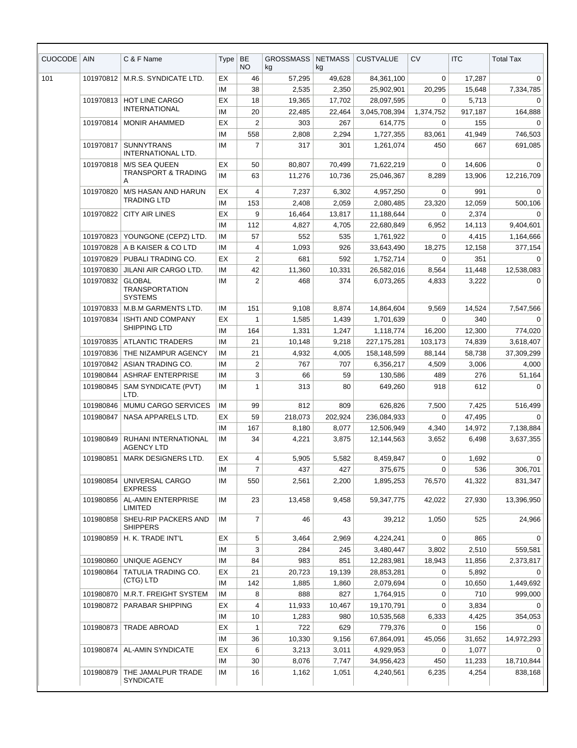| <b>CUOCODE</b> | <b>AIN</b> | C & F Name                                               | <b>Type</b> | BE<br>NO.               | GROSSMASS<br>kg | <b>NETMASS</b><br>kg | <b>CUSTVALUE</b> | <b>CV</b>   | <b>ITC</b>      | <b>Total Tax</b> |
|----------------|------------|----------------------------------------------------------|-------------|-------------------------|-----------------|----------------------|------------------|-------------|-----------------|------------------|
| 101            | 101970812  | M.R.S. SYNDICATE LTD.                                    | EX          | 46                      | 57,295          | 49,628               | 84,361,100       | 0           | 17,287          | 0                |
|                |            |                                                          | IM          | 38                      | 2,535           | 2,350                | 25,902,901       | 20,295      | 15,648          | 7,334,785        |
|                | 101970813  | HOT LINE CARGO                                           | EX          | 18                      | 19,365          | 17,702               | 28,097,595       | 0           | 5,713           | 0                |
|                |            | <b>INTERNATIONAL</b>                                     | IM          | 20                      | 22,485          | 22,464               | 3,045,708,394    | 1,374,752   | 917,187         | 164,888          |
|                | 101970814  | <b>MONIR AHAMMED</b>                                     | EX          | $\overline{\mathbf{c}}$ | 303             | 267                  | 614,775          | 0           | 155             | $\Omega$         |
|                |            |                                                          | IM          | 558                     | 2,808           | 2,294                | 1,727,355        | 83,061      | 41,949          | 746,503          |
|                | 101970817  | <b>SUNNYTRANS</b><br>INTERNATIONAL LTD.                  | IM          | $\overline{7}$          | 317             | 301                  | 1,261,074        | 450         | 667             | 691,085          |
|                | 101970818  | <b>M/S SEA QUEEN</b>                                     | EX          | 50                      | 80,807          | 70,499               | 71,622,219       | 0           | 14,606          | 0                |
|                |            | <b>TRANSPORT &amp; TRADING</b><br>A                      | IМ          | 63                      | 11,276          | 10,736               | 25,046,367       | 8,289       | 13,906          | 12,216,709       |
|                | 101970820  | M/S HASAN AND HARUN                                      | EX          | 4                       | 7,237           | 6,302                | 4,957,250        | $\Omega$    | 991             | $\Omega$         |
|                |            | <b>TRADING LTD</b>                                       | IM          | 153                     | 2,408           | 2,059                | 2,080,485        | 23,320      | 12,059          | 500,106          |
|                | 101970822  | <b>CITY AIR LINES</b>                                    | EX          | 9                       | 16,464          | 13,817               | 11,188,644       | 0           | 2,374           | 0                |
|                |            |                                                          | IM          | 112                     | 4,827           | 4,705                | 22,680,849       | 6,952       | 14,113          | 9,404,601        |
|                | 101970823  | YOUNGONE (CEPZ) LTD.                                     | IM          | 57                      | 552             | 535                  | 1,761,922        | $\mathbf 0$ | 4,415           | 1,164,666        |
|                | 101970828  | A B KAISER & CO LTD                                      | IМ          | 4                       | 1,093           | 926                  | 33,643,490       | 18,275      | 12,158          | 377,154          |
|                | 101970829  | PUBALI TRADING CO.                                       | EX          | 2                       | 681             | 592                  | 1,752,714        | 0           | 351             | $\Omega$         |
|                | 101970830  | JILANI AIR CARGO LTD.                                    | IM          | 42                      | 11,360          | 10,331               | 26,582,016       | 8,564       | 11,448          | 12,538,083       |
|                | 101970832  | <b>GLOBAL</b><br><b>TRANSPORTATION</b><br><b>SYSTEMS</b> | IM          | $\overline{2}$          | 468             | 374                  | 6,073,265        | 4,833       | 3,222           | $\Omega$         |
|                | 101970833  | M.B.M GARMENTS LTD.                                      | IM          | 151                     | 9,108           | 8,874                | 14,864,604       | 9,569       | 14,524          | 7,547,566        |
|                | 101970834  | <b>ISHTI AND COMPANY</b>                                 | EX          | 1                       | 1,585           | 1,439                | 1,701,639        | 0           | 340             | 0                |
|                |            | SHIPPING LTD                                             | IM          | 164                     | 1,331           | 1,247                | 1,118,774        | 16,200      | 12,300          | 774,020          |
|                | 101970835  | <b>ATLANTIC TRADERS</b>                                  | IM          | 21                      | 10,148          | 9,218                | 227, 175, 281    | 103,173     | 74,839          | 3,618,407        |
|                | 101970836  | THE NIZAMPUR AGENCY                                      | IM          | 21                      | 4,932           | 4,005                | 158,148,599      | 88,144      | 58,738          | 37,309,299       |
|                | 101970842  | ASIAN TRADING CO.                                        | IM          | 2                       | 767             | 707                  | 6,356,217        | 4,509       | 3,006           | 4,000            |
|                | 101980844  | <b>ASHRAF ENTERPRISE</b>                                 | IM          | 3                       | 66              | 59                   | 130,586          | 489         | 276             | 51,164           |
|                | 101980845  | SAM SYNDICATE (PVT)<br>LTD.                              | IМ          | $\mathbf{1}$            | 313             | 80                   | 649,260          | 918         | 612             | $\Omega$         |
|                | 101980846  | MUMU CARGO SERVICES                                      | IM          | 99                      | 812             | 809                  | 626,826          | 7,500       | 7,425           | 516,499          |
|                | 101980847  | NASA APPARELS LTD.                                       | EX          | 59                      | 218,073         | 202,924              | 236,084,933      | $\Omega$    | 47,495          | $\Omega$         |
|                |            |                                                          | IM          | 167                     | 8,180           | 8,077                | 12,506,949       | 4,340       | 14,972          | 7,138,884        |
|                |            | 101980849 RUHANI INTERNATIONAL<br><b>AGENCY LTD</b>      | IM          | 34                      | 4,221           | 3,875                | 12,144,563       | 3,652       | 6,498           | 3,637,355        |
|                | 101980851  | MARK DESIGNERS LTD.                                      | EX          | 4                       | 5,905           | 5,582                | 8,459,847        | 0           | 1,692           | $\Omega$         |
|                |            |                                                          | ΙM          | $\overline{7}$          | 437             | 427                  | 375,675          | 0           | 536             | 306,701          |
|                | 101980854  | UNIVERSAL CARGO<br><b>EXPRESS</b>                        | ΙM          | 550                     | 2,561           | 2,200                | 1,895,253        | 76,570      | 41,322          | 831,347          |
|                | 101980856  | AL-AMIN ENTERPRISE<br>LIMITED                            | ΙM          | 23                      | 13,458          | 9,458                | 59,347,775       | 42,022      | 27,930          | 13,396,950       |
|                | 101980858  | SHEU-RIP PACKERS AND<br><b>SHIPPERS</b>                  | ΙM          | $\overline{7}$          | 46              | 43                   | 39,212           | 1,050       | 525             | 24,966           |
|                | 101980859  | H. K. TRADE INT'L                                        | EX          | 5                       | 3,464           | 2,969                | 4,224,241        | 0           | 865             | $\mathbf 0$      |
|                |            |                                                          | IМ          | 3                       | 284             | 245                  | 3,480,447        | 3,802       | 2,510           | 559,581          |
|                | 101980860  | UNIQUE AGENCY                                            | IM          | 84                      | 983             | 851                  | 12,283,981       | 18,943      | 11,856          | 2,373,817        |
|                | 101980864  | TATULIA TRADING CO.<br>(CTG) LTD                         | EX          | 21                      | 20,723          | 19,139               | 28,853,281       | 0           | 5,892           | 0                |
|                |            |                                                          | IМ          | 142                     | 1,885           | 1,860                | 2,079,694        | 0           | 10,650          | 1,449,692        |
|                | 101980870  | M.R.T. FREIGHT SYSTEM                                    | ΙM          | 8                       | 888             | 827                  | 1,764,915        | 0           | 710             | 999,000          |
|                | 101980872  | PARABAR SHIPPING                                         | EX          | 4                       | 11,933          | 10,467               | 19,170,791       | 0           | 3,834           | $\Omega$         |
|                |            |                                                          | ΙM          | 10                      | 1,283           | 980                  | 10,535,568       | 6,333       | 4,425           | 354,053          |
|                | 101980873  | <b>TRADE ABROAD</b>                                      | EX          | 1                       | 722             | 629                  | 779,376          | $\Omega$    | 156             | $\Omega$         |
|                |            |                                                          | ΙM          | 36                      | 10,330          | 9,156                | 67,864,091       | 45,056      | 31,652          | 14,972,293       |
|                | 101980874  | AL-AMIN SYNDICATE                                        | EX          | 6                       | 3,213           | 3,011                | 4,929,953        | 0           | 1,077           | 0                |
|                | 101980879  | THE JAMALPUR TRADE                                       | ΙM<br>ΙM    | 30<br>16                | 8,076<br>1,162  | 7,747                | 34,956,423       | 450         | 11,233<br>4,254 | 18,710,844       |
|                |            | <b>SYNDICATE</b>                                         |             |                         |                 | 1,051                | 4,240,561        | 6,235       |                 | 838,168          |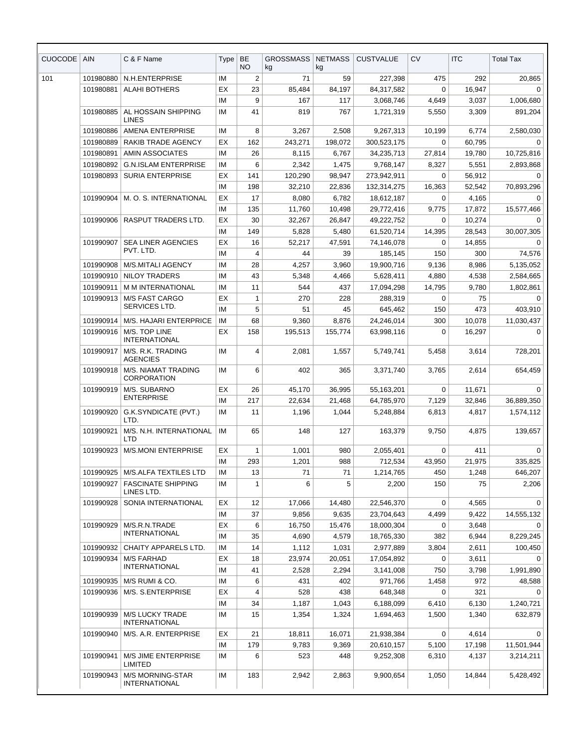| <b>CUOCODE</b> | <b>AIN</b> | C & F Name                                     | Type      | <b>BE</b><br><b>NO</b> | <b>GROSSMASS</b><br>kg | <b>NETMASS</b><br>kg | <b>CUSTVALUE</b> | <b>CV</b>   | <b>ITC</b> | <b>Total Tax</b> |
|----------------|------------|------------------------------------------------|-----------|------------------------|------------------------|----------------------|------------------|-------------|------------|------------------|
| 101            | 101980880  | N.H.ENTERPRISE                                 | <b>IM</b> | 2                      | 71                     | 59                   | 227,398          | 475         | 292        | 20,865           |
|                | 101980881  | <b>ALAHI BOTHERS</b>                           | EX        | 23                     | 85,484                 | 84,197               | 84,317,582       | 0           | 16,947     | $\mathbf 0$      |
|                |            |                                                | ΙM        | 9                      | 167                    | 117                  | 3,068,746        | 4,649       | 3,037      | 1,006,680        |
|                | 101980885  | AL HOSSAIN SHIPPING<br><b>LINES</b>            | IM        | 41                     | 819                    | 767                  | 1,721,319        | 5,550       | 3,309      | 891,204          |
|                | 101980886  | <b>AMENA ENTERPRISE</b>                        | IM        | 8                      | 3,267                  | 2,508                | 9,267,313        | 10,199      | 6,774      | 2,580,030        |
|                | 101980889  | RAKIB TRADE AGENCY                             | EX        | 162                    | 243,271                | 198,072              | 300,523,175      | $\mathbf 0$ | 60,795     | 0                |
|                | 101980891  | AMIN ASSOCIATES                                | ΙM        | 26                     | 8,115                  | 6,767                | 34,235,713       | 27,814      | 19,780     | 10,725,816       |
|                | 101980892  | <b>G.N.ISLAM ENTERPRISE</b>                    | ΙM        | 6                      | 2,342                  | 1,475                | 9,768,147        | 8,327       | 5,551      | 2,893,868        |
|                | 101980893  | <b>SURIA ENTERPRISE</b>                        | ЕX        | 141                    | 120,290                | 98,947               | 273,942,911      | 0           | 56,912     | 0                |
|                |            |                                                | IM        | 198                    | 32,210                 | 22,836               | 132,314,275      | 16,363      | 52,542     | 70,893,296       |
|                | 101990904  | M. O. S. INTERNATIONAL                         | EX        | 17                     | 8,080                  | 6,782                | 18,612,187       | $\Omega$    | 4,165      | $\Omega$         |
|                |            |                                                | IM        | 135                    | 11,760                 | 10,498               | 29,772,416       | 9,775       | 17,872     | 15,577,466       |
|                | 101990906  | <b>RASPUT TRADERS LTD.</b>                     | ЕX        | 30                     | 32,267                 | 26,847               | 49,222,752       | $\Omega$    | 10,274     | $\Omega$         |
|                |            |                                                | IM        | 149                    | 5,828                  | 5,480                | 61,520,714       | 14,395      | 28,543     | 30,007,305       |
|                | 101990907  | <b>SEA LINER AGENCIES</b><br>PVT. LTD.         | EX        | 16                     | 52,217                 | 47,591               | 74,146,078       | $\Omega$    | 14,855     | $\Omega$         |
|                |            |                                                | IM        | 4                      | 44                     | 39                   | 185,145          | 150         | 300        | 74,576           |
|                | 101990908  | <b>M/S.MITALI AGENCY</b>                       | ΙM        | 28                     | 4,257                  | 3,960                | 19,900,716       | 9,136       | 8,986      | 5,135,052        |
|                | 101990910  | <b>NILOY TRADERS</b>                           | IM        | 43                     | 5,348                  | 4,466                | 5,628,411        | 4,880       | 4,538      | 2,584,665        |
|                | 101990911  | <b>M M INTERNATIONAL</b>                       | IM        | 11                     | 544                    | 437                  | 17,094,298       | 14,795      | 9,780      | 1,802,861        |
|                | 101990913  | <b>M/S FAST CARGO</b><br>SERVICES LTD.         | EX        | $\mathbf{1}$           | 270                    | 228                  | 288,319          | 0           | 75         | 0                |
|                |            |                                                | IM        | 5                      | 51                     | 45                   | 645,462          | 150         | 473        | 403,910          |
|                | 101990914  | M/S. HAJARI ENTERPRICE                         | IM        | 68                     | 9,360                  | 8,876                | 24,246,014       | 300         | 10,078     | 11,030,437       |
|                | 101990916  | M/S. TOP LINE<br><b>INTERNATIONAL</b>          | ЕX        | 158                    | 195,513                | 155,774              | 63,998,116       | 0           | 16,297     | 0                |
|                | 101990917  | M/S. R.K. TRADING<br><b>AGENCIES</b>           | IM        | 4                      | 2,081                  | 1,557                | 5,749,741        | 5,458       | 3,614      | 728,201          |
|                | 101990918  | M/S. NIAMAT TRADING<br>CORPORATION             | ΙM        | 6                      | 402                    | 365                  | 3,371,740        | 3,765       | 2,614      | 654,459          |
|                | 101990919  | M/S. SUBARNO                                   | ЕX        | 26                     | 45,170                 | 36,995               | 55,163,201       | 0           | 11,671     | $\Omega$         |
|                |            | <b>ENTERPRISE</b>                              | IM        | 217                    | 22,634                 | 21,468               | 64,785,970       | 7,129       | 32,846     | 36,889,350       |
|                | 101990920  | G.K.SYNDICATE (PVT.)<br>LTD.                   | ΙM        | 11                     | 1,196                  | 1,044                | 5,248,884        | 6,813       | 4,817      | 1,574,112        |
|                | 101990921  | M/S. N.H. INTERNATIONAL<br>LTD                 | IM        | 65                     | 148                    | 127                  | 163,379          | 9,750       | 4,875      | 139,657          |
|                | 101990923  | <b>M/S.MONI ENTERPRISE</b>                     | EХ        | $\mathbf{1}$           | 1,001                  | 980                  | 2,055,401        | 0           | 411        | 0                |
|                |            |                                                | ΙM        | 293                    | 1,201                  | 988                  | 712,534          | 43,950      | 21,975     | 335,825          |
|                | 101990925  | <b>M/S.ALFA TEXTILES LTD</b>                   | ΙM        | 13                     | 71                     | 71                   | 1,214,765        | 450         | 1,248      | 646,207          |
|                | 101990927  | <b>FASCINATE SHIPPING</b><br>LINES LTD.        | ΙM        | 1                      | 6                      | 5                    | 2,200            | 150         | 75         | 2,206            |
|                | 101990928  | SONIA INTERNATIONAL                            | ЕX        | 12                     | 17,066                 | 14,480               | 22,546,370       | 0           | 4,565      | 0                |
|                |            |                                                | ΙM        | 37                     | 9,856                  | 9,635                | 23,704,643       | 4,499       | 9,422      | 14,555,132       |
|                | 101990929  | M/S.R.N.TRADE                                  | ЕX        | 6                      | 16,750                 | 15,476               | 18,000,304       | 0           | 3,648      | 0                |
|                |            | <b>INTERNATIONAL</b>                           | ΙM        | 35                     | 4,690                  | 4,579                | 18,765,330       | 382         | 6,944      | 8,229,245        |
|                | 101990932  | CHAITY APPARELS LTD.                           | ΙM        | 14                     | 1,112                  | 1,031                | 2,977,889        | 3,804       | 2,611      | 100,450          |
|                | 101990934  | <b>M/S FARHAD</b>                              | EХ        | 18                     | 23,974                 | 20,051               | 17,054,892       | 0           | 3,611      | 0                |
|                |            | <b>INTERNATIONAL</b>                           | ΙM        | 41                     | 2,528                  | 2,294                | 3,141,008        | 750         | 3,798      | 1,991,890        |
|                | 101990935  | M/S RUMI & CO.                                 | ΙM        | 6                      | 431                    | 402                  | 971,766          | 1,458       | 972        | 48,588           |
|                | 101990936  | M/S. S.ENTERPRISE                              | ЕX        | 4                      | 528                    | 438                  | 648,348          | 0           | 321        | $\Omega$         |
|                |            |                                                | IМ        | 34                     | 1,187                  | 1,043                | 6,188,099        | 6,410       | 6,130      | 1,240,721        |
|                | 101990939  | <b>M/S LUCKY TRADE</b><br><b>INTERNATIONAL</b> | ΙM        | 15                     | 1,354                  | 1,324                | 1,694,463        | 1,500       | 1,340      | 632,879          |
|                | 101990940  | M/S. A.R. ENTERPRISE                           | ЕX        | 21                     | 18,811                 | 16,071               | 21,938,384       | 0           | 4,614      | 0                |
|                |            |                                                | ΙM        | 179                    | 9,783                  | 9,369                | 20,610,157       | 5,100       | 17,198     | 11,501,944       |
|                | 101990941  | M/S JIME ENTERPRISE<br>LIMITED                 | ΙM        | 6                      | 523                    | 448                  | 9,252,308        | 6,310       | 4,137      | 3,214,211        |
|                | 101990943  | M/S MORNING-STAR<br>INTERNATIONAL              | IM        | 183                    | 2,942                  | 2,863                | 9,900,654        | 1,050       | 14,844     | 5,428,492        |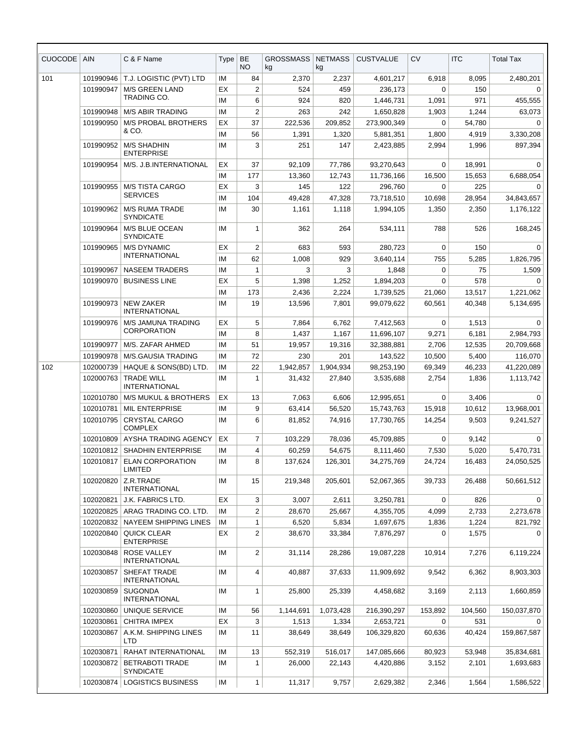| <b>CUOCODE</b> | <b>AIN</b> | C & F Name                                 | Type | <b>BE</b><br><b>NO</b> | <b>GROSSMASS</b><br>kg | <b>NETMASS</b><br>kg | <b>CUSTVALUE</b> | <b>CV</b>   | <b>ITC</b> | <b>Total Tax</b> |
|----------------|------------|--------------------------------------------|------|------------------------|------------------------|----------------------|------------------|-------------|------------|------------------|
| 101            | 101990946  | T.J. LOGISTIC (PVT) LTD                    | IM   | 84                     | 2,370                  | 2,237                | 4,601,217        | 6,918       | 8,095      | 2,480,201        |
|                | 101990947  | M/S GREEN LAND                             | EX   | 2                      | 524                    | 459                  | 236,173          | 0           | 150        | $\Omega$         |
|                |            | <b>TRADING CO.</b>                         | IM   | 6                      | 924                    | 820                  | 1,446,731        | 1,091       | 971        | 455,555          |
|                | 101990948  | <b>M/S ABIR TRADING</b>                    | IM   | 2                      | 263                    | 242                  | 1,650,828        | 1,903       | 1,244      | 63,073           |
|                | 101990950  | <b>M/S PROBAL BROTHERS</b>                 | EX   | 37                     | 222,536                | 209,852              | 273,900,349      | 0           | 54,780     | $\Omega$         |
|                |            | & CO.                                      | IM   | 56                     | 1,391                  | 1,320                | 5,881,351        | 1,800       | 4,919      | 3,330,208        |
|                | 101990952  | <b>M/S SHADHIN</b><br><b>ENTERPRISE</b>    | IM   | 3                      | 251                    | 147                  | 2,423,885        | 2,994       | 1,996      | 897,394          |
|                | 101990954  | M/S. J.B.INTERNATIONAL                     | ЕX   | 37                     | 92,109                 | 77,786               | 93,270,643       | 0           | 18,991     | $\Omega$         |
|                |            |                                            | IM   | 177                    | 13,360                 | 12,743               | 11,736,166       | 16,500      | 15,653     | 6,688,054        |
|                | 101990955  | <b>M/S TISTA CARGO</b>                     | EX   | 3                      | 145                    | 122                  | 296,760          | $\Omega$    | 225        | $\Omega$         |
|                |            | <b>SERVICES</b>                            | IM   | 104                    | 49,428                 | 47,328               | 73,718,510       | 10,698      | 28,954     | 34,843,657       |
|                | 101990962  | <b>M/S RUMA TRADE</b><br><b>SYNDICATE</b>  | IM   | 30                     | 1,161                  | 1,118                | 1,994,105        | 1,350       | 2,350      | 1,176,122        |
|                | 101990964  | M/S BLUE OCEAN<br><b>SYNDICATE</b>         | IM   | 1                      | 362                    | 264                  | 534,111          | 788         | 526        | 168,245          |
|                | 101990965  | <b>M/S DYNAMIC</b>                         | EX   | 2                      | 683                    | 593                  | 280,723          | 0           | 150        | 0                |
|                |            | <b>INTERNATIONAL</b>                       | IM   | 62                     | 1,008                  | 929                  | 3,640,114        | 755         | 5,285      | 1,826,795        |
|                | 101990967  | <b>NASEEM TRADERS</b>                      | IM   | 1                      | 3                      | 3                    | 1,848            | 0           | 75         | 1,509            |
|                | 101990970  | <b>BUSINESS LINE</b>                       | EX   | 5                      | 1,398                  | 1,252                | 1,894,203        | $\Omega$    | 578        | $\Omega$         |
|                |            |                                            | IM   | 173                    | 2,436                  | 2,224                | 1,739,525        | 21,060      | 13,517     | 1,221,062        |
|                | 101990973  | <b>NEW ZAKER</b><br><b>INTERNATIONAL</b>   | IM   | 19                     | 13,596                 | 7,801                | 99,079,622       | 60,561      | 40,348     | 5,134,695        |
|                | 101990976  | M/S JAMUNA TRADING                         | EX   | 5                      | 7,864                  | 6,762                | 7,412,563        | 0           | 1,513      | $\Omega$         |
|                |            | <b>CORPORATION</b>                         | IM   | 8                      | 1,437                  | 1,167                | 11,696,107       | 9,271       | 6,181      | 2,984,793        |
|                | 101990977  | M/S. ZAFAR AHMED                           | IM   | 51                     | 19,957                 | 19,316               | 32,388,881       | 2,706       | 12,535     | 20,709,668       |
|                | 101990978  | M/S.GAUSIA TRADING                         | IM   | 72                     | 230                    | 201                  | 143,522          | 10,500      | 5,400      | 116,070          |
| 102            | 102000739  | HAQUE & SONS(BD) LTD.                      | IM   | 22                     | 1,942,857              | 1,904,934            | 98,253,190       | 69,349      | 46,233     | 41,220,089       |
|                | 102000763  | <b>TRADE WILL</b><br><b>INTERNATIONAL</b>  | IM   | 1                      | 31,432                 | 27,840               | 3,535,688        | 2,754       | 1,836      | 1,113,742        |
|                | 102010780  | <b>M/S MUKUL &amp; BROTHERS</b>            | EX   | 13                     | 7,063                  | 6,606                | 12,995,651       | 0           | 3,406      | 0                |
|                | 102010781  | <b>MIL ENTERPRISE</b>                      | IM   | 9                      | 63,414                 | 56,520               | 15,743,763       | 15,918      | 10,612     | 13,968,001       |
|                | 102010795  | <b>CRYSTAL CARGO</b><br><b>COMPLEX</b>     | IM   | 6                      | 81,852                 | 74,916               | 17,730,765       | 14,254      | 9,503      | 9,241,527        |
|                |            | 102010809 AYSHA TRADING AGENCY             | EX   | 7                      | 103,229                | 78,036               | 45,709,885       | $\mathbf 0$ | 9,142      | $\mathbf{0}$     |
|                |            | 102010812 SHADHIN ENTERPRISE               | IM   | 4                      | 60,259                 | 54,675               | 8,111,460        | 7,530       | 5,020      | 5,470,731        |
|                | 102010817  | ELAN CORPORATION<br>LIMITED                | ΙM   | 8                      | 137,624                | 126,301              | 34,275,769       | 24,724      | 16,483     | 24,050,525       |
|                | 102020820  | Z.R.TRADE<br><b>INTERNATIONAL</b>          | IM   | 15                     | 219,348                | 205,601              | 52,067,365       | 39,733      | 26,488     | 50,661,512       |
|                | 102020821  | J.K. FABRICS LTD.                          | ЕX   | 3                      | 3,007                  | 2,611                | 3,250,781        | 0           | 826        | $\Omega$         |
|                | 102020825  | ARAG TRADING CO. LTD.                      | ΙM   | 2                      | 28,670                 | 25,667               | 4,355,705        | 4,099       | 2,733      | 2,273,678        |
|                | 102020832  | NAYEEM SHIPPING LINES                      | IM   | 1                      | 6,520                  | 5,834                | 1,697,675        | 1,836       | 1,224      | 821,792          |
|                | 102020840  | QUICK CLEAR<br><b>ENTERPRISE</b>           | ЕX   | 2                      | 38,670                 | 33,384               | 7,876,297        | 0           | 1,575      | 0                |
|                | 102030848  | <b>ROSE VALLEY</b><br><b>INTERNATIONAL</b> | IM   | 2                      | 31,114                 | 28,286               | 19,087,228       | 10,914      | 7,276      | 6,119,224        |
|                | 102030857  | SHEFAT TRADE<br><b>INTERNATIONAL</b>       | IM   | 4                      | 40,887                 | 37,633               | 11,909,692       | 9,542       | 6,362      | 8,903,303        |
|                | 102030859  | <b>SUGONDA</b><br><b>INTERNATIONAL</b>     | IM   | 1                      | 25,800                 | 25,339               | 4,458,682        | 3,169       | 2,113      | 1,660,859        |
|                | 102030860  | UNIQUE SERVICE                             | IM   | 56                     | 1,144,691              | 1,073,428            | 216,390,297      | 153,892     | 104,560    | 150,037,870      |
|                | 102030861  | <b>CHITRA IMPEX</b>                        | ЕX   | 3                      | 1,513                  | 1,334                | 2,653,721        | 0           | 531        | $\Omega$         |
|                | 102030867  | A.K.M. SHIPPING LINES<br>LTD               | IM   | 11                     | 38,649                 | 38,649               | 106,329,820      | 60,636      | 40,424     | 159,867,587      |
|                | 102030871  | RAHAT INTERNATIONAL                        | IM   | 13                     | 552,319                | 516,017              | 147,085,666      | 80,923      | 53,948     | 35,834,681       |
|                | 102030872  | <b>BETRABOTI TRADE</b><br><b>SYNDICATE</b> | IM   | 1                      | 26,000                 | 22,143               | 4,420,886        | 3,152       | 2,101      | 1,693,683        |
|                |            | 102030874   LOGISTICS BUSINESS             | IM   | 1                      | 11,317                 | 9,757                | 2,629,382        | 2,346       | 1,564      | 1,586,522        |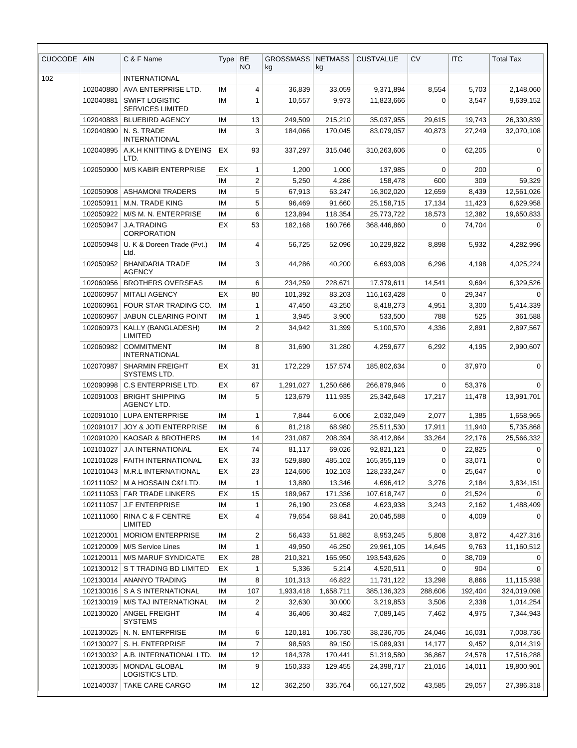| <b>CUOCODE</b> | <b>AIN</b> | C & F Name                                       | Type | <b>BE</b><br><b>NO</b> | <b>GROSSMASS</b><br>kg | <b>NETMASS</b><br>kg | <b>CUSTVALUE</b> | <b>CV</b> | <b>ITC</b> | <b>Total Tax</b> |
|----------------|------------|--------------------------------------------------|------|------------------------|------------------------|----------------------|------------------|-----------|------------|------------------|
| 102            |            | <b>INTERNATIONAL</b>                             |      |                        |                        |                      |                  |           |            |                  |
|                | 102040880  | AVA ENTERPRISE LTD.                              | ΙM   | 4                      | 36,839                 | 33,059               | 9,371,894        | 8,554     | 5,703      | 2,148,060        |
|                | 102040881  | <b>SWIFT LOGISTIC</b><br><b>SERVICES LIMITED</b> | ΙM   | 1                      | 10,557                 | 9,973                | 11,823,666       | 0         | 3,547      | 9,639,152        |
|                | 102040883  | <b>BLUEBIRD AGENCY</b>                           | ΙM   | 13                     | 249,509                | 215,210              | 35,037,955       | 29,615    | 19,743     | 26,330,839       |
|                | 102040890  | N. S. TRADE<br><b>INTERNATIONAL</b>              | ΙM   | 3                      | 184,066                | 170,045              | 83,079,057       | 40,873    | 27,249     | 32,070,108       |
|                | 102040895  | A.K.H KNITTING & DYEING<br>LTD.                  | EX   | 93                     | 337,297                | 315.046              | 310,263,606      | 0         | 62,205     | $\mathbf 0$      |
|                | 102050900  | <b>M/S KABIR ENTERPRISE</b>                      | ЕX   | 1                      | 1,200                  | 1,000                | 137,985          | 0         | 200        | 0                |
|                |            |                                                  | IM   | 2                      | 5,250                  | 4,286                | 158,478          | 600       | 309        | 59,329           |
|                | 102050908  | <b>ASHAMONI TRADERS</b>                          | ΙM   | 5                      | 67,913                 | 63,247               | 16,302,020       | 12,659    | 8,439      | 12,561,026       |
|                | 102050911  | M.N. TRADE KING                                  | ΙM   | 5                      | 96,469                 | 91,660               | 25,158,715       | 17,134    | 11,423     | 6,629,958        |
|                | 102050922  | M/S M. N. ENTERPRISE                             | ΙM   | 6                      | 123,894                | 118,354              | 25,773,722       | 18,573    | 12,382     | 19,650,833       |
|                | 102050947  | <b>J.A.TRADING</b><br><b>CORPORATION</b>         | EX   | 53                     | 182,168                | 160,766              | 368,446,860      | 0         | 74,704     | 0                |
|                | 102050948  | U. K & Doreen Trade (Pvt.)<br>Ltd.               | IM   | 4                      | 56,725                 | 52,096               | 10,229,822       | 8,898     | 5,932      | 4,282,996        |
|                | 102050952  | <b>BHANDARIA TRADE</b><br><b>AGENCY</b>          | IM   | 3                      | 44,286                 | 40,200               | 6,693,008        | 6,296     | 4,198      | 4,025,224        |
|                | 102060956  | <b>BROTHERS OVERSEAS</b>                         | IM   | 6                      | 234,259                | 228,671              | 17,379,611       | 14,541    | 9,694      | 6,329,526        |
|                | 102060957  | <b>MITALI AGENCY</b>                             | EX   | 80                     | 101,392                | 83,203               | 116,163,428      | 0         | 29,347     | 0                |
|                | 102060961  | FOUR STAR TRADING CO.                            | IM   | 1                      | 47,450                 | 43,250               | 8,418,273        | 4,951     | 3,300      | 5,414,339        |
|                | 102060967  | <b>JABUN CLEARING POINT</b>                      | ΙM   | 1                      | 3,945                  | 3,900                | 533,500          | 788       | 525        | 361,588          |
|                | 102060973  | KALLY (BANGLADESH)<br><b>LIMITED</b>             | IM   | $\overline{2}$         | 34,942                 | 31,399               | 5,100,570        | 4,336     | 2,891      | 2,897,567        |
|                | 102060982  | <b>COMMITMENT</b><br><b>INTERNATIONAL</b>        | IM   | 8                      | 31,690                 | 31,280               | 4,259,677        | 6,292     | 4,195      | 2,990,607        |
|                | 102070987  | <b>SHARMIN FREIGHT</b><br>SYSTEMS LTD.           | EX   | 31                     | 172,229                | 157,574              | 185,802,634      | 0         | 37,970     | $\Omega$         |
|                | 102090998  | C.S ENTERPRISE LTD.                              | ЕX   | 67                     | 1,291,027              | 1,250,686            | 266,879,946      | 0         | 53,376     | 0                |
|                | 102091003  | <b>BRIGHT SHIPPING</b><br>AGENCY LTD.            | IM   | 5                      | 123,679                | 111,935              | 25,342,648       | 17,217    | 11,478     | 13,991,701       |
|                | 102091010  | <b>LUPA ENTERPRISE</b>                           | IM   | 1                      | 7,844                  | 6,006                | 2,032,049        | 2,077     | 1,385      | 1,658,965        |
|                | 102091017  | <b>JOY &amp; JOTI ENTERPRISE</b>                 | ΙM   | 6                      | 81,218                 | 68,980               | 25,511,530       | 17,911    | 11,940     | 5,735,868        |
|                | 102091020  | <b>KAOSAR &amp; BROTHERS</b>                     | IM   | 14                     | 231,087                | 208,394              | 38,412,864       | 33,264    | 22,176     | 25,566,332       |
|                | 102101027  | <b>J.A INTERNATIONAL</b>                         | ЕX   | 74                     | 81,117                 | 69,026               | 92,821,121       | 0         | 22,825     | 0                |
|                | 102101028  | <b>FAITH INTERNATIONAL</b>                       | EX   | 33                     | 529,880                | 485,102              | 165,355,119      | 0         | 33,071     | 0                |
|                | 102101043  | M.R.L INTERNATIONAL                              | EX   | 23                     | 124,606                | 102,103              | 128,233,247      | 0         | 25,647     | $\Omega$         |
|                | 102111052  | M A HOSSAIN C&f LTD.                             | ΙM   | 1                      | 13,880                 | 13,346               | 4,696,412        | 3,276     | 2,184      | 3,834,151        |
|                | 102111053  | <b>FAR TRADE LINKERS</b>                         | EX   | 15                     | 189,967                | 171,336              | 107,618,747      | 0         | 21,524     | 0                |
|                | 102111057  | <b>J.F ENTERPRISE</b>                            | IM   | 1                      | 26,190                 | 23,058               | 4,623,938        | 3,243     | 2,162      | 1,488,409        |
|                | 102111060  | RINA C & F CENTRE<br>LIMITED                     | EX   | 4                      | 79,654                 | 68,841               | 20,045,588       | 0         | 4,009      | 0                |
|                | 102120001  | <b>MORIOM ENTERPRISE</b>                         | ΙM   | 2                      | 56,433                 | 51,882               | 8,953,245        | 5,808     | 3,872      | 4,427,316        |
|                | 102120009  | M/S Service Lines                                | ΙM   | 1                      | 49,950                 | 46,250               | 29,961,105       | 14,645    | 9,763      | 11,160,512       |
|                | 102120011  | <b>M/S MARUF SYNDICATE</b>                       | EX   | 28                     | 210,321                | 165,950              | 193,543,626      | 0         | 38,709     | 0                |
|                | 102130012  | S T TRADING BD LIMITED                           | EX   | 1                      | 5,336                  | 5,214                | 4,520,511        | 0         | 904        | $\Omega$         |
|                | 102130014  | ANANYO TRADING                                   | IM   | 8                      | 101,313                | 46,822               | 11,731,122       | 13,298    | 8,866      | 11,115,938       |
|                | 102130016  | S A S INTERNATIONAL                              | ΙM   | 107                    | 1,933,418              | 1,658,711            | 385,136,323      | 288,606   | 192,404    | 324,019,098      |
|                | 102130019  | M/S TAJ INTERNATIONAL                            | ΙM   | 2                      | 32,630                 | 30,000               | 3,219,853        | 3,506     | 2,338      | 1,014,254        |
|                | 102130020  | ANGEL FREIGHT<br><b>SYSTEMS</b>                  | ΙM   | 4                      | 36,406                 | 30,482               | 7,089,145        | 7,462     | 4,975      | 7,344,943        |
|                | 102130025  | N. N. ENTERPRISE                                 | IM   | 6                      | 120,181                | 106,730              | 38,236,705       | 24,046    | 16,031     | 7,008,736        |
|                | 102130027  | S. H. ENTERPRISE                                 | ΙM   | 7                      | 98,593                 | 89,150               | 15,089,931       | 14,177    | 9,452      | 9,014,319        |
|                | 102130032  | A.B. INTERNATIONAL LTD.                          | ΙM   | 12                     | 184,378                | 170,441              | 51,319,580       | 36,867    | 24,578     | 17,516,288       |
|                | 102130035  | MONDAL GLOBAL<br>LOGISTICS LTD.                  | ΙM   | 9                      | 150,333                | 129,455              | 24,398,717       | 21,016    | 14,011     | 19,800,901       |
|                | 102140037  | TAKE CARE CARGO                                  | ΙM   | 12                     | 362,250                | 335,764              | 66,127,502       | 43,585    | 29,057     | 27,386,318       |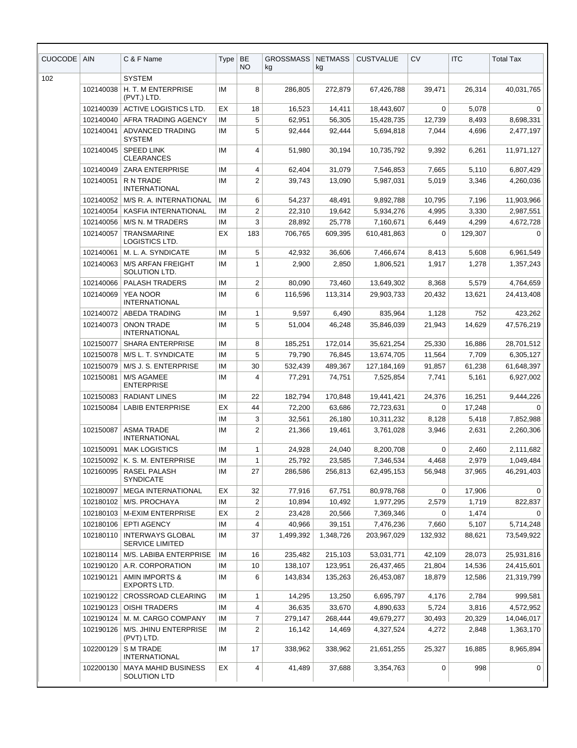| <b>CUOCODE</b> | <b>AIN</b>             | C & F Name                                    | Type     | BE<br><b>NO</b> | <b>GROSSMASS</b><br>kg | <b>NETMASS</b><br>kg | <b>CUSTVALUE</b>         | <b>CV</b>        | <b>ITC</b>       | <b>Total Tax</b>         |
|----------------|------------------------|-----------------------------------------------|----------|-----------------|------------------------|----------------------|--------------------------|------------------|------------------|--------------------------|
| 102            |                        | <b>SYSTEM</b>                                 |          |                 |                        |                      |                          |                  |                  |                          |
|                | 102140038              | H. T. M ENTERPRISE<br>(PVT.) LTD.             | IM       | 8               | 286,805                | 272,879              | 67,426,788               | 39,471           | 26,314           | 40,031,765               |
|                | 102140039              | <b>ACTIVE LOGISTICS LTD.</b>                  | ЕX       | 18              | 16,523                 | 14,411               | 18,443,607               | 0                | 5,078            | 0                        |
|                | 102140040              | AFRA TRADING AGENCY                           | IM       | 5               | 62,951                 | 56,305               | 15,428,735               | 12,739           | 8,493            | 8,698,331                |
|                | 102140041              | <b>ADVANCED TRADING</b><br><b>SYSTEM</b>      | IM       | 5               | 92,444                 | 92,444               | 5,694,818                | 7,044            | 4,696            | 2,477,197                |
|                | 102140045              | <b>SPEED LINK</b><br><b>CLEARANCES</b>        | IM       | 4               | 51,980                 | 30,194               | 10,735,792               | 9,392            | 6,261            | 11,971,127               |
|                | 102140049              | <b>ZARA ENTERPRISE</b>                        | IM       | 4               | 62,404                 | 31,079               | 7,546,853                | 7,665            | 5,110            | 6,807,429                |
|                | 102140051              | R N TRADE<br><b>INTERNATIONAL</b>             | IM       | $\overline{2}$  | 39,743                 | 13,090               | 5,987,031                | 5,019            | 3,346            | 4,260,036                |
|                | 102140052              | M/S R. A. INTERNATIONAL                       | IM       | 6               | 54,237                 | 48,491               | 9,892,788                | 10,795           | 7,196            | 11,903,966               |
|                | 102140054              | KASFIA INTERNATIONAL                          | IM       | $\overline{2}$  | 22,310                 | 19,642               | 5,934,276                | 4,995            | 3,330            | 2,987,551                |
|                | 102140056              | M/S N. M TRADERS                              | IM       | 3               | 28,892                 | 25,778               | 7,160,671                | 6,449            | 4,299            | 4,672,728                |
|                | 102140057              | TRANSMARINE<br><b>LOGISTICS LTD.</b>          | EX       | 183             | 706,765                | 609,395              | 610,481,863              | $\mathbf 0$      | 129,307          | $\mathbf 0$              |
|                | 102140061              | M. L. A. SYNDICATE                            | IM       | 5               | 42,932                 | 36,606               | 7,466,674                | 8,413            | 5,608            | 6,961,549                |
|                | 102140063              | <b>M/S ARFAN FREIGHT</b><br>SOLUTION LTD.     | IM       | $\mathbf{1}$    | 2,900                  | 2,850                | 1,806,521                | 1,917            | 1,278            | 1,357,243                |
|                | 102140066              | <b>PALASH TRADERS</b>                         | IM       | $\overline{2}$  | 80,090                 | 73,460               | 13,649,302               | 8,368            | 5,579            | 4,764,659                |
|                | 102140069              | <b>YEA NOOR</b><br><b>INTERNATIONAL</b>       | IM       | 6               | 116,596                | 113,314              | 29,903,733               | 20,432           | 13,621           | 24,413,408               |
|                | 102140072              | <b>ABEDA TRADING</b>                          | IM       | $\mathbf{1}$    | 9,597                  | 6,490                | 835,964                  | 1,128            | 752              | 423,262                  |
|                | 102140073              | <b>ONON TRADE</b><br><b>INTERNATIONAL</b>     | IM       | 5               | 51,004                 | 46,248               | 35,846,039               | 21,943           | 14,629           | 47,576,219               |
|                | 102150077              | <b>SHARA ENTERPRISE</b>                       | IM       | 8               | 185,251                | 172,014              | 35,621,254               | 25,330           | 16,886           | 28,701,512               |
|                | 102150078              | M/S L. T. SYNDICATE                           | IM       | 5               | 79,790                 | 76,845               | 13,674,705               | 11,564           | 7,709            | 6,305,127                |
|                | 102150079              | M/S J. S. ENTERPRISE                          | IM       | 30              | 532,439                | 489,367              | 127,184,169              | 91,857           | 61,238           | 61,648,397               |
|                | 102150081              | M/S AGAMEE<br><b>ENTERPRISE</b>               | IM       | $\overline{4}$  | 77,291                 | 74,751               | 7,525,854                | 7,741            | 5,161            | 6,927,002                |
|                | 102150083              | <b>RADIANT LINES</b>                          | IM       | 22              | 182,794                | 170.848              | 19,441,421               | 24,376           | 16,251           | 9.444.226                |
|                | 102150084              | <b>LABIB ENTERPRISE</b>                       | ЕX       | 44              | 72,200                 | 63,686               | 72,723,631               | $\mathbf 0$      | 17,248           | $\Omega$                 |
|                |                        |                                               | IM       | 3               | 32,561                 | 26,180               | 10,311,232               | 8,128            | 5,418            | 7,852,988                |
|                | 102150087              | <b>ASMA TRADE</b><br><b>INTERNATIONAL</b>     | IM       | $\overline{2}$  | 21,366                 | 19,461               | 3,761,028                | 3,946            | 2,631            | 2,260,306                |
|                | 102150091              | <b>MAK LOGISTICS</b>                          | IM       | 1               | 24,928                 | 24,040               | 8,200,708                | $\mathbf 0$      | 2,460            | 2,111,682                |
|                | 102150092              | K. S. M. ENTERPRISE                           | ΙM       | 1               | 25,792                 | 23,585               | 7,346,534                | 4,468            | 2,979            | 1,049,484                |
|                | 102160095              | <b>RASEL PALASH</b><br><b>SYNDICATE</b>       | IM       | 27              | 286,586                | 256,813              | 62,495,153               | 56,948           | 37,965           | 46,291,403               |
|                | 102180097              | <b>MEGA INTERNATIONAL</b>                     | ЕX       | 32              | 77,916                 | 67,751               | 80,978,768               | $\mathbf 0$      | 17,906           | 0                        |
|                | 102180102              | M/S. PROCHAYA                                 | ΙM       | $\overline{c}$  | 10,894                 | 10,492               | 1,977,295                | 2,579            | 1,719            | 822,837                  |
|                | 102180103              | <b>M-EXIM ENTERPRISE</b>                      | ЕX       | 2               | 23,428                 | 20,566               | 7,369,346                | 0                | 1,474            | 0                        |
|                | 102180106<br>102180110 | <b>EPTI AGENCY</b><br><b>INTERWAYS GLOBAL</b> | ΙM<br>ΙM | 4<br>37         | 40,966<br>1,499,392    | 39,151<br>1,348,726  | 7,476,236<br>203,967,029 | 7,660<br>132,932 | 5,107<br>88,621  | 5,714,248<br>73,549,922  |
|                | 102180114              | <b>SERVICE LIMITED</b>                        |          |                 |                        |                      |                          |                  |                  |                          |
|                |                        | M/S. LABIBA ENTERPRISE                        | ΙM       | 16              | 235,482                | 215,103              | 53,031,771               | 42,109           | 28,073           | 25,931,816               |
|                | 102190120<br>102190121 | A.R. CORPORATION<br><b>AMIN IMPORTS &amp;</b> | ΙM<br>ΙM | 10<br>6         | 138,107<br>143,834     | 123,951<br>135,263   | 26,437,465<br>26,453,087 | 21,804<br>18,879 | 14,536<br>12,586 | 24,415,601<br>21,319,799 |
|                |                        | <b>EXPORTS LTD.</b>                           |          |                 |                        |                      |                          |                  |                  |                          |
|                | 102190122              | CROSSROAD CLEARING                            | ΙM       | 1               | 14,295                 | 13,250               | 6,695,797                | 4,176            | 2,784            | 999,581                  |
|                | 102190123              | <b>OISHI TRADERS</b>                          | IM       | 4               | 36,635                 | 33,670               | 4,890,633                | 5,724            | 3,816            | 4,572,952                |
|                | 102190124              | M. M. CARGO COMPANY                           | ΙM       | $\overline{7}$  | 279,147                | 268,444              | 49,679,277               | 30,493           | 20,329           | 14,046,017               |
|                | 102190126              | M/S. JHINU ENTERPRISE<br>(PVT) LTD.           | ΙM       | $\overline{2}$  | 16,142                 | 14,469               | 4,327,524                | 4,272            | 2,848            | 1,363,170                |
|                | 102200129              | <b>SM TRADE</b><br><b>INTERNATIONAL</b>       | IM       | 17              | 338,962                | 338,962              | 21,651,255               | 25,327           | 16,885           | 8,965,894                |
|                | 102200130              | <b>MAYA MAHID BUSINESS</b><br>SOLUTION LTD    | ЕX       | 4               | 41,489                 | 37,688               | 3,354,763                | 0                | 998              | 0                        |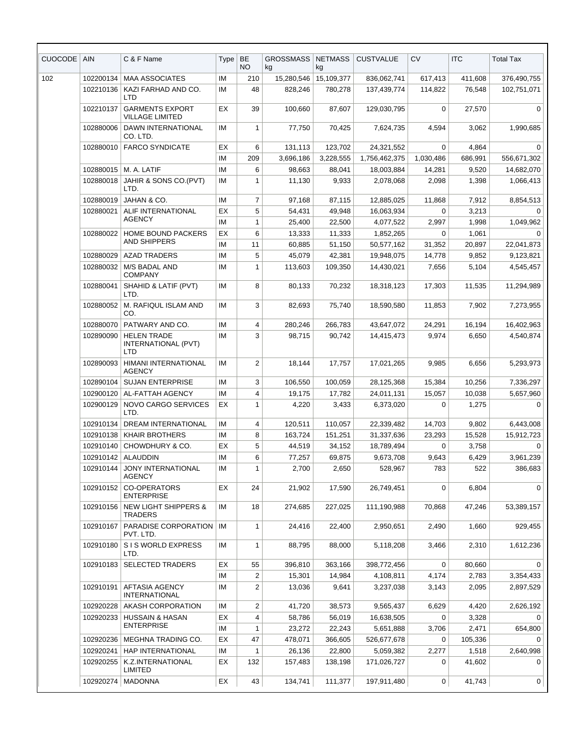| CUOCODE | <b>AIN</b> | C & F Name                                              | Type     | BE<br>NO       | <b>GROSSMASS</b><br>kg | <b>NETMASS</b><br>kg | <b>CUSTVALUE</b>         | <b>CV</b>            | <b>ITC</b>      | <b>Total Tax</b>      |
|---------|------------|---------------------------------------------------------|----------|----------------|------------------------|----------------------|--------------------------|----------------------|-----------------|-----------------------|
| 102     | 102200134  | <b>MAA ASSOCIATES</b>                                   | ΙM       | 210            | 15,280,546             | 15,109,377           | 836,062,741              | 617,413              | 411,608         | 376,490,755           |
|         | 102210136  | KAZI FARHAD AND CO.<br>LTD                              | ΙM       | 48             | 828,246                | 780,278              | 137,439,774              | 114,822              | 76,548          | 102,751,071           |
|         | 102210137  | <b>GARMENTS EXPORT</b><br>VILLAGE LIMITED               | EX       | 39             | 100,660                | 87,607               | 129,030,795              | $\mathbf 0$          | 27,570          | $\mathbf 0$           |
|         | 102880006  | DAWN INTERNATIONAL<br>CO. LTD.                          | IM       | $\mathbf{1}$   | 77,750                 | 70,425               | 7,624,735                | 4,594                | 3,062           | 1,990,685             |
|         | 102880010  | <b>FARCO SYNDICATE</b>                                  | EХ       | 6              | 131,113                | 123,702              | 24,321,552               | $\mathbf 0$          | 4,864           | $\mathbf 0$           |
|         |            |                                                         | ΙM       | 209            | 3,696,186              | 3,228,555            | 1,756,462,375            | 1,030,486            | 686,991         | 556,671,302           |
|         | 102880015  | M. A. LATIF                                             | IM       | 6              | 98,663                 | 88,041               | 18,003,884               | 14,281               | 9,520           | 14,682,070            |
|         | 102880018  | JAHIR & SONS CO.(PVT)<br>LTD.                           | ΙM       | 1              | 11,130                 | 9,933                | 2,078,068                | 2,098                | 1,398           | 1,066,413             |
|         | 102880019  | JAHAN & CO.                                             | IM       | $\overline{7}$ | 97,168                 | 87,115               | 12,885,025               | 11,868               | 7,912           | 8,854,513             |
|         | 102880021  | ALIF INTERNATIONAL<br>AGENCY                            | EX       | 5              | 54,431                 | 49,948               | 16,063,934               | $\Omega$             | 3,213           | $\Omega$              |
|         |            |                                                         | IM       | $\mathbf{1}$   | 25,400                 | 22,500               | 4,077,522                | 2,997                | 1,998           | 1,049,962             |
|         | 102880022  | HOME BOUND PACKERS<br>AND SHIPPERS                      | EХ       | 6              | 13,333                 | 11,333               | 1,852,265                | $\Omega$             | 1,061           | $\Omega$              |
|         |            |                                                         | ΙM       | 11             | 60,885                 | 51,150               | 50,577,162               | 31,352               | 20,897          | 22,041,873            |
|         | 102880029  | <b>AZAD TRADERS</b>                                     | IM       | 5              | 45,079                 | 42,381               | 19,948,075               | 14,778               | 9,852           | 9,123,821             |
|         | 102880032  | M/S BADAL AND<br><b>COMPANY</b>                         | ΙM       | 1              | 113,603                | 109,350              | 14,430,021               | 7,656                | 5,104           | 4,545,457             |
|         | 102880041  | SHAHID & LATIF (PVT)<br>LTD.                            | ΙM       | 8              | 80,133                 | 70,232               | 18,318,123               | 17,303               | 11,535          | 11,294,989            |
|         | 102880052  | M. RAFIQUL ISLAM AND<br>CO.                             | ΙM       | 3              | 82,693                 | 75,740               | 18,590,580               | 11,853               | 7,902           | 7,273,955             |
|         | 102880070  | PATWARY AND CO.                                         | IM       | 4              | 280,246                | 266,783              | 43,647,072               | 24,291               | 16,194          | 16,402,963            |
|         | 102890090  | <b>HELEN TRADE</b><br>INTERNATIONAL (PVT)<br><b>LTD</b> | ΙM       | 3              | 98,715                 | 90,742               | 14,415,473               | 9,974                | 6,650           | 4,540,874             |
|         | 102890093  | HIMANI INTERNATIONAL<br><b>AGENCY</b>                   | ΙM       | $\overline{2}$ | 18,144                 | 17,757               | 17,021,265               | 9,985                | 6,656           | 5,293,973             |
|         | 102890104  | <b>SUJAN ENTERPRISE</b>                                 | IM       | 3              | 106,550                | 100,059              | 28,125,368               | 15,384               | 10,256          | 7,336,297             |
|         | 102900120  | AL-FATTAH AGENCY                                        | ΙM       | 4              | 19,175                 | 17,782               | 24,011,131               | 15,057               | 10,038          | 5,657,960             |
|         | 102900129  | NOVO CARGO SERVICES<br>LTD.                             | EХ       | $\mathbf{1}$   | 4,220                  | 3,433                | 6,373,020                | $\mathbf 0$          | 1,275           | $\mathbf 0$           |
|         | 102910134  | <b>DREAM INTERNATIONAL</b>                              | ΙM       | 4              | 120,511                | 110,057              | 22,339,482               | 14,703               | 9,802           | 6,443,008             |
|         |            | 102910138   KHAIR BROTHERS                              | IM       | 8              | 163,724                | 151,251              | 31,337,636               | 23,293               | 15,528          | 15,912,723            |
|         | 102910140  | CHOWDHURY & CO.                                         | EХ       | 5              | 44,519                 | 34,152               | 18,789,494               | 0                    | 3,758           | 0                     |
|         | 102910142  | <b>ALAUDDIN</b>                                         | ΙM       | 6              | 77,257                 | 69,875               | 9,673,708                | 9,643                | 6,429           | 3,961,239             |
|         | 102910144  | <b>JONY INTERNATIONAL</b><br><b>AGENCY</b>              | ΙM       | 1              | 2,700                  | 2,650                | 528,967                  | 783                  | 522             | 386,683               |
|         | 102910152  | CO-OPERATORS<br><b>ENTERPRISE</b>                       | EX       | 24             | 21,902                 | 17,590               | 26,749,451               | 0                    | 6,804           | $\mathbf 0$           |
|         | 102910156  | <b>NEW LIGHT SHIPPERS &amp;</b><br><b>TRADERS</b>       | ΙM       | 18             | 274,685                | 227,025              | 111,190,988              | 70,868               | 47,246          | 53,389,157            |
|         | 102910167  | PARADISE CORPORATION<br>PVT. LTD.                       | ΙM       | 1              | 24,416                 | 22,400               | 2,950,651                | 2,490                | 1,660           | 929,455               |
|         | 102910180  | S I S WORLD EXPRESS<br>LTD.                             | ΙM       | $\mathbf{1}$   | 88,795                 | 88,000               | 5,118,208                | 3,466                | 2,310           | 1,612,236             |
|         | 102910183  | <b>SELECTED TRADERS</b>                                 | EХ<br>ΙM | 55<br>2        | 396,810<br>15,301      | 363,166<br>14,984    | 398,772,456<br>4,108,811 | $\mathbf 0$<br>4,174 | 80,660<br>2,783 | $\Omega$<br>3,354,433 |
|         | 102910191  | <b>AFTASIA AGENCY</b><br><b>INTERNATIONAL</b>           | ΙM       | $\overline{c}$ | 13,036                 | 9,641                | 3,237,038                | 3,143                | 2,095           | 2,897,529             |
|         | 102920228  | AKASH CORPORATION                                       | ΙM       | $\overline{2}$ | 41,720                 | 38,573               | 9,565,437                | 6,629                | 4,420           | 2,626,192             |
|         | 102920233  | <b>HUSSAIN &amp; HASAN</b>                              | EX       | 4              | 58,786                 | 56,019               | 16,638,505               | 0                    | 3,328           | 0                     |
|         |            | <b>ENTERPRISE</b>                                       | ΙM       | $\mathbf{1}$   | 23,272                 | 22,243               | 5,651,888                | 3,706                | 2,471           | 654,800               |
|         | 102920236  | MEGHNA TRADING CO.                                      | EХ       | 47             | 478,071                | 366,605              | 526,677,678              | 0                    | 105,336         | 0                     |
|         | 102920241  | HAP INTERNATIONAL                                       | ΙM       | 1              | 26,136                 | 22,800               | 5,059,382                | 2,277                | 1,518           | 2,640,998             |
|         | 102920255  | K.Z.INTERNATIONAL<br>LIMITED                            | EХ       | 132            | 157,483                | 138,198              | 171,026,727              | 0                    | 41,602          | 0                     |
|         | 102920274  | <b>MADONNA</b>                                          | EX       | 43             | 134,741                | 111,377              | 197,911,480              | 0                    | 41,743          | $\mathbf 0$           |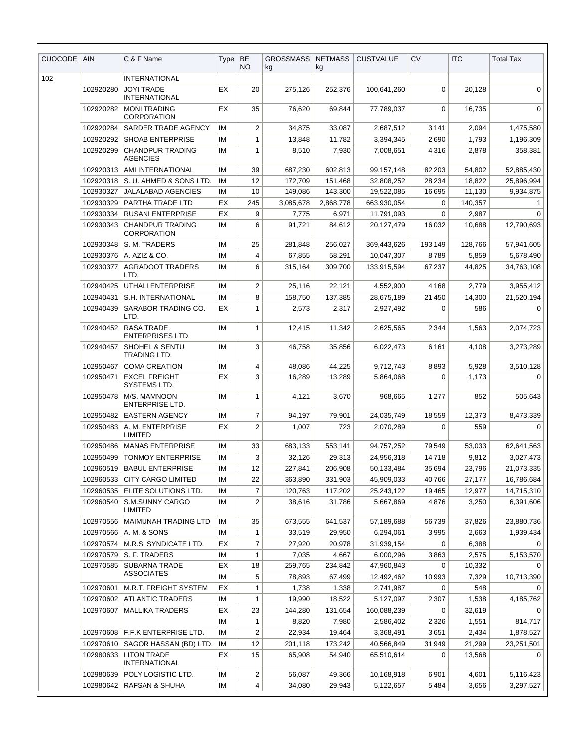| <b>CUOCODE</b> | <b>AIN</b> | C & F Name                                    | <b>Type</b> | BE<br><b>NO</b>         | <b>GROSSMASS</b><br>kg | <b>NETMASS</b><br>kg | <b>CUSTVALUE</b> | CV          | <b>ITC</b> | <b>Total Tax</b> |
|----------------|------------|-----------------------------------------------|-------------|-------------------------|------------------------|----------------------|------------------|-------------|------------|------------------|
| 102            |            | <b>INTERNATIONAL</b>                          |             |                         |                        |                      |                  |             |            |                  |
|                | 102920280  | <b>JOYI TRADE</b><br><b>INTERNATIONAL</b>     | EX          | 20                      | 275,126                | 252,376              | 100,641,260      | $\mathbf 0$ | 20,128     | $\mathbf{0}$     |
|                | 102920282  | <b>MONI TRADING</b><br><b>CORPORATION</b>     | EX          | 35                      | 76,620                 | 69,844               | 77,789,037       | $\Omega$    | 16,735     | $\mathbf 0$      |
|                | 102920284  | SARDER TRADE AGENCY                           | IM          | $\overline{c}$          | 34,875                 | 33,087               | 2,687,512        | 3,141       | 2,094      | 1,475,580        |
|                | 102920292  | <b>SHOAB ENTERPRISE</b>                       | IM          | $\mathbf{1}$            | 13,848                 | 11,782               | 3,394,345        | 2,690       | 1,793      | 1,196,309        |
|                | 102920299  | <b>CHANDPUR TRADING</b><br><b>AGENCIES</b>    | IM          | $\mathbf{1}$            | 8,510                  | 7,930                | 7,008,651        | 4,316       | 2,878      | 358,381          |
|                | 102920313  | AMI INTERNATIONAL                             | IM          | 39                      | 687,230                | 602,813              | 99,157,148       | 82,203      | 54,802     | 52,885,430       |
|                | 102920318  | S. U. AHMED & SONS LTD.                       | IM          | 12                      | 172,709                | 151,468              | 32,808,252       | 28,234      | 18,822     | 25,896,994       |
|                | 102930327  | <b>JALALABAD AGENCIES</b>                     | IM          | 10                      | 149,086                | 143,300              | 19,522,085       | 16,695      | 11,130     | 9,934,875        |
|                | 102930329  | PARTHA TRADE LTD                              | EX          | 245                     | 3,085,678              | 2,868,778            | 663,930,054      | 0           | 140,357    | 1                |
|                | 102930334  | <b>RUSANI ENTERPRISE</b>                      | EX          | 9                       | 7,775                  | 6,971                | 11,791,093       | $\mathbf 0$ | 2,987      | $\mathbf 0$      |
|                | 102930343  | <b>CHANDPUR TRADING</b><br><b>CORPORATION</b> | IM          | 6                       | 91,721                 | 84,612               | 20,127,479       | 16,032      | 10,688     | 12,790,693       |
|                | 102930348  | S. M. TRADERS                                 | IM          | 25                      | 281,848                | 256,027              | 369,443,626      | 193,149     | 128,766    | 57,941,605       |
|                | 102930376  | A. AZIZ & CO.                                 | IM          | 4                       | 67.855                 | 58,291               | 10,047,307       | 8,789       | 5,859      | 5,678,490        |
|                | 102930377  | <b>AGRADOOT TRADERS</b><br>LTD.               | IM          | 6                       | 315,164                | 309,700              | 133,915,594      | 67,237      | 44,825     | 34,763,108       |
|                | 102940425  | UTHALI ENTERPRISE                             | IM          | $\overline{2}$          | 25,116                 | 22,121               | 4,552,900        | 4,168       | 2,779      | 3,955,412        |
|                | 102940431  | S.H. INTERNATIONAL                            | IM          | 8                       | 158,750                | 137,385              | 28,675,189       | 21,450      | 14,300     | 21,520,194       |
|                | 102940439  | SARABOR TRADING CO.<br>LTD.                   | EX          | $\mathbf{1}$            | 2,573                  | 2,317                | 2,927,492        | 0           | 586        | 0                |
|                | 102940452  | <b>RASA TRADE</b><br><b>ENTERPRISES LTD.</b>  | IM          | 1                       | 12,415                 | 11,342               | 2,625,565        | 2,344       | 1,563      | 2,074,723        |
|                | 102940457  | SHOHEL & SENTU<br>TRADING LTD.                | IM          | 3                       | 46,758                 | 35,856               | 6,022,473        | 6,161       | 4,108      | 3,273,289        |
|                | 102950467  | <b>COMA CREATION</b>                          | IM          | 4                       | 48,086                 | 44,225               | 9,712,743        | 8,893       | 5,928      | 3,510,128        |
|                | 102950471  | <b>EXCEL FREIGHT</b><br>SYSTEMS LTD.          | EX          | 3                       | 16,289                 | 13,289               | 5,864,068        | $\Omega$    | 1,173      | $\Omega$         |
|                | 102950478  | M/S. MAMNOON<br><b>ENTERPRISE LTD.</b>        | IM          | $\mathbf{1}$            | 4,121                  | 3,670                | 968,665          | 1,277       | 852        | 505,643          |
|                | 102950482  | <b>EASTERN AGENCY</b>                         | ΙM          | 7                       | 94,197                 | 79,901               | 24,035,749       | 18,559      | 12,373     | 8,473,339        |
|                | 102950483  | A. M. ENTERPRISE<br>LIMITED                   | ЕX          | $\overline{2}$          | 1,007                  | 723                  | 2,070,289        | 0           | 559        | $\mathbf 0$      |
|                | 102950486  | <b>MANAS ENTERPRISE</b>                       | IM          | 33                      | 683,133                | 553,141              | 94,757,252       | 79,549      | 53,033     | 62,641,563       |
|                | 102950499  | <b>TONMOY ENTERPRISE</b>                      | ΙM          | 3                       | 32,126                 | 29,313               | 24,956,318       | 14,718      | 9,812      | 3,027,473        |
|                | 102960519  | <b>BABUL ENTERPRISE</b>                       | IM          | 12                      | 227,841                | 206,908              | 50,133,484       | 35,694      | 23,796     | 21,073,335       |
|                | 102960533  | <b>CITY CARGO LIMITED</b>                     | ΙM          | 22                      | 363,890                | 331,903              | 45,909,033       | 40,766      | 27,177     | 16,786,684       |
|                | 102960535  | ELITE SOLUTIONS LTD.                          | ΙM          | $\overline{7}$          | 120,763                | 117,202              | 25,243,122       | 19,465      | 12,977     | 14,715,310       |
|                | 102960540  | S.M.SUNNY CARGO<br>LIMITED                    | ΙM          | $\overline{2}$          | 38,616                 | 31,786               | 5,667,869        | 4,876       | 3,250      | 6,391,606        |
|                | 102970556  | MAIMUNAH TRADING LTD                          | IM          | 35                      | 673,555                | 641,537              | 57,189,688       | 56,739      | 37,826     | 23,880,736       |
|                | 102970566  | A. M. & SONS                                  | ΙM          | $\mathbf{1}$            | 33,519                 | 29,950               | 6,294,061        | 3,995       | 2,663      | 1,939,434        |
|                | 102970574  | M.R.S. SYNDICATE LTD.                         | EX          | 7                       | 27,920                 | 20,978               | 31,939,154       | $\mathbf 0$ | 6,388      | $\Omega$         |
|                | 102970579  | S. F. TRADERS                                 | ΙM          | 1                       | 7,035                  | 4,667                | 6,000,296        | 3,863       | 2,575      | 5,153,570        |
|                | 102970585  | <b>SUBARNA TRADE</b>                          | ЕX          | 18                      | 259,765                | 234,842              | 47,960,843       | 0           | 10,332     | 0                |
|                |            | <b>ASSOCIATES</b>                             | ΙM          | 5                       | 78,893                 | 67,499               | 12,492,462       | 10,993      | 7,329      | 10,713,390       |
|                | 102970601  | M.R.T. FREIGHT SYSTEM                         | EX          | 1                       | 1,738                  | 1,338                | 2,741,987        | 0           | 548        | 0                |
|                | 102970602  | <b>ATLANTIC TRADERS</b>                       | ΙM          | 1                       | 19,990                 | 18,522               | 5,127,097        | 2,307       | 1,538      | 4,185,762        |
|                | 102970607  | <b>MALLIKA TRADERS</b>                        | EX          | 23                      | 144,280                | 131,654              | 160,088,239      | 0           | 32,619     | $\Omega$         |
|                |            |                                               | ΙM          | $\mathbf{1}$            | 8,820                  | 7,980                | 2,586,402        | 2,326       | 1,551      | 814,717          |
|                | 102970608  | F.F.K ENTERPRISE LTD.                         | ΙM          | $\overline{c}$          | 22,934                 | 19,464               | 3,368,491        | 3,651       | 2,434      | 1,878,527        |
|                | 102970610  | SAGOR HASSAN (BD) LTD.                        | ΙM          | 12                      | 201,118                | 173,242              | 40,566,849       | 31,949      | 21,299     | 23,251,501       |
|                | 102980633  | <b>LITON TRADE</b><br><b>INTERNATIONAL</b>    | EX          | 15                      | 65,908                 | 54,940               | 65,510,614       | 0           | 13,568     | $\Omega$         |
|                | 102980639  | POLY LOGISTIC LTD.                            | IM          | $\overline{\mathbf{c}}$ | 56,087                 | 49,366               | 10,168,918       | 6,901       | 4,601      | 5,116,423        |
|                | 102980642  | RAFSAN & SHUHA                                | IM          | 4                       | 34,080                 | 29,943               | 5,122,657        | 5,484       | 3,656      | 3,297,527        |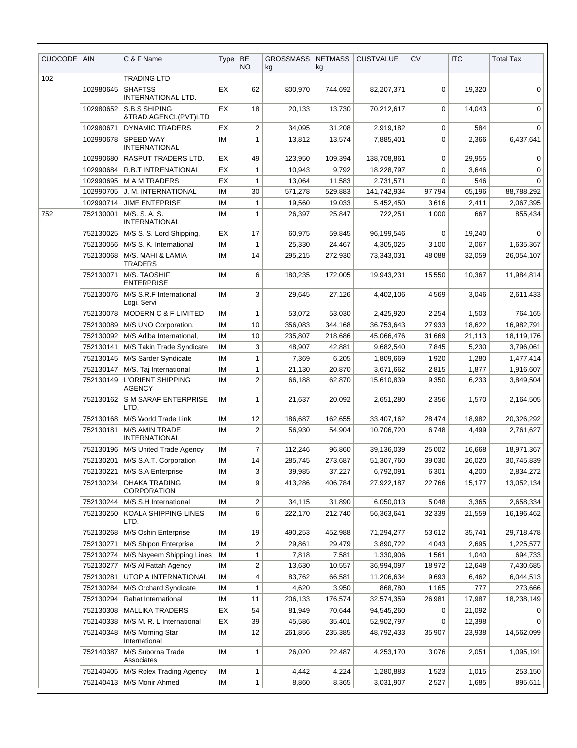| <b>CUOCODE</b> | <b>AIN</b> | C & F Name                                    | <b>Type</b> | BE<br><b>NO</b> | <b>GROSSMASS</b><br>kg | <b>NETMASS</b><br>kg | <b>CUSTVALUE</b> | <b>CV</b>   | <b>ITC</b> | <b>Total Tax</b> |
|----------------|------------|-----------------------------------------------|-------------|-----------------|------------------------|----------------------|------------------|-------------|------------|------------------|
| 102            |            | <b>TRADING LTD</b>                            |             |                 |                        |                      |                  |             |            |                  |
|                | 102980645  | <b>SHAFTSS</b><br><b>INTERNATIONAL LTD.</b>   | EX          | 62              | 800,970                | 744,692              | 82,207,371       | $\mathbf 0$ | 19,320     | $\mathbf 0$      |
|                | 102980652  | S.B.S SHIPING<br>&TRAD.AGENCI.(PVT)LTD        | <b>EX</b>   | 18              | 20,133                 | 13,730               | 70,212,617       | 0           | 14,043     | $\mathbf{0}$     |
|                | 102980671  | <b>DYNAMIC TRADERS</b>                        | ЕX          | 2               | 34,095                 | 31,208               | 2,919,182        | 0           | 584        | 0                |
|                | 102990678  | SPEED WAY<br><b>INTERNATIONAL</b>             | ΙM          | 1               | 13,812                 | 13,574               | 7,885,401        | 0           | 2,366      | 6,437,641        |
|                | 102990680  | <b>RASPUT TRADERS LTD.</b>                    | EX          | 49              | 123,950                | 109,394              | 138,708,861      | 0           | 29,955     | 0                |
|                | 102990684  | R.B.T INTRENATIONAL                           | EX          | $\mathbf{1}$    | 10,943                 | 9,792                | 18,228,797       | $\mathbf 0$ | 3,646      | 0                |
|                | 102990695  | <b>MAM TRADERS</b>                            | EX          | $\mathbf{1}$    | 13,064                 | 11,583               | 2,731,571        | 0           | 546        | $\Omega$         |
|                | 102990705  | J. M. INTERNATIONAL                           | IM          | 30              | 571,278                | 529,883              | 141,742,934      | 97,794      | 65,196     | 88,788,292       |
|                | 102990714  | <b>JIME ENTEPRISE</b>                         | IM          | $\mathbf{1}$    | 19,560                 | 19,033               | 5,452,450        | 3,616       | 2,411      | 2,067,395        |
| 752            | 752130001  | M/S. S. A. S.<br><b>INTERNATIONAL</b>         | IM          | $\mathbf{1}$    | 26,397                 | 25,847               | 722,251          | 1,000       | 667        | 855,434          |
|                | 752130025  | M/S S. S. Lord Shipping,                      | EX          | 17              | 60,975                 | 59,845               | 96,199,546       | $\Omega$    | 19,240     | $\Omega$         |
|                | 752130056  | M/S S. K. International                       | ΙM          | 1               | 25,330                 | 24,467               | 4,305,025        | 3,100       | 2,067      | 1,635,367        |
|                | 752130068  | M/S. MAHI & LAMIA<br><b>TRADERS</b>           | IM          | 14              | 295,215                | 272,930              | 73,343,031       | 48,088      | 32,059     | 26,054,107       |
|                | 752130071  | M/S. TAOSHIF<br><b>ENTERPRISE</b>             | IM          | 6               | 180,235                | 172,005              | 19,943,231       | 15,550      | 10,367     | 11,984,814       |
|                | 752130076  | M/S S.R.F International<br>Logi. Servi        | ΙM          | 3               | 29,645                 | 27,126               | 4,402,106        | 4,569       | 3,046      | 2,611,433        |
|                | 752130078  | MODERN C & F LIMITED                          | IM          | 1               | 53,072                 | 53,030               | 2,425,920        | 2,254       | 1,503      | 764,165          |
|                | 752130089  | M/S UNO Corporation,                          | IМ          | 10              | 356,083                | 344,168              | 36,753,643       | 27,933      | 18,622     | 16,982,791       |
|                | 752130092  | M/S Adiba International,                      | IM          | 10              | 235,807                | 218,686              | 45,066,476       | 31,669      | 21,113     | 18,119,176       |
|                | 752130141  | M/S Takin Trade Syndicate                     | IM          | 3               | 48,907                 | 42,881               | 9,682,540        | 7,845       | 5,230      | 3,796,061        |
|                | 752130145  | M/S Sarder Syndicate                          | IM          | $\mathbf{1}$    | 7,369                  | 6,205                | 1,809,669        | 1,920       | 1,280      | 1,477,414        |
|                | 752130147  | M/S. Taj International                        | IM          | $\mathbf{1}$    | 21,130                 | 20,870               | 3,671,662        | 2,815       | 1,877      | 1,916,607        |
|                | 752130149  | L'ORIENT SHIPPING<br><b>AGENCY</b>            | ΙM          | 2               | 66,188                 | 62,870               | 15,610,839       | 9,350       | 6,233      | 3,849,504        |
|                | 752130162  | S M SARAF ENTERPRISE<br>LTD.                  | ΙM          | 1               | 21,637                 | 20,092               | 2,651,280        | 2,356       | 1,570      | 2,164,505        |
|                | 752130168  | M/S World Trade Link                          | IM          | 12              | 186,687                | 162,655              | 33,407,162       | 28,474      | 18,982     | 20,326,292       |
|                | 752130181  | <b>M/S AMIN TRADE</b><br><b>INTERNATIONAL</b> | IM          | $\overline{2}$  | 56,930                 | 54,904               | 10,706,720       | 6,748       | 4,499      | 2,761,627        |
|                | 752130196  | M/S United Trade Agency                       | IM          | $\overline{7}$  | 112,246                | 96,860               | 39,136,039       | 25,002      | 16,668     | 18,971,367       |
|                | 752130201  | M/S S.A.T. Corporation                        | IM          | 14              | 285,745                | 273,687              | 51,307,760       | 39,030      | 26,020     | 30,745,839       |
|                | 752130221  | M/S S.A Enterprise                            | IM          | 3               | 39,985                 | 37,227               | 6,792,091        | 6,301       | 4,200      | 2,834,272        |
|                | 752130234  | <b>DHAKA TRADING</b><br><b>CORPORATION</b>    | IМ          | 9               | 413,286                | 406,784              | 27,922,187       | 22,766      | 15,177     | 13,052,134       |
|                | 752130244  | M/S S.H International                         | ΙM          | 2               | 34,115                 | 31,890               | 6,050,013        | 5,048       | 3,365      | 2,658,334        |
|                | 752130250  | KOALA SHIPPING LINES<br>LTD.                  | ΙM          | 6               | 222,170                | 212,740              | 56,363,641       | 32,339      | 21,559     | 16,196,462       |
|                | 752130268  | M/S Oshin Enterprise                          | IM          | 19              | 490,253                | 452,988              | 71,294,277       | 53,612      | 35,741     | 29,718,478       |
|                | 752130271  | M/S Shipon Enterprise                         | IM          | 2               | 29,861                 | 29,479               | 3,890,722        | 4,043       | 2,695      | 1,225,577        |
|                | 752130274  | M/S Nayeem Shipping Lines                     | IМ          | $\mathbf{1}$    | 7,818                  | 7,581                | 1,330,906        | 1,561       | 1,040      | 694,733          |
|                | 752130277  | M/S AI Fattah Agency                          | IM          | 2               | 13,630                 | 10,557               | 36,994,097       | 18,972      | 12,648     | 7,430,685        |
|                | 752130281  | UTOPIA INTERNATIONAL                          | IM          | 4               | 83,762                 | 66,581               | 11,206,634       | 9,693       | 6,462      | 6,044,513        |
|                | 752130284  | M/S Orchard Syndicate                         | IМ          | $\mathbf{1}$    | 4,620                  | 3,950                | 868,780          | 1,165       | 777        | 273,666          |
|                | 752130294  | Rahat International                           | IМ          | 11              | 206,133                | 176,574              | 32,574,359       | 26,981      | 17,987     | 18,238,149       |
|                | 752130308  | <b>MALLIKA TRADERS</b>                        | EX          | 54              | 81,949                 | 70,644               | 94,545,260       | 0           | 21,092     | 0                |
|                | 752140338  | M/S M. R. L International                     | EX          | 39              | 45,586                 | 35,401               | 52,902,797       | 0           | 12,398     | $\Omega$         |
|                | 752140348  | M/S Morning Star                              | IM          | 12              | 261,856                | 235,385              | 48,792,433       | 35,907      | 23,938     | 14,562,099       |
|                |            | International                                 |             |                 |                        |                      |                  |             |            |                  |
|                | 752140387  | M/S Suborna Trade<br>Associates               | ΙM          | 1               | 26,020                 | 22,487               | 4,253,170        | 3,076       | 2,051      | 1,095,191        |
|                | 752140405  | M/S Rolex Trading Agency                      | IM          | 1               | 4,442                  | 4,224                | 1,280,883        | 1,523       | 1,015      | 253,150          |
|                |            | 752140413   M/S Monir Ahmed                   | IM          | $\mathbf{1}$    | 8,860                  | 8,365                | 3,031,907        | 2,527       | 1,685      | 895,611          |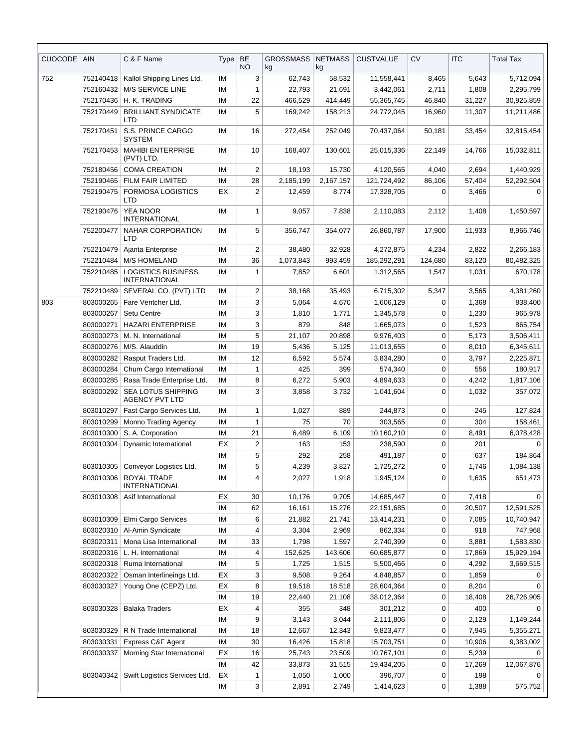| <b>CUOCODE</b> | <b>AIN</b> | C & F Name                                         | Type     | <b>BE</b><br><b>NO</b> | <b>GROSSMASS</b><br>kg | <b>NETMASS</b><br>kg | <b>CUSTVALUE</b>         | <b>CV</b>      | <b>ITC</b>      | <b>Total Tax</b>         |
|----------------|------------|----------------------------------------------------|----------|------------------------|------------------------|----------------------|--------------------------|----------------|-----------------|--------------------------|
| 752            | 752140418  | Kallol Shipping Lines Ltd.                         | IM       | 3                      | 62.743                 | 58,532               | 11,558,441               | 8,465          | 5,643           | 5,712,094                |
|                | 752160432  | M/S SERVICE LINE                                   | IM       | $\mathbf{1}$           | 22,793                 | 21,691               | 3,442,061                | 2,711          | 1,808           | 2,295,799                |
|                | 752170436  | H. K. TRADING                                      | IM       | 22                     | 466,529                | 414,449              | 55,365,745               | 46,840         | 31,227          | 30,925,859               |
|                | 752170449  | <b>BRILLIANT SYNDICATE</b><br>LTD                  | ΙM       | 5                      | 169,242                | 158,213              | 24,772,045               | 16,960         | 11,307          | 11,211,486               |
|                | 752170451  | S.S. PRINCE CARGO<br><b>SYSTEM</b>                 | ΙM       | 16                     | 272,454                | 252,049              | 70,437,064               | 50,181         | 33,454          | 32,815,454               |
|                | 752170453  | <b>MAHIBI ENTERPRISE</b><br>(PVT) LTD.             | IM       | 10                     | 168,407                | 130,601              | 25,015,336               | 22,149         | 14,766          | 15,032,811               |
|                | 752180456  | <b>COMA CREATION</b>                               | IM       | 2                      | 18,193                 | 15,730               | 4,120,565                | 4,040          | 2,694           | 1,440,929                |
|                | 752190465  | FILM FAIR LIMITED                                  | IM       | 28                     | 2,185,199              | 2,167,157            | 121,724,492              | 86,106         | 57,404          | 52,292,504               |
|                | 752190475  | FORMOSA LOGISTICS<br>LTD                           | EX       | $\overline{2}$         | 12,459                 | 8,774                | 17,328,705               | $\Omega$       | 3,466           | $\Omega$                 |
|                | 752190476  | <b>YEA NOOR</b><br><b>INTERNATIONAL</b>            | IM       | 1                      | 9,057                  | 7,838                | 2,110,083                | 2,112          | 1,408           | 1,450,597                |
|                | 752200477  | NAHAR CORPORATION<br>LTD                           | ΙM       | 5                      | 356,747                | 354,077              | 26,860,787               | 17,900         | 11,933          | 8,966,746                |
|                | 752210479  | Ajanta Enterprise                                  | IM       | 2                      | 38,480                 | 32,928               | 4,272,875                | 4,234          | 2,822           | 2,266,183                |
|                | 752210484  | <b>M/S HOMELAND</b>                                | IM       | 36                     | 1,073,843              | 993,459              | 185,292,291              | 124,680        | 83,120          | 80,482,325               |
|                | 752210485  | <b>LOGISTICS BUSINESS</b><br><b>INTERNATIONAL</b>  | IM       | $\mathbf{1}$           | 7,852                  | 6,601                | 1,312,565                | 1,547          | 1,031           | 670,178                  |
|                | 752210489  | SEVERAL CO. (PVT) LTD                              | IM       | $\boldsymbol{2}$       | 38.168                 | 35,493               | 6,715,302                | 5,347          | 3,565           | 4,381,260                |
| 803            | 803000265  | Fare Ventcher Ltd.                                 | IM       | 3                      | 5,064                  | 4,670                | 1,606,129                | 0              | 1,368           | 838,400                  |
|                | 803000267  | Setu Centre                                        | IM       | 3                      | 1,810                  | 1,771                | 1,345,578                | 0              | 1,230           | 965,978                  |
|                | 803000271  | <b>HAZARI ENTERPRISE</b>                           | IМ       | 3                      | 879                    | 848                  | 1,665,073                | 0              | 1,523           | 865,754                  |
|                | 803000273  | M. N. International                                | IM       | 5                      | 21,107                 | 20,898               | 9,976,403                | 0              | 5,173           | 3,506,411                |
|                | 803000276  | M/S. Alauddin                                      | IM       | 19                     | 5,436                  | 5,125                | 11,013,655               | 0              | 8,010           | 6,345,611                |
|                | 803000282  | Rasput Traders Ltd.                                | IM       | 12                     | 6,592                  | 5,574                | 3,834,280                | 0              | 3,797           | 2,225,871                |
|                | 803000284  | Chum Cargo International                           | ΙM       | 1                      | 425                    | 399                  | 574,340                  | 0              | 556             | 180,917                  |
|                | 803000285  | Rasa Trade Enterprise Ltd.                         | IM       | 8                      | 6,272                  | 5,903                | 4,894,633                | 0              | 4,242           | 1,817,106                |
|                | 803000292  | <b>SEA LOTUS SHIPPING</b><br><b>AGENCY PVT LTD</b> | IM       | 3                      | 3,858                  | 3,732                | 1,041,604                | $\mathbf 0$    | 1,032           | 357,072                  |
|                | 803010297  | Fast Cargo Services Ltd.                           | ΙM       | 1                      | 1,027                  | 889                  | 244,873                  | 0              | 245             | 127,824                  |
|                | 803010299  | Monno Trading Agency                               | IМ       | 1                      | 75                     | 70                   | 303,565                  | 0              | 304             | 158,461                  |
|                | 803010300  | S. A. Corporation                                  | IM       | 21                     | 6,489                  | 6,109                | 10,160,210               | 0              | 8,491           | 6,078,428                |
|                | 803010304  | Dynamic International                              | EX       | $\overline{2}$         | 163                    | 153                  | 238,590                  | 0              | 201             | 0                        |
|                |            |                                                    | IМ       | 5                      | 292                    | 258                  | 491,187                  | 0              | 637             | 184,864                  |
|                | 803010305  | Conveyor Logistics Ltd.                            | IM       | 5                      | 4,239                  | 3,827                | 1,725,272                | 0              | 1,746           | 1,084,138                |
|                | 803010306  | ROYAL TRADE<br>INTERNATIONAL                       | ΙM       | 4                      | 2,027                  | 1,918                | 1,945,124                | 0              | 1,635           | 651,473                  |
|                | 803010308  | Asif International                                 | EX<br>IM | 30                     | 10,176                 | 9,705                | 14,685,447               | 0              | 7,418           | 0                        |
|                | 803010309  | Elmi Cargo Services                                | IМ       | 62<br>6                | 16,161<br>21,882       | 15,276<br>21,741     | 22,151,685<br>13,414,231 | $\pmb{0}$<br>0 | 20,507<br>7,085 | 12,591,525<br>10,740,947 |
|                | 803020310  | Al-Amin Syndicate                                  | IМ       | 4                      | 3,304                  | 2,969                | 862,334                  | 0              | 918             | 747,968                  |
|                | 803020311  | Mona Lisa International                            | IM       | 33                     | 1,798                  | 1,597                | 2,740,399                | 0              | 3,881           | 1,583,830                |
|                | 803020316  | L. H. International                                | IM       | 4                      | 152,625                | 143,606              | 60,685,877               | 0              | 17,869          | 15,929,194               |
|                | 803020318  | Ruma International                                 | IМ       | 5                      | 1,725                  | 1,515                | 5,500,466                | 0              | 4,292           | 3,669,515                |
|                | 803020322  | Osman Interlineings Ltd.                           | EX       | 3                      | 9,508                  | 9,264                | 4,848,857                | 0              | 1,859           | 0                        |
|                | 803030327  | Young One (CEPZ) Ltd.                              | EX       | 8                      | 19,518                 | 18,518               | 28,604,364               | 0              | 8,204           | $\Omega$                 |
|                |            |                                                    | IМ       | 19                     | 22,440                 | 21,108               | 38,012,364               | 0              | 18,408          | 26,726,905               |
|                | 803030328  | <b>Balaka Traders</b>                              | ЕX       | 4                      | 355                    | 348                  | 301,212                  | 0              | 400             | 0                        |
|                |            |                                                    | IM       | 9                      | 3,143                  | 3,044                | 2,111,806                | 0              | 2,129           | 1,149,244                |
|                | 803030329  | R N Trade International                            | IM       | 18                     | 12,667                 | 12,343               | 9,823,477                | 0              | 7,945           | 5,355,271                |
|                | 803030331  | Express C&F Agent                                  | IM       | 30                     | 16,426                 | 15,818               | 15,703,751               | 0              | 10,906          | 9,383,002                |
|                | 803030337  | Morning Star International                         | EX       | 16                     | 25,743                 | 23,509               | 10,767,101               | 0              | 5,239           | $\Omega$                 |
|                |            |                                                    | IM       | 42                     | 33,873                 | 31,515               | 19,434,205               | 0              | 17,269          | 12,067,876               |
|                | 803040342  | Swift Logistics Services Ltd.                      | EX       | 1                      | 1,050                  | 1,000                | 396,707                  | 0              | 198             |                          |
|                |            |                                                    | IM       | 3                      | 2,891                  | 2,749                | 1,414,623                | 0              | 1,388           | 575,752                  |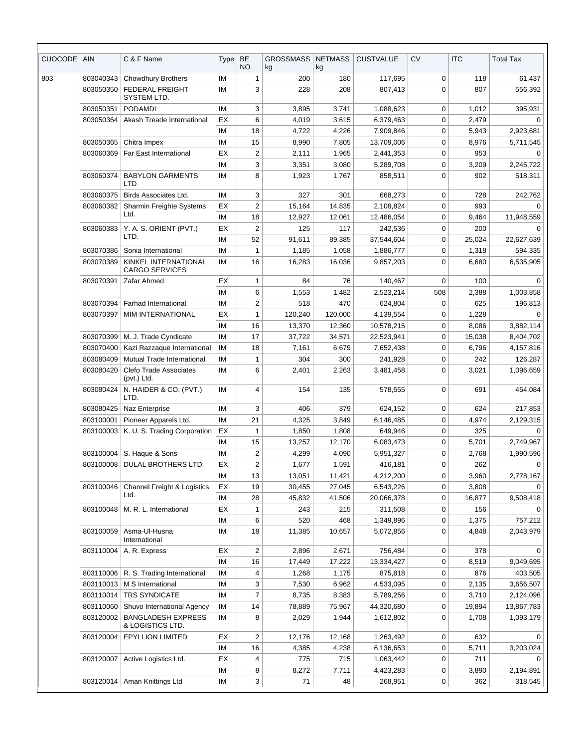| <b>CUOCODE</b> | <b>AIN</b> | C & F Name                                    | Type      | BE<br><b>NO</b>         | <b>GROSSMASS</b><br>kg | <b>NETMASS</b><br>kg | <b>CUSTVALUE</b>       | <b>CV</b>   | <b>ITC</b>     | <b>Total Tax</b>        |
|----------------|------------|-----------------------------------------------|-----------|-------------------------|------------------------|----------------------|------------------------|-------------|----------------|-------------------------|
| 803            | 803040343  | <b>Chowdhury Brothers</b>                     | <b>IM</b> | $\mathbf{1}$            | 200                    | 180                  | 117,695                | 0           | 118            | 61,437                  |
|                | 803050350  | FEDERAL FREIGHT<br>SYSTEM LTD.                | IM        | 3                       | 228                    | 208                  | 807,413                | $\mathbf 0$ | 807            | 556,392                 |
|                | 803050351  | PODAMDI                                       | <b>IM</b> | 3                       | 3,895                  | 3,741                | 1,088,623              | $\mathbf 0$ | 1,012          | 395,931                 |
|                | 803050364  | Akash Treade International                    | EX        | 6                       | 4,019                  | 3,615                | 6,379,463              | $\mathbf 0$ | 2,479          | 0                       |
|                |            |                                               | IM        | 18                      | 4,722                  | 4,226                | 7,909,846              | 0           | 5,943          | 2,923,681               |
|                | 803050365  | Chitra Impex                                  | <b>IM</b> | 15                      | 8,990                  | 7,805                | 13,709,006             | 0           | 8,976          | 5,711,545               |
|                | 803060369  | Far East International                        | EX        | $\overline{c}$          | 2,111                  | 1,965                | 2,441,353              | 0           | 953            | $\Omega$                |
|                |            |                                               | IM        | 3                       | 3,351                  | 3,080                | 5,289,708              | 0           | 3,209          | 2,245,722               |
|                | 803060374  | <b>BABYLON GARMENTS</b><br>LTD                | IM        | 8                       | 1,923                  | 1,767                | 858,511                | $\mathbf 0$ | 902            | 518,311                 |
|                | 803060375  | Birds Associates Ltd.                         | <b>IM</b> | 3                       | 327                    | 301                  | 668,273                | 0           | 728            | 242,762                 |
|                | 803060382  | Sharmin Freighte Systems                      | ЕX        | 2                       | 15,164                 | 14,835               | 2,108,824              | 0           | 993            | $\Omega$                |
|                |            | Ltd.                                          | IM        | 18                      | 12,927                 | 12,061               | 12,486,054             | $\mathbf 0$ | 9,464          | 11,948,559              |
|                | 803060383  | Y. A. S. ORIENT (PVT.)                        | EX        | $\overline{2}$          | 125                    | 117                  | 242,536                | 0           | 200            | $\Omega$                |
|                |            | LTD.                                          | <b>IM</b> | 52                      | 91,611                 | 89,385               | 37,544,604             | $\mathbf 0$ | 25,024         | 22,627,639              |
|                | 803070386  | Sonia International                           | <b>IM</b> | 1                       | 1,185                  | 1,058                | 1,886,777              | $\mathbf 0$ | 1,318          | 594,335                 |
|                | 803070389  | KINKEL INTERNATIONAL<br><b>CARGO SERVICES</b> | IM        | 16                      | 16,283                 | 16,036               | 9,857,203              | $\mathbf 0$ | 6,680          | 6,535,905               |
|                | 803070391  | Zafar Ahmed                                   | EX        | $\mathbf{1}$            | 84                     | 76                   | 140.467                | $\mathbf 0$ | 100            | $\Omega$                |
|                |            |                                               | IM        | 6                       | 1,553                  | 1,482                | 2,523,214              | 508         | 2,388          | 1,003,858               |
|                | 803070394  | Farhad International                          | IM        | $\overline{c}$          | 518                    | 470                  | 624,804                | 0           | 625            | 196,813                 |
|                | 803070397  | <b>MIM INTERNATIONAL</b>                      | ЕX        | $\mathbf{1}$            | 120,240                | 120,000              | 4,139,554              | 0           | 1,228          | $\Omega$                |
|                |            |                                               | <b>IM</b> | 16                      | 13,370                 | 12,360               | 10,578,215             | 0           | 8,086          | 3,882,114               |
|                | 803070399  | M. J. Trade Cyndicate                         | IM        | 17                      | 37,722                 | 34,571               | 22,523,941             | 0           | 15,038         | 8,404,702               |
|                | 803070400  | Kazi Razzaque International                   | ΙM        | 18                      | 7,161                  | 6,679                | 7,652,438              | $\mathbf 0$ | 6,796          | 4,157,816               |
|                | 803080409  | Mutual Trade International                    | IM        | 1                       | 304                    | 300                  | 241,928                | 0           | 242            | 126,287                 |
|                | 803080420  | <b>Clefo Trade Associates</b><br>(pvt.) Ltd.  | <b>IM</b> | 6                       | 2,401                  | 2,263                | 3,481,458              | $\mathbf 0$ | 3,021          | 1,096,659               |
|                | 803080424  | N. HAIDER & CO. (PVT.)<br>LTD.                | IM        | 4                       | 154                    | 135                  | 578,555                | $\mathbf 0$ | 691            | 454,084                 |
|                | 803080425  | Naz Enterprise                                | <b>IM</b> | 3                       | 406                    | 379                  | 624,152                | 0           | 624            | 217,853                 |
|                | 803100001  | Pioneer Apparels Ltd.                         | IM        | 21                      | 4,325                  | 3,849                | 6,146,485              | 0           | 4,974          | 2,129,315               |
|                | 803100003  | K. U. S. Trading Corporation                  | ЕX        | 1                       | 1,850                  | 1,808                | 649,946                | $\mathbf 0$ | 325            | 0                       |
|                |            |                                               | IМ        | 15                      | 13,257                 | 12,170               | 6,083,473              | 0           | 5,701          | 2,749,967               |
|                | 803100004  | S. Haque & Sons                               | IM        | $\overline{2}$          | 4,299                  | 4,090                | 5,951,327              | $\mathbf 0$ | 2,768          | 1,990,596               |
|                | 803100008  | DULAL BROTHERS LTD.                           | EX        | $\overline{c}$          | 1,677                  | 1,591                | 416,181                | 0           | 262            | $\Omega$                |
|                |            |                                               | ΙM        | 13                      | 13,051                 | 11,421               | 4,212,200              | 0           | 3,960          | 2,778,167               |
|                | 803100046  | Channel Freight & Logistics<br>Ltd.           | ЕX        | 19                      | 30,455                 | 27,045               | 6,543,226              | 0           | 3,808          | $\Omega$                |
|                |            |                                               | IM        | 28                      | 45,832                 | 41,506               | 20,066,378             | 0           | 16,877         | 9,508,418               |
|                | 803100048  | M. R. L. International                        | EX        | 1                       | 243                    | 215                  | 311,508                | 0           | 156            | $\Omega$                |
|                | 803100059  | Asma-Ul-Husna<br>International                | ΙM<br>ΙM  | 6<br>18                 | 520<br>11,385          | 468<br>10,657        | 1,349,896<br>5,072,856 | 0<br>0      | 1,375<br>4,848 | 757,212<br>2,043,979    |
|                | 803110004  |                                               |           |                         |                        |                      |                        |             |                |                         |
|                |            | A. R. Express                                 | ЕX        | $\overline{\mathbf{c}}$ | 2,896                  | 2,671                | 756,484                | 0           | 378            | $\mathbf 0$             |
|                | 803110006  | R. S. Trading International                   | ΙM<br>IM  | 16                      | 17,449                 | 17,222               | 13,334,427             | 0           | 8,519<br>876   | 9,049,695<br>403,505    |
|                | 803110013  | M S International                             | ΙM        | 4<br>3                  | 1,268<br>7,530         | 1,175<br>6,962       | 875,818<br>4,533,095   | 0<br>0      | 2,135          | 3,656,507               |
|                | 803110014  | TRS SYNDICATE                                 | ΙM        | $\overline{7}$          | 8,735                  | 8,383                | 5,789,256              | 0           | 3,710          |                         |
|                | 803110060  | Shuvo International Agency                    | ΙM        | 14                      | 78,889                 | 75,967               | 44,320,680             | 0           | 19,894         | 2,124,096<br>13,867,783 |
|                | 803120002  | <b>BANGLADESH EXPRESS</b>                     | ΙM        | 8                       | 2,029                  | 1,944                | 1,612,802              | 0           | 1,708          | 1,093,179               |
|                | 803120004  | & LOGISTICS LTD.<br><b>EPYLLION LIMITED</b>   | EX        | $\overline{c}$          | 12,176                 | 12,168               | 1,263,492              | 0           | 632            | 0                       |
|                |            |                                               | IM        | 16                      | 4,385                  | 4,238                | 6,136,653              | 0           | 5,711          | 3,203,024               |
|                | 803120007  | Active Logistics Ltd.                         | EX        | 4                       | 775                    | 715                  | 1,063,442              | 0           | 711            | $\Omega$                |
|                |            |                                               | ΙM        | 8                       | 8,272                  | 7,711                | 4,423,283              | 0           | 3,890          | 2,194,891               |
|                | 803120014  | Aman Knittings Ltd                            | IM        | 3                       | 71                     | 48                   | 268,951                | 0           | 362            | 318,545                 |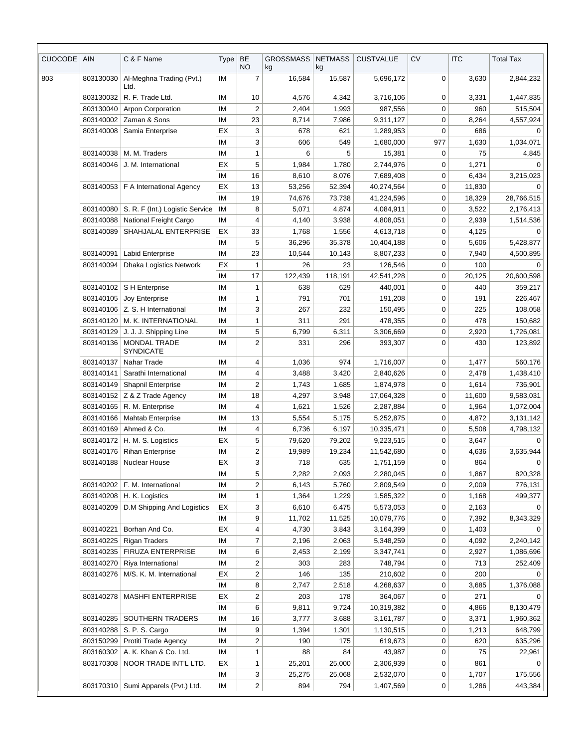| <b>CUOCODE</b> | <b>AIN</b> | C & F Name                            | Type      | BE<br><b>NO</b>         | <b>GROSSMASS</b><br>kg | <b>NETMASS</b><br>kg | <b>CUSTVALUE</b> | <b>CV</b>   | <b>ITC</b> | <b>Total Tax</b> |
|----------------|------------|---------------------------------------|-----------|-------------------------|------------------------|----------------------|------------------|-------------|------------|------------------|
| 803            | 803130030  | Al-Meghna Trading (Pvt.)<br>Ltd.      | ΙM        | $\overline{7}$          | 16,584                 | 15,587               | 5,696,172        | 0           | 3,630      | 2,844,232        |
|                | 803130032  | R. F. Trade Ltd.                      | IM        | 10                      | 4,576                  | 4,342                | 3,716,106        | 0           | 3,331      | 1,447,835        |
|                | 803130040  | <b>Arpon Corporation</b>              | <b>IM</b> | $\overline{2}$          | 2,404                  | 1,993                | 987,556          | 0           | 960        | 515,504          |
|                | 803140002  | Zaman & Sons                          | ΙM        | 23                      | 8,714                  | 7,986                | 9,311,127        | 0           | 8,264      | 4,557,924        |
|                | 803140008  | Samia Enterprise                      | ЕX        | 3                       | 678                    | 621                  | 1,289,953        | 0           | 686        | 0                |
|                |            |                                       | IM        | 3                       | 606                    | 549                  | 1,680,000        | 977         | 1,630      | 1,034,071        |
|                | 803140038  | M. M. Traders                         | IM        | $\mathbf{1}$            | 6                      | 5                    | 15,381           | 0           | 75         | 4,845            |
|                | 803140046  | J. M. International                   | EX        | 5                       | 1,984                  | 1,780                | 2,744,976        | 0           | 1,271      | $\Omega$         |
|                |            |                                       | IM        | 16                      | 8,610                  | 8,076                | 7,689,408        | $\mathbf 0$ | 6,434      | 3,215,023        |
|                | 803140053  | F A International Agency              | EX        | 13                      | 53,256                 | 52,394               | 40,274,564       | $\mathbf 0$ | 11,830     | $\Omega$         |
|                |            |                                       | IM        | 19                      | 74,676                 | 73,738               | 41,224,596       | 0           | 18,329     | 28,766,515       |
|                | 803140080  | S. R. F (Int.) Logistic Service       | IM        | 8                       | 5,071                  | 4,874                | 4,084,911        | 0           | 3,522      | 2,176,413        |
|                | 803140088  | National Freight Cargo                | IM        | $\overline{4}$          | 4,140                  | 3,938                | 4,808,051        | 0           | 2,939      | 1,514,536        |
|                | 803140089  | SHAHJALAL ENTERPRISE                  | EX        | 33                      | 1,768                  | 1,556                | 4,613,718        | 0           | 4,125      |                  |
|                |            |                                       | ΙM        | 5                       | 36,296                 | 35,378               | 10,404,188       | 0           | 5,606      | 5,428,877        |
|                | 803140091  | <b>Labid Enterprise</b>               | IM        | 23                      | 10,544                 | 10,143               | 8,807,233        | 0           | 7,940      | 4,500,895        |
|                | 803140094  | <b>Dhaka Logistics Network</b>        | EX        | $\mathbf{1}$            | 26                     | 23                   | 126,546          | 0           | 100        | $\Omega$         |
|                |            |                                       | IM        | 17                      | 122,439                | 118,191              | 42,541,228       | $\mathbf 0$ | 20,125     | 20,600,598       |
|                |            | 803140102   S H Enterprise            | IM        | $\mathbf{1}$            | 638                    | 629                  | 440,001          | 0           | 440        | 359,217          |
|                | 803140105  | Joy Enterprise                        | ΙM        | $\mathbf{1}$            | 791                    | 701                  | 191,208          | 0           | 191        | 226,467          |
|                | 803140106  | Z. S. H International                 | ΙM        | 3                       | 267                    | 232                  | 150,495          | 0           | 225        | 108,058          |
|                | 803140120  | M. K. INTERNATIONAL                   | IM        | 1                       | 311                    | 291                  | 478,355          | 0           | 478        | 150,682          |
|                | 803140129  | J. J. J. Shipping Line                | IM        | 5                       | 6,799                  | 6,311                | 3,306,669        | 0           | 2,920      | 1,726,081        |
|                | 803140136  | MONDAL TRADE<br><b>SYNDICATE</b>      | ΙM        | $\overline{c}$          | 331                    | 296                  | 393,307          | 0           | 430        | 123,892          |
|                | 803140137  | Nahar Trade                           | <b>IM</b> | 4                       | 1,036                  | 974                  | 1,716,007        | 0           | 1,477      | 560,176          |
|                | 803140141  | Sarathi International                 | IM        | 4                       | 3,488                  | 3,420                | 2,840,626        | 0           | 2,478      | 1,438,410        |
|                | 803140149  | <b>Shapnil Enterprise</b>             | IM        | $\overline{c}$          | 1,743                  | 1,685                | 1,874,978        | 0           | 1,614      | 736,901          |
|                |            | 803140152   Z & Z Trade Agency        | IM        | 18                      | 4,297                  | 3,948                | 17,064,328       | 0           | 11,600     | 9,583,031        |
|                | 803140165  | R. M. Enterprise                      | IM        | $\overline{4}$          | 1,621                  | 1,526                | 2,287,884        | 0           | 1,964      | 1,072,004        |
|                | 803140166  | Mahtab Enterprise                     | IM        | 13                      | 5,554                  | 5,175                | 5,252,875        | 0           | 4,872      | 3,131,142        |
|                |            | 803140169   Ahmed & Co.               | ΙM        | 4                       | 6,736                  | 6,197                | 10,335,471       | 0           | 5,508      | 4,798,132        |
|                |            | 803140172   H. M. S. Logistics        | EX        | 5                       | 79,620                 | 79,202               | 9,223,515        | $\pmb{0}$   | 3,647      | $\overline{0}$   |
|                | 803140176  | <b>Rihan Enterprise</b>               | ΙM        | 2                       | 19,989                 | 19,234               | 11,542,680       | 0           | 4,636      | 3,635,944        |
|                | 803140188  | Nuclear House                         | EX        | 3                       | 718                    | 635                  | 1,751,159        | 0           | 864        |                  |
|                |            |                                       | ΙM        | 5                       | 2,282                  | 2,093                | 2,280,045        | 0           | 1,867      | 820,328          |
|                | 803140202  | F. M. International                   | IM        | $\overline{c}$          | 6,143                  | 5,760                | 2,809,549        | 0           | 2,009      | 776,131          |
|                | 803140208  | H. K. Logistics                       | IM        | 1                       | 1,364                  | 1,229                | 1,585,322        | 0           | 1,168      | 499,377          |
|                | 803140209  | D.M Shipping And Logistics            | EX        | 3                       | 6,610                  | 6,475                | 5,573,053        | 0           | 2,163      |                  |
|                |            |                                       | ΙM        | 9                       | 11,702                 | 11,525               | 10,079,776       | 0           | 7,392      | 8,343,329        |
|                | 803140221  | Borhan And Co.                        | EX        | 4                       | 4,730                  | 3,843                | 3,164,399        | 0           | 1,403      |                  |
|                | 803140225  | <b>Rigan Traders</b>                  | ΙM        | $\overline{7}$          | 2,196                  | 2,063                | 5,348,259        | 0           | 4,092      | 2,240,142        |
|                | 803140235  | <b>FIRUZA ENTERPRISE</b>              | IM        | 6                       | 2,453                  | 2,199                | 3,347,741        | 0           | 2,927      | 1,086,696        |
|                | 803140270  | Riya International                    | IM        | $\overline{2}$          | 303                    | 283                  | 748,794          | 0           | 713        | 252,409          |
|                | 803140276  | M/S. K. M. International              | EX        | 2                       | 146                    | 135                  | 210,602          | 0           | 200        |                  |
|                |            |                                       | ΙM        | 8                       | 2,747                  | 2,518                | 4,268,637        | 0           | 3,685      | 1,376,088        |
|                | 803140278  | <b>MASHFI ENTERPRISE</b>              | EX        | $\overline{c}$          | 203                    | 178                  | 364,067          | 0           | 271        |                  |
|                |            |                                       | ΙM        | 6                       | 9,811                  | 9,724                | 10,319,382       | 0           | 4,866      | 8,130,479        |
|                |            | 803140285   SOUTHERN TRADERS          | IM        | 16                      | 3,777                  | 3,688                | 3,161,787        | 0           | 3,371      | 1,960,362        |
|                | 803140288  | S. P. S. Cargo                        | ΙM        | 9                       | 1,394                  | 1,301                | 1,130,515        | 0           | 1,213      | 648,799          |
|                | 803150299  | Protiti Trade Agency                  | IM        | 2                       | 190                    | 175                  | 619,673          | 0           | 620        | 635,296          |
|                |            | 803160302   A. K. Khan & Co. Ltd.     | IM        | $\mathbf{1}$            | 88                     | 84                   | 43,987           | 0           | 75         | 22,961           |
|                | 803170308  | NOOR TRADE INT'L LTD.                 | EX        | $\mathbf{1}$            | 25,201                 | 25,000               | 2,306,939        | 0           | 861        | $\Omega$         |
|                |            |                                       | ΙM        | 3                       | 25,275                 | 25,068               | 2,532,070        | 0           | 1,707      | 175,556          |
|                |            | 803170310   Sumi Apparels (Pvt.) Ltd. | IM        | $\overline{\mathbf{c}}$ | 894                    | 794                  | 1,407,569        | 0           | 1,286      | 443,384          |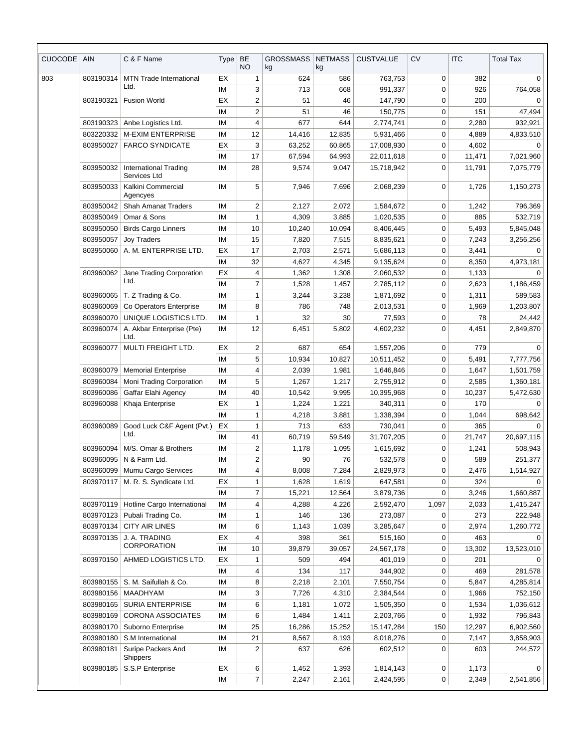| <b>CUOCODE</b> | AIN                    | C & F Name                                   | Type      | <b>BE</b><br><b>NO</b>  | <b>GROSSMASS</b><br>kg | <b>NETMASS</b><br>kg | <b>CUSTVALUE</b>        | <b>CV</b>   | <b>ITC</b>      | <b>Total Tax</b>       |
|----------------|------------------------|----------------------------------------------|-----------|-------------------------|------------------------|----------------------|-------------------------|-------------|-----------------|------------------------|
| 803            | 803190314              | <b>MTN Trade International</b>               | EX        | $\mathbf{1}$            | 624                    | 586                  | 763,753                 | 0           | 382             | 0                      |
|                |                        | Ltd.                                         | <b>IM</b> | 3                       | 713                    | 668                  | 991,337                 | 0           | 926             | 764,058                |
|                | 803190321              | <b>Fusion World</b>                          | EX        | $\overline{2}$          | 51                     | 46                   | 147,790                 | 0           | 200             | $\Omega$               |
|                |                        |                                              | IM        | $\overline{2}$          | 51                     | 46                   | 150,775                 | 0           | 151             | 47,494                 |
|                | 803190323              | Anbe Logistics Ltd.                          | IM        | 4                       | 677                    | 644                  | 2,774,741               | 0           | 2,280           | 932,921                |
|                | 803220332              | <b>M-EXIM ENTERPRISE</b>                     | IM        | 12                      | 14,416                 | 12,835               | 5,931,466               | 0           | 4,889           | 4,833,510              |
|                | 803950027              | <b>FARCO SYNDICATE</b>                       | EX        | 3                       | 63,252                 | 60,865               | 17,008,930              | $\mathbf 0$ | 4,602           | $\Omega$               |
|                |                        |                                              | ΙM        | 17                      | 67,594                 | 64,993               | 22,011,618              | 0           | 11,471          | 7,021,960              |
|                | 803950032              | <b>International Trading</b><br>Services Ltd | IM        | 28                      | 9,574                  | 9,047                | 15,718,942              | $\mathbf 0$ | 11,791          | 7,075,779              |
|                | 803950033              | Kalkini Commercial<br>Agencyes               | IM        | 5                       | 7,946                  | 7,696                | 2,068,239               | 0           | 1,726           | 1,150,273              |
|                | 803950042              | <b>Shah Amanat Traders</b>                   | IM        | $\overline{c}$          | 2,127                  | 2,072                | 1,584,672               | 0           | 1,242           | 796,369                |
|                | 803950049              | Omar & Sons                                  | IM        | $\mathbf{1}$            | 4,309                  | 3,885                | 1,020,535               | 0           | 885             | 532,719                |
|                | 803950050              | <b>Birds Cargo Linners</b>                   | IM        | 10                      | 10,240                 | 10,094               | 8,406,445               | 0           | 5,493           | 5,845,048              |
|                | 803950057              | <b>Joy Traders</b>                           | IM        | 15                      | 7,820                  | 7,515                | 8,835,621               | 0           | 7,243           | 3,256,256              |
|                | 803950060              | A. M. ENTERPRISE LTD.                        | ЕX        | 17                      | 2,703                  | 2,571                | 5,686,113               | 0           | 3,441           |                        |
|                |                        |                                              | IM        | 32                      | 4,627                  | 4,345                | 9,135,624               | 0           | 8,350           | 4,973,181              |
|                | 803960062              | Jane Trading Corporation<br>Ltd.             | ЕX        | 4                       | 1,362                  | 1,308                | 2,060,532               | 0           | 1,133           | $\Omega$               |
|                |                        |                                              | IM        | $\overline{7}$          | 1,528                  | 1,457                | 2,785,112               | $\mathbf 0$ | 2,623           | 1,186,459              |
|                | 803960065              | T. Z Trading & Co.                           | IM        | $\mathbf{1}$            | 3,244                  | 3,238                | 1,871,692               | 0           | 1,311           | 589,583                |
|                | 803960069              | Co Operators Enterprise                      | ΙM        | 8                       | 786                    | 748                  | 2,013,531               | $\mathbf 0$ | 1,969           | 1,203,807              |
|                | 803960070              | UNIQUE LOGISTICS LTD.                        | ΙM        | 1                       | 32                     | 30                   | 77,593                  | 0           | 78              | 24,442                 |
|                | 803960074              | A. Akbar Enterprise (Pte)<br>Ltd.            | <b>IM</b> | 12                      | 6,451                  | 5,802                | 4,602,232               | $\mathbf 0$ | 4,451           | 2,849,870              |
|                | 803960077              | MULTI FREIGHT LTD.                           | EX        | $\overline{2}$          | 687                    | 654                  | 1,557,206               | 0           | 779             | $\Omega$               |
|                |                        |                                              | IM        | 5                       | 10,934                 | 10,827               | 10,511,452              | 0           | 5,491           | 7,777,756              |
|                | 803960079              | <b>Memorial Enterprise</b>                   | IM        | $\overline{4}$          | 2,039                  | 1,981                | 1,646,846               | 0           | 1,647           | 1,501,759              |
|                | 803960084              | Moni Trading Corporation                     | IM        | 5                       | 1,267                  | 1,217                | 2,755,912               | 0           | 2,585           | 1,360,181              |
|                | 803960086              | Gaffar Elahi Agency                          | IM        | 40                      | 10,542                 | 9,995                | 10,395,968              | $\mathbf 0$ | 10,237          | 5,472,630              |
|                | 803960088              | Khaja Enterprise                             | EX        | $\mathbf{1}$            | 1,224                  | 1,221                | 340,311                 | 0           | 170             | 0                      |
|                |                        |                                              | IM        | $\mathbf{1}$            | 4,218                  | 3,881                | 1,338,394               | 0           | 1,044           | 698,642                |
|                | 803960089              | Good Luck C&F Agent (Pvt.)<br>Ltd.           | EX        | $\mathbf{1}$            | 713                    | 633                  | 730,041                 | $\mathbf 0$ | 365             | 0                      |
|                |                        |                                              | ΙM        | 41                      | 60,719                 | 59,549               | 31,707,205              | $\mathbf 0$ | 21,747          | 20,697,115             |
|                | 803960094              | M/S. Omar & Brothers                         | IM        | $\overline{c}$          | 1,178                  | 1,095                | 1,615,692               | 0           | 1,241           | 508,943                |
|                | 803960095              | N & Farm Ltd.                                | IM        | $\overline{c}$          | 90                     | 76                   | 532,578                 | 0           | 589             | 251,377                |
|                | 803960099              | Mumu Cargo Services                          | IM        | 4                       | 8,008                  | 7,284                | 2,829,973               | 0           | 2,476           | 1,514,927              |
|                | 803970117              | M. R. S. Syndicate Ltd.                      | EX        | $\mathbf{1}$            | 1,628                  | 1,619                | 647,581                 | 0           | 324             | $\Omega$<br>1,660,887  |
|                |                        |                                              | ΙM        | $\boldsymbol{7}$        | 15,221                 | 12,564               | 3,879,736               | 0           | 3,246           |                        |
|                | 803970119              | Hotline Cargo International                  | ΙM<br>IM  | 4                       | 4,288                  | 4,226                | 2,592,470               | 1,097       | 2,033           | 1,415,247              |
|                | 803970123<br>803970134 | Pubali Trading Co.<br><b>CITY AIR LINES</b>  | IM        | 1                       | 146<br>1,143           | 136                  | 273,087                 | 0<br>0      | 273             | 222,948                |
|                | 803970135              | J. A. TRADING                                | EX        | 6<br>4                  | 398                    | 1,039<br>361         | 3,285,647               | 0           | 2,974<br>463    | 1,260,772<br>0         |
|                |                        | <b>CORPORATION</b>                           | IM        | 10                      | 39,879                 | 39,057               | 515,160<br>24,567,178   | 0           | 13,302          | 13,523,010             |
|                | 803970150              | AHMED LOGISTICS LTD.                         | EX        | $\mathbf{1}$            | 509                    | 494                  | 401,019                 | 0           | 201             | $\Omega$               |
|                |                        |                                              | ΙM        | $\overline{\mathbf{4}}$ | 134                    | 117                  | 344,902                 | 0           | 469             | 281,578                |
|                | 803980155              | S. M. Saifullah & Co.                        | IM        | 8                       | 2,218                  | 2,101                | 7,550,754               | 0           | 5,847           | 4,285,814              |
|                | 803980156              | MAADHYAM                                     | ΙM        | 3                       | 7,726                  | 4,310                | 2,384,544               | 0           | 1,966           | 752,150                |
|                | 803980165              | SURIA ENTERPRISE                             | ΙM        | 6                       | 1,181                  | 1,072                | 1,505,350               | 0           | 1,534           | 1,036,612              |
|                | 803980169              | <b>CORONA ASSOCIATES</b>                     | IM        | 6                       | 1,484                  | 1,411                | 2,203,766               | 0           | 1,932           | 796,843                |
|                | 803980170              | Suborno Enterprise                           | IM        | 25                      |                        |                      |                         | 150         |                 |                        |
|                | 803980180              | S.M International                            | IM        | 21                      | 16,286<br>8,567        | 15,252<br>8,193      | 15,147,284<br>8,018,276 | 0           | 12,297<br>7,147 | 6,902,560<br>3,858,903 |
|                | 803980181              | Suripe Packers And                           | ΙM        | $\overline{2}$          | 637                    | 626                  | 602,512                 | 0           | 603             | 244,572                |
|                | 803980185              | <b>Shippers</b><br>S.S.P Enterprise          | EX        |                         | 1,452                  |                      |                         | 0           | 1,173           | 0                      |
|                |                        |                                              | IM        | 6<br>$\overline{7}$     | 2,247                  | 1,393<br>2,161       | 1,814,143<br>2,424,595  | $\mathbf 0$ | 2,349           | 2,541,856              |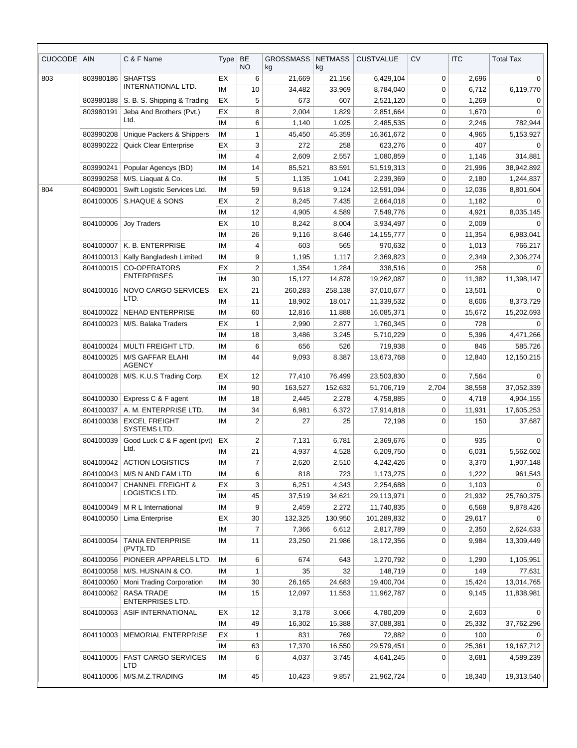| <b>CUOCODE</b> | <b>AIN</b> | C & F Name                                   | <b>Type</b> | BE<br><b>NO</b> | <b>GROSSMASS</b><br>kg | <b>NETMASS</b><br>kg | <b>CUSTVALUE</b> | <b>CV</b>   | <b>ITC</b> | <b>Total Tax</b> |
|----------------|------------|----------------------------------------------|-------------|-----------------|------------------------|----------------------|------------------|-------------|------------|------------------|
| 803            | 803980186  | <b>SHAFTSS</b>                               | EX          | 6               | 21,669                 | 21,156               | 6,429,104        | 0           | 2,696      | $\Omega$         |
|                |            | INTERNATIONAL LTD.                           | IM          | 10              | 34,482                 | 33,969               | 8,784,040        | 0           | 6,712      | 6,119,770        |
|                | 803980188  | S. B. S. Shipping & Trading                  | EX          | 5               | 673                    | 607                  | 2,521,120        | 0           | 1,269      | 0                |
|                | 803980191  | Jeba And Brothers (Pvt.)                     | EX          | 8               | 2,004                  | 1,829                | 2,851,664        | 0           | 1,670      | 0                |
|                |            | Ltd.                                         | IM          | 6               | 1,140                  | 1,025                | 2,485,535        | $\mathbf 0$ | 2,246      | 782,944          |
|                | 803990208  | Unique Packers & Shippers                    | IM          | 1               | 45,450                 | 45,359               | 16,361,672       | $\mathbf 0$ | 4,965      | 5,153,927        |
|                | 803990222  | Quick Clear Enterprise                       | EX          | 3               | 272                    | 258                  | 623,276          | $\mathbf 0$ | 407        | $\Omega$         |
|                |            |                                              | IM          | 4               | 2,609                  | 2,557                | 1,080,859        | 0           | 1,146      | 314,881          |
|                | 803990241  | Popular Agencys (BD)                         | IM          | 14              | 85,521                 | 83,591               | 51,519,313       | 0           | 21,996     | 38,942,892       |
|                | 803990258  | M/S. Liaquat & Co.                           | IM          | 5               | 1,135                  | 1,041                | 2,239,369        | 0           | 2,180      | 1,244,837        |
| 804            | 804090001  | Swift Logistic Services Ltd.                 | IM          | 59              | 9,618                  | 9,124                | 12,591,094       | 0           | 12,036     | 8,801,604        |
|                | 804100005  | S.HAQUE & SONS                               | EX          | $\overline{c}$  | 8,245                  | 7,435                | 2,664,018        | 0           | 1,182      |                  |
|                |            |                                              | IM          | 12              | 4,905                  | 4,589                | 7,549,776        | $\mathbf 0$ | 4,921      | 8,035,145        |
|                | 804100006  | <b>Joy Traders</b>                           | EX          | 10              | 8,242                  | 8,004                | 3,934,497        | $\mathbf 0$ | 2,009      | $\Omega$         |
|                |            |                                              | IM          | 26              | 9,116                  | 8,646                | 14, 155, 777     | $\mathbf 0$ | 11,354     | 6,983,041        |
|                | 804100007  | K. B. ENTERPRISE                             | IM          | 4               | 603                    | 565                  | 970,632          | 0           | 1,013      | 766,217          |
|                | 804100013  | Kally Bangladesh Limited                     | IM          | 9               | 1,195                  | 1,117                | 2,369,823        | 0           | 2,349      | 2,306,274        |
|                | 804100015  | <b>CO-OPERATORS</b>                          | EX          | 2               | 1,354                  | 1,284                | 338,516          | 0           | 258        | 0                |
|                |            | <b>ENTERPRISES</b>                           | IM          | 30              | 15,127                 | 14,878               | 19,262,087       | 0           | 11,382     | 11,398,147       |
|                | 804100016  | NOVO CARGO SERVICES                          | EX          | 21              | 260,283                | 258,138              | 37,010,677       | 0           | 13,501     | $\Omega$         |
|                |            | LTD.                                         | IM          | 11              | 18,902                 | 18,017               | 11,339,532       | $\mathbf 0$ | 8,606      | 8,373,729        |
|                | 804100022  | NEHAD ENTERPRISE                             | IM          | 60              | 12,816                 | 11,888               | 16,085,371       | 0           | 15,672     | 15,202,693       |
|                | 804100023  | M/S. Balaka Traders                          | EX          | $\mathbf{1}$    | 2,990                  | 2,877                | 1,760,345        | $\mathbf 0$ | 728        | $\Omega$         |
|                |            |                                              | IM          | 18              | 3,486                  | 3,245                | 5,710,229        | 0           | 5,396      | 4,471,266        |
|                | 804100024  | MULTI FREIGHT LTD.                           | IM          | 6               | 656                    | 526                  | 719,938          | 0           | 846        | 585,726          |
|                | 804100025  | M/S GAFFAR ELAHI<br><b>AGENCY</b>            | IM          | 44              | 9,093                  | 8,387                | 13,673,768       | $\mathbf 0$ | 12,840     | 12,150,215       |
|                | 804100028  | M/S. K.U.S Trading Corp.                     | EX          | 12              | 77,410                 | 76,499               | 23,503,830       | $\mathbf 0$ | 7,564      | $\Omega$         |
|                |            |                                              | IM          | 90              | 163,527                | 152,632              | 51,706,719       | 2,704       | 38,558     | 37,052,339       |
|                | 804100030  | Express C & F agent                          | IM          | 18              | 2,445                  | 2,278                | 4,758,885        | 0           | 4,718      | 4,904,155        |
|                | 804100037  | A. M. ENTERPRISE LTD.                        | IM          | 34              | 6,981                  | 6,372                | 17,914,818       | 0           | 11,931     | 17,605,253       |
|                | 804100038  | <b>EXCEL FREIGHT</b><br>SYSTEMS LTD.         | IM          | 2               | 27                     | 25                   | 72,198           | 0           | 150        | 37,687           |
|                |            | 804100039 Good Luck C & F agent (pvt)        | EX          | 2               | 7,131                  | 6,781                | 2,369,676        | 0           | 935        | 0                |
|                |            | Ltd.                                         | IM          | 21              | 4,937                  | 4,528                | 6,209,750        | 0           | 6,031      | 5,562,602        |
|                | 804100042  | <b>ACTION LOGISTICS</b>                      | IM          | 7               | 2,620                  | 2,510                | 4,242,426        | 0           | 3,370      | 1,907,148        |
|                | 804100043  | M/S N AND FAM LTD                            | IM          | 6               | 818                    | 723                  | 1,173,275        | 0           | 1,222      | 961,543          |
|                | 804100047  | <b>CHANNEL FREIGHT &amp;</b>                 | EX          | 3               | 6,251                  | 4,343                | 2,254,688        | 0           | 1,103      | $\Omega$         |
|                |            | LOGISTICS LTD.                               | IM          | 45              | 37,519                 | 34,621               | 29,113,971       | 0           | 21,932     | 25,760,375       |
|                | 804100049  | M R L International                          | IM          | 9               | 2,459                  | 2,272                | 11,740,835       | 0           | 6,568      | 9,878,426        |
|                | 804100050  | Lima Enterprise                              | EX          | 30              | 132,325                | 130,950              | 101,289,832      | 0           | 29,617     | 0                |
|                |            |                                              | IM          | 7               | 7,366                  | 6,612                | 2,817,789        | 0           | 2,350      | 2,624,633        |
|                | 804100054  | <b>TANIA ENTERPRISE</b><br>(PVT)LTD          | ΙM          | 11              | 23,250                 | 21,986               | 18,172,356       | 0           | 9,984      | 13,309,449       |
|                | 804100056  | PIONEER APPARELS LTD.                        | IM          | 6               | 674                    | 643                  | 1,270,792        | 0           | 1,290      | 1,105,951        |
|                | 804100058  | M/S. HUSNAIN & CO.                           | IM          | $\mathbf{1}$    | 35                     | 32                   | 148,719          | 0           | 149        | 77,631           |
|                | 804100060  | Moni Trading Corporation                     | IM          | 30              | 26,165                 | 24,683               | 19,400,704       | 0           | 15,424     | 13,014,765       |
|                | 804100062  | <b>RASA TRADE</b><br><b>ENTERPRISES LTD.</b> | IM          | 15              | 12,097                 | 11,553               | 11,962,787       | 0           | 9,145      | 11,838,981       |
|                | 804100063  | ASIF INTERNATIONAL                           | EX          | 12              | 3,178                  | 3,066                | 4,780,209        | 0           | 2,603      | $\mathbf 0$      |
|                |            |                                              | ΙM          | 49              | 16,302                 | 15,388               | 37,088,381       | 0           | 25,332     | 37,762,296       |
|                | 804110003  | <b>MEMORIAL ENTERPRISE</b>                   | EX          | 1               | 831                    | 769                  | 72,882           | 0           | 100        |                  |
|                |            |                                              | IM          | 63              | 17,370                 | 16,550               | 29,579,451       | 0           | 25,361     | 19,167,712       |
|                | 804110005  | <b>FAST CARGO SERVICES</b><br><b>LTD</b>     | ΙM          | 6               | 4,037                  | 3,745                | 4,641,245        | 0           | 3,681      | 4,589,239        |
|                |            | 804110006   M/S.M.Z.TRADING                  | IM          | 45              | 10,423                 | 9,857                | 21,962,724       | 0           | 18,340     | 19,313,540       |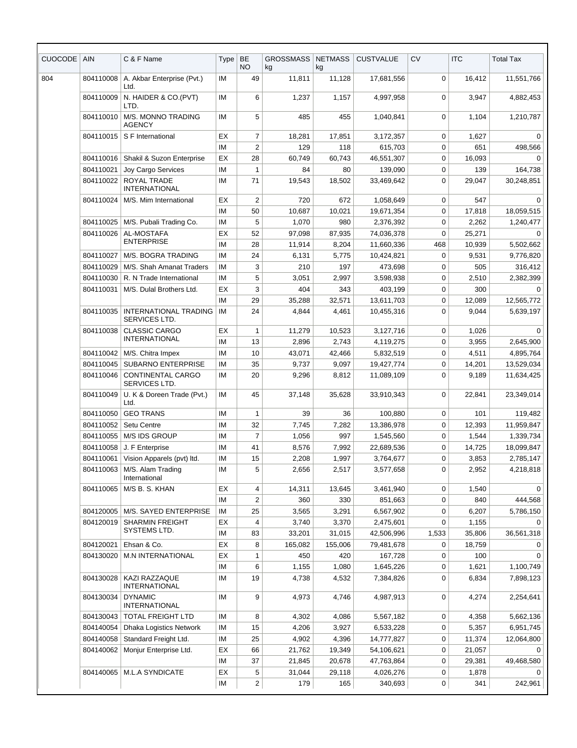| <b>CUOCODE</b> | <b>AIN</b>              | C & F Name                                    | Type      | BE<br><b>NO</b> | <b>GROSSMASS</b><br>kg | <b>NETMASS</b><br>kg | <b>CUSTVALUE</b> | <b>CV</b>   | <b>ITC</b> | <b>Total Tax</b> |
|----------------|-------------------------|-----------------------------------------------|-----------|-----------------|------------------------|----------------------|------------------|-------------|------------|------------------|
| 804            | 804110008               | A. Akbar Enterprise (Pvt.)<br>Ltd.            | ΙM        | 49              | 11,811                 | 11,128               | 17,681,556       | 0           | 16,412     | 11,551,766       |
|                | 804110009               | N. HAIDER & CO.(PVT)<br>LTD.                  | IM        | 6               | 1,237                  | 1,157                | 4.997.958        | $\mathbf 0$ | 3,947      | 4,882,453        |
|                | 804110010               | M/S. MONNO TRADING<br><b>AGENCY</b>           | ΙM        | 5               | 485                    | 455                  | 1,040,841        | 0           | 1,104      | 1,210,787        |
|                | 804110015               | S F International                             | ЕX        | $\overline{7}$  | 18,281                 | 17,851               | 3,172,357        | 0           | 1,627      | 0                |
|                |                         |                                               | IM        | $\overline{2}$  | 129                    | 118                  | 615,703          | $\mathbf 0$ | 651        | 498,566          |
|                | 804110016               | Shakil & Suzon Enterprise                     | ЕX        | 28              | 60,749                 | 60,743               | 46,551,307       | 0           | 16,093     |                  |
|                | 804110021               | Joy Cargo Services                            | <b>IM</b> | $\mathbf{1}$    | 84                     | 80                   | 139,090          | 0           | 139        | 164,738          |
|                | 804110022               | ROYAL TRADE<br><b>INTERNATIONAL</b>           | ΙM        | 71              | 19,543                 | 18,502               | 33,469,642       | 0           | 29,047     | 30,248,851       |
|                | 804110024               | M/S. Mim International                        | EX        | $\overline{2}$  | 720                    | 672                  | 1,058,649        | 0           | 547        | 0                |
|                |                         |                                               | IM        | 50              | 10,687                 | 10,021               | 19,671,354       | 0           | 17,818     | 18,059,515       |
|                | 804110025               | M/S. Pubali Trading Co.                       | <b>IM</b> | 5               | 1,070                  | 980                  | 2,376,392        | 0           | 2,262      | 1,240,477        |
|                | AL-MOSTAFA<br>804110026 | ЕX                                            | 52        | 97,098          | 87,935                 | 74,036,378           | 0                | 25,271      | $\Omega$   |                  |
|                |                         | <b>ENTERPRISE</b>                             | <b>IM</b> | 28              | 11,914                 | 8,204                | 11,660,336       | 468         | 10,939     | 5,502,662        |
|                | 804110027               | M/S. BOGRA TRADING                            | IM        | 24              | 6,131                  | 5,775                | 10,424,821       | $\mathbf 0$ | 9,531      | 9,776,820        |
|                | 804110029               | M/S. Shah Amanat Traders                      | <b>IM</b> | 3               | 210                    | 197                  | 473,698          | 0           | 505        | 316,412          |
|                | 804110030               | R. N Trade International                      | ΙM        | 5               | 3,051                  | 2,997                | 3,598,938        | 0           | 2,510      | 2,382,399        |
|                | 804110031               | M/S. Dulal Brothers Ltd.                      | EX        | 3               | 404                    | 343                  | 403,199          | $\mathbf 0$ | 300        | 0                |
|                |                         |                                               | IM        | 29              | 35,288                 | 32,571               | 13,611,703       | 0           | 12,089     | 12,565,772       |
|                | 804110035               | <b>INTERNATIONAL TRADING</b><br>SERVICES LTD. | IM        | 24              | 4,844                  | 4,461                | 10,455,316       | $\Omega$    | 9,044      | 5,639,197        |
|                | 804110038               | <b>CLASSIC CARGO</b>                          | EX        | $\mathbf{1}$    | 11,279                 | 10,523               | 3,127,716        | 0           | 1,026      | 0                |
|                |                         | INTERNATIONAL                                 | <b>IM</b> | 13              | 2,896                  | 2,743                | 4,119,275        | $\mathbf 0$ | 3,955      | 2,645,900        |
|                | 804110042               | M/S. Chitra Impex                             | ΙM        | 10              | 43,071                 | 42,466               | 5,832,519        | 0           | 4,511      | 4,895,764        |
|                | 804110045               | <b>SUBARNO ENTERPRISE</b>                     | ΙM        | 35              | 9,737                  | 9,097                | 19,427,774       | $\mathbf 0$ | 14,201     | 13,529,034       |
|                | 804110046               | CONTINENTAL CARGO<br>SERVICES LTD.            | IM        | 20              | 9,296                  | 8,812                | 11,089,109       | 0           | 9,189      | 11,634,425       |
|                | 804110049               | U. K & Doreen Trade (Pvt.)<br>Ltd.            | ΙM        | 45              | 37,148                 | 35,628               | 33,910,343       | 0           | 22,841     | 23,349,014       |
|                | 804110050               | <b>GEO TRANS</b>                              | <b>IM</b> | $\mathbf{1}$    | 39                     | 36                   | 100,880          | 0           | 101        | 119,482          |
|                | 804110052               | Setu Centre                                   | ΙM        | 32              | 7,745                  | 7,282                | 13,386,978       | 0           | 12,393     | 11,959,847       |
|                |                         | 804110055   M/S IDS GROUP                     | IM        | $\overline{7}$  | 1,056                  | 997                  | 1,545,560        | $\Omega$    | 1,544      | 1,339,734        |
|                | 804110058               | J. F Enterprise                               | ΙM        | 41              | 8,576                  | 7,992                | 22,689,536       | 0           | 14,725     | 18,099,847       |
|                | 804110061               | Vision Apparels (pvt) ltd.                    | ΙM        | 15              | 2,208                  | 1,997                | 3,764,677        | 0           | 3,853      | 2,785,147        |
|                | 804110063               | M/S. Alam Trading<br>International            | IM        | 5               | 2,656                  | 2,517                | 3,577,658        | 0           | 2,952      | 4,218,818        |
|                | 804110065               | M/S B. S. KHAN                                | EX        | 4               | 14,311                 | 13,645               | 3,461,940        | 0           | 1,540      | 0                |
|                |                         |                                               | ΙM        | $\overline{c}$  | 360                    | 330                  | 851,663          | 0           | 840        | 444,568          |
|                | 804120005               | M/S. SAYED ENTERPRISE                         | ΙM        | 25              | 3,565                  | 3,291                | 6,567,902        | 0           | 6,207      | 5,786,150        |
|                | 804120019               | <b>SHARMIN FREIGHT</b>                        | ЕX        | 4               | 3,740                  | 3,370                | 2,475,601        | 0           | 1,155      | $\Omega$         |
|                |                         | SYSTEMS LTD.                                  | ΙM        | 83              | 33,201                 | 31,015               | 42,506,996       | 1,533       | 35,806     | 36,561,318       |
|                | 804120021               | Ehsan & Co.                                   | ЕX        | 8               | 165,082                | 155,006              | 79,481,678       | 0           | 18,759     | 0                |
|                | 804130020               | <b>M.N INTERNATIONAL</b>                      | ЕX        | 1               | 450                    | 420                  | 167,728          | 0           | 100        | 0                |
|                |                         |                                               | ΙM        | 6               | 1,155                  | 1,080                | 1,645,226        | 0           | 1,621      | 1,100,749        |
|                | 804130028               | KAZI RAZZAQUE<br>INTERNATIONAL                | ΙM        | 19              | 4,738                  | 4,532                | 7,384,826        | 0           | 6,834      | 7,898,123        |
|                | 804130034               | <b>DYNAMIC</b><br><b>INTERNATIONAL</b>        | IM        | 9               | 4,973                  | 4,746                | 4,987,913        | 0           | 4,274      | 2,254,641        |
|                | 804130043               | <b>TOTAL FREIGHT LTD</b>                      | ΙM        | 8               | 4,302                  | 4,086                | 5,567,182        | 0           | 4,358      | 5,662,136        |
|                | 804140054               | <b>Dhaka Logistics Network</b>                | ΙM        | 15              | 4,206                  | 3,927                | 6,533,228        | 0           | 5,357      | 6,951,745        |
|                | 804140058               | Standard Freight Ltd.                         | ΙM        | 25              | 4,902                  | 4,396                | 14,777,827       | 0           | 11,374     | 12,064,800       |
|                | 804140062               | Monjur Enterprise Ltd.                        | ЕX        | 66              | 21,762                 | 19,349               | 54,106,621       | 0           | 21,057     | 0                |
|                |                         |                                               | ΙM        | 37              | 21,845                 | 20,678               | 47,763,864       | 0           | 29,381     | 49,468,580       |
|                | 804140065               | <b>M.L.A SYNDICATE</b>                        | EX        | 5               | 31,044                 | 29,118               | 4,026,276        | 0           | 1,878      | 0                |
|                |                         |                                               | IM        | 2               | 179                    | 165                  | 340,693          | 0           | 341        | 242,961          |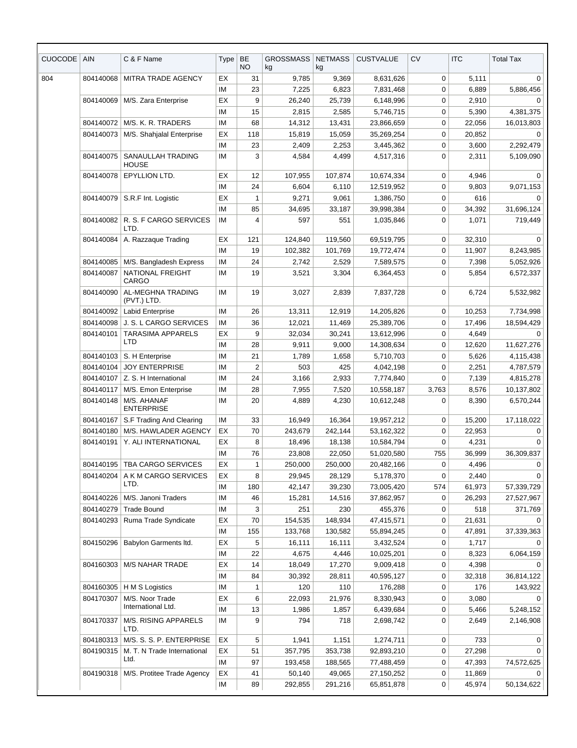| <b>CUOCODE</b> | AIN                                   | C & F Name                                | Type     | <b>BE</b><br><b>NO</b> | <b>GROSSMASS</b><br>kg | <b>NETMASS</b><br>kg | <b>CUSTVALUE</b>      | <b>CV</b>   | <b>ITC</b>    | <b>Total Tax</b> |
|----------------|---------------------------------------|-------------------------------------------|----------|------------------------|------------------------|----------------------|-----------------------|-------------|---------------|------------------|
| 804            | 804140068                             | MITRA TRADE AGENCY                        | EX       | 31                     | 9,785                  | 9,369                | 8,631,626             | 0           | 5,111         | 0                |
|                |                                       |                                           | IM       | 23                     | 7,225                  | 6,823                | 7,831,468             | 0           | 6,889         | 5,886,456        |
|                | 804140069                             | M/S. Zara Enterprise                      | EX       | 9                      | 26,240                 | 25,739               | 6,148,996             | 0           | 2,910         | 0                |
|                |                                       |                                           | IM       | 15                     | 2,815                  | 2,585                | 5,746,715             | 0           | 5,390         | 4,381,375        |
|                | 804140072                             | M/S. K. R. TRADERS                        | IM       | 68                     | 14,312                 | 13,431               | 23,866,659            | 0           | 22,056        | 16,013,803       |
|                | 804140073                             | M/S. Shahjalal Enterprise                 | EX       | 118                    | 15,819                 | 15,059               | 35,269,254            | 0           | 20,852        | 0                |
|                |                                       |                                           | IМ       | 23                     | 2,409                  | 2,253                | 3,445,362             | 0           | 3,600         | 2,292,479        |
|                | 804140075                             | SANAULLAH TRADING<br><b>HOUSE</b>         | IM       | 3                      | 4,584                  | 4,499                | 4,517,316             | 0           | 2,311         | 5,109,090        |
|                | 804140078                             | EPYLLION LTD.                             | EX       | 12                     | 107,955                | 107,874              | 10,674,334            | 0           | 4,946         | $\Omega$         |
|                |                                       |                                           | IM       | 24                     | 6,604                  | 6,110                | 12,519,952            | 0           | 9,803         | 9,071,153        |
|                | 804140079                             | S.R.F Int. Logistic                       | EX       | $\mathbf{1}$           | 9,271                  | 9,061                | 1,386,750             | $\mathbf 0$ | 616           | $\Omega$         |
|                |                                       |                                           | IM       | 85                     | 34,695                 | 33,187               | 39,998,384            | 0           | 34,392        | 31,696,124       |
|                | 804140082                             | R. S. F CARGO SERVICES<br>LTD.            | ΙM       | 4                      | 597                    | 551                  | 1,035,846             | 0           | 1,071         | 719,449          |
|                | 804140084                             | A. Razzaque Trading                       | EX       | 121                    | 124,840                | 119,560              | 69,519,795            | 0           | 32,310        | $\Omega$         |
|                |                                       |                                           | IM       | 19                     | 102,382                | 101,769              | 19,772,474            | 0           | 11,907        | 8,243,985        |
|                | 804140085                             | M/S. Bangladesh Express                   | IM       | 24                     | 2,742                  | 2,529                | 7,589,575             | 0           | 7,398         | 5,052,926        |
|                | 804140087                             | NATIONAL FREIGHT<br>CARGO                 | IM       | 19                     | 3,521                  | 3,304                | 6,364,453             | 0           | 5,854         | 6,572,337        |
|                | 804140090                             | AL-MEGHNA TRADING<br>(PVT.) LTD.          | IM       | 19                     | 3,027                  | 2,839                | 7,837,728             | 0           | 6,724         | 5,532,982        |
|                | 804140092                             | <b>Labid Enterprise</b>                   | IM       | 26                     | 13,311                 | 12,919               | 14,205,826            | 0           | 10,253        | 7,734,998        |
|                | 804140098                             | J. S. L CARGO SERVICES                    | IМ       | 36                     | 12,021                 | 11,469               | 25,389,706            | 0           | 17,496        | 18,594,429       |
|                | <b>TARASIMA APPARELS</b><br>804140101 | EX                                        | 9        | 32,034                 | 30,241                 | 13,612,996           | 0                     | 4,649       | $\Omega$      |                  |
|                |                                       | LTD                                       | IM       | 28                     | 9,911                  | 9,000                | 14,308,634            | 0           | 12,620        | 11,627,276       |
|                | 804140103                             | S. H Enterprise                           | IM       | 21                     | 1,789                  | 1,658                | 5,710,703             | 0           | 5,626         | 4,115,438        |
|                | 804140104                             | <b>JOY ENTERPRISE</b>                     | IM       | $\boldsymbol{2}$       | 503                    | 425                  | 4,042,198             | 0           | 2,251         | 4,787,579        |
|                | 804140107                             | Z. S. H International                     | IM       | 24                     | 3,166                  | 2,933                | 7,774,840             | $\mathbf 0$ | 7,139         | 4,815,278        |
|                | 804140117                             | M/S. Emon Enterprise                      | IM       | 28                     | 7,955                  | 7,520                | 10,558,187            | 3,763       | 8,576         | 10,137,802       |
|                | 804140148                             | M/S. AHANAF<br><b>ENTERPRISE</b>          | IМ       | 20                     | 4,889                  | 4,230                | 10,612,248            | 0           | 8,390         | 6,570,244        |
|                | 804140167                             | S.F Trading And Clearing                  | IM       | 33                     | 16,949                 | 16,364               | 19,957,212            | 0           | 15,200        | 17,118,022       |
|                | 804140180                             | M/S. HAWLADER AGENCY                      | EX       | 70                     | 243,679                | 242,144              | 53,162,322            | 0           | 22,953        | 0                |
|                | 804140191   Y. ALI INTERNATIONAL      |                                           | EХ       | 8                      | 18,496                 | 18,138               | 10,584,794            | 0           | 4,231         | 0                |
|                |                                       |                                           | ΙM       | 76                     | 23,808                 | 22,050               | 51,020,580            | 755         | 36,999        | 36,309,837       |
|                | 804140195                             | TBA CARGO SERVICES                        | EX       | 1                      | 250,000                | 250,000              | 20,482,166            | 0           | 4,496         | 0                |
|                | 804140204                             | A K M CARGO SERVICES<br>LTD.              | EX       | 8                      | 29,945                 | 28,129               | 5,178,370             | $\mathbf 0$ | 2,440         | $\Omega$         |
|                |                                       |                                           | ΙM       | 180                    | 42,147                 | 39,230               | 73,005,420            | 574         | 61,973        | 57,339,729       |
|                | 804140226<br>804140279                | M/S. Janoni Traders<br><b>Trade Bound</b> | IM<br>IМ | 46<br>3                | 15,281<br>251          | 14,516<br>230        | 37,862,957<br>455,376 | 0<br>0      | 26,293<br>518 | 27,527,967       |
|                | 804140293                             | Ruma Trade Syndicate                      | EX       | 70                     | 154,535                | 148,934              | 47,415,571            | 0           | 21,631        | 371,769          |
|                |                                       |                                           | ΙM       | 155                    | 133,768                | 130,582              | 55,894,245            | 0           | 47,891        | 37,339,363       |
|                | 804150296                             | Babylon Garments Itd.                     | EX       | 5                      | 16,111                 | 16,111               | 3,432,524             | 0           | 1,717         |                  |
|                |                                       |                                           | ΙM       | 22                     | 4,675                  | 4,446                | 10,025,201            | 0           | 8,323         | 6,064,159        |
|                | 804160303                             | M/S NAHAR TRADE                           | EX       | 14                     | 18,049                 | 17,270               | 9,009,418             | 0           | 4,398         | $\Omega$         |
|                |                                       |                                           | IМ       | 84                     | 30,392                 | 28,811               | 40,595,127            | 0           | 32,318        | 36,814,122       |
|                | 804160305                             | H M S Logistics                           | IM       | $\mathbf{1}$           | 120                    | 110                  | 176,288               | 0           | 176           | 143,922          |
|                | 804170307                             | M/S. Noor Trade                           | EX       | 6                      | 22,093                 | 21,976               | 8,330,943             | 0           | 3,080         | 0                |
|                |                                       | International Ltd.                        | IМ       | 13                     | 1,986                  | 1,857                | 6,439,684             | 0           | 5,466         | 5,248,152        |
|                | 804170337                             | M/S. RISING APPARELS<br>LTD.              | IM       | 9                      | 794                    | 718                  | 2,698,742             | 0           | 2,649         | 2,146,908        |
|                |                                       | 804180313   M/S. S. S. P. ENTERPRISE      | EX       | 5                      | 1,941                  | 1,151                | 1,274,711             | 0           | 733           | 0                |
|                | 804190315                             | M. T. N Trade International               | EX       | 51                     | 357,795                | 353,738              | 92,893,210            | 0           | 27,298        | 0                |
|                |                                       | Ltd.                                      | IM       | 97                     | 193,458                | 188,565              | 77,488,459            | 0           | 47,393        | 74,572,625       |
|                |                                       | 804190318   M/S. Protitee Trade Agency    | EX       | 41                     | 50,140                 | 49,065               | 27,150,252            | 0           | 11,869        | 0                |
|                |                                       |                                           | IM       | 89                     | 292,855                | 291,216              | 65,851,878            | 0           | 45,974        | 50,134,622       |